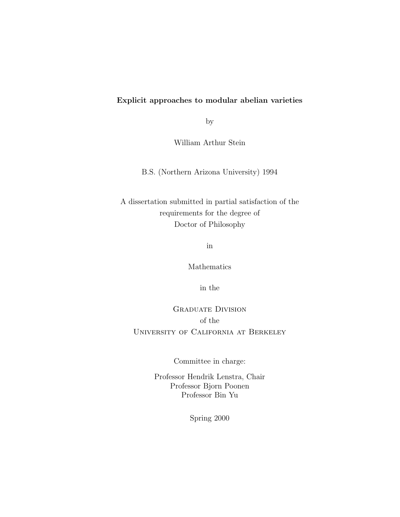# Explicit approaches to modular abelian varieties

by

William Arthur Stein

B.S. (Northern Arizona University) 1994

A dissertation submitted in partial satisfaction of the requirements for the degree of Doctor of Philosophy

in

Mathematics

in the

Graduate Division of the University of California at Berkeley

Committee in charge:

Professor Hendrik Lenstra, Chair Professor Bjorn Poonen Professor Bin Yu

Spring 2000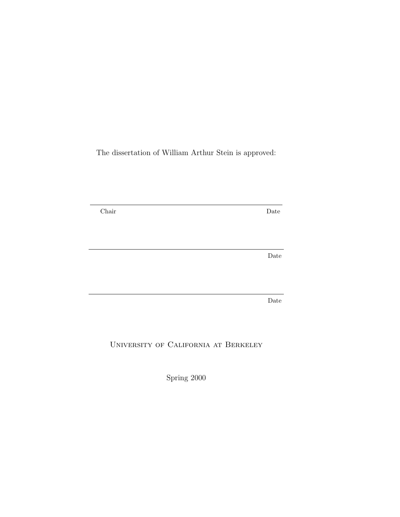The dissertation of William Arthur Stein is approved:

Chair Date Date Date

University of California at Berkeley

Spring 2000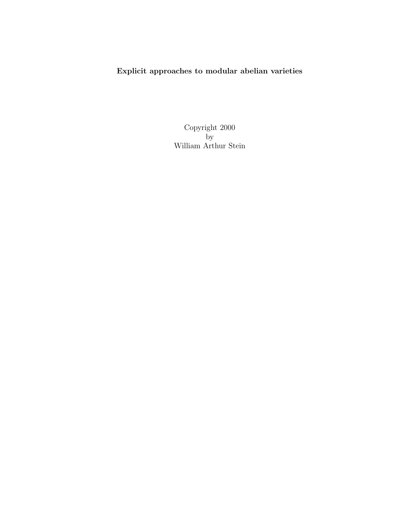Explicit approaches to modular abelian varieties

Copyright 2000 by William Arthur Stein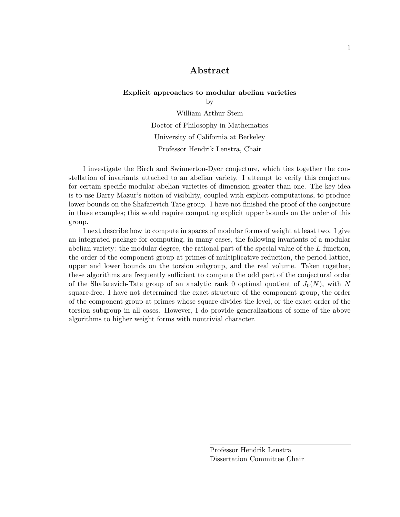## Abstract

#### Explicit approaches to modular abelian varieties

by

William Arthur Stein Doctor of Philosophy in Mathematics University of California at Berkeley Professor Hendrik Lenstra, Chair

I investigate the Birch and Swinnerton-Dyer conjecture, which ties together the constellation of invariants attached to an abelian variety. I attempt to verify this conjecture for certain specific modular abelian varieties of dimension greater than one. The key idea is to use Barry Mazur's notion of visibility, coupled with explicit computations, to produce lower bounds on the Shafarevich-Tate group. I have not finished the proof of the conjecture in these examples; this would require computing explicit upper bounds on the order of this group.

I next describe how to compute in spaces of modular forms of weight at least two. I give an integrated package for computing, in many cases, the following invariants of a modular abelian variety: the modular degree, the rational part of the special value of the L-function, the order of the component group at primes of multiplicative reduction, the period lattice, upper and lower bounds on the torsion subgroup, and the real volume. Taken together, these algorithms are frequently sufficient to compute the odd part of the conjectural order of the Shafarevich-Tate group of an analytic rank 0 optimal quotient of  $J_0(N)$ , with N square-free. I have not determined the exact structure of the component group, the order of the component group at primes whose square divides the level, or the exact order of the torsion subgroup in all cases. However, I do provide generalizations of some of the above algorithms to higher weight forms with nontrivial character.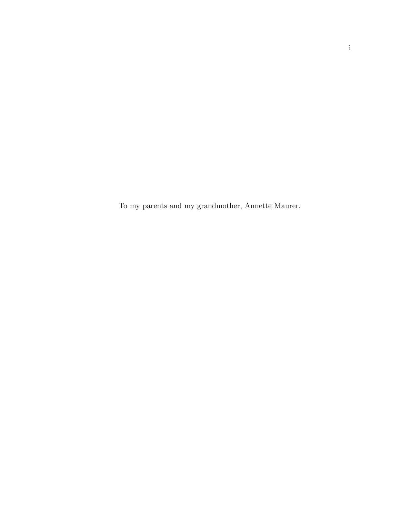To my parents and my grandmother, Annette Maurer.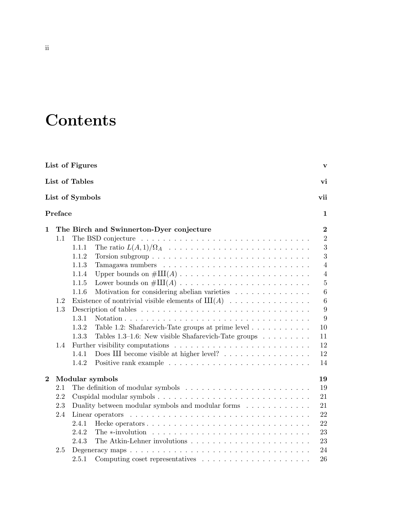# **Contents**

|                                                             |         | List of Figures                                                                      | $\mathbf{v}$                      |  |  |  |  |  |  |  |  |
|-------------------------------------------------------------|---------|--------------------------------------------------------------------------------------|-----------------------------------|--|--|--|--|--|--|--|--|
|                                                             |         | List of Tables                                                                       | vi                                |  |  |  |  |  |  |  |  |
|                                                             |         | List of Symbols                                                                      | vii                               |  |  |  |  |  |  |  |  |
|                                                             | Preface |                                                                                      | $\mathbf{1}$                      |  |  |  |  |  |  |  |  |
| $\mathbf 1$                                                 |         | The Birch and Swinnerton-Dyer conjecture                                             | $\bf{2}$                          |  |  |  |  |  |  |  |  |
| 1.1                                                         |         |                                                                                      |                                   |  |  |  |  |  |  |  |  |
|                                                             |         | 1.1.1                                                                                | $\overline{3}$                    |  |  |  |  |  |  |  |  |
|                                                             |         | 1.1.2                                                                                | 3                                 |  |  |  |  |  |  |  |  |
|                                                             |         | 1.1.3                                                                                | $\overline{4}$                    |  |  |  |  |  |  |  |  |
|                                                             |         | 1.1.4                                                                                | $\overline{4}$                    |  |  |  |  |  |  |  |  |
|                                                             |         | 1.1.5                                                                                | $\overline{5}$<br>$6\phantom{.}6$ |  |  |  |  |  |  |  |  |
| Motivation for considering abelian varieties<br>1.1.6       |         |                                                                                      |                                   |  |  |  |  |  |  |  |  |
| Existence of nontrivial visible elements of $III(A)$<br>1.2 |         |                                                                                      |                                   |  |  |  |  |  |  |  |  |
| 1.3                                                         |         |                                                                                      |                                   |  |  |  |  |  |  |  |  |
|                                                             |         | 1.3.1                                                                                | 9                                 |  |  |  |  |  |  |  |  |
|                                                             |         | 1.3.2<br>Table 1.2: Shafarevich-Tate groups at prime level $\dots \dots \dots$       | 10                                |  |  |  |  |  |  |  |  |
|                                                             |         | 1.3.3<br>Tables 1.3–1.6: New visible Shafarevich-Tate groups $\dots \dots$           | 11                                |  |  |  |  |  |  |  |  |
|                                                             | 1.4     |                                                                                      | 12                                |  |  |  |  |  |  |  |  |
|                                                             |         | 1.4.1                                                                                | 12                                |  |  |  |  |  |  |  |  |
|                                                             |         | 1.4.2                                                                                | 14                                |  |  |  |  |  |  |  |  |
| $\overline{2}$                                              |         | Modular symbols                                                                      | 19                                |  |  |  |  |  |  |  |  |
|                                                             | 2.1     |                                                                                      | 19                                |  |  |  |  |  |  |  |  |
|                                                             | 2.2     |                                                                                      | 21                                |  |  |  |  |  |  |  |  |
|                                                             | 2.3     | Duality between modular symbols and modular forms $\ldots \ldots \ldots \ldots$      | 21<br>22                          |  |  |  |  |  |  |  |  |
| 2.4<br>Linear operators                                     |         |                                                                                      |                                   |  |  |  |  |  |  |  |  |
|                                                             |         | 2.4.1                                                                                | 22                                |  |  |  |  |  |  |  |  |
|                                                             |         | 2.4.2                                                                                | 23                                |  |  |  |  |  |  |  |  |
|                                                             |         | 2.4.3                                                                                | 23                                |  |  |  |  |  |  |  |  |
|                                                             | 2.5     |                                                                                      | 24                                |  |  |  |  |  |  |  |  |
|                                                             |         | 2.5.1<br>Computing coset representatives $\dots \dots \dots \dots \dots \dots \dots$ | 26                                |  |  |  |  |  |  |  |  |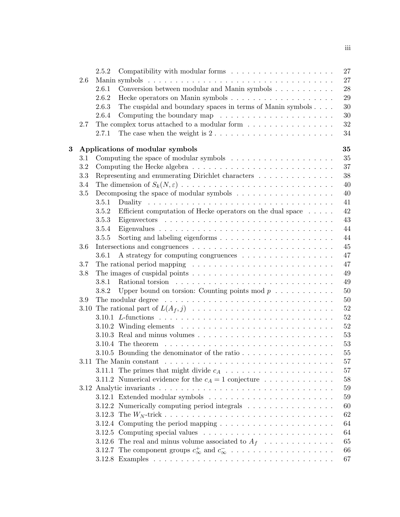|   |         | 27<br>2.5.2                                                                                          |
|---|---------|------------------------------------------------------------------------------------------------------|
|   | 2.6     | 27                                                                                                   |
|   |         | 28<br>2.6.1                                                                                          |
|   |         | 29<br>2.6.2                                                                                          |
|   |         | 30<br>The cuspidal and boundary spaces in terms of Manin symbols<br>2.6.3                            |
|   |         | Computing the boundary map $\ldots \ldots \ldots \ldots \ldots \ldots$<br>30<br>2.6.4                |
|   | 2.7     | 32<br>The complex torus attached to a modular form $\dots \dots \dots \dots \dots$                   |
|   |         | The case when the weight is $2 \ldots \ldots \ldots \ldots \ldots \ldots \ldots$<br>34<br>2.7.1      |
| 3 |         | 35<br>Applications of modular symbols                                                                |
|   | 3.1     | Computing the space of modular symbols $\ldots \ldots \ldots \ldots \ldots \ldots$<br>35             |
|   | $3.2\,$ | 37                                                                                                   |
|   | 3.3     | Representing and enumerating Dirichlet characters $\hfill\ldots\ldots\ldots\ldots\ldots\ldots$<br>38 |
|   | 3.4     | 40                                                                                                   |
|   | 3.5     | Decomposing the space of modular symbols $\dots \dots \dots \dots \dots \dots \dots$<br>40           |
|   |         | 41<br>3.5.1                                                                                          |
|   |         | 42<br>3.5.2<br>Efficient computation of Hecke operators on the dual space $\dots$ .                  |
|   |         | 43<br>3.5.3                                                                                          |
|   |         | 44<br>3.5.4                                                                                          |
|   |         | 44<br>3.5.5                                                                                          |
|   | 3.6     | 45                                                                                                   |
|   |         | 47<br>3.6.1                                                                                          |
|   | 3.7     | The rational period mapping $\ldots \ldots \ldots \ldots \ldots \ldots \ldots \ldots \ldots$<br>47   |
|   | 3.8     | 49                                                                                                   |
|   |         | 49<br>3.8.1                                                                                          |
|   |         | 50<br>Upper bound on torsion: Counting points mod $p \ldots \ldots \ldots$<br>3.8.2                  |
|   | 3.9     | 50                                                                                                   |
|   | 3.10    | 52                                                                                                   |
|   |         | 52                                                                                                   |
|   |         | 52                                                                                                   |
|   |         | 53                                                                                                   |
|   |         | 53                                                                                                   |
|   |         | 55<br>3.10.5 Bounding the denominator of the ratio $\ldots \ldots \ldots \ldots \ldots$              |
|   |         | 57                                                                                                   |
|   |         | 57                                                                                                   |
|   |         | 3.11.2 Numerical evidence for the $c_A = 1$ conjecture<br>58                                         |
|   |         | 59                                                                                                   |
|   |         | 59                                                                                                   |
|   |         | 3.12.2 Numerically computing period integrals<br>60                                                  |
|   |         | 62                                                                                                   |
|   |         | 3.12.4 Computing the period mapping $\ldots \ldots \ldots \ldots \ldots \ldots \ldots$<br>64         |
|   |         | 64                                                                                                   |
|   |         | 3.12.6 The real and minus volume associated to $A_f$<br>65                                           |
|   |         | 3.12.7 The component groups $c_{\infty}^+$ and $c_{\infty}^-$<br>66                                  |
|   |         | 67                                                                                                   |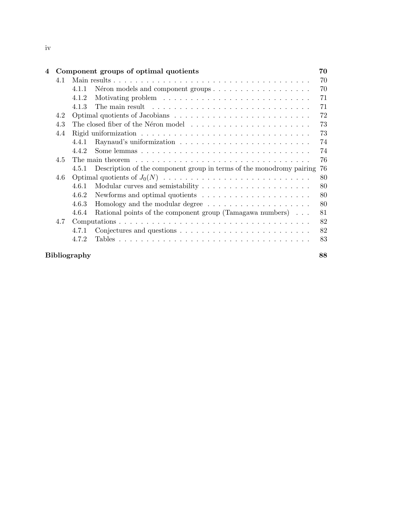| 4 |                           |                                                                                                    | Component groups of optimal quotients                                             | 70 |  |  |  |  |  |  |  |  |  |
|---|---------------------------|----------------------------------------------------------------------------------------------------|-----------------------------------------------------------------------------------|----|--|--|--|--|--|--|--|--|--|
|   | 4.1                       |                                                                                                    |                                                                                   | 70 |  |  |  |  |  |  |  |  |  |
|   |                           | 4.1.1                                                                                              |                                                                                   | 70 |  |  |  |  |  |  |  |  |  |
|   |                           | 71<br>4.1.2<br>71                                                                                  |                                                                                   |    |  |  |  |  |  |  |  |  |  |
|   |                           | The main result $\dots \dots \dots \dots \dots \dots \dots \dots \dots \dots \dots \dots$<br>4.1.3 |                                                                                   |    |  |  |  |  |  |  |  |  |  |
|   | 4.2                       | 72                                                                                                 |                                                                                   |    |  |  |  |  |  |  |  |  |  |
|   | 4.3                       |                                                                                                    |                                                                                   | 73 |  |  |  |  |  |  |  |  |  |
|   | 4.4                       |                                                                                                    |                                                                                   | 73 |  |  |  |  |  |  |  |  |  |
|   |                           | 4.4.1                                                                                              |                                                                                   | 74 |  |  |  |  |  |  |  |  |  |
|   |                           | 4.4.2                                                                                              |                                                                                   | 74 |  |  |  |  |  |  |  |  |  |
|   | 4.5                       | 76                                                                                                 |                                                                                   |    |  |  |  |  |  |  |  |  |  |
|   |                           | 4.5.1                                                                                              | Description of the component group in terms of the monodromy pairing              | 76 |  |  |  |  |  |  |  |  |  |
|   | 4.6                       |                                                                                                    |                                                                                   | 80 |  |  |  |  |  |  |  |  |  |
|   |                           | 4.6.1                                                                                              | Modular curves and semistability $\dots \dots \dots \dots \dots \dots \dots$      | 80 |  |  |  |  |  |  |  |  |  |
|   |                           | 4.6.2                                                                                              | Newforms and optimal quotients $\dots \dots \dots \dots \dots \dots \dots$        | 80 |  |  |  |  |  |  |  |  |  |
|   |                           | 4.6.3                                                                                              | Homology and the modular degree $\ldots \ldots \ldots \ldots \ldots \ldots$       | 80 |  |  |  |  |  |  |  |  |  |
|   |                           | 4.6.4                                                                                              | Rational points of the component group (Tamagawa numbers)                         | 81 |  |  |  |  |  |  |  |  |  |
|   | 4.7                       |                                                                                                    |                                                                                   | 82 |  |  |  |  |  |  |  |  |  |
|   |                           | 4.7.1                                                                                              | Conjectures and questions $\dots \dots \dots \dots \dots \dots \dots \dots \dots$ | 82 |  |  |  |  |  |  |  |  |  |
|   |                           | 472                                                                                                |                                                                                   | 83 |  |  |  |  |  |  |  |  |  |
|   | 88<br><b>Bibliography</b> |                                                                                                    |                                                                                   |    |  |  |  |  |  |  |  |  |  |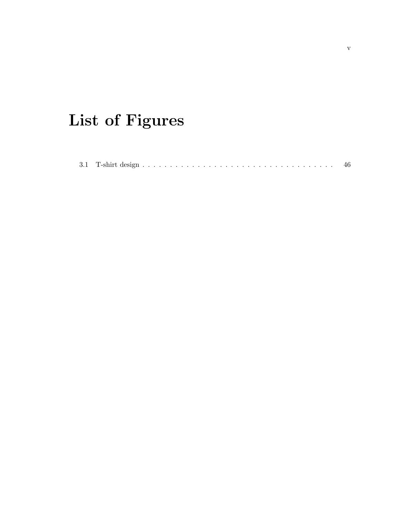# List of Figures

| 3.1 <sup>7</sup> |  |  |  |  |  |  |  |  |  |  |  |  |  |  |  |  |  |  |  |  |  |  |  |  |  |  |  |  |  |  |  |  |  |  |  |  |  |  |
|------------------|--|--|--|--|--|--|--|--|--|--|--|--|--|--|--|--|--|--|--|--|--|--|--|--|--|--|--|--|--|--|--|--|--|--|--|--|--|--|
|------------------|--|--|--|--|--|--|--|--|--|--|--|--|--|--|--|--|--|--|--|--|--|--|--|--|--|--|--|--|--|--|--|--|--|--|--|--|--|--|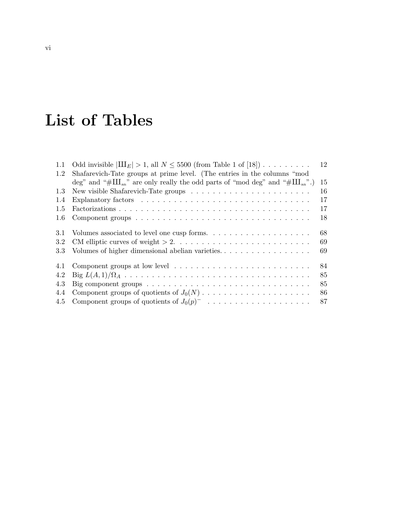# List of Tables

| 1.1 | Odd invisible $ III_E  > 1$ , all $N \leq 5500$ (from Table 1 of [18])                                  | 12 |
|-----|---------------------------------------------------------------------------------------------------------|----|
| 1.2 | Shafarevich-Tate groups at prime level. (The entries in the columns "mod"                               |    |
|     | deg" and "# $\text{III}_{nn}$ " are only really the odd parts of "mod deg" and "# $\text{III}_{nn}$ ".) | 15 |
| 1.3 |                                                                                                         | 16 |
| 1.4 |                                                                                                         | 17 |
| 1.5 |                                                                                                         | 17 |
| 1.6 |                                                                                                         | 18 |
| 3.1 | Volumes associated to level one cusp forms. $\dots \dots \dots \dots \dots \dots \dots$                 | 68 |
| 3.2 |                                                                                                         | 69 |
| 3.3 |                                                                                                         | 69 |
| 4.1 |                                                                                                         | 84 |
| 4.2 |                                                                                                         | 85 |
| 4.3 | Big component groups $\dots \dots \dots \dots \dots \dots \dots \dots \dots \dots \dots \dots$          | 85 |
| 4.4 |                                                                                                         | 86 |
| 4.5 |                                                                                                         | 87 |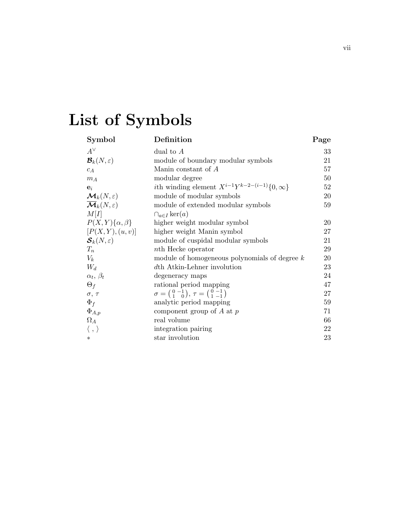# List of Symbols

| Symbol                                      | Definition                                                                                                      | Page |
|---------------------------------------------|-----------------------------------------------------------------------------------------------------------------|------|
| $A^{\vee}$                                  | dual to $A$                                                                                                     | 33   |
| $\mathcal{B}_k(N,\varepsilon)$              | module of boundary modular symbols                                                                              | 21   |
| $c_A$                                       | Manin constant of A                                                                                             | 57   |
| $m_A$                                       | modular degree                                                                                                  | 50   |
| $\mathbf{e}_i$                              | <i>i</i> th winding element $X^{i-1}Y^{k-2-(i-1)}\{0,\infty\}$                                                  | 52   |
| $\mathcal{M}_k(N,\varepsilon)$              | module of modular symbols                                                                                       | 20   |
| $\overline{\mathcal{M}}_k(N,\varepsilon)$   | module of extended modular symbols                                                                              | 59   |
| M[I]                                        | $\bigcap_{a\in I} \ker(a)$                                                                                      |      |
| $P(X,Y){\alpha,\beta}$                      | higher weight modular symbol                                                                                    | 20   |
| [P(X, Y), (u, v)]                           | higher weight Manin symbol                                                                                      | 27   |
| $\mathcal{\boldsymbol{S}}_k(N,\varepsilon)$ | module of cuspidal modular symbols                                                                              | 21   |
| $T_n$                                       | <i>nth</i> Hecke operator                                                                                       | 29   |
| $V_k$                                       | module of homogeneous polynomials of degree $k$                                                                 | 20   |
| $W_d$                                       | dth Atkin-Lehner involution                                                                                     | 23   |
| $\alpha_t, \beta_t$                         | degeneracy maps                                                                                                 | 24   |
| $\Theta_f$                                  | rational period mapping                                                                                         | 47   |
| $\sigma$ , $\tau$                           | $\sigma = \begin{pmatrix} 0 & -1 \\ 1 & 0 \end{pmatrix}, \tau = \begin{pmatrix} 0 & -1 \\ 1 & -1 \end{pmatrix}$ | 27   |
| $\Phi_f$                                    | analytic period mapping                                                                                         | 59   |
| $\Phi_{A,p}$                                | component group of A at $p$                                                                                     | 71   |
| $\Omega_A$                                  | real volume                                                                                                     | 66   |
| $\langle \, , \, \rangle$                   | integration pairing                                                                                             | 22   |
| $\ast$                                      | star involution                                                                                                 | 23   |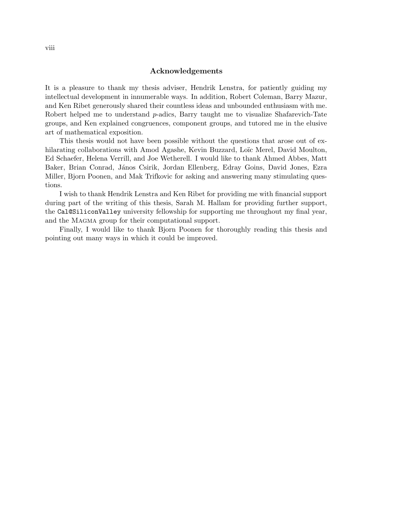#### Acknowledgements

It is a pleasure to thank my thesis adviser, Hendrik Lenstra, for patiently guiding my intellectual development in innumerable ways. In addition, Robert Coleman, Barry Mazur, and Ken Ribet generously shared their countless ideas and unbounded enthusiasm with me. Robert helped me to understand  $p$ -adics, Barry taught me to visualize Shafarevich-Tate groups, and Ken explained congruences, component groups, and tutored me in the elusive art of mathematical exposition.

This thesis would not have been possible without the questions that arose out of exhilarating collaborations with Amod Agashe, Kevin Buzzard, Loïc Merel, David Moulton, Ed Schaefer, Helena Verrill, and Joe Wetherell. I would like to thank Ahmed Abbes, Matt Baker, Brian Conrad, János Csirik, Jordan Ellenberg, Edray Goins, David Jones, Ezra Miller, Bjorn Poonen, and Mak Trifkovic for asking and answering many stimulating questions.

I wish to thank Hendrik Lenstra and Ken Ribet for providing me with financial support during part of the writing of this thesis, Sarah M. Hallam for providing further support, the Cal@SiliconValley university fellowship for supporting me throughout my final year, and the MAGMA group for their computational support.

Finally, I would like to thank Bjorn Poonen for thoroughly reading this thesis and pointing out many ways in which it could be improved.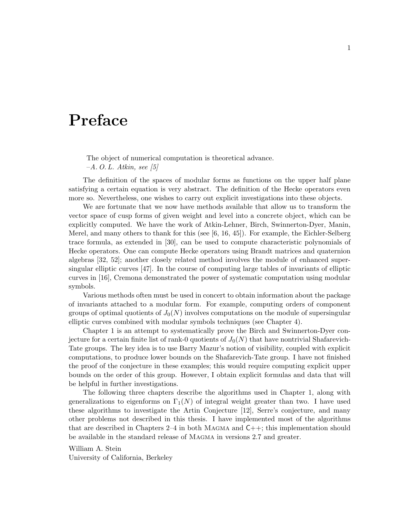# Preface

The object of numerical computation is theoretical advance.  $-A. O. L. Atkin, see [5]$ 

The definition of the spaces of modular forms as functions on the upper half plane satisfying a certain equation is very abstract. The definition of the Hecke operators even more so. Nevertheless, one wishes to carry out explicit investigations into these objects.

We are fortunate that we now have methods available that allow us to transform the vector space of cusp forms of given weight and level into a concrete object, which can be explicitly computed. We have the work of Atkin-Lehner, Birch, Swinnerton-Dyer, Manin, Merel, and many others to thank for this (see [6, 16, 45]). For example, the Eichler-Selberg trace formula, as extended in [30], can be used to compute characteristic polynomials of Hecke operators. One can compute Hecke operators using Brandt matrices and quaternion algebras [32, 52]; another closely related method involves the module of enhanced supersingular elliptic curves [47]. In the course of computing large tables of invariants of elliptic curves in [16], Cremona demonstrated the power of systematic computation using modular symbols.

Various methods often must be used in concert to obtain information about the package of invariants attached to a modular form. For example, computing orders of component groups of optimal quotients of  $J_0(N)$  involves computations on the module of supersingular elliptic curves combined with modular symbols techniques (see Chapter 4).

Chapter 1 is an attempt to systematically prove the Birch and Swinnerton-Dyer conjecture for a certain finite list of rank-0 quotients of  $J_0(N)$  that have nontrivial Shafarevich-Tate groups. The key idea is to use Barry Mazur's notion of visibility, coupled with explicit computations, to produce lower bounds on the Shafarevich-Tate group. I have not finished the proof of the conjecture in these examples; this would require computing explicit upper bounds on the order of this group. However, I obtain explicit formulas and data that will be helpful in further investigations.

The following three chapters describe the algorithms used in Chapter 1, along with generalizations to eigenforms on  $\Gamma_1(N)$  of integral weight greater than two. I have used these algorithms to investigate the Artin Conjecture [12], Serre's conjecture, and many other problems not described in this thesis. I have implemented most of the algorithms that are described in Chapters 2–4 in both Magma and C++; this implementation should be available in the standard release of Magma in versions 2.7 and greater.

William A. Stein University of California, Berkeley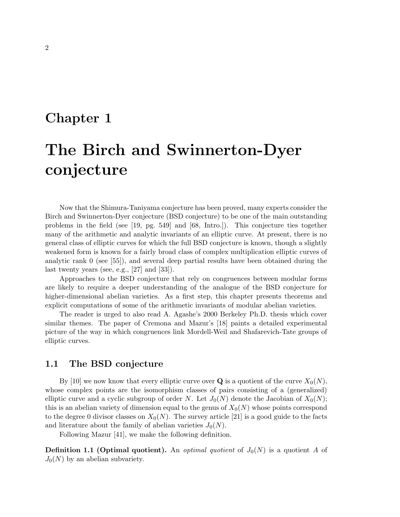# Chapter 1

# The Birch and Swinnerton-Dyer conjecture

Now that the Shimura-Taniyama conjecture has been proved, many experts consider the Birch and Swinnerton-Dyer conjecture (BSD conjecture) to be one of the main outstanding problems in the field (see [19, pg. 549] and [68, Intro.]). This conjecture ties together many of the arithmetic and analytic invariants of an elliptic curve. At present, there is no general class of elliptic curves for which the full BSD conjecture is known, though a slightly weakened form is known for a fairly broad class of complex multiplication elliptic curves of analytic rank 0 (see [55]), and several deep partial results have been obtained during the last twenty years (see, e.g., [27] and [33]).

Approaches to the BSD conjecture that rely on congruences between modular forms are likely to require a deeper understanding of the analogue of the BSD conjecture for higher-dimensional abelian varieties. As a first step, this chapter presents theorems and explicit computations of some of the arithmetic invariants of modular abelian varieties.

The reader is urged to also read A. Agashe's 2000 Berkeley Ph.D. thesis which cover similar themes. The paper of Cremona and Mazur's [18] paints a detailed experimental picture of the way in which congruences link Mordell-Weil and Shafarevich-Tate groups of elliptic curves.

# 1.1 The BSD conjecture

By [10] we now know that every elliptic curve over **Q** is a quotient of the curve  $X_0(N)$ , whose complex points are the isomorphism classes of pairs consisting of a (generalized) elliptic curve and a cyclic subgroup of order N. Let  $J_0(N)$  denote the Jacobian of  $X_0(N)$ ; this is an abelian variety of dimension equal to the genus of  $X_0(N)$  whose points correspond to the degree 0 divisor classes on  $X_0(N)$ . The survey article [21] is a good guide to the facts and literature about the family of abelian varieties  $J_0(N)$ .

Following Mazur [41], we make the following definition.

**Definition 1.1 (Optimal quotient).** An *optimal quotient* of  $J_0(N)$  is a quotient A of  $J_0(N)$  by an abelian subvariety.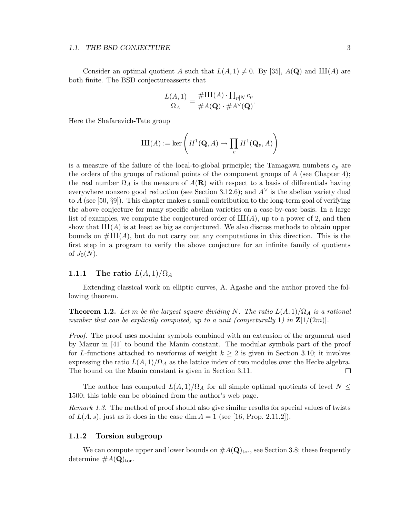#### 1.1. THE BSD CONJECTURE 3

Consider an optimal quotient A such that  $L(A, 1) \neq 0$ . By [35],  $A(\mathbf{Q})$  and  $\text{III}(A)$  are both finite. The BSD conjectureasserts that

$$
\frac{L(A,1)}{\Omega_A} = \frac{\# \text{III}(A) \cdot \prod_{p|N} c_p}{\# A(\mathbf{Q}) \cdot \# A^{\vee}(\mathbf{Q})}.
$$

Here the Shafarevich-Tate group

$$
\mathrm{III}(A) := \ker\left(H^1(\mathbf{Q}, A) \to \prod_v H^1(\mathbf{Q}_v, A)\right)
$$

is a measure of the failure of the local-to-global principle; the Tamagawa numbers  $c_p$  are the orders of the groups of rational points of the component groups of  $A$  (see Chapter 4); the real number  $\Omega_A$  is the measure of  $A(\mathbf{R})$  with respect to a basis of differentials having everywhere nonzero good reduction (see Section 3.12.6); and  $A^{\vee}$  is the abelian variety dual to  $A$  (see [50, §9]). This chapter makes a small contribution to the long-term goal of verifying the above conjecture for many specific abelian varieties on a case-by-case basis. In a large list of examples, we compute the conjectured order of  $III(A)$ , up to a power of 2, and then show that  $III(A)$  is at least as big as conjectured. We also discuss methods to obtain upper bounds on  $\#\text{III}(A)$ , but do not carry out any computations in this direction. This is the first step in a program to verify the above conjecture for an infinite family of quotients of  $J_0(N)$ .

#### 1.1.1 The ratio  $L(A, 1)/\Omega_A$

Extending classical work on elliptic curves, A. Agashe and the author proved the following theorem.

**Theorem 1.2.** Let m be the largest square dividing N. The ratio  $L(A,1)/\Omega_A$  is a rational number that can be explicitly computed, up to a unit (conjecturally 1) in  $\mathbb{Z}[1/(2m)]$ .

Proof. The proof uses modular symbols combined with an extension of the argument used by Mazur in [41] to bound the Manin constant. The modular symbols part of the proof for L-functions attached to newforms of weight  $k \geq 2$  is given in Section 3.10; it involves expressing the ratio  $L(A, 1)/\Omega_A$  as the lattice index of two modules over the Hecke algebra. The bound on the Manin constant is given in Section 3.11.  $\Box$ 

The author has computed  $L(A, 1)/\Omega_A$  for all simple optimal quotients of level  $N \leq$ 1500; this table can be obtained from the author's web page.

Remark 1.3. The method of proof should also give similar results for special values of twists of  $L(A, s)$ , just as it does in the case dim  $A = 1$  (see [16, Prop. 2.11.2]).

#### 1.1.2 Torsion subgroup

We can compute upper and lower bounds on  $\#A(\mathbf{Q})_{\text{tor}}$ , see Section 3.8; these frequently determine  $#A(\mathbf{Q})_{\text{tor}}$ .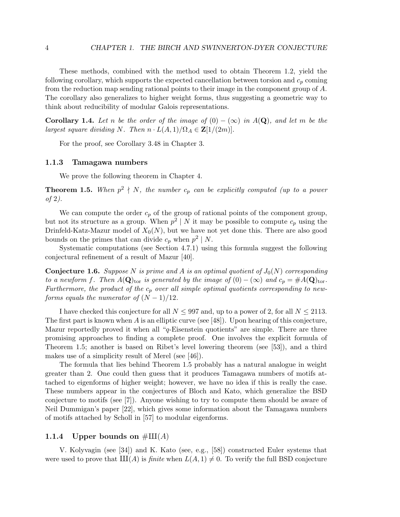These methods, combined with the method used to obtain Theorem 1.2, yield the following corollary, which supports the expected cancellation between torsion and  $c_p$  coming from the reduction map sending rational points to their image in the component group of A. The corollary also generalizes to higher weight forms, thus suggesting a geometric way to think about reducibility of modular Galois representations.

**Corollary 1.4.** Let n be the order of the image of  $(0) - (\infty)$  in  $A(\mathbf{Q})$ , and let m be the largest square dividing N. Then  $n \cdot L(A, 1)/\Omega_A \in \mathbb{Z}[1/(2m)]$ .

For the proof, see Corollary 3.48 in Chapter 3.

#### 1.1.3 Tamagawa numbers

We prove the following theorem in Chapter 4.

**Theorem 1.5.** When  $p^2 \nmid N$ , the number  $c_p$  can be explicitly computed (up to a power of 2).

We can compute the order  $c_p$  of the group of rational points of the component group, but not its structure as a group. When  $p^2 \mid N$  it may be possible to compute  $c_p$  using the Drinfeld-Katz-Mazur model of  $X_0(N)$ , but we have not yet done this. There are also good bounds on the primes that can divide  $c_p$  when  $p^2 \mid N$ .

Systematic computations (see Section 4.7.1) using this formula suggest the following conjectural refinement of a result of Mazur [40].

**Conjecture 1.6.** Suppose N is prime and A is an optimal quotient of  $J_0(N)$  corresponding to a newform f. Then  $A(\mathbf{Q})_{\text{tor}}$  is generated by the image of  $(0) - (\infty)$  and  $c_p = \#A(\mathbf{Q})_{\text{tor}}$ . Furthermore, the product of the  $c_p$  over all simple optimal quotients corresponding to newforms equals the numerator of  $(N-1)/12$ .

I have checked this conjecture for all  $N \leq 997$  and, up to a power of 2, for all  $N \leq 2113$ . The first part is known when A is an elliptic curve (see [48]). Upon hearing of this conjecture, Mazur reportedly proved it when all "q-Eisenstein quotients" are simple. There are three promising approaches to finding a complete proof. One involves the explicit formula of Theorem 1.5; another is based on Ribet's level lowering theorem (see [53]), and a third makes use of a simplicity result of Merel (see [46]).

The formula that lies behind Theorem 1.5 probably has a natural analogue in weight greater than 2. One could then guess that it produces Tamagawa numbers of motifs attached to eigenforms of higher weight; however, we have no idea if this is really the case. These numbers appear in the conjectures of Bloch and Kato, which generalize the BSD conjecture to motifs (see [7]). Anyone wishing to try to compute them should be aware of Neil Dummigan's paper [22], which gives some information about the Tamagawa numbers of motifs attached by Scholl in [57] to modular eigenforms.

#### 1.1.4 Upper bounds on  $\#\text{III}(A)$

V. Kolyvagin (see [34]) and K. Kato (see, e.g., [58]) constructed Euler systems that were used to prove that  $\text{III}(A)$  is *finite* when  $L(A, 1) \neq 0$ . To verify the full BSD conjecture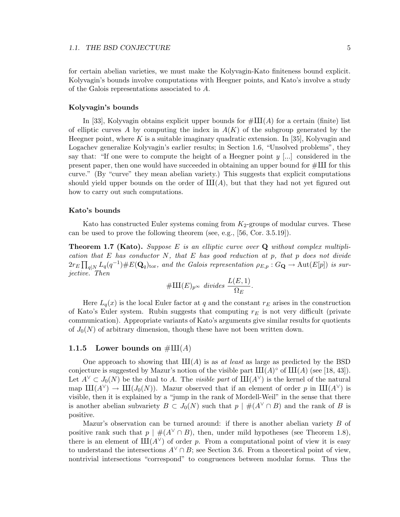for certain abelian varieties, we must make the Kolyvagin-Kato finiteness bound explicit. Kolyvagin's bounds involve computations with Heegner points, and Kato's involve a study of the Galois representations associated to A.

#### Kolyvagin's bounds

In [33], Kolyvagin obtains explicit upper bounds for  $\#\text{III}(A)$  for a certain (finite) list of elliptic curves A by computing the index in  $A(K)$  of the subgroup generated by the Heegner point, where K is a suitable imaginary quadratic extension. In [35], Kolyvagin and Logachev generalize Kolyvagin's earlier results; in Section 1.6, "Unsolved problems", they say that: "If one were to compute the height of a Heegner point  $y$  [...] considered in the present paper, then one would have succeeded in obtaining an upper bound for  $\#\text{III}$  for this curve." (By "curve" they mean abelian variety.) This suggests that explicit computations should yield upper bounds on the order of  $III(A)$ , but that they had not yet figured out how to carry out such computations.

#### Kato's bounds

Kato has constructed Euler systems coming from  $K_2$ -groups of modular curves. These can be used to prove the following theorem (see, e.g., [56, Cor. 3.5.19]).

**Theorem 1.7 (Kato).** Suppose E is an elliptic curve over  $Q$  without complex multiplication that E has conductor N, that E has good reduction at p, that p does not divide  $2r_E \prod_{q|N} L_q(q^{-1}) \# E(\mathbf{Q}_q)_{\text{tor}}$ , and the Galois representation  $\rho_{E,p} : G_{\mathbf{Q}} \to \text{Aut}(E[p])$  is surjective. Then

$$
\# III(E)_{p^{\infty}} \ \ divides \ \frac{L(E,1)}{\Omega_E}.
$$

Here  $L_q(x)$  is the local Euler factor at q and the constant  $r_E$  arises in the construction of Kato's Euler system. Rubin suggests that computing  $r_E$  is not very difficult (private communication). Appropriate variants of Kato's arguments give similar results for quotients of  $J_0(N)$  of arbitrary dimension, though these have not been written down.

#### 1.1.5 Lower bounds on  $\#\text{III}(A)$

One approach to showing that  $III(A)$  is as at least as large as predicted by the BSD conjecture is suggested by Mazur's notion of the visible part  $III(A)^\circ$  of  $III(A)$  (see [18, 43]). Let  $A^{\vee} \subset J_0(N)$  be the dual to A. The *visible part* of  $\text{III}(A^{\vee})$  is the kernel of the natural map  $\mathrm{III}(A^{\vee}) \to \mathrm{III}(J_0(N))$ . Mazur observed that if an element of order p in  $\mathrm{III}(A^{\vee})$  is visible, then it is explained by a "jump in the rank of Mordell-Weil" in the sense that there is another abelian subvariety  $B \subset J_0(N)$  such that  $p \mid \#(A^{\vee} \cap B)$  and the rank of B is positive.

Mazur's observation can be turned around: if there is another abelian variety B of positive rank such that  $p \mid \#(A^{\vee} \cap B)$ , then, under mild hypotheses (see Theorem 1.8), there is an element of  $III(A<sup>V</sup>)$  of order p. From a computational point of view it is easy to understand the intersections  $A^{\vee} \cap B$ ; see Section 3.6. From a theoretical point of view, nontrivial intersections "correspond" to congruences between modular forms. Thus the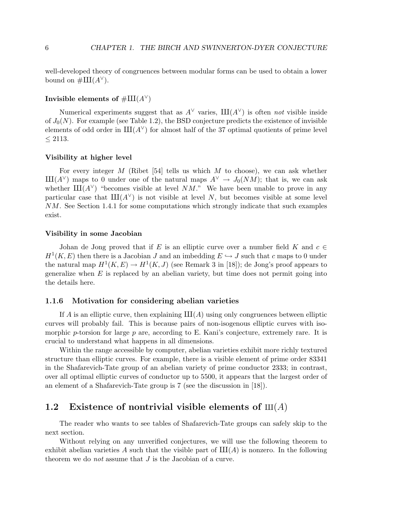well-developed theory of congruences between modular forms can be used to obtain a lower bound on  $\#III(A^{\vee}).$ 

#### Invisible elements of  $\#\amalg (A^{\vee})$

Numerical experiments suggest that as  $A^{\vee}$  varies,  $III(A^{\vee})$  is often not visible inside of  $J_0(N)$ . For example (see Table 1.2), the BSD conjecture predicts the existence of invisible elements of odd order in  $III(A^{\vee})$  for almost half of the 37 optimal quotients of prime level ≤ 2113.

#### Visibility at higher level

For every integer M (Ribet [54] tells us which M to choose), we can ask whether  $III(A<sup>V</sup>)$  maps to 0 under one of the natural maps  $A<sup>V</sup> \to J_0(NM)$ ; that is, we can ask whether  $III(A<sup>V</sup>)$  "becomes visible at level NM." We have been unable to prove in any particular case that  $III(A<sup>∨</sup>)$  is not visible at level N, but becomes visible at some level NM. See Section 1.4.1 for some computations which strongly indicate that such examples exist.

#### Visibility in some Jacobian

Johan de Jong proved that if E is an elliptic curve over a number field K and  $c \in$  $H^1(K, E)$  then there is a Jacobian J and an imbedding  $E \hookrightarrow J$  such that c maps to 0 under the natural map  $H^1(K, E) \to H^1(K, J)$  (see Remark 3 in [18]); de Jong's proof appears to generalize when  $E$  is replaced by an abelian variety, but time does not permit going into the details here.

#### 1.1.6 Motivation for considering abelian varieties

If A is an elliptic curve, then explaining  $\text{III}(A)$  using only congruences between elliptic curves will probably fail. This is because pairs of non-isogenous elliptic curves with isomorphic p-torsion for large  $p$  are, according to E. Kani's conjecture, extremely rare. It is crucial to understand what happens in all dimensions.

Within the range accessible by computer, abelian varieties exhibit more richly textured structure than elliptic curves. For example, there is a visible element of prime order 83341 in the Shafarevich-Tate group of an abelian variety of prime conductor 2333; in contrast, over all optimal elliptic curves of conductor up to 5500, it appears that the largest order of an element of a Shafarevich-Tate group is 7 (see the discussion in [18]).

# 1.2 Existence of nontrivial visible elements of  $\text{III}(A)$

The reader who wants to see tables of Shafarevich-Tate groups can safely skip to the next section.

Without relying on any unverified conjectures, we will use the following theorem to exhibit abelian varieties A such that the visible part of  $III(A)$  is nonzero. In the following theorem we do *not* assume that  $J$  is the Jacobian of a curve.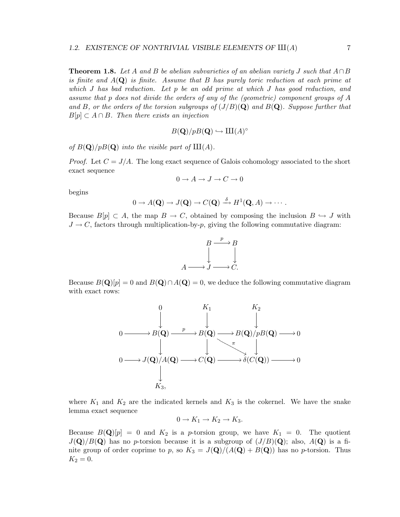**Theorem 1.8.** Let A and B be abelian subvarieties of an abelian variety J such that  $A \cap B$ is finite and  $A(Q)$  is finite. Assume that B has purely toric reduction at each prime at which J has bad reduction. Let p be an odd prime at which J has good reduction, and assume that p does not divide the orders of any of the (geometric) component groups of A and B, or the orders of the torsion subgroups of  $(J/B)(\mathbf{Q})$  and  $B(\mathbf{Q})$ . Suppose further that  $B[p] \subset A \cap B$ . Then there exists an injection

$$
B({\bf Q})/pB({\bf Q}) \hookrightarrow \mathrm{III}(A)^\circ
$$

of  $B(\mathbf{Q})/pB(\mathbf{Q})$  into the visible part of  $III(A)$ .

*Proof.* Let  $C = J/A$ . The long exact sequence of Galois cohomology associated to the short exact sequence

$$
0 \to A \to J \to C \to 0
$$

begins

$$
0 \to A(\mathbf{Q}) \to J(\mathbf{Q}) \to C(\mathbf{Q}) \stackrel{\delta}{\longrightarrow} H^1(\mathbf{Q}, A) \to \cdots.
$$

Because  $B[p] \subset A$ , the map  $B \to C$ , obtained by composing the inclusion  $B \hookrightarrow J$  with  $J \to C$ , factors through multiplication-by-p, giving the following commutative diagram:



Because  $B(\mathbf{Q})[p] = 0$  and  $B(\mathbf{Q}) \cap A(\mathbf{Q}) = 0$ , we deduce the following commutative diagram with exact rows:



where  $K_1$  and  $K_2$  are the indicated kernels and  $K_3$  is the cokernel. We have the snake lemma exact sequence

$$
0 \to K_1 \to K_2 \to K_3.
$$

Because  $B(\mathbf{Q})[p] = 0$  and  $K_2$  is a p-torsion group, we have  $K_1 = 0$ . The quotient  $J(\mathbf{Q})/B(\mathbf{Q})$  has no p-torsion because it is a subgroup of  $(J/B)(\mathbf{Q})$ ; also,  $A(\mathbf{Q})$  is a finite group of order coprime to p, so  $K_3 = J(\mathbf{Q})/(A(\mathbf{Q}) + B(\mathbf{Q}))$  has no p-torsion. Thus  $K_2 = 0.$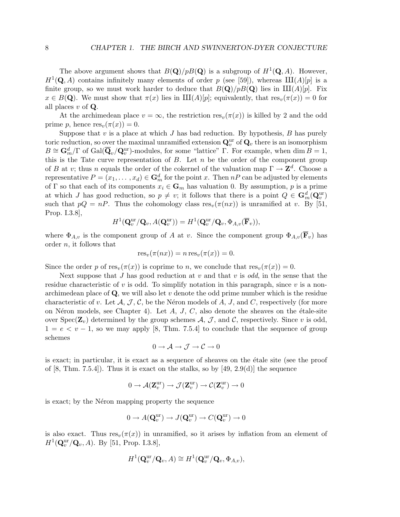The above argument shows that  $B(\mathbf{Q})/pB(\mathbf{Q})$  is a subgroup of  $H^1(\mathbf{Q}, A)$ . However,  $H^1(\mathbf{Q}, A)$  contains infinitely many elements of order p (see [59]), whereas  $\text{III}(A)[p]$  is a finite group, so we must work harder to deduce that  $B(\mathbf{Q})/pB(\mathbf{Q})$  lies in  $\text{III}(A)[p]$ . Fix  $x \in B(\mathbf{Q})$ . We must show that  $\pi(x)$  lies in  $III(A)[p]$ ; equivalently, that  $res_v(\pi(x)) = 0$  for all places  $v$  of  $Q$ .

At the archimedean place  $v = \infty$ , the restriction res<sub>v</sub>( $\pi(x)$ ) is killed by 2 and the odd prime p, hence  $res_v(\pi(x)) = 0$ .

Suppose that  $v$  is a place at which  $J$  has bad reduction. By hypothesis,  $B$  has purely toric reduction, so over the maximal unramified extension  $\mathbf{Q}_v^{\text{ur}}$  of  $\mathbf{Q}_v$  there is an isomorphism  $B \cong \mathbf{G}_m^d/\Gamma$  of  $Gal(\overline{\mathbf{Q}}_v/\mathbf{Q}_v^{\text{ur}})$ -modules, for some "lattice"  $\Gamma$ . For example, when dim  $B = 1$ , this is the Tate curve representation of  $B$ . Let  $n$  be the order of the component group of B at v; thus n equals the order of the cokernel of the valuation map  $\Gamma \to \mathbb{Z}^d$ . Choose a representative  $P = (x_1, \ldots, x_d) \in \mathbf{G}_m^d$  for the point x. Then  $nP$  can be adjusted by elements of Γ so that each of its components  $x_i \in \mathbf{G}_m$  has valuation 0. By assumption, p is a prime at which J has good reduction, so  $p \neq v$ ; it follows that there is a point  $Q \in \mathbf{G}_{m}^{d}(\mathbf{Q}_{v}^{\text{ur}})$ such that  $pQ = nP$ . Thus the cohomology class  $res_v(\pi(nx))$  is unramified at v. By [51, Prop. I.3.8],

$$
H^1(\mathbf{Q}_v^{\mathrm{ur}}/\mathbf{Q}_v, A(\mathbf{Q}_v^{\mathrm{ur}})) = H^1(\mathbf{Q}_v^{\mathrm{ur}}/\mathbf{Q}_v, \Phi_{A,v}(\overline{\mathbf{F}}_v)),
$$

where  $\Phi_{A,v}$  is the component group of A at v. Since the component group  $\Phi_{A,v}(\overline{F}_v)$  has order n, it follows that

$$
res_v(\pi(nx)) = n res_v(\pi(x)) = 0.
$$

Since the order p of  $res_v(\pi(x))$  is coprime to n, we conclude that  $res_v(\pi(x)) = 0$ .

Next suppose that J has good reduction at  $v$  and that  $v$  is odd, in the sense that the residue characteristic of v is odd. To simplify notation in this paragraph, since v is a nonarchimedean place of  $\mathbf Q$ , we will also let v denote the odd prime number which is the residue characteristic of v. Let  $\mathcal{A}, \mathcal{J}, \mathcal{C}$ , be the Néron models of A, J, and C, respectively (for more on Néron models, see Chapter 4). Let  $A, J, C$ , also denote the sheaves on the étale-site over Spec( $\mathbf{Z}_v$ ) determined by the group schemes  $\mathcal{A}, \mathcal{J}$ , and  $\mathcal{C}$ , respectively. Since v is odd,  $1 = e \lt v - 1$ , so we may apply [8, Thm. 7.5.4] to conclude that the sequence of group schemes

$$
0 \to \mathcal{A} \to \mathcal{J} \to \mathcal{C} \to 0
$$

is exact; in particular, it is exact as a sequence of sheaves on the étale site (see the proof of  $[8, Thm. 7.5.4]$ . Thus it is exact on the stalks, so by  $[49, 2.9(d)]$  the sequence

$$
0\to \mathcal{A}({\mathbf Z}_v^{\mathrm{ur}})\to \mathcal{J}({\mathbf Z}_v^{\mathrm{ur}})\to \mathcal{C}({\mathbf Z}_v^{\mathrm{ur}})\to 0
$$

is exact; by the Néron mapping property the sequence

$$
0 \to A(\mathbf{Q}_v^{\mathrm{ur}}) \to J(\mathbf{Q}_v^{\mathrm{ur}}) \to C(\mathbf{Q}_v^{\mathrm{ur}}) \to 0
$$

is also exact. Thus  $res_v(\pi(x))$  in unramified, so it arises by inflation from an element of  $H^1(\mathbf{Q}_v^{\text{ur}}/\mathbf{Q}_v, A)$ . By [51, Prop. I.3.8],

$$
H^1(\mathbf{Q}_v^{\mathrm{ur}}/\mathbf{Q}_v, A) \cong H^1(\mathbf{Q}_v^{\mathrm{ur}}/\mathbf{Q}_v, \Phi_{A,v}),
$$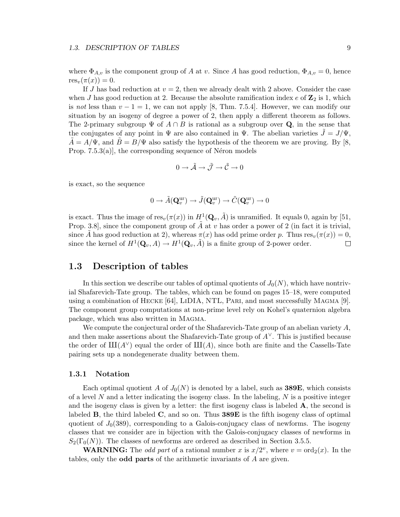#### 1.3. DESCRIPTION OF TABLES 9

where  $\Phi_{A,v}$  is the component group of A at v. Since A has good reduction,  $\Phi_{A,v} = 0$ , hence  $res_v(\pi(x)) = 0.$ 

If J has bad reduction at  $v = 2$ , then we already dealt with 2 above. Consider the case when J has good reduction at 2. Because the absolute ramification index  $e$  of  $\mathbb{Z}_2$  is 1, which is not less than  $v - 1 = 1$ , we can not apply [8, Thm. 7.5.4]. However, we can modify our situation by an isogeny of degree a power of 2, then apply a different theorem as follows. The 2-primary subgroup  $\Psi$  of  $A \cap B$  is rational as a subgroup over Q, in the sense that the conjugates of any point in  $\Psi$  are also contained in  $\Psi$ . The abelian varieties  $\tilde{J} = J/\Psi$ ,  $A = A/\Psi$ , and  $B = B/\Psi$  also satisfy the hypothesis of the theorem we are proving. By [8, Prop.  $(7.5.3(a))$ , the corresponding sequence of N $\acute{e}$ ron models

$$
0 \to \tilde{\mathcal{A}} \to \tilde{\mathcal{J}} \to \tilde{\mathcal{C}} \to 0
$$

is exact, so the sequence

$$
0 \to \tilde{A}(\mathbf{Q}_v^{\mathrm{ur}}) \to \tilde{J}(\mathbf{Q}_v^{\mathrm{ur}}) \to \tilde{C}(\mathbf{Q}_v^{\mathrm{ur}}) \to 0
$$

is exact. Thus the image of  $res_v(\pi(x))$  in  $H^1(\mathbf{Q}_v, \tilde{A})$  is unramified. It equals 0, again by [51, Prop. 3.8], since the component group of  $\tilde{A}$  at v has order a power of 2 (in fact it is trivial, since A has good reduction at 2), whereas  $\pi(x)$  has odd prime order p. Thus res<sub>v</sub>( $\pi(x)$ ) = 0, since the kernel of  $H^1(\mathbf{Q}_v, A) \to H^1(\mathbf{Q}_v, \tilde{A})$  is a finite group of 2-power order.  $\Box$ 

## 1.3 Description of tables

In this section we describe our tables of optimal quotients of  $J_0(N)$ , which have nontrivial Shafarevich-Tate group. The tables, which can be found on pages 15–18, were computed using a combination of Hecke [64], LiDIA, NTL, Pari, and most successfully Magma [9]. The component group computations at non-prime level rely on Kohel's quaternion algebra package, which was also written in Magma.

We compute the conjectural order of the Shafarevich-Tate group of an abelian variety  $A$ , and then make assertions about the Shafarevich-Tate group of  $A^{\vee}$ . This is justified because the order of  $III(A<sup>V</sup>)$  equal the order of  $III(A)$ , since both are finite and the Cassells-Tate pairing sets up a nondegenerate duality between them.

#### 1.3.1 Notation

Each optimal quotient A of  $J_0(N)$  is denoted by a label, such as **389E**, which consists of a level N and a letter indicating the isogeny class. In the labeling,  $N$  is a positive integer and the isogeny class is given by a letter: the first isogeny class is labeled  $\bf{A}$ , the second is labeled **B**, the third labeled **C**, and so on. Thus **389E** is the fifth isogeny class of optimal quotient of  $J_0(389)$ , corresponding to a Galois-conjugacy class of newforms. The isogeny classes that we consider are in bijection with the Galois-conjugacy classes of newforms in  $S_2(\Gamma_0(N))$ . The classes of newforms are ordered as described in Section 3.5.5.

**WARNING:** The *odd part* of a rational number x is  $x/2^v$ , where  $v = \text{ord}_2(x)$ . In the tables, only the odd parts of the arithmetic invariants of A are given.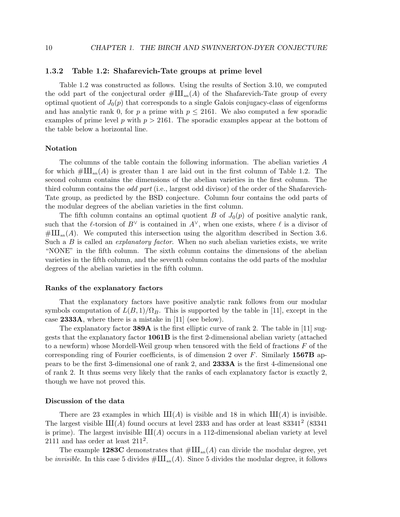#### 1.3.2 Table 1.2: Shafarevich-Tate groups at prime level

Table 1.2 was constructed as follows. Using the results of Section 3.10, we computed the odd part of the conjectural order  $\#\text{III}_{an}(A)$  of the Shafarevich-Tate group of every optimal quotient of  $J_0(p)$  that corresponds to a single Galois conjugacy-class of eigenforms and has analytic rank 0, for p a prime with  $p \le 2161$ . We also computed a few sporadic examples of prime level p with  $p > 2161$ . The sporadic examples appear at the bottom of the table below a horizontal line.

#### Notation

The columns of the table contain the following information. The abelian varieties A for which  $\#\text{III}_{an}(A)$  is greater than 1 are laid out in the first column of Table 1.2. The second column contains the dimensions of the abelian varieties in the first column. The third column contains the odd part (i.e., largest odd divisor) of the order of the Shafarevich-Tate group, as predicted by the BSD conjecture. Column four contains the odd parts of the modular degrees of the abelian varieties in the first column.

The fifth column contains an optimal quotient B of  $J_0(p)$  of positive analytic rank, such that the  $\ell$ -torsion of  $B^{\vee}$  is contained in  $A^{\vee}$ , when one exists, where  $\ell$  is a divisor of  $\#\amalg_{\text{an}}(A)$ . We computed this intersection using the algorithm described in Section 3.6. Such a  $B$  is called an *explanatory factor*. When no such abelian varieties exists, we write "NONE" in the fifth column. The sixth column contains the dimensions of the abelian varieties in the fifth column, and the seventh column contains the odd parts of the modular degrees of the abelian varieties in the fifth column.

#### Ranks of the explanatory factors

That the explanatory factors have positive analytic rank follows from our modular symbols computation of  $L(B, 1)/\Omega_B$ . This is supported by the table in [11], except in the case 2333A, where there is a mistake in [11] (see below).

The explanatory factor **389A** is the first elliptic curve of rank 2. The table in [11] suggests that the explanatory factor 1061B is the first 2-dimensional abelian variety (attached to a newform) whose Mordell-Weil group when tensored with the field of fractions  $F$  of the corresponding ring of Fourier coefficients, is of dimension 2 over  $F$ . Similarly 1567B appears to be the first 3-dimensional one of rank 2, and 2333A is the first 4-dimensional one of rank 2. It thus seems very likely that the ranks of each explanatory factor is exactly 2, though we have not proved this.

#### Discussion of the data

There are 23 examples in which  $III(A)$  is visible and 18 in which  $III(A)$  is invisible. The largest visible  $III(A)$  found occurs at level 2333 and has order at least 83341<sup>2</sup> (83341) is prime). The largest invisible  $III(A)$  occurs in a 112-dimensional abelian variety at level  $2111$  and has order at least  $211^2$ .

The example 1283C demonstrates that  $\#\text{III}_{an}(A)$  can divide the modular degree, yet be *invisible*. In this case 5 divides  $\#\amalg_{\text{an}}(A)$ . Since 5 divides the modular degree, it follows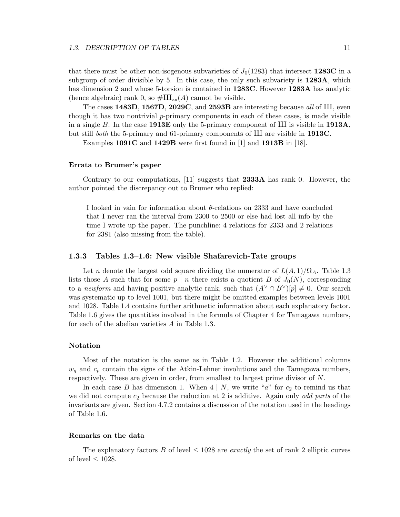that there must be other non-isogenous subvarieties of  $J_0(1283)$  that intersect 1283C in a subgroup of order divisible by 5. In this case, the only such subvariety is 1283A, which has dimension 2 and whose 5-torsion is contained in **1283C**. However **1283A** has analytic (hence algebraic) rank 0, so  $\#\amalg_{\text{an}}(A)$  cannot be visible.

The cases 1483D, 1567D, 2029C, and 2593B are interesting because all of III, even though it has two nontrivial p-primary components in each of these cases, is made visible in a single B. In the case 1913E only the 5-primary component of  $III$  is visible in 1913A, but still *both* the 5-primary and 61-primary components of  $III$  are visible in 1913C.

Examples 1091C and 1429B were first found in [1] and 1913B in [18].

#### Errata to Brumer's paper

Contrary to our computations, [11] suggests that 2333A has rank 0. However, the author pointed the discrepancy out to Brumer who replied:

I looked in vain for information about  $\theta$ -relations on 2333 and have concluded that I never ran the interval from 2300 to 2500 or else had lost all info by the time I wrote up the paper. The punchline: 4 relations for 2333 and 2 relations for 2381 (also missing from the table).

#### 1.3.3 Tables 1.3–1.6: New visible Shafarevich-Tate groups

Let n denote the largest odd square dividing the numerator of  $L(A, 1)/\Omega_A$ . Table 1.3 lists those A such that for some  $p \mid n$  there exists a quotient B of  $J_0(N)$ , corresponding to a newform and having positive analytic rank, such that  $(A^{\vee} \cap B^{\vee})[p] \neq 0$ . Our search was systematic up to level 1001, but there might be omitted examples between levels 1001 and 1028. Table 1.4 contains further arithmetic information about each explanatory factor. Table 1.6 gives the quantities involved in the formula of Chapter 4 for Tamagawa numbers, for each of the abelian varieties A in Table 1.3.

#### Notation

Most of the notation is the same as in Table 1.2. However the additional columns  $w_q$  and  $c_p$  contain the signs of the Atkin-Lehner involutions and the Tamagawa numbers, respectively. These are given in order, from smallest to largest prime divisor of N.

In each case B has dimension 1. When  $4 \mid N$ , we write "a" for  $c_2$  to remind us that we did not compute  $c_2$  because the reduction at 2 is additive. Again only *odd parts* of the invariants are given. Section 4.7.2 contains a discussion of the notation used in the headings of Table 1.6.

#### Remarks on the data

The explanatory factors B of level  $\leq 1028$  are exactly the set of rank 2 elliptic curves of level  $\leq 1028$ .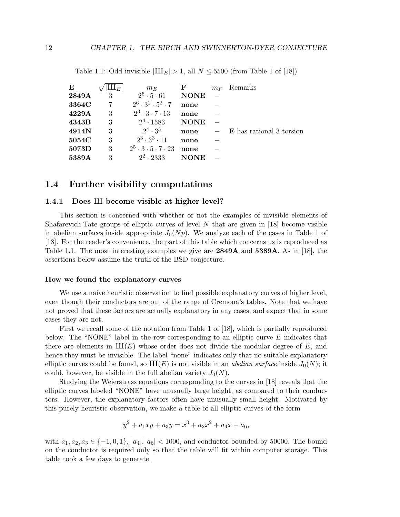| E     | $\mathbf{\mu}_E$ | $m_E$                                  | F           | $m_F$ | Remarks                         |
|-------|------------------|----------------------------------------|-------------|-------|---------------------------------|
| 2849A | 3                | $2^5 \cdot 5 \cdot 61$                 | <b>NONE</b> |       |                                 |
| 3364C | 7                | $2^6 \cdot 3^2 \cdot 5^2 \cdot 7$      | none        |       |                                 |
| 4229A | 3                | $2^3 \cdot 3 \cdot 7 \cdot 13$         | none        |       |                                 |
| 4343B | 3                | $2^4 \cdot 1583$                       | <b>NONE</b> |       |                                 |
| 4914N | 3                | $2^4 \cdot 3^5$                        | none        |       | <b>E</b> has rational 3-torsion |
| 5054C | 3                | $2^3 \cdot 3^3 \cdot 11$               | none        |       |                                 |
| 5073D | 3                | $2^5 \cdot 3 \cdot 5 \cdot 7 \cdot 23$ | none        |       |                                 |
| 5389A | 3                | $2^2 \cdot 2333$                       | <b>NONE</b> |       |                                 |

Table 1.1: Odd invisible  $|III_E| > 1$ , all  $N \leq 5500$  (from Table 1 of [18])

## 1.4 Further visibility computations

#### 1.4.1 Does III become visible at higher level?

This section is concerned with whether or not the examples of invisible elements of Shafarevich-Tate groups of elliptic curves of level  $N$  that are given in [18] become visible in abelian surfaces inside appropriate  $J_0(Np)$ . We analyze each of the cases in Table 1 of [18]. For the reader's convenience, the part of this table which concerns us is reproduced as Table 1.1. The most interesting examples we give are 2849A and 5389A. As in [18], the assertions below assume the truth of the BSD conjecture.

#### How we found the explanatory curves

We use a naive heuristic observation to find possible explanatory curves of higher level, even though their conductors are out of the range of Cremona's tables. Note that we have not proved that these factors are actually explanatory in any cases, and expect that in some cases they are not.

First we recall some of the notation from Table 1 of [18], which is partially reproduced below. The "NONE" label in the row corresponding to an elliptic curve  $E$  indicates that there are elements in  $III(E)$  whose order does not divide the modular degree of E, and hence they must be invisible. The label "none" indicates only that no suitable explanatory elliptic curves could be found, so  $III(E)$  is not visible in an *abelian surface* inside  $J_0(N)$ ; it could, however, be visible in the full abelian variety  $J_0(N)$ .

Studying the Weierstrass equations corresponding to the curves in [18] reveals that the elliptic curves labeled "NONE" have unusually large height, as compared to their conductors. However, the explanatory factors often have unusually small height. Motivated by this purely heuristic observation, we make a table of all elliptic curves of the form

$$
y^2 + a_1xy + a_3y = x^3 + a_2x^2 + a_4x + a_6,
$$

with  $a_1, a_2, a_3 \in \{-1, 0, 1\}, |a_4|, |a_6| < 1000$ , and conductor bounded by 50000. The bound on the conductor is required only so that the table will fit within computer storage. This table took a few days to generate.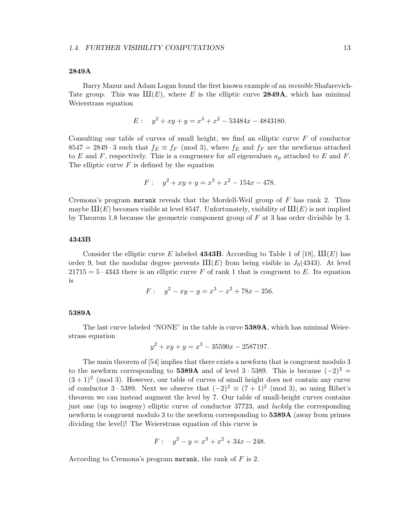#### 2849A

Barry Mazur and Adam Logan found the first known example of an invisible Shafarevich-Tate group. This was  $III(E)$ , where E is the elliptic curve 2849A, which has minimal Weierstrass equation

$$
E: \quad y^2 + xy + y = x^3 + x^2 - 53484x - 4843180.
$$

Consulting our table of curves of small height, we find an elliptic curve  $F$  of conductor 8547 = 2849 · 3 such that  $f_E \equiv f_F \pmod{3}$ , where  $f_E$  and  $f_F$  are the newforms attached to E and F, respectively. This is a congruence for all eigenvalues  $a_p$  attached to E and F. The elliptic curve  $F$  is defined by the equation

$$
F: \quad y^2 + xy + y = x^3 + x^2 - 154x - 478.
$$

Cremona's program mwrank reveals that the Mordell-Weil group of F has rank 2. Thus maybe  $\text{III}(E)$  becomes visible at level 8547. Unfortunately, visibility of  $\text{III}(E)$  is not implied by Theorem 1.8 because the geometric component group of  $F$  at 3 has order divisible by 3.

#### 4343B

Consider the elliptic curve E labeled **4343B**. According to Table 1 of [18],  $\text{III}(E)$  has order 9, but the modular degree prevents  $III(E)$  from being visible in  $J_0(4343)$ . At level  $21715 = 5 \cdot 4343$  there is an elliptic curve F of rank 1 that is congruent to E. Its equation is

$$
F: \quad y^2 - xy - y = x^3 - x^2 + 78x - 256.
$$

#### 5389A

The last curve labeled "NONE" in the table is curve 5389A, which has minimal Weierstrass equation

$$
y^2 + xy + y = x^3 - 35590x - 2587197.
$$

The main theorem of [54] implies that there exists a newform that is congruent modulo 3 to the newform corresponding to 5389A and of level 3 · 5389. This is because  $(-2)^2$  =  $(3+1)^2$  (mod 3). However, our table of curves of small height does not contain any curve of conductor  $3 \cdot 5389$ . Next we observe that  $(-2)^2 \equiv (7 + 1)^2 \pmod{3}$ , so using Ribet's theorem we can instead augment the level by 7. Our table of small-height curves contains just one (up to isogeny) elliptic curve of conductor 37723, and luckily the corresponding newform is congruent modulo 3 to the newform corresponding to 5389A (away from primes dividing the level)! The Weierstrass equation of this curve is

$$
F: \quad y^2 - y = x^3 + x^2 + 34x - 248.
$$

According to Cremona's program mwrank, the rank of  $F$  is 2.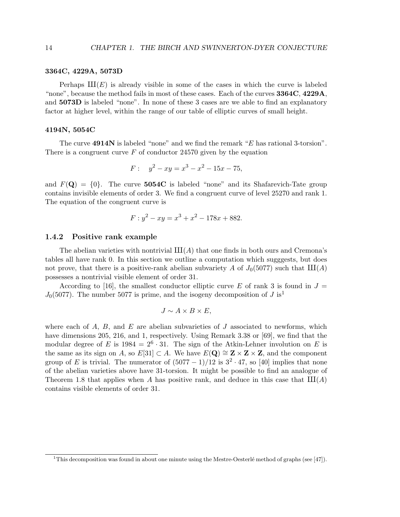#### 3364C, 4229A, 5073D

Perhaps  $III(E)$  is already visible in some of the cases in which the curve is labeled "none", because the method fails in most of these cases. Each of the curves 3364C, 4229A, and 5073D is labeled "none". In none of these 3 cases are we able to find an explanatory factor at higher level, within the range of our table of elliptic curves of small height.

#### 4194N, 5054C

The curve 4914N is labeled "none" and we find the remark "E has rational 3-torsion". There is a congruent curve  $F$  of conductor 24570 given by the equation

$$
F: \quad y^2 - xy = x^3 - x^2 - 15x - 75,
$$

and  $F(\mathbf{Q}) = \{0\}$ . The curve 5054C is labeled "none" and its Shafarevich-Tate group contains invisible elements of order 3. We find a congruent curve of level 25270 and rank 1. The equation of the congruent curve is

$$
F: y^2 - xy = x^3 + x^2 - 178x + 882.
$$

#### 1.4.2 Positive rank example

The abelian varieties with nontrivial  $III(A)$  that one finds in both ours and Cremona's tables all have rank 0. In this section we outline a computation which sugggests, but does not prove, that there is a positive-rank abelian subvariety A of  $J_0(5077)$  such that  $III(A)$ possesses a nontrivial visible element of order 31.

According to [16], the smallest conductor elliptic curve E of rank 3 is found in  $J =$  $J_0(5077)$ . The number 5077 is prime, and the isogeny decomposition of J is<sup>1</sup>

$$
J \sim A \times B \times E,
$$

where each of  $A$ ,  $B$ , and  $E$  are abelian subvarieties of  $J$  associated to newforms, which have dimensions 205, 216, and 1, respectively. Using Remark 3.38 or [69], we find that the modular degree of E is  $1984 = 2^6 \cdot 31$ . The sign of the Atkin-Lehner involution on E is the same as its sign on A, so  $E[31] \subset A$ . We have  $E(Q) \cong Z \times Z \times Z$ , and the component group of E is trivial. The numerator of  $(5077 - 1)/12$  is  $3^2 \cdot 47$ , so [40] implies that none of the abelian varieties above have 31-torsion. It might be possible to find an analogue of Theorem 1.8 that applies when A has positive rank, and deduce in this case that  $III(A)$ contains visible elements of order 31.

<sup>&</sup>lt;sup>1</sup>This decomposition was found in about one minute using the Mestre-Oesterlé method of graphs (see [47]).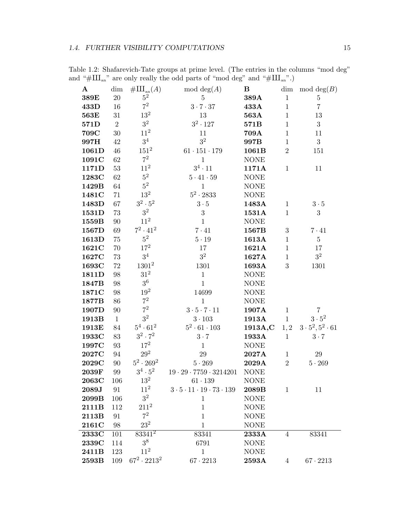| $\mathbf{A}$ | dim            | $\#\mathrm{III}_{\mathrm{an}}(A)$ | mod deg $(A)$                               | B           |                  | dim mod $deg(B)$            |
|--------------|----------------|-----------------------------------|---------------------------------------------|-------------|------------------|-----------------------------|
| 389E         | $20\,$         | $5^2$                             | $\overline{5}$                              | 389A        | $\mathbf{1}$     | $\bf 5$                     |
| 433D         | 16             | $7^2$                             | 3.7.37                                      | 433A        | $\mathbf{1}$     | $\overline{7}$              |
| 563E         | $31\,$         | $13^2$                            | 13                                          | 563A        | $\mathbf{1}$     | 13                          |
| 571D         | $\overline{2}$ | $3^2\,$                           | $3^2\cdot 127$                              | 571B        | $\mathbf 1$      | 3                           |
| 709C         | $30\,$         | $11^2\,$                          | 11                                          | 709A        | $\mathbf{1}$     | 11                          |
| 997H         | 42             | $3^4$                             | 3 <sup>2</sup>                              | 997B        | $\mathbf{1}$     | 3                           |
| 1061D        | $46\,$         | $151^2$                           | $61\cdot 151\cdot 179$                      | 1061B       | $\overline{2}$   | 151                         |
| 1091C        | 62             | $\mathbf{7}^2$                    | $\mathbf{1}$                                | <b>NONE</b> |                  |                             |
| 1171D        | 53             | $11^2\,$                          | $3^4 \cdot 11$                              | 1171A       | $\mathbf{1}$     | 11                          |
| 1283C        | 62             | $5^2\,$                           | $5\cdot 41\cdot 59$                         | <b>NONE</b> |                  |                             |
| 1429B        | 64             | $5^2$                             | $\mathbf{1}$                                | <b>NONE</b> |                  |                             |
| 1481C        | 71             | 13 <sup>2</sup>                   | $5^2 \cdot 2833$                            | <b>NONE</b> |                  |                             |
| 1483D        | 67             | $3^2 \cdot 5^2$                   | $3\cdot 5$                                  | 1483A       | $\mathbf{1}$     | $3\cdot 5$                  |
| 1531D        | 73             | $3^2$                             | 3                                           | 1531A       | $\mathbf{1}$     | 3                           |
| 1559B        | 90             | $11^{2}$                          | $\mathbf{1}$                                | <b>NONE</b> |                  |                             |
| 1567D        | 69             | $7^2 \cdot 41^2$                  | $7\cdot 41$                                 | 1567B       | $\boldsymbol{3}$ | $7 \cdot 41$                |
| 1613D        | 75             | $5^2\,$                           | $5\cdot 19$                                 | 1613A       | $\mathbf{1}$     | $\overline{5}$              |
| 1621C        | $70\,$         | $17^{2}$                          | 17                                          | 1621A       | $\mathbf{1}$     | 17                          |
| 1627C        | 73             | $3^4\,$                           | 3 <sup>2</sup>                              | 1627A       | $\mathbf{1}$     | 3 <sup>2</sup>              |
| 1693C        | 72             | $1301^2$                          | 1301                                        | 1693A       | 3                | 1301                        |
| 1811D        | 98             | $31^2$                            | $1\,$                                       | <b>NONE</b> |                  |                             |
| 1847B        | 98             | $3^6$                             | $\mathbf{1}$                                | <b>NONE</b> |                  |                             |
| 1871C        | 98             | $19^{2}$                          | 14699                                       | <b>NONE</b> |                  |                             |
| 1877B        | 86             | $7^2$                             | $\mathbf{1}$                                | <b>NONE</b> |                  |                             |
| 1907D        | $90\,$         | $7^2$                             | $3 \cdot 5 \cdot 7 \cdot 11$                | 1907A       | $\mathbf{1}$     | $\overline{7}$              |
| 1913B        | $\mathbf{1}$   | $3^2\,$                           | $3\cdot 103$                                | 1913A       | $\mathbf{1}$     | $3\cdot 5^2$                |
| 1913E        | 84             | $5^4 \cdot 61^2$                  | $5^2 \cdot 61 \cdot 103$                    | 1913A,C     | 1, 2             | $3 \cdot 5^2, 5^2 \cdot 61$ |
| 1933C        | 83             | $3^2 \cdot 7^2$                   | $3 \cdot 7$                                 | 1933A       | $\mathbf{1}$     | $3\cdot 7$                  |
| 1997C        | 93             | $17^{2}$                          | $\mathbf{1}$                                | <b>NONE</b> |                  |                             |
| 2027C        | 94             | $29^2$                            | 29                                          | 2027A       | $\mathbf{1}$     | 29                          |
| 2029C        | 90             | $5^2\cdot 269^2$                  | $5 \cdot 269$                               | 2029A       | $\sqrt{2}$       | $5\cdot 269$                |
| 2039F        | 99             | $3^4\cdot 5^2$                    | $19 \cdot 29 \cdot 7759 \cdot 3214201$      | <b>NONE</b> |                  |                             |
| 2063C        | 106            | $13^2\,$                          | $61 \cdot 139$                              | <b>NONE</b> |                  |                             |
| 2089J        | 91             | $11^{2}$                          | $3\cdot 5\cdot 11\cdot 19\cdot 73\cdot 139$ | 2089B       | $\mathbf{1}$     | 11                          |
| 2099B        | 106            | 3 <sup>2</sup>                    | $\mathbf{1}$                                | <b>NONE</b> |                  |                             |
| 2111B        | 112            | $211^2$                           | $\mathbf{1}$                                | <b>NONE</b> |                  |                             |
| 2113B        | 91             | $7^2$                             | $\mathbf{1}$                                | <b>NONE</b> |                  |                             |
| 2161C        | 98             | $23^2$                            | $\mathbf{1}$                                | <b>NONE</b> |                  |                             |
| 2333C        | 101            | $83341^2$                         | 83341                                       | 2333A       | $\overline{4}$   | 83341                       |
| 2339C        | 114            | 3 <sup>8</sup>                    | 6791                                        | <b>NONE</b> |                  |                             |
| 2411B        | 123            | $11^{2}$                          | $\mathbf{1}$                                | <b>NONE</b> |                  |                             |
| 2593B        | 109            | $67^2 \cdot 2213^2$               | $67 \cdot 2213$                             | 2593A       | $\overline{4}$   | $67 \cdot 2213$             |

Table 1.2: Shafarevich-Tate groups at prime level. (The entries in the columns "mod deg" and "# $\text{III}_{\text{an}}$ " are only really the odd parts of "mod deg" and "# $\text{III}_{\text{an}}$ ".)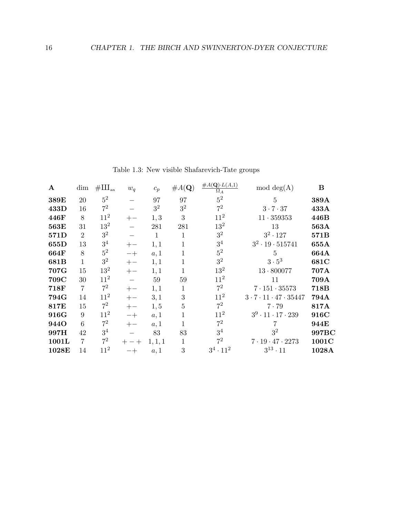| $\mathbf{A}$ | dim            | $\#\amalg_{\operatorname{an}}$ | $w_q$ | $c_p$        | #A(Q)          | $\#A(\mathbf{Q})\cdot L(A,1)$<br>$\Omega_A$ | $mod \deg(A)$                             | B     |
|--------------|----------------|--------------------------------|-------|--------------|----------------|---------------------------------------------|-------------------------------------------|-------|
| 389E         | 20             | $5^2$                          |       | 97           | 97             | $5^2$                                       | 5                                         | 389A  |
| 433D         | 16             | $7^2$                          |       | $3^2$        | 3 <sup>2</sup> | $7^2$                                       | 3.7.37                                    | 433A  |
| 446F         | 8              | $11^2$                         | $+-$  | 1, 3         | 3              | $11^{2}$                                    | $11 \cdot 359353$                         | 446B  |
| 563E         | 31             | $13^{2}$                       |       | 281          | 281            | 13 <sup>2</sup>                             | 13                                        | 563A  |
| 571D         | $\overline{2}$ | 3 <sup>2</sup>                 |       | $\mathbf{1}$ | 1              | 3 <sup>2</sup>                              | $3^2 \cdot 127$                           | 571B  |
| 655D         | 13             | $3^4$                          | $+-$  | 1,1          | 1              | $3^4$                                       | $3^2 \cdot 19 \cdot 515741$               | 655A  |
| 664F         | 8              | $5^2$                          | $-+$  | a, 1         | 1              | $5^2$                                       | $\overline{5}$                            | 664A  |
| 681B         | 1              | $3^2$                          | $+-$  | 1,1          | 1              | $3^2$                                       | $3\cdot 5^3$                              | 681C  |
| 707G         | 15             | $13^2$                         | $+-$  | 1,1          | 1              | 13 <sup>2</sup>                             | $13 \cdot 800077$                         | 707A  |
| 709C         | 30             | $11^2$                         |       | 59           | 59             | $11^{2}$                                    | 11                                        | 709A  |
| 718F         | 7              | $7^2$                          | $+-$  | 1,1          | 1              | $7^2$                                       | $7 \cdot 151 \cdot 35573$                 | 718B  |
| 794G         | 14             | 11 <sup>2</sup>                | $+-$  | 3,1          | 3              | $11^{2}$                                    | $3 \cdot 7 \cdot 11 \cdot 47 \cdot 35447$ | 794A  |
| 817E         | 15             | $7^2$                          | $+-$  | 1, 5         | 5              | $7^2$                                       | $7 \cdot 79$                              | 817A  |
| 916G         | 9              | $11^2$                         | $-+$  | a, 1         |                | 11 <sup>2</sup>                             | $3^9 \cdot 11 \cdot 17 \cdot 239$         | 916C  |
| <b>944O</b>  | 6              | $7^2$                          | $+-$  | a, 1         |                | $7^2$                                       |                                           | 944E  |
| 997H         | 42             | $3^4$                          |       | 83           | 83             | 3 <sup>4</sup>                              | 3 <sup>2</sup>                            | 997BC |
| 1001L        | 7              | $7^2$                          | $+-+$ | 1, 1, 1      | 1              | $7^2$                                       | $7 \cdot 19 \cdot 47 \cdot 2273$          | 1001C |
| 1028E        | 14             | $11^2$                         | 一十    | a, 1         | 3              | $3^4 \cdot 11^2$                            | $3^{13} \cdot 11$                         | 1028A |

Table 1.3: New visible Shafarevich-Tate groups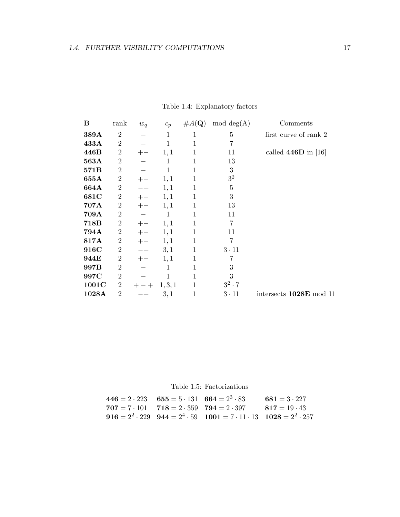| B     | rank             | $w_q$        | $c_p$        | $\#A(\mathbf{Q})$ | $mod \deg(A)$  | Comments                |
|-------|------------------|--------------|--------------|-------------------|----------------|-------------------------|
| 389A  | $\overline{2}$   |              | $\mathbf{1}$ | 1                 | 5              | first curve of rank 2   |
| 433A  | $\overline{2}$   |              | 1            | 1                 | $\overline{7}$ |                         |
| 446B  | $\sqrt{2}$       |              | 1,1          | $\mathbf{1}$      | 11             | called $446D$ in [16]   |
| 563A  | $\overline{2}$   |              | 1            | 1                 | 13             |                         |
| 571B  | $\boldsymbol{2}$ |              | 1            | 1                 | $\sqrt{3}$     |                         |
| 655A  | $\sqrt{2}$       |              | 1,1          | $\mathbf{1}$      | $3^2$          |                         |
| 664A  | $\boldsymbol{2}$ | $-+$         | 1,1          | $\mathbf{1}$      | $\overline{5}$ |                         |
| 681C  | $\boldsymbol{2}$ | $+-$         | 1,1          | 1                 | 3              |                         |
| 707A  | $\boldsymbol{2}$ | $+-$         | 1,1          | 1                 | 13             |                         |
| 709A  | $\boldsymbol{2}$ |              | $\mathbf{1}$ | 1                 | 11             |                         |
| 718B  | $\boldsymbol{2}$ |              | 1,1          | 1                 | $\overline{7}$ |                         |
| 794A  | $\boldsymbol{2}$ | $+-$         | 1,1          | $\mathbf{1}$      | 11             |                         |
| 817A  | $\boldsymbol{2}$ | $+-$         | 1,1          | $\mathbf{1}$      | 7              |                         |
| 916C  | $\boldsymbol{2}$ | $-+$         | 3,1          | $\mathbf{1}$      | $3 \cdot 11$   |                         |
| 944E  | $\sqrt{2}$       | $+-$         | 1,1          | 1                 | 7              |                         |
| 997B  | $\overline{2}$   |              | 1            | 1                 | 3              |                         |
| 997C  | $\overline{2}$   |              | 1            | 1                 | 3              |                         |
| 1001C | $\overline{2}$   | $-+$<br>$^+$ | 1, 3, 1      | $\mathbf{1}$      | $3^2 \cdot 7$  |                         |
| 1028A | $\overline{2}$   |              | 3,1          | $\mathbf{1}$      | $3 \cdot 11$   | intersects 1028E mod 11 |
|       |                  |              |              |                   |                |                         |

Table 1.4: Explanatory factors

# Table 1.5: Factorizations

| $446 = 2 \cdot 223$ $655 = 5 \cdot 131$ $664 = 2^3 \cdot 83$ |                                                                                                | $681 = 3 \cdot 227$ |
|--------------------------------------------------------------|------------------------------------------------------------------------------------------------|---------------------|
|                                                              | $707 = 7 \cdot 101$ $718 = 2 \cdot 359$ $794 = 2 \cdot 397$ $817 = 19 \cdot 43$                |                     |
|                                                              | 916 = $2^2 \cdot 229$ 944 = $2^4 \cdot 59$ 1001 = $7 \cdot 11 \cdot 13$ 1028 = $2^2 \cdot 257$ |                     |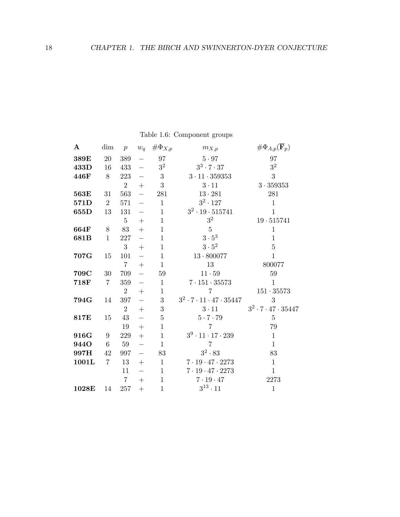| $\mathbf{A}$ | dim            | $\boldsymbol{p}$ | $w_q$                    | $\#\Phi_{X,p}$   | $m_{X,p}$                                   | $\#\Phi_{A,p}(\overline{\mathbf{F}}_p)$ |
|--------------|----------------|------------------|--------------------------|------------------|---------------------------------------------|-----------------------------------------|
| 389E         | 20             | 389              |                          | 97               | $5 \cdot 97$                                | 97                                      |
| 433D         | 16             | 433              | $\equiv$                 | $3^2\,$          | $3^3 \cdot 7 \cdot 37$                      | $3^2\,$                                 |
| 446F         | 8              | 223              | $\equiv$                 | $\boldsymbol{3}$ | $3\cdot 11\cdot 359353$                     | 3                                       |
|              |                | $\overline{2}$   | $^{+}$                   | $\boldsymbol{3}$ | $3 \cdot 11$                                | $3\cdot 359353$                         |
| 563E         | 31             | 563              | $\equiv$                 | ${\bf 281}$      | $13 \cdot 281$                              | 281                                     |
| 571D         | $\overline{2}$ | 571              | $\equiv$                 | $\mathbf{1}$     | $3^2 \cdot 127$                             | $\mathbf{1}$                            |
| 655D         | 13             | 131              | $\qquad \qquad -$        | $\mathbf{1}$     | $3^2 \cdot 19 \cdot 515741$                 | $\mathbf{1}$                            |
|              |                | $\overline{5}$   | $+$                      | $\mathbf{1}$     | 3 <sup>2</sup>                              | $19 \cdot 515741$                       |
| 664F         | 8              | 83               | $+$                      | $\mathbf{1}$     | $\overline{5}$                              | $\mathbf{1}$                            |
| 681B         | $\mathbf{1}$   | 227              |                          | $\mathbf 1$      | $3\cdot 5^3$                                | $\mathbf{1}$                            |
|              |                | 3                | $+$                      | $\mathbf{1}$     | $3\cdot 5^2$                                | $\overline{5}$                          |
| 707G         | 15             | 101              | $\equiv$                 | $\mathbf{1}$     | $13 \cdot 800077$                           | $\mathbf{1}$                            |
|              |                | $\overline{7}$   | $+$                      | $\mathbf{1}$     | 13                                          | 800077                                  |
| 709C         | 30             | 709              | $\qquad \qquad -$        | 59               | $11\cdot 59$                                | $59\,$                                  |
| 718F         | $\overline{7}$ | 359              | $\equiv$                 | $\mathbf{1}$     | $7 \cdot 151 \cdot 35573$                   | $\mathbf{1}$                            |
|              |                | $\overline{2}$   | $+$                      | $\mathbf{1}$     | $\overline{7}$                              | $151 \cdot 35573$                       |
| 794G         | 14             | 397              | $\overline{\phantom{0}}$ | $\sqrt{3}$       | $3^2 \cdot 7 \cdot 11 \cdot 47 \cdot 35447$ | 3                                       |
|              |                | $\overline{2}$   | $+$                      | $\sqrt{3}$       | $3\cdot 11$                                 | $3^2 \cdot 7 \cdot 47 \cdot 35447$      |
| 817E         | 15             | 43               | $\equiv$                 | $\bf 5$          | $5 \cdot 7 \cdot 79$                        | $\bf 5$                                 |
|              |                | 19               | $^{+}$                   | $\mathbf{1}$     | $\overline{7}$                              | 79                                      |
| 916G         | 9              | 229              | $\boldsymbol{+}$         | $\mathbf{1}$     | $3^9 \cdot 11 \cdot 17 \cdot 239$           | $\mathbf{1}$                            |
| 944O         | 6              | 59               | $\overline{\phantom{0}}$ | $\mathbf{1}$     | $\overline{7}$                              | $\mathbf{1}$                            |
| 997H         | 42             | 997              | $\equiv$                 | 83               | $3^2\cdot 83$                               | 83                                      |
| 1001L        | $\overline{7}$ | 13               | $+$                      | $\mathbf{1}$     | $7\cdot 19\cdot 47\cdot 2273$               | $\mathbf{1}$                            |
|              |                | 11               | $\qquad \qquad -$        | $\mathbf{1}$     | $7\cdot 19\cdot 47\cdot 2273$               | $\mathbf{1}$                            |
|              |                | $\overline{7}$   | $+$                      | $\mathbf{1}$     | $7 \cdot 19 \cdot 47$                       | 2273                                    |
| 1028E        | 14             | 257              | $+$                      | $\mathbf{1}$     | $3^{13}\cdot 11$                            | $\mathbf{1}$                            |

Table 1.6: Component groups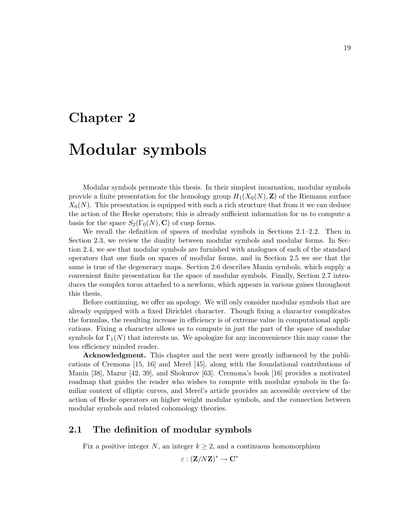# Chapter 2

# Modular symbols

Modular symbols permeate this thesis. In their simplest incarnation, modular symbols provide a finite presentation for the homology group  $H_1(X_0(N), \mathbf{Z})$  of the Riemann surface  $X_0(N)$ . This presentation is equipped with such a rich structure that from it we can deduce the action of the Hecke operators; this is already sufficient information for us to compute a basis for the space  $S_2(\Gamma_0(N), \mathbf{C})$  of cusp forms.

We recall the definition of spaces of modular symbols in Sections 2.1–2.2. Then in Section 2.3, we review the duality between modular symbols and modular forms. In Section 2.4, we see that modular symbols are furnished with analogues of each of the standard operators that one finds on spaces of modular forms, and in Section 2.5 we see that the same is true of the degeneracy maps. Section 2.6 describes Manin symbols, which supply a convenient finite presentation for the space of modular symbols. Finally, Section 2.7 introduces the complex torus attached to a newform, which appears in various guises throughout this thesis.

Before continuing, we offer an apology. We will only consider modular symbols that are already equipped with a fixed Dirichlet character. Though fixing a character complicates the formulas, the resulting increase in efficiency is of extreme value in computational applications. Fixing a character allows us to compute in just the part of the space of modular symbols for  $\Gamma_1(N)$  that interests us. We apologize for any inconvenience this may cause the less efficiency minded reader.

Acknowledgment. This chapter and the next were greatly influenced by the publications of Cremona [15, 16] and Merel [45], along with the foundational contributions of Manin [38], Mazur [42, 39], and Shokurov [63]. Cremona's book [16] provides a motivated roadmap that guides the reader who wishes to compute with modular symbols in the familiar context of elliptic curves, and Merel's article provides an accessible overview of the action of Hecke operators on higher weight modular symbols, and the connection between modular symbols and related cohomology theories.

## 2.1 The definition of modular symbols

Fix a positive integer N, an integer  $k \geq 2$ , and a continuous homomorphism

 $\varepsilon:({\bf Z}/N{\bf Z})^*\to{\bf C}^*$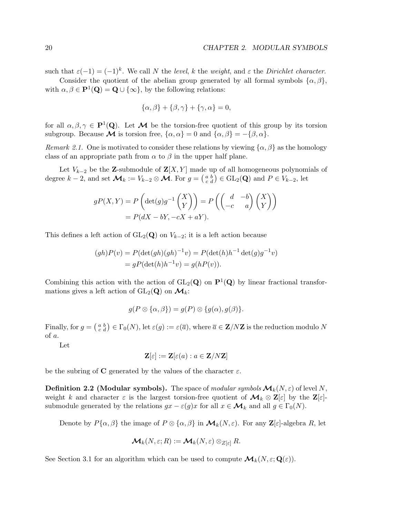such that  $\varepsilon(-1) = (-1)^k$ . We call N the level, k the weight, and  $\varepsilon$  the Dirichlet character.

Consider the quotient of the abelian group generated by all formal symbols  $\{\alpha, \beta\}$ , with  $\alpha, \beta \in \mathbf{P}^1(\mathbf{Q}) = \mathbf{Q} \cup \{\infty\}$ , by the following relations:

$$
\{\alpha,\beta\} + \{\beta,\gamma\} + \{\gamma,\alpha\} = 0,
$$

for all  $\alpha, \beta, \gamma \in \mathbf{P}^1(\mathbf{Q})$ . Let **M** be the torsion-free quotient of this group by its torsion subgroup. Because **M** is torsion free,  $\{\alpha, \alpha\} = 0$  and  $\{\alpha, \beta\} = -\{\beta, \alpha\}.$ 

Remark 2.1. One is motivated to consider these relations by viewing  $\{\alpha, \beta\}$  as the homology class of an appropriate path from  $\alpha$  to  $\beta$  in the upper half plane.

Let  $V_{k-2}$  be the Z-submodule of  $\mathbf{Z}[X, Y]$  made up of all homogeneous polynomials of degree  $k-2$ , and set  $\mathcal{M}_k := V_{k-2} \otimes \mathcal{M}$ . For  $g = \begin{pmatrix} a & b \\ c & d \end{pmatrix} \in GL_2(\mathbf{Q})$  and  $P \in V_{k-2}$ , let

$$
gP(X,Y) = P\left(\det(g)g^{-1}\begin{pmatrix} X \\ Y \end{pmatrix}\right) = P\left(\begin{pmatrix} d & -b \\ -c & a \end{pmatrix} \begin{pmatrix} X \\ Y \end{pmatrix}\right)
$$

$$
= P(dX - bY, -cX + aY).
$$

This defines a left action of  $GL_2(Q)$  on  $V_{k-2}$ ; it is a left action because

$$
(gh)P(v) = P(\det(gh)(gh)^{-1}v) = P(\det(h)h^{-1}\det(g)g^{-1}v)
$$

$$
= gP(\det(h)h^{-1}v) = g(hP(v)).
$$

Combining this action with the action of  $GL_2(Q)$  on  $P^1(Q)$  by linear fractional transformations gives a left action of  $GL_2(\mathbf{Q})$  on  $\mathcal{M}_k$ :

$$
g(P \otimes {\alpha, \beta}) = g(P) \otimes {g(\alpha), g(\beta)}.
$$

Finally, for  $g = \begin{pmatrix} a & b \\ c & d \end{pmatrix} \in \Gamma_0(N)$ , let  $\varepsilon(g) := \varepsilon(\overline{a})$ , where  $\overline{a} \in \mathbf{Z}/N\mathbf{Z}$  is the reduction modulo N of a.

Let

$$
\mathbf{Z}[\varepsilon]:=\mathbf{Z}[\varepsilon(a):a\in\mathbf{Z}/N\mathbf{Z}]
$$

be the subring of C generated by the values of the character  $\varepsilon$ .

**Definition 2.2 (Modular symbols).** The space of modular symbols  $\mathcal{M}_k(N, \varepsilon)$  of level N, weight k and character  $\varepsilon$  is the largest torsion-free quotient of  $\mathcal{M}_k \otimes \mathbb{Z}[\varepsilon]$  by the  $\mathbb{Z}[\varepsilon]$ submodule generated by the relations  $gx - \varepsilon(g)x$  for all  $x \in \mathcal{M}_k$  and all  $g \in \Gamma_0(N)$ .

Denote by  $P\{\alpha,\beta\}$  the image of  $P\otimes\{\alpha,\beta\}$  in  $\mathcal{M}_k(N,\varepsilon)$ . For any  $\mathbb{Z}[\varepsilon]$ -algebra R, let

$$
\mathcal{M}_k(N,\varepsilon;R):=\mathcal{M}_k(N,\varepsilon)\otimes_{Z[\varepsilon]}R.
$$

See Section 3.1 for an algorithm which can be used to compute  $\mathcal{M}_k(N, \varepsilon; \mathbf{Q}(\varepsilon)).$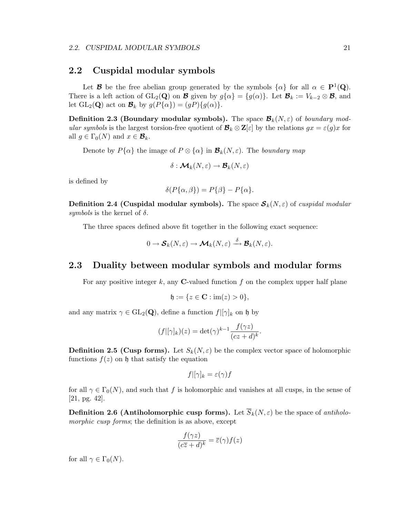### 2.2 Cuspidal modular symbols

Let **B** be the free abelian group generated by the symbols  $\{\alpha\}$  for all  $\alpha \in \mathbf{P}^1(\mathbf{Q})$ . There is a left action of  $GL_2(Q)$  on **B** given by  $g\{\alpha\} = \{g(\alpha)\}\$ . Let  $\mathcal{B}_k := V_{k-2} \otimes \mathcal{B}$ , and let  $GL_2(\mathbf{Q})$  act on  $\mathcal{B}_k$  by  $g(P\{\alpha\}) = (gP)\{g(\alpha)\}.$ 

**Definition 2.3 (Boundary modular symbols).** The space  $\mathcal{B}_k(N, \varepsilon)$  of boundary modular symbols is the largest torsion-free quotient of  $\mathcal{B}_k \otimes \mathbb{Z}[\varepsilon]$  by the relations  $gx = \varepsilon(g)x$  for all  $g \in \Gamma_0(N)$  and  $x \in \mathcal{B}_k$ .

Denote by  $P\{\alpha\}$  the image of  $P \otimes \{\alpha\}$  in  $\mathcal{B}_k(N, \varepsilon)$ . The boundary map

$$
\delta: \mathcal{M}_k(N,\varepsilon) \to \mathcal{B}_k(N,\varepsilon)
$$

is defined by

$$
\delta(P\{\alpha,\beta\}) = P\{\beta\} - P\{\alpha\}.
$$

**Definition 2.4 (Cuspidal modular symbols).** The space  $S_k(N, \varepsilon)$  of cuspidal modular symbols is the kernel of  $\delta$ .

The three spaces defined above fit together in the following exact sequence:

$$
0\to \mathcal{S}_k(N,\varepsilon)\to \mathcal{M}_k(N,\varepsilon)\stackrel{\delta}{\longrightarrow} \mathcal{B}_k(N,\varepsilon).
$$

## 2.3 Duality between modular symbols and modular forms

For any positive integer k, any **C**-valued function f on the complex upper half plane

$$
\mathfrak{h} := \{ z \in \mathbf{C} : \text{im}(z) > 0 \},
$$

and any matrix  $\gamma \in GL_2(Q)$ , define a function  $f|[\gamma]_k$  on h by

$$
(f|[\gamma]_k)(z) = \det(\gamma)^{k-1} \frac{f(\gamma z)}{(cz+d)^k}.
$$

**Definition 2.5 (Cusp forms).** Let  $S_k(N, \varepsilon)$  be the complex vector space of holomorphic functions  $f(z)$  on  $\mathfrak h$  that satisfy the equation

$$
f|[\gamma]_k = \varepsilon(\gamma)f
$$

for all  $\gamma \in \Gamma_0(N)$ , and such that f is holomorphic and vanishes at all cusps, in the sense of [21, pg. 42].

**Definition 2.6 (Antiholomorphic cusp forms).** Let  $\overline{S}_k(N,\varepsilon)$  be the space of antiholomorphic cusp forms; the definition is as above, except

$$
\frac{f(\gamma z)}{(c\overline{z} + d)^k} = \overline{\varepsilon}(\gamma) f(z)
$$

for all  $\gamma \in \Gamma_0(N)$ .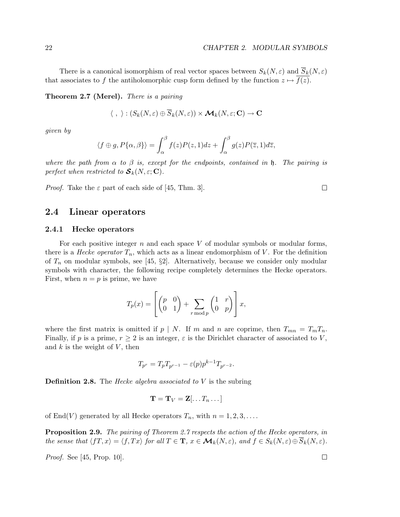There is a canonical isomorphism of real vector spaces between  $S_k(N, \varepsilon)$  and  $\overline{S}_k(N, \varepsilon)$ that associates to f the antiholomorphic cusp form defined by the function  $z \mapsto \overline{f(z)}$ .

Theorem 2.7 (Merel). There is a pairing

$$
\langle , \rangle : (S_k(N, \varepsilon) \oplus \overline{S}_k(N, \varepsilon)) \times \mathcal{M}_k(N, \varepsilon; \mathbf{C}) \to \mathbf{C}
$$

given by

$$
\langle f \oplus g, P\{\alpha, \beta\} \rangle = \int_{\alpha}^{\beta} f(z)P(z, 1)dz + \int_{\alpha}^{\beta} g(z)P(\overline{z}, 1)d\overline{z},
$$

where the path from  $\alpha$  to  $\beta$  is, except for the endpoints, contained in  $\mathfrak h$ . The pairing is perfect when restricted to  $S_k(N, \varepsilon; C)$ .

*Proof.* Take the  $\varepsilon$  part of each side of [45, Thm. 3].

### 2.4 Linear operators

#### 2.4.1 Hecke operators

For each positive integer  $n$  and each space  $V$  of modular symbols or modular forms, there is a *Hecke operator*  $T_n$ , which acts as a linear endomorphism of V. For the definition of  $T_n$  on modular symbols, see [45, §2]. Alternatively, because we consider only modular symbols with character, the following recipe completely determines the Hecke operators. First, when  $n = p$  is prime, we have

$$
T_p(x) = \left[ \begin{pmatrix} p & 0 \\ 0 & 1 \end{pmatrix} + \sum_{r \bmod p} \begin{pmatrix} 1 & r \\ 0 & p \end{pmatrix} \right] x,
$$

where the first matrix is omitted if  $p \mid N$ . If m and n are coprime, then  $T_{mn} = T_m T_n$ . Finally, if p is a prime,  $r \geq 2$  is an integer,  $\varepsilon$  is the Dirichlet character of associated to V, and  $k$  is the weight of  $V$ , then

$$
T_{p^r} = T_p T_{p^{r-1}} - \varepsilon(p) p^{k-1} T_{p^{r-2}}.
$$

**Definition 2.8.** The *Hecke algebra associated to*  $V$  is the subring

$$
\mathbf{T} = \mathbf{T}_V = \mathbf{Z}[\dots T_n \dots]
$$

of End(V) generated by all Hecke operators  $T_n$ , with  $n = 1, 2, 3, \ldots$ .

**Proposition 2.9.** The pairing of Theorem 2.7 respects the action of the Hecke operators, in the sense that  $\langle fT, x \rangle = \langle f, Tx \rangle$  for all  $T \in \mathbf{T}$ ,  $x \in \mathcal{M}_k(N, \varepsilon)$ , and  $f \in S_k(N, \varepsilon) \oplus \overline{S}_k(N, \varepsilon)$ .

Proof. See [45, Prop. 10].

 $\Box$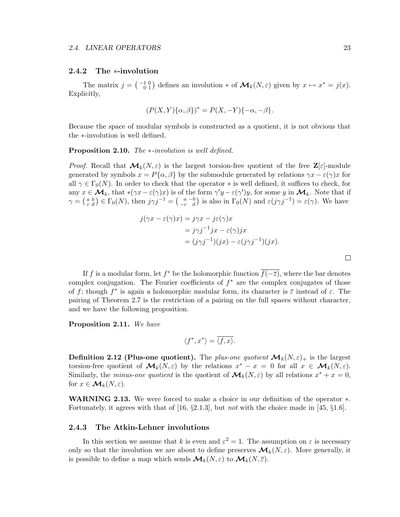#### 2.4.2 The ∗-involution

The matrix  $j = \begin{pmatrix} -1 & 0 \\ 0 & 1 \end{pmatrix}$  defines an involution  $*$  of  $\mathcal{M}_k(N, \varepsilon)$  given by  $x \mapsto x^* = j(x)$ . Explicitly,

$$
(P(X,Y)\{\alpha,\beta\})^* = P(X,-Y)\{-\alpha,-\beta\}.
$$

Because the space of modular symbols is constructed as a quotient, it is not obvious that the ∗-involution is well defined.

#### Proposition 2.10. The ∗-involution is well defined.

*Proof.* Recall that  $\mathcal{M}_k(N, \varepsilon)$  is the largest torsion-free quotient of the free  $\mathbb{Z}[\varepsilon]$ -module generated by symbols  $x = P\{\alpha, \beta\}$  by the submodule generated by relations  $\gamma x - \varepsilon(\gamma)x$  for all  $\gamma \in \Gamma_0(N)$ . In order to check that the operator  $*$  is well defined, it suffices to check, for any  $x \in \mathcal{M}_k$ , that \* $(\gamma x - \varepsilon(\gamma)x)$  is of the form  $\gamma' y - \varepsilon(\gamma')y$ , for some y in  $\mathcal{M}_k$ . Note that if  $\gamma = \begin{pmatrix} a & b \\ c & d \end{pmatrix} \in \Gamma_0(N)$ , then  $j\gamma j^{-1} = \begin{pmatrix} a & -b \\ -c & d \end{pmatrix}$  is also in  $\Gamma_0(N)$  and  $\varepsilon(j\gamma j^{-1}) = \varepsilon(\gamma)$ . We have

$$
j(\gamma x - \varepsilon(\gamma)x) = j\gamma x - j\varepsilon(\gamma)x
$$
  
=  $j\gamma j^{-1}jx - \varepsilon(\gamma)jx$   
=  $(j\gamma j^{-1})(jx) - \varepsilon(j\gamma j^{-1})(jx).$ 

If f is a modular form, let  $f^*$  be the holomorphic function  $f(-\overline{z})$ , where the bar denotes complex conjugation. The Fourier coefficients of  $f^*$  are the complex conjugates of those of f; though  $f^*$  is again a holomorphic modular form, its character is  $\overline{\varepsilon}$  instead of  $\varepsilon$ . The pairing of Theorem 2.7 is the restriction of a pairing on the full spaces without character, and we have the following proposition.

Proposition 2.11. We have

$$
\langle f^*, x^* \rangle = \overline{\langle f, x \rangle}.
$$

**Definition 2.12 (Plus-one quotient).** The plus-one quotient  $\mathcal{M}_k(N,\varepsilon)_+$  is the largest torsion-free quotient of  $\mathcal{M}_k(N,\varepsilon)$  by the relations  $x^* - x = 0$  for all  $x \in \mathcal{M}_k(N,\varepsilon)$ . Similarly, the *minus-one quotient* is the quotient of  $\mathcal{M}_k(N, \varepsilon)$  by all relations  $x^* + x = 0$ , for  $x \in \mathcal{M}_k(N, \varepsilon)$ .

WARNING 2.13. We were forced to make a choice in our definition of the operator ∗. Fortunately, it agrees with that of [16,  $\S 2.1.3$ ], but *not* with the choice made in [45,  $\S 1.6$ ].

#### 2.4.3 The Atkin-Lehner involutions

In this section we assume that k is even and  $\varepsilon^2 = 1$ . The assumption on  $\varepsilon$  is necessary only so that the involution we are about to define preserves  $\mathcal{M}_k(N, \varepsilon)$ . More generally, it is possible to define a map which sends  $\mathcal{M}_k(N, \varepsilon)$  to  $\mathcal{M}_k(N, \overline{\varepsilon})$ .

 $\Box$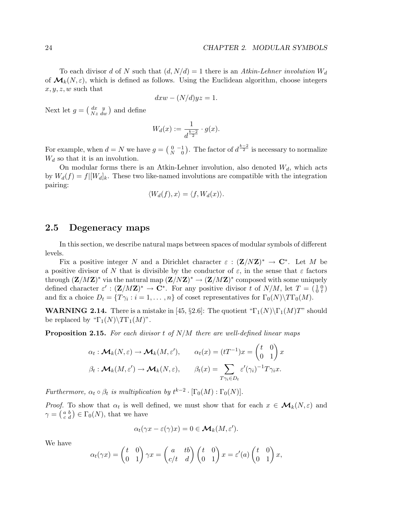To each divisor d of N such that  $(d, N/d) = 1$  there is an Atkin-Lehner involution  $W_d$ of  $\mathcal{M}_k(N,\varepsilon)$ , which is defined as follows. Using the Euclidean algorithm, choose integers  $x, y, z, w$  such that

$$
dxw - (N/d)yz = 1.
$$

Next let  $g = \begin{pmatrix} dx & y \\ Nz & dy \end{pmatrix}$  $\frac{dx}{Nz} \frac{y}{dw}$  and define

$$
W_d(x) := \frac{1}{d^{\frac{k-2}{2}}} \cdot g(x).
$$

For example, when  $d = N$  we have  $g = \begin{pmatrix} 0 & -1 \\ N & 0 \end{pmatrix}$ . The factor of  $d^{\frac{k-2}{2}}$  is necessary to normalize  $W_d$  so that it is an involution.

On modular forms there is an Atkin-Lehner involution, also denoted  $W_d$ , which acts by  $W_d(f) = f|[W_d]_k$ . These two like-named involutions are compatible with the integration pairing:

$$
\langle W_d(f), x \rangle = \langle f, W_d(x) \rangle.
$$

### 2.5 Degeneracy maps

In this section, we describe natural maps between spaces of modular symbols of different levels.

Fix a positive integer N and a Dirichlet character  $\varepsilon : (\mathbf{Z}/N\mathbf{Z})^* \to \mathbf{C}^*$ . Let M be a positive divisor of N that is divisible by the conductor of  $\varepsilon$ , in the sense that  $\varepsilon$  factors through  $(\mathbf{Z}/M\mathbf{Z})^*$  via the natural map  $(\mathbf{Z}/N\mathbf{Z})^* \to (\mathbf{Z}/M\mathbf{Z})^*$  composed with some uniquely defined character  $\varepsilon'$ :  $(\mathbf{Z}/M\mathbf{Z})^* \to \mathbf{C}^*$ . For any positive divisor t of  $N/M$ , let  $T = \begin{pmatrix} 1 & 0 \\ 0 & t \end{pmatrix}$ and fix a choice  $D_t = \{T\gamma_i : i = 1, ..., n\}$  of coset representatives for  $\Gamma_0(N) \backslash T\Gamma_0(M)$ .

**WARNING 2.14.** There is a mistake in [45, §2.6]: The quotient " $\Gamma_1(N)\Gamma_1(M)T$ " should be replaced by " $\Gamma_1(N) \backslash T\Gamma_1(M)$ ".

**Proposition 2.15.** For each divisor t of  $N/M$  there are well-defined linear maps

$$
\alpha_t : \mathcal{M}_k(N, \varepsilon) \to \mathcal{M}_k(M, \varepsilon'), \qquad \alpha_t(x) = (tT^{-1})x = \begin{pmatrix} t & 0 \\ 0 & 1 \end{pmatrix} x
$$

$$
\beta_t : \mathcal{M}_k(M, \varepsilon') \to \mathcal{M}_k(N, \varepsilon), \qquad \beta_t(x) = \sum_{T\gamma_i \in D_t} \varepsilon'(\gamma_i)^{-1} T\gamma_i x.
$$

Furthermore,  $\alpha_t \circ \beta_t$  is multiplication by  $t^{k-2} \cdot [\Gamma_0(M) : \Gamma_0(N)]$ .

*Proof.* To show that  $\alpha_t$  is well defined, we must show that for each  $x \in \mathcal{M}_k(N, \varepsilon)$  and  $\gamma = \left(\begin{smallmatrix} a & b \\ c & d \end{smallmatrix}\right) \in \Gamma_0(N)$ , that we have

$$
\alpha_t(\gamma x - \varepsilon(\gamma)x) = 0 \in \mathcal{M}_k(M, \varepsilon').
$$

We have

$$
\alpha_t(\gamma x) = \begin{pmatrix} t & 0 \\ 0 & 1 \end{pmatrix} \gamma x = \begin{pmatrix} a & tb \\ c/t & d \end{pmatrix} \begin{pmatrix} t & 0 \\ 0 & 1 \end{pmatrix} x = \varepsilon'(a) \begin{pmatrix} t & 0 \\ 0 & 1 \end{pmatrix} x,
$$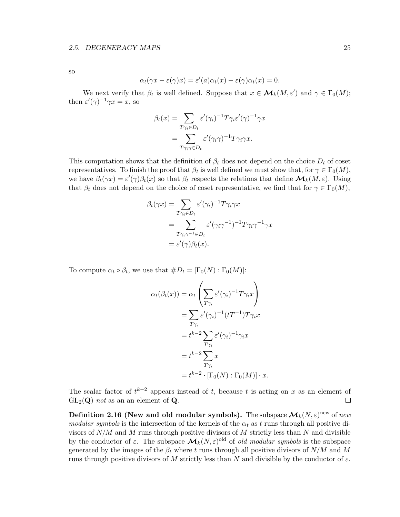so

$$
\alpha_t(\gamma x - \varepsilon(\gamma)x) = \varepsilon'(a)\alpha_t(x) - \varepsilon(\gamma)\alpha_t(x) = 0.
$$

We next verify that  $\beta_t$  is well defined. Suppose that  $x \in \mathcal{M}_k(M, \varepsilon')$  and  $\gamma \in \Gamma_0(M)$ ; then  $\varepsilon'(\gamma)^{-1}\gamma x = x$ , so

$$
\beta_t(x) = \sum_{T\gamma_i \in D_t} \varepsilon'(\gamma_i)^{-1} T\gamma_i \varepsilon'(\gamma)^{-1} \gamma x
$$

$$
= \sum_{T\gamma_i \gamma \in D_t} \varepsilon'(\gamma_i \gamma)^{-1} T\gamma_i \gamma x.
$$

This computation shows that the definition of  $\beta_t$  does not depend on the choice  $D_t$  of coset representatives. To finish the proof that  $\beta_t$  is well defined we must show that, for  $\gamma \in \Gamma_0(M)$ , we have  $\beta_t(\gamma x) = \varepsilon'(\gamma)\beta_t(x)$  so that  $\beta_t$  respects the relations that define  $\mathcal{M}_k(M, \varepsilon)$ . Using that  $\beta_t$  does not depend on the choice of coset representative, we find that for  $\gamma \in \Gamma_0(M)$ ,

$$
\beta_t(\gamma x) = \sum_{T\gamma_i \in D_t} \varepsilon'(\gamma_i)^{-1} T\gamma_i \gamma x
$$
  
= 
$$
\sum_{T\gamma_i \gamma^{-1} \in D_t} \varepsilon'(\gamma_i \gamma^{-1})^{-1} T\gamma_i \gamma^{-1} \gamma x
$$
  
= 
$$
\varepsilon'(\gamma) \beta_t(x).
$$

To compute  $\alpha_t \circ \beta_t$ , we use that  $\#D_t = [\Gamma_0(N) : \Gamma_0(M)]$ :

$$
\alpha_t(\beta_t(x)) = \alpha_t \left( \sum_{T\gamma_i} \varepsilon'(\gamma_i)^{-1} T \gamma_i x \right)
$$
  
= 
$$
\sum_{T\gamma_i} \varepsilon'(\gamma_i)^{-1} (tT^{-1}) T \gamma_i x
$$
  
= 
$$
t^{k-2} \sum_{T\gamma_i} \varepsilon'(\gamma_i)^{-1} \gamma_i x
$$
  
= 
$$
t^{k-2} \sum_{T\gamma_i} x
$$
  
= 
$$
t^{k-2} \cdot [\Gamma_0(N) : \Gamma_0(M)] \cdot x.
$$

The scalar factor of  $t^{k-2}$  appears instead of t, because t is acting on x as an element of  $GL_2(Q)$  not as an an element of Q.  $\Box$ 

Definition 2.16 (New and old modular symbols). The subspace  $\bm{\mathcal{M}}_k(N,\varepsilon)^{\text{new}}$  of  $\mathit{new}$ modular symbols is the intersection of the kernels of the  $\alpha_t$  as t runs through all positive divisors of  $N/M$  and M runs through positive divisors of M strictly less than N and divisible by the conductor of  $\varepsilon$ . The subspace  $\mathcal{M}_k(N,\varepsilon)$ <sup>old</sup> of *old modular symbols* is the subspace generated by the images of the  $\beta_t$  where t runs through all positive divisors of  $N/M$  and M runs through positive divisors of M strictly less than N and divisible by the conductor of  $\varepsilon$ .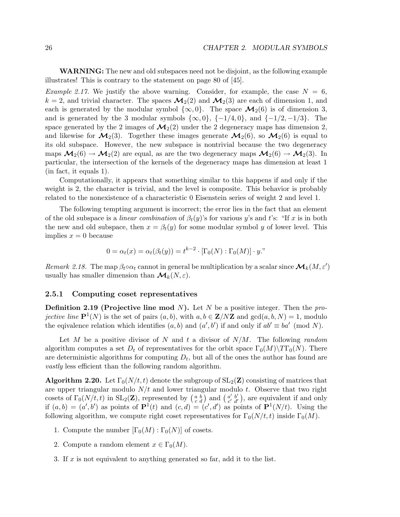WARNING: The new and old subspaces need not be disjoint, as the following example illustrates! This is contrary to the statement on page 80 of [45].

*Example 2.17.* We justify the above warning. Consider, for example, the case  $N = 6$ ,  $k = 2$ , and trivial character. The spaces  $\mathcal{M}_2(2)$  and  $\mathcal{M}_2(3)$  are each of dimension 1, and each is generated by the modular symbol  $\{\infty, 0\}$ . The space  $\mathcal{M}_2(6)$  is of dimension 3, and is generated by the 3 modular symbols  $\{\infty, 0\}$ ,  $\{-1/4, 0\}$ , and  $\{-1/2, -1/3\}$ . The space generated by the 2 images of  $\mathcal{M}_2(2)$  under the 2 degeneracy maps has dimension 2, and likewise for  $\mathcal{M}_2(3)$ . Together these images generate  $\mathcal{M}_2(6)$ , so  $\mathcal{M}_2(6)$  is equal to its old subspace. However, the new subspace is nontrivial because the two degeneracy maps  $\mathcal{M}_2(6) \to \mathcal{M}_2(2)$  are equal, as are the two degeneracy maps  $\mathcal{M}_2(6) \to \mathcal{M}_2(3)$ . In particular, the intersection of the kernels of the degeneracy maps has dimension at least 1 (in fact, it equals 1).

Computationally, it appears that something similar to this happens if and only if the weight is 2, the character is trivial, and the level is composite. This behavior is probably related to the nonexistence of a characteristic 0 Eisenstein series of weight 2 and level 1.

The following tempting argument is incorrect; the error lies in the fact that an element of the old subspace is a *linear combination* of  $\beta_t(y)$ 's for various y's and t's: "If x is in both the new and old subspace, then  $x = \beta_t(y)$  for some modular symbol y of lower level. This implies  $x = 0$  because

$$
0 = \alpha_t(x) = \alpha_t(\beta_t(y)) = t^{k-2} \cdot [\Gamma_0(N) : \Gamma_0(M)] \cdot y.
$$

Remark 2.18. The map  $\beta_t \circ \alpha_t$  cannot in general be multiplication by a scalar since  $\mathcal{M}_k(M, \varepsilon')$ usually has smaller dimension than  $\mathcal{M}_k(N, \varepsilon)$ .

# 2.5.1 Computing coset representatives

**Definition 2.19 (Projective line mod N).** Let N be a positive integer. Then the projective line  $\mathbf{P}^1(N)$  is the set of pairs  $(a, b)$ , with  $a, b \in \mathbf{Z}/N\mathbf{Z}$  and  $gcd(a, b, N) = 1$ , modulo the eqivalence relation which identifies  $(a, b)$  and  $(a', b')$  if and only if  $ab' \equiv ba' \pmod{N}$ .

Let M be a positive divisor of N and t a divisor of  $N/M$ . The following random algorithm computes a set  $D_t$  of representatives for the orbit space  $\Gamma_0(M)\backslash TT_0(N)$ . There are deterministic algorithms for computing  $D_t$ , but all of the ones the author has found are vastly less efficient than the following random algorithm.

**Algorithm 2.20.** Let  $\Gamma_0(N/t, t)$  denote the subgroup of  $SL_2(\mathbb{Z})$  consisting of matrices that are upper triangular modulo  $N/t$  and lower triangular modulo t. Observe that two right cosets of  $\Gamma_0(N/t, t)$  in  $SL_2(\mathbf{Z})$ , represented by  $\begin{pmatrix} a & b \\ c & d \end{pmatrix}$  and  $\begin{pmatrix} a' & b' \\ c' & d' \end{pmatrix}$  $a'_{c'} b'_{d'}$ , are equivalent if and only if  $(a, b) = (a', b')$  as points of  $\mathbf{P}^1(t)$  and  $(c, d) = (c', d')$  as points of  $\mathbf{P}^1(N/t)$ . Using the following algorithm, we compute right coset representatives for  $\Gamma_0(N/t, t)$  inside  $\Gamma_0(M)$ .

- 1. Compute the number  $[\Gamma_0(M) : \Gamma_0(N)]$  of cosets.
- 2. Compute a random element  $x \in \Gamma_0(M)$ .
- 3. If  $x$  is not equivalent to anything generated so far, add it to the list.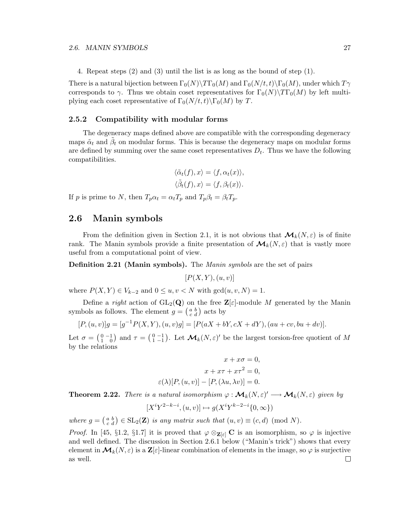4. Repeat steps (2) and (3) until the list is as long as the bound of step (1).

There is a natural bijection between  $\Gamma_0(N)\setminus T\Gamma_0(M)$  and  $\Gamma_0(N/t,t)\setminus T_0(M)$ , under which  $T\gamma$ corresponds to  $\gamma$ . Thus we obtain coset representatives for  $\Gamma_0(N)\backslash T\Gamma_0(M)$  by left multiplying each coset representative of  $\Gamma_0(N/t,t)\$   $\Gamma_0(M)$  by T.

# 2.5.2 Compatibility with modular forms

The degeneracy maps defined above are compatible with the corresponding degeneracy maps  $\tilde{\alpha}_t$  and  $\tilde{\beta}_t$  on modular forms. This is because the degeneracy maps on modular forms are defined by summing over the same coset representatives  $D_t$ . Thus we have the following compatibilities.

$$
\langle \tilde{\alpha}_t(f), x \rangle = \langle f, \alpha_t(x) \rangle,
$$
  

$$
\langle \tilde{\beta}_t(f), x \rangle = \langle f, \beta_t(x) \rangle.
$$

If p is prime to N, then  $T_p \alpha_t = \alpha_t T_p$  and  $T_p \beta_t = \beta_t T_p$ .

# 2.6 Manin symbols

From the definition given in Section 2.1, it is not obvious that  $\mathcal{M}_k(N,\varepsilon)$  is of finite rank. The Manin symbols provide a finite presentation of  $\mathcal{M}_k(N, \varepsilon)$  that is vastly more useful from a computational point of view.

Definition 2.21 (Manin symbols). The Manin symbols are the set of pairs

$$
[P(X, Y), (u, v)]
$$

where  $P(X, Y) \in V_{k-2}$  and  $0 \le u, v \le N$  with  $gcd(u, v, N) = 1$ .

Define a right action of  $GL_2(Q)$  on the free  $\mathbb{Z}[\varepsilon]$ -module M generated by the Manin symbols as follows. The element  $g = \begin{pmatrix} a & b \\ c & d \end{pmatrix}$  acts by

$$
[P,(u,v)]g = [g^{-1}P(X,Y),(u,v)g] = [P(aX + bY, cX + dY),(au + cv, bu + dv)].
$$

Let  $\sigma = \begin{pmatrix} 0 & -1 \\ 1 & 0 \end{pmatrix}$  and  $\tau = \begin{pmatrix} 0 & -1 \\ 1 & -1 \end{pmatrix}$ . Let  $\mathcal{M}_k(N, \varepsilon)'$  be the largest torsion-free quotient of M by the relations

$$
x + x\sigma = 0,
$$
  
\n
$$
x + x\tau + x\tau^2 = 0,
$$
  
\n
$$
\varepsilon(\lambda)[P, (u, v)] - [P, (\lambda u, \lambda v)] = 0.
$$

**Theorem 2.22.** There is a natural isomorphism  $\varphi : \mathcal{M}_k(N, \varepsilon)' \longrightarrow \mathcal{M}_k(N, \varepsilon)$  given by

$$
[X^iY^{2-k-i},(u,v)]\mapsto g(X^iY^{k-2-i}\{0,\infty\})
$$

where  $g = \begin{pmatrix} a & b \\ c & d \end{pmatrix} \in SL_2(\mathbf{Z})$  is any matrix such that  $(u, v) \equiv (c, d) \pmod{N}$ .

*Proof.* In [45, §1.2, §1.7] it is proved that  $\varphi \otimes_{\mathbf{Z}[\varepsilon]} \mathbf{C}$  is an isomorphism, so  $\varphi$  is injective and well defined. The discussion in Section 2.6.1 below ("Manin's trick") shows that every element in  $\mathcal{M}_k(N,\varepsilon)$  is a  $\mathbf{Z}[\varepsilon]$ -linear combination of elements in the image, so  $\varphi$  is surjective as well. $\Box$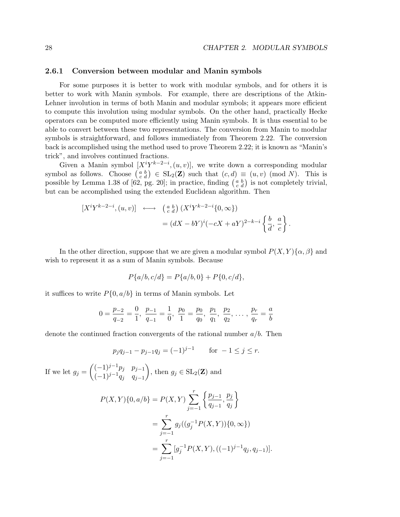## 2.6.1 Conversion between modular and Manin symbols

For some purposes it is better to work with modular symbols, and for others it is better to work with Manin symbols. For example, there are descriptions of the Atkin-Lehner involution in terms of both Manin and modular symbols; it appears more efficient to compute this involution using modular symbols. On the other hand, practically Hecke operators can be computed more efficiently using Manin symbols. It is thus essential to be able to convert between these two representations. The conversion from Manin to modular symbols is straightforward, and follows immediately from Theorem 2.22. The conversion back is accomplished using the method used to prove Theorem 2.22; it is known as "Manin's trick", and involves continued fractions.

Given a Manin symbol  $[X^i Y^{k-2-i}, (u, v)]$ , we write down a corresponding modular symbol as follows. Choose  $\begin{pmatrix} a & b \\ c & d \end{pmatrix} \in SL_2(\mathbf{Z})$  such that  $(c, d) \equiv (u, v) \pmod{N}$ . This is possible by Lemma 1.38 of [62, pg. 20]; in practice, finding  $\begin{pmatrix} a & b \\ c & d \end{pmatrix}$  is not completely trivial, but can be accomplished using the extended Euclidean algorithm. Then

$$
[X^{i}Y^{k-2-i}, (u, v)] \longleftrightarrow \begin{pmatrix} a & b \\ c & d \end{pmatrix} (X^{i}Y^{k-2-i}\{0, \infty\})
$$
  
=  $(dX - bY)^{i}(-cX + aY)^{2-k-i}\begin{Bmatrix} b & a \\ \overline{d} & c \end{Bmatrix}.$ 

In the other direction, suppose that we are given a modular symbol  $P(X, Y) \{\alpha, \beta\}$  and wish to represent it as a sum of Manin symbols. Because

$$
P{a/b, c/d} = P{a/b, 0} + P{0, c/d},
$$

it suffices to write  $P\{0, a/b\}$  in terms of Manin symbols. Let

$$
0 = \frac{p_{-2}}{q_{-2}} = \frac{0}{1}, \ \frac{p_{-1}}{q_{-1}} = \frac{1}{0}, \ \frac{p_0}{1} = \frac{p_0}{q_0}, \ \frac{p_1}{q_1}, \ \frac{p_2}{q_2}, \ \ldots, \ \frac{p_r}{q_r} = \frac{a}{b}
$$

denote the continued fraction convergents of the rational number  $a/b$ . Then

$$
p_j q_{j-1} - p_{j-1} q_j = (-1)^{j-1} \quad \text{for } -1 \le j \le r.
$$

If we let  $g_j = \begin{pmatrix} (-1)^{j-1} p_j & p_{j-1} \\ (-1)^{j-1} q_j & q_{j-1} \end{pmatrix}$  $(-1)^{j-1}q_j$  q<sub>j-1</sub> ), then  $g_j \in SL_2(\mathbf{Z})$  and

$$
P(X,Y)\{0,a/b\} = P(X,Y) \sum_{j=-1}^{r} \left\{ \frac{p_{j-1}}{q_{j-1}}, \frac{p_j}{q_j} \right\}
$$
  
= 
$$
\sum_{j=-1}^{r} g_j((g_j^{-1}P(X,Y))\{0,\infty\})
$$
  
= 
$$
\sum_{j=-1}^{r} [g_j^{-1}P(X,Y),((-1)^{j-1}q_j,q_{j-1})].
$$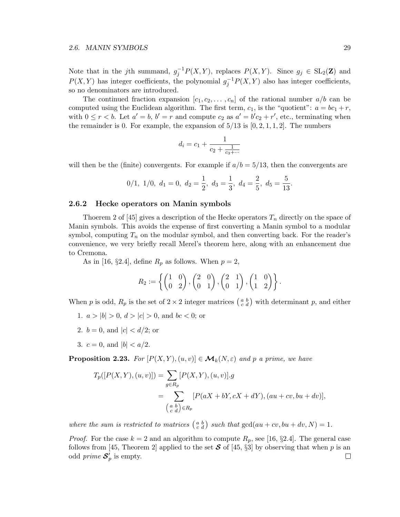Note that in the jth summand,  $g_j^{-1}P(X,Y)$ , replaces  $P(X,Y)$ . Since  $g_j \in SL_2(\mathbb{Z})$  and  $P(X, Y)$  has integer coefficients, the polynomial  $g_j^{-1}P(X, Y)$  also has integer coefficients, so no denominators are introduced.

The continued fraction expansion  $[c_1, c_2, \ldots, c_n]$  of the rational number  $a/b$  can be computed using the Euclidean algorithm. The first term,  $c_1$ , is the "quotient":  $a = bc_1 + r$ , with  $0 \le r < b$ . Let  $a' = b$ ,  $b' = r$  and compute  $c_2$  as  $a' = b'c_2 + r'$ , etc., terminating when the remainder is 0. For example, the expansion of  $5/13$  is  $[0, 2, 1, 1, 2]$ . The numbers

$$
d_i = c_1 + \frac{1}{c_2 + \frac{1}{c_3 + \dotsb}}
$$

will then be the (finite) convergents. For example if  $a/b = 5/13$ , then the convergents are

$$
0/1, 1/0, d_1 = 0, d_2 = \frac{1}{2}, d_3 = \frac{1}{3}, d_4 = \frac{2}{5}, d_5 = \frac{5}{13}.
$$

# 2.6.2 Hecke operators on Manin symbols

Thoerem 2 of [45] gives a description of the Hecke operators  $T_n$  directly on the space of Manin symbols. This avoids the expense of first converting a Manin symbol to a modular symbol, computing  $T_n$  on the modular symbol, and then converting back. For the reader's convenience, we very briefly recall Merel's theorem here, along with an enhancement due to Cremona.

As in [16, §2.4], define  $R_p$  as follows. When  $p=2$ ,

$$
R_2 := \left\{ \begin{pmatrix} 1 & 0 \\ 0 & 2 \end{pmatrix}, \begin{pmatrix} 2 & 0 \\ 0 & 1 \end{pmatrix}, \begin{pmatrix} 2 & 1 \\ 0 & 1 \end{pmatrix}, \begin{pmatrix} 1 & 0 \\ 1 & 2 \end{pmatrix} \right\}.
$$

When p is odd,  $R_p$  is the set of  $2 \times 2$  integer matrices  $\begin{pmatrix} a & b \\ c & d \end{pmatrix}$  with determinant p, and either

- 1.  $a > |b| > 0$ ,  $d > |c| > 0$ , and  $bc < 0$ ; or
- 2.  $b = 0$ , and  $|c| < d/2$ ; or
- 3.  $c = 0$ , and  $|b| < a/2$ .

**Proposition 2.23.** For  $[P(X, Y), (u, v)] \in M_k(N, \varepsilon)$  and p a prime, we have

$$
T_p([P(X, Y), (u, v)]) = \sum_{g \in R_p} [P(X, Y), (u, v)].g
$$
  
= 
$$
\sum_{\substack{a \ b \\ c \ d}} [P(aX + bY, cX + dY), (au + cv, bu + dv)],
$$

where the sum is restricted to matrices  $\begin{pmatrix} a & b \\ c & d \end{pmatrix}$  such that  $gcd(au + cv, bu + dv, N) = 1$ .

*Proof.* For the case  $k = 2$  and an algorithm to compute  $R_p$ , see [16, §2.4]. The general case follows from [45, Theorem 2] applied to the set  $S$  of [45, §3] by observing that when p is an odd prime  $S'_n$  is empty. odd *prime*  $S_p'$  is empty.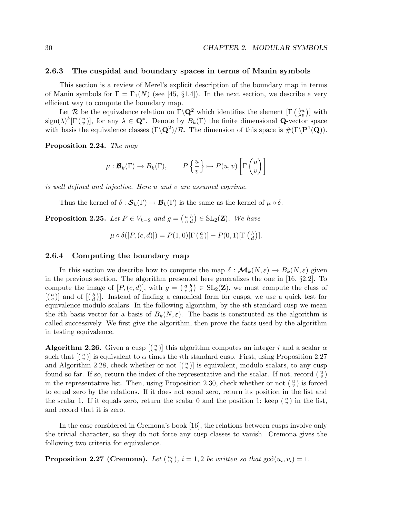# 2.6.3 The cuspidal and boundary spaces in terms of Manin symbols

This section is a review of Merel's explicit description of the boundary map in terms of Manin symbols for  $\Gamma = \Gamma_1(N)$  (see [45, §1.4]). In the next section, we describe a very efficient way to compute the boundary map.

Let R be the equivalence relation on  $\Gamma \backslash \mathbf{Q}^2$  which identifies the element  $[\Gamma \binom{\lambda u}{\lambda v}]$  with  $sign(\lambda)^k[\Gamma(\frac{u}{v})]$ , for any  $\lambda \in \mathbf{Q}^*$ . Denote by  $B_k(\Gamma)$  the finite dimensional **Q**-vector space with basis the equivalence classes  $(\Gamma \backslash \mathbf{Q}^2)/\mathcal{R}$ . The dimension of this space is  $\#(\Gamma \backslash \mathbf{P}^1(\mathbf{Q}))$ .

Proposition 2.24. The map

$$
\mu: \mathcal{B}_k(\Gamma) \to B_k(\Gamma), \qquad P\left\{\frac{u}{v}\right\} \mapsto P(u,v)\left[\Gamma\left(\begin{matrix}u\\v\end{matrix}\right)\right]
$$

is well defined and injective. Here u and v are assumed coprime.

Thus the kernel of  $\delta : \mathcal{S}_k(\Gamma) \to \mathcal{B}_k(\Gamma)$  is the same as the kernel of  $\mu \circ \delta$ .

**Proposition 2.25.** Let  $P \in V_{k-2}$  and  $g = \begin{pmatrix} a & b \\ c & d \end{pmatrix} \in SL_2(\mathbf{Z})$ . We have

$$
\mu \circ \delta([P,(c,d)]) = P(1,0)[\Gamma(\begin{array}{c} a \\ c \end{array})] - P(0,1)[\Gamma(\begin{array}{c} b \\ d \end{array})].
$$

#### 2.6.4 Computing the boundary map

In this section we describe how to compute the map  $\delta : \mathcal{M}_k(N, \varepsilon) \to B_k(N, \varepsilon)$  given in the previous section. The algorithm presented here generalizes the one in [16,  $\S 2.2$ ]. To compute the image of  $[P,(c,d)]$ , with  $g = \begin{pmatrix} a & b \\ c & d \end{pmatrix} \in SL_2(\mathbb{Z})$ , we must compute the class of  $\lfloor {a \choose c} \rfloor$  and of  $\lfloor {b \choose d} \rfloor$ . Instead of finding a canonical form for cusps, we use a quick test for equivalence modulo scalars. In the following algorithm, by the ith standard cusp we mean the *i*th basis vector for a basis of  $B_k(N,\varepsilon)$ . The basis is constructed as the algorithm is called successively. We first give the algorithm, then prove the facts used by the algorithm in testing equivalence.

Algorithm 2.26. Given a cusp  $\left[\binom{u}{v}\right]$  this algorithm computes an integer i and a scalar  $\alpha$ such that  $[(\begin{smallmatrix} u \\ v \end{smallmatrix})]$  is equivalent to  $\alpha$  times the *i*th standard cusp. First, using Proposition 2.27 and Algorithm 2.28, check whether or not  $\left[\binom{u}{v}\right]$  is equivalent, modulo scalars, to any cusp found so far. If so, return the index of the representative and the scalar. If not, record  $\left(\begin{smallmatrix} u \\ v \end{smallmatrix}\right)$ in the representative list. Then, using Proposition 2.30, check whether or not  $\binom{u}{v}$  is forced to equal zero by the relations. If it does not equal zero, return its position in the list and the scalar 1. If it equals zero, return the scalar 0 and the position 1; keep  $\binom{u}{v}$  in the list, and record that it is zero.

In the case considered in Cremona's book [16], the relations between cusps involve only the trivial character, so they do not force any cusp classes to vanish. Cremona gives the following two criteria for equivalence.

**Proposition 2.27 (Cremona).** Let  $\begin{pmatrix} u_i \\ v_i \end{pmatrix}$ ,  $i = 1, 2$  be written so that  $gcd(u_i, v_i) = 1$ .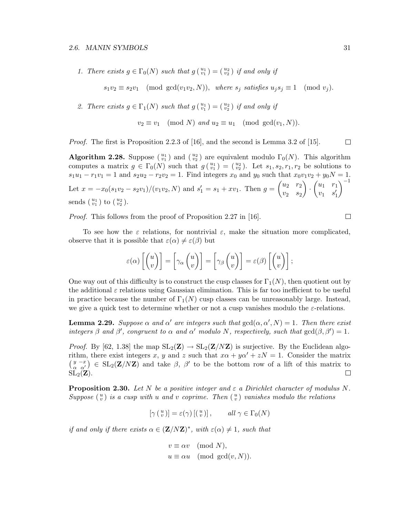1. There exists  $g \in \Gamma_0(N)$  such that  $g\left(\begin{smallmatrix} u_1 \\ v_1 \end{smallmatrix}\right) = \left(\begin{smallmatrix} u_2 \\ v_2 \end{smallmatrix}\right)$  if and only if

 $s_1v_2 \equiv s_2v_1 \pmod{\gcd(v_1v_2,N)}$ , where  $s_j$  satisfies  $u_js_j \equiv 1 \pmod{v_j}$ .

2. There exists  $g \in \Gamma_1(N)$  such that  $g\begin{pmatrix} u_1 \\ v_1 \end{pmatrix} = \begin{pmatrix} u_2 \\ v_2 \end{pmatrix}$  if and only if

$$
v_2 \equiv v_1 \pmod{N} \text{ and } u_2 \equiv u_1 \pmod{\gcd(v_1, N)}.
$$

*Proof.* The first is Proposition 2.2.3 of [16], and the second is Lemma 3.2 of [15]. □

**Algorithm 2.28.** Suppose  $\binom{u_1}{v_1}$  and  $\binom{u_2}{v_2}$  are equivalent modulo  $\Gamma_0(N)$ . This algorithm computes a matrix  $g \in \Gamma_0(N)$  such that  $g\left(\begin{smallmatrix} u_1\\v_1\end{smallmatrix}\right) = \left(\begin{smallmatrix} u_2\\v_2\end{smallmatrix}\right)$ . Let  $s_1, s_2, r_1, r_2$  be solutions to  $s_1u_1 - r_1v_1 = 1$  and  $s_2u_2 - r_2v_2 = 1$ . Find integers  $x_0$  and  $y_0$  such that  $x_0v_1v_2 + y_0N = 1$ . Let  $x = -x_0(s_1v_2 - s_2v_1)/(v_1v_2, N)$  and  $s'_1 = s_1 + xv_1$ . Then  $g = \begin{pmatrix} u_2 & r_2 \ r_2 & s_2 \end{pmatrix}$  $v_2$   $s_2$  $\setminus$ ·  $\begin{pmatrix} u_1 & r_1 \end{pmatrix}$  $v_1$   $s'_1$  $\setminus^{-1}$ sends  $\binom{u_1}{v_1}$  to  $\binom{u_2}{v_2}$ .

Proof. This follows from the proof of Proposition 2.27 in [16].

To see how the  $\varepsilon$  relations, for nontrivial  $\varepsilon$ , make the situation more complicated, observe that it is possible that  $\varepsilon(\alpha) \neq \varepsilon(\beta)$  but

$$
\varepsilon(\alpha) \left[ \begin{pmatrix} u \\ v \end{pmatrix} \right] = \left[ \gamma_\alpha \begin{pmatrix} u \\ v \end{pmatrix} \right] = \left[ \gamma_\beta \begin{pmatrix} u \\ v \end{pmatrix} \right] = \varepsilon(\beta) \left[ \begin{pmatrix} u \\ v \end{pmatrix} \right];
$$

One way out of this difficulty is to construct the cusp classes for  $\Gamma_1(N)$ , then quotient out by the additional  $\varepsilon$  relations using Gaussian elimination. This is far too inefficient to be useful in practice because the number of  $\Gamma_1(N)$  cusp classes can be unreasonably large. Instead, we give a quick test to determine whether or not a cusp vanishes modulo the  $\varepsilon$ -relations.

**Lemma 2.29.** Suppose  $\alpha$  and  $\alpha'$  are integers such that  $gcd(\alpha, \alpha', N) = 1$ . Then there exist integers  $\beta$  and  $\beta'$ , congruent to  $\alpha$  and  $\alpha'$  modulo N, respectively, such that  $gcd(\beta, \beta') = 1$ .

*Proof.* By [62, 1.38] the map  $SL_2(\mathbf{Z}) \to SL_2(\mathbf{Z}/N\mathbf{Z})$  is surjective. By the Euclidean algorithm, there exist integers x, y and z such that  $x\alpha + y\alpha' + zN = 1$ . Consider the matrix  $\left(\begin{array}{cc} y-x\\ \alpha& \alpha' \end{array}\right) \in SL_2(\mathbf{Z}/N\mathbf{Z})$  and take  $\beta$ ,  $\beta'$  to be the bottom row of a lift of this matrix to  $SL_2(\mathbf{Z})$ .  $\Box$ 

**Proposition 2.30.** Let N be a positive integer and  $\varepsilon$  a Dirichlet character of modulus N. Suppose  $\binom{u}{v}$  is a cusp with u and v coprime. Then  $\binom{u}{v}$  vanishes modulo the relations

$$
[\gamma(\begin{array}{c} u \\ v \end{array})] = \varepsilon(\gamma) [(\begin{array}{c} u \\ v \end{array})], \quad all \ \gamma \in \Gamma_0(N)
$$

if and only if there exists  $\alpha \in (\mathbf{Z}/N\mathbf{Z})^*$ , with  $\varepsilon(\alpha) \neq 1$ , such that

$$
v \equiv \alpha v \pmod{N},
$$
  

$$
u \equiv \alpha u \pmod{\gcd(v,N)}.
$$

 $\Box$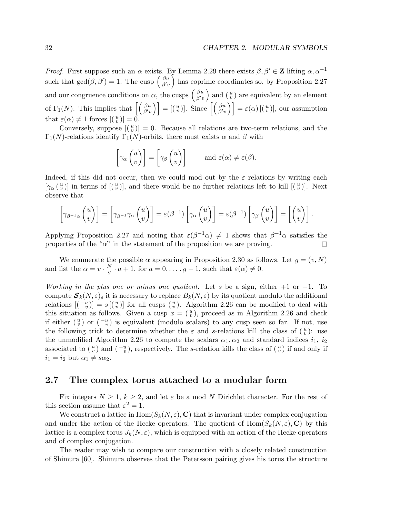*Proof.* First suppose such an  $\alpha$  exists. By Lemma 2.29 there exists  $\beta, \beta' \in \mathbb{Z}$  lifting  $\alpha, \alpha^{-1}$ such that  $gcd(\beta, \beta') = 1$ . The cusp  $\begin{pmatrix} \beta u \\ \beta u \end{pmatrix}$  $\beta_{\alpha}^{u}$  has coprime coordinates so, by Proposition 2.27 and our congruence conditions on  $\alpha$ , the cusps  $\begin{pmatrix} \beta u \\ \beta' u \end{pmatrix}$  $\begin{pmatrix} \n\beta u \\
\beta' v\n\end{pmatrix}$  and  $\begin{pmatrix} u \\
v\n\end{pmatrix}$  are equivalent by an element of  $\Gamma_1(N)$ . This implies that  $\left[\begin{array}{c} \beta u \\ \beta' u \end{array}\right]$  $\begin{bmatrix} \beta u \\ \beta' v \end{bmatrix} = \left[ \begin{pmatrix} u \\ v \end{pmatrix} \right]$ . Since  $\left[ \begin{pmatrix} \beta u \\ \beta' v \end{pmatrix} \right] = \varepsilon(\alpha) \left[ \begin{pmatrix} u \\ v \end{pmatrix} \right]$ , our assumption that  $\varepsilon(\alpha) \neq 1$  forces  $[(\begin{smallmatrix} u \\ v \end{smallmatrix})] = 0.$ 

Conversely, suppose  $\left[\binom{u}{v}\right]=0$ . Because all relations are two-term relations, and the Γ<sub>1</sub>(N)-relations identify Γ<sub>1</sub>(N)-orbits, there must exists  $\alpha$  and  $\beta$  with

$$
\[\gamma_\alpha \begin{pmatrix} u \\ v \end{pmatrix}\] = \begin{bmatrix} \gamma_\beta \begin{pmatrix} u \\ v \end{pmatrix} \] \qquad \text{and } \varepsilon(\alpha) \neq \varepsilon(\beta).
$$

Indeed, if this did not occur, then we could mod out by the  $\varepsilon$  relations by writing each  $[\gamma_{\alpha}(\begin{smallmatrix}u\\v\end{smallmatrix})]$  in terms of  $[(\begin{smallmatrix}u\\v\end{smallmatrix})]$ , and there would be no further relations left to kill  $[(\begin{smallmatrix}u\\v\end{smallmatrix})]$ . Next observe that

$$
\left[\gamma_{\beta^{-1}\alpha}\begin{pmatrix}u\\v\end{pmatrix}\right] = \left[\gamma_{\beta^{-1}}\gamma_{\alpha}\begin{pmatrix}u\\v\end{pmatrix}\right] = \varepsilon(\beta^{-1})\left[\gamma_{\alpha}\begin{pmatrix}u\\v\end{pmatrix}\right] = \varepsilon(\beta^{-1})\left[\gamma_{\beta}\begin{pmatrix}u\\v\end{pmatrix}\right] = \left[\begin{pmatrix}u\\v\end{pmatrix}\right].
$$

Applying Proposition 2.27 and noting that  $\varepsilon(\beta^{-1}\alpha) \neq 1$  shows that  $\beta^{-1}\alpha$  satisfies the properties of the " $\alpha$ " in the statement of the proposition we are proving.  $\Box$ 

We enumerate the possible  $\alpha$  appearing in Proposition 2.30 as follows. Let  $q = (v, N)$ and list the  $\alpha = v \cdot \frac{N}{g}$  $\frac{N}{g} \cdot a + 1$ , for  $a = 0, \ldots, g - 1$ , such that  $\varepsilon(\alpha) \neq 0$ .

Working in the plus one or minus one quotient. Let s be a sign, either  $+1$  or  $-1$ . To compute  $S_k(N,\varepsilon)_s$  it is necessary to replace  $B_k(N,\varepsilon)$  by its quotient modulo the additional relations  $[(-u^{\overline{u}})] = s[(u^{\overline{u}})]$  for all cusps  $(u^{\overline{u}})$ . Algorithm 2.26 can be modified to deal with this situation as follows. Given a cusp  $x = \binom{u}{v}$ , proceed as in Algorithm 2.26 and check if either  $\binom{u}{v}$  or  $\binom{-u}{v}$  is equivalent (modulo scalars) to any cusp seen so far. If not, use the following trick to determine whether the  $\varepsilon$  and s-relations kill the class of  $\binom{u}{v}$ : use the unmodified Algorithm 2.26 to compute the scalars  $\alpha_1, \alpha_2$  and standard indices  $i_1, i_2$ associated to  $\binom{u}{v}$  and  $\binom{-u}{v}$ , respectively. The s-relation kills the class of  $\binom{u}{v}$  if and only if  $i_1 = i_2$  but  $\alpha_1 \neq s\alpha_2$ .

# 2.7 The complex torus attached to a modular form

Fix integers  $N \geq 1, k \geq 2$ , and let  $\varepsilon$  be a mod N Dirichlet character. For the rest of this section assume that  $\varepsilon^2 = 1$ .

We construct a lattice in  $\text{Hom}(S_k(N,\varepsilon),\mathbf{C})$  that is invariant under complex conjugation and under the action of the Hecke operators. The quotient of  $\text{Hom}(S_k(N,\varepsilon), \mathbf{C})$  by this lattice is a complex torus  $J_k(N, \varepsilon)$ , which is equipped with an action of the Hecke operators and of complex conjugation.

The reader may wish to compare our construction with a closely related construction of Shimura [60]. Shimura observes that the Petersson pairing gives his torus the structure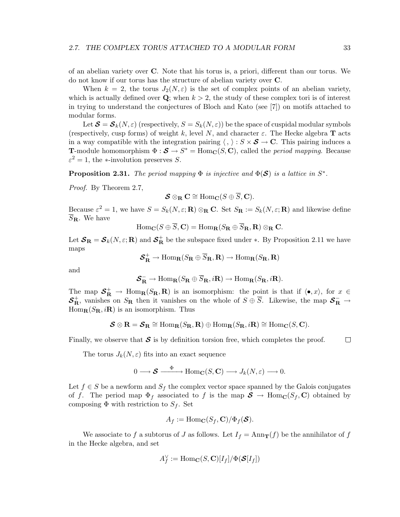of an abelian variety over C. Note that his torus is, a priori, different than our torus. We do not know if our torus has the structure of abelian variety over C.

When  $k = 2$ , the torus  $J_2(N, \varepsilon)$  is the set of complex points of an abelian variety, which is actually defined over  $Q$ ; when  $k > 2$ , the study of these complex tori is of interest in trying to understand the conjectures of Bloch and Kato (see [7]) on motifs attached to modular forms.

Let  $\mathcal{S} = \mathcal{S}_k(N, \varepsilon)$  (respectively,  $S = S_k(N, \varepsilon)$ ) be the space of cuspidal modular symbols (respectively, cusp forms) of weight k, level N, and character  $\varepsilon$ . The Hecke algebra **T** acts in a way compatible with the integration pairing  $\langle , \rangle : S \times S \to \mathbb{C}$ . This pairing induces a **T**-module homomorphism  $\Phi : \mathcal{S} \to S^* = \text{Hom}_{\mathbf{C}}(S, \mathbf{C})$ , called the *period mapping*. Because  $\varepsilon^2 = 1$ , the \*-involution preserves S.

**Proposition 2.31.** The period mapping  $\Phi$  is injective and  $\Phi(\mathcal{S})$  is a lattice in  $S^*$ .

Proof. By Theorem 2.7,

$$
\mathcal{S} \otimes_{\mathbf{R}} \mathbf{C} \cong \text{Hom}_{\mathbf{C}}(S \oplus \overline{S}, \mathbf{C}).
$$

Because  $\varepsilon^2 = 1$ , we have  $S = S_k(N, \varepsilon; \mathbf{R}) \otimes_{\mathbf{R}} \mathbf{C}$ . Set  $S_{\mathbf{R}} := S_k(N, \varepsilon; \mathbf{R})$  and likewise define  $\overline{S}_{\mathbf{R}}$ . We have

 $\text{Hom}_{\mathbf{C}}(S \oplus \overline{S}, \mathbf{C}) = \text{Hom}_{\mathbf{R}}(S_{\mathbf{R}} \oplus \overline{S}_{\mathbf{R}}, \mathbf{R}) \otimes_{\mathbf{R}} \mathbf{C}.$ 

Let  $S_{\mathbf{R}} = S_k(N, \varepsilon; \mathbf{R})$  and  $S_{\mathbf{R}}^+$  be the subspace fixed under  $*$ . By Proposition 2.11 we have maps

$$
\boldsymbol{\mathcal{S}}_{\textbf{R}}^+\rightarrow \text{Hom}_{\textbf{R}}(S_{\textbf{R}}\oplus \overline{S}_{\textbf{R}},\textbf{R})\rightarrow \text{Hom}_{\textbf{R}}(S_{\textbf{R}},\textbf{R})
$$

and

$$
\mathcal{S}_{\mathbf{R}}^- \to \text{Hom}_{\mathbf{R}}(S_{\mathbf{R}} \oplus S_{\mathbf{R}}, i\mathbf{R}) \to \text{Hom}_{\mathbf{R}}(S_{\mathbf{R}}, i\mathbf{R}).
$$

The map  $S^+_{\mathbf{R}} \to \text{Hom}_{\mathbf{R}}(S_{\mathbf{R}}, \mathbf{R})$  is an isomorphism: the point is that if  $\langle \bullet, x \rangle$ , for  $x \in$  $S_{\rm R}^+$ , vanishes on  $S_{\rm R}$  then it vanishes on the whole of  $S \oplus \overline{S}$ . Likewise, the map  $S_{\rm R}^- \to$  $\text{Hom}_{\mathbf{R}}(S_{\mathbf{R}}, i\mathbf{R})$  is an isomorphism. Thus

$$
\mathcal{S} \otimes \mathbf{R} = \mathcal{S}_{\mathbf{R}} \cong \text{Hom}_{\mathbf{R}}(S_{\mathbf{R}}, \mathbf{R}) \oplus \text{Hom}_{\mathbf{R}}(S_{\mathbf{R}}, i\mathbf{R}) \cong \text{Hom}_{\mathbf{C}}(S, \mathbf{C}).
$$

Finally, we observe that  $S$  is by definition torsion free, which completes the proof.

The torus  $J_k(N, \varepsilon)$  fits into an exact sequence

$$
0 \longrightarrow \mathcal{S} \stackrel{\Phi}{\longrightarrow} \text{Hom}_{\mathbf{C}}(S, \mathbf{C}) \longrightarrow J_k(N, \varepsilon) \longrightarrow 0.
$$

Let  $f \in S$  be a newform and  $S_f$  the complex vector space spanned by the Galois conjugates of f. The period map  $\Phi_f$  associated to f is the map  $S \to \text{Hom}_\mathbb{C}(S_f, \mathbb{C})$  obtained by composing  $\Phi$  with restriction to  $S_f$ . Set

$$
A_f := \operatorname{Hom}_{\mathbf{C}}(S_f, \mathbf{C})/\Phi_f(\mathcal{S}).
$$

We associate to f a subtorus of J as follows. Let  $I_f = \text{Ann}_{\mathbf{T}}(f)$  be the annihilator of f in the Hecke algebra, and set

$$
A_f^{\vee}:=\mathrm{Hom}_{\mathbf{C}}(S,\mathbf{C})[I_f]/\Phi(\mathcal{S}[I_f])
$$

 $\Box$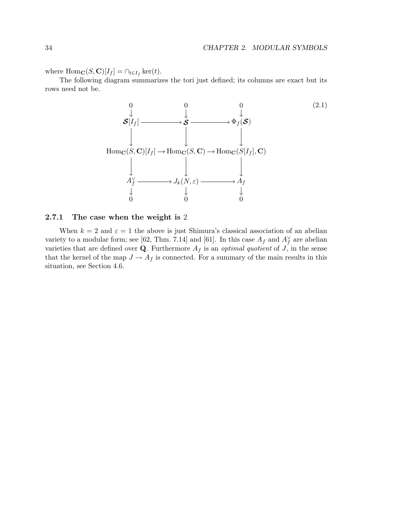where  $\text{Hom}_{\mathbf{C}}(S, \mathbf{C})[I_f] = \cap_{t \in I_f} \ker(t)$ .

The following diagram summarizes the tori just defined; its columns are exact but its rows need not be.



# 2.7.1 The case when the weight is 2

When  $k = 2$  and  $\varepsilon = 1$  the above is just Shimura's classical association of an abelian variety to a modular form; see [62, Thm. 7.14] and [61]. In this case  $A_f$  and  $A_f^{\vee}$  are abelian varieties that are defined over **Q**. Furthermore  $A_f$  is an *optimal quotient* of  $J$ , in the sense that the kernel of the map  $J \to A_f$  is connected. For a summary of the main results in this situation, see Section 4.6.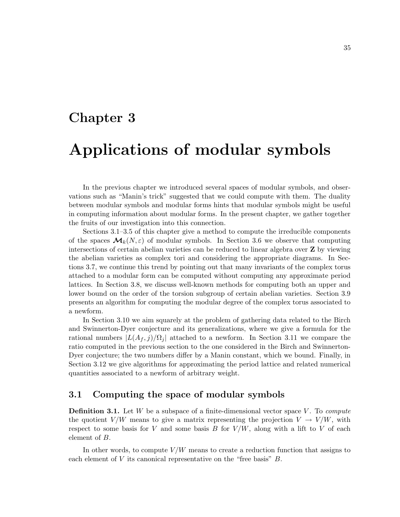# Chapter 3 Applications of modular symbols

In the previous chapter we introduced several spaces of modular symbols, and observations such as "Manin's trick" suggested that we could compute with them. The duality between modular symbols and modular forms hints that modular symbols might be useful in computing information about modular forms. In the present chapter, we gather together the fruits of our investigation into this connection.

Sections 3.1–3.5 of this chapter give a method to compute the irreducible components of the spaces  $\mathcal{M}_k(N,\varepsilon)$  of modular symbols. In Section 3.6 we observe that computing intersections of certain abelian varieties can be reduced to linear algebra over Z by viewing the abelian varieties as complex tori and considering the appropriate diagrams. In Sections 3.7, we continue this trend by pointing out that many invariants of the complex torus attached to a modular form can be computed without computing any approximate period lattices. In Section 3.8, we discuss well-known methods for computing both an upper and lower bound on the order of the torsion subgroup of certain abelian varieties. Section 3.9 presents an algorithm for computing the modular degree of the complex torus associated to a newform.

In Section 3.10 we aim squarely at the problem of gathering data related to the Birch and Swinnerton-Dyer conjecture and its generalizations, where we give a formula for the rational numbers  $|L(A_f, j)/\Omega_i|$  attached to a newform. In Section 3.11 we compare the ratio computed in the previous section to the one considered in the Birch and Swinnerton-Dyer conjecture; the two numbers differ by a Manin constant, which we bound. Finally, in Section 3.12 we give algorithms for approximating the period lattice and related numerical quantities associated to a newform of arbitrary weight.

# 3.1 Computing the space of modular symbols

**Definition 3.1.** Let  $W$  be a subspace of a finite-dimensional vector space  $V$ . To *compute* the quotient  $V/W$  means to give a matrix representing the projection  $V \to V/W$ , with respect to some basis for V and some basis B for  $V/W$ , along with a lift to V of each element of B.

In other words, to compute  $V/W$  means to create a reduction function that assigns to each element of  $V$  its canonical representative on the "free basis"  $B$ .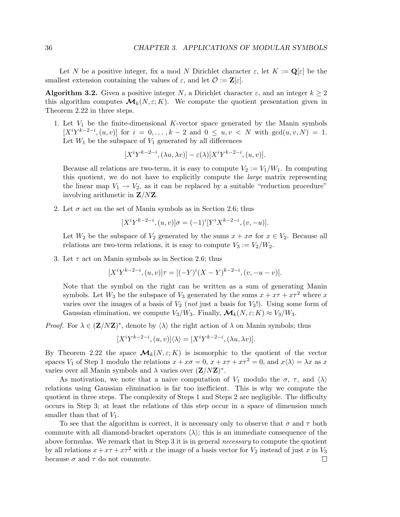Let N be a positive integer, fix a mod N Dirichlet character  $\varepsilon$ , let  $K := \mathbf{Q}[\varepsilon]$  be the smallest extension containing the values of  $\varepsilon$ , and let  $\mathcal{O} := \mathbf{Z}[\varepsilon]$ .

**Algorithm 3.2.** Given a positive integer N, a Dirichlet character  $\varepsilon$ , and an integer  $k \geq 2$ this algorithm computes  $\mathcal{M}_k(N,\varepsilon;K)$ . We compute the quotient presentation given in Theorem 2.22 in three steps.

1. Let  $V_1$  be the finite-dimensional K-vector space generated by the Manin symbols  $[X^iY^{k-2-i}, (u, v)]$  for  $i = 0, ..., k-2$  and  $0 \le u, v \le N$  with  $gcd(u, v, N) = 1$ . Let  $W_1$  be the subspace of  $V_1$  generated by all differences

$$
[X^{i}Y^{k-2-i}, (\lambda u, \lambda v)] - \varepsilon(\lambda)[X^{i}Y^{k-2-i}, (u, v)].
$$

Because all relations are two-term, it is easy to compute  $V_2 := V_1/W_1$ . In computing this quotient, we do not have to explicitly compute the large matrix representing the linear map  $V_1 \rightarrow V_2$ , as it can be replaced by a suitable "reduction procedure" involving arithmetic in Z/NZ.

2. Let  $\sigma$  act on the set of Manin symbols as in Section 2.6; thus

$$
[X^{i}Y^{k-2-i}, (u, v)]\sigma = (-1)^{i}[Y^{i}X^{k-2-i}, (v, -u)].
$$

Let  $W_2$  be the subspace of  $V_2$  generated by the sums  $x + x\sigma$  for  $x \in V_2$ . Because all relations are two-term relations, it is easy to compute  $V_3 := V_2/W_2$ .

3. Let  $\tau$  act on Manin symbols as in Section 2.6; thus

$$
[X^{i}Y^{k-2-i}, (u, v)]\tau = [(-Y)^{i}(X - Y)^{k-2-i}, (v, -u - v)].
$$

Note that the symbol on the right can be written as a sum of generating Manin symbols. Let  $W_3$  be the subspace of  $V_3$  generated by the sums  $x + x\tau + x\tau^2$  where x varies over the images of a basis of  $V_2$  (not just a basis for  $V_3!$ ). Using some form of Gaussian elimination, we compute  $V_3/W_3$ . Finally,  $\mathcal{M}_k(N,\varepsilon;K) \approx V_3/W_3$ .

*Proof.* For  $\lambda \in (\mathbf{Z}/N\mathbf{Z})^*$ , denote by  $\langle \lambda \rangle$  the right action of  $\lambda$  on Manin symbols; thus

$$
[X^{i}Y^{k-2-i}, (u, v)]\langle\lambda\rangle = [X^{i}Y^{k-2-i}, (\lambda u, \lambda v)].
$$

By Theorem 2.22 the space  $\mathcal{M}_k(N,\varepsilon;K)$  is isomorphic to the quotient of the vector spaces  $V_1$  of Step 1 modulo the relations  $x + x\sigma = 0$ ,  $x + x\tau + x\tau^2 = 0$ , and  $x\langle \lambda \rangle = \lambda x$  as x varies over all Manin symbols and  $\lambda$  varies over  $(\mathbf{Z}/N\mathbf{Z})^*$ .

As motivation, we note that a naive computation of  $V_1$  modulo the  $\sigma$ ,  $\tau$ , and  $\langle \lambda \rangle$ relations using Gaussian elimination is far too inefficient. This is why we compute the quotient in three steps. The complexity of Steps 1 and Steps 2 are negligible. The difficulty occurs in Step 3; at least the relations of this step occur in a space of dimension much smaller than that of  $V_1$ .

To see that the algorithm is correct, it is necessary only to observe that  $\sigma$  and  $\tau$  both commute with all diamond-bracket operators  $\langle \lambda \rangle$ ; this is an immediate consequence of the above formulas. We remark that in Step 3 it is in general *necessary* to compute the quotient by all relations  $x + x\tau + x\tau^2$  with x the image of a basis vector for  $V_2$  instead of just x in  $V_3$ because  $\sigma$  and  $\tau$  do not commute.  $\Box$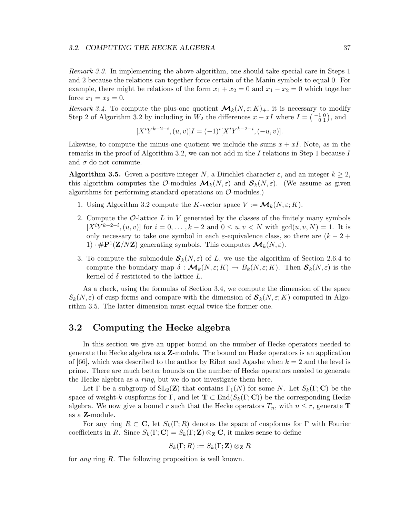#### 3.2. COMPUTING THE HECKE ALGEBRA 37

Remark 3.3. In implementing the above algorithm, one should take special care in Steps 1 and 2 because the relations can together force certain of the Manin symbols to equal 0. For example, there might be relations of the form  $x_1 + x_2 = 0$  and  $x_1 - x_2 = 0$  which together force  $x_1 = x_2 = 0$ .

Remark 3.4. To compute the plus-one quotient  $\mathcal{M}_k(N,\varepsilon;K)_+,$  it is necessary to modify Step 2 of Algorithm 3.2 by including in  $W_2$  the differences  $x - xI$  where  $I = \begin{pmatrix} -1 & 0 \\ 0 & 1 \end{pmatrix}$ , and

$$
[X^{i}Y^{k-2-i}, (u, v)]I = (-1)^{i}[X^{i}Y^{k-2-i}, (-u, v)].
$$

Likewise, to compute the minus-one quotient we include the sums  $x + xI$ . Note, as in the remarks in the proof of Algorithm 3.2, we can not add in the I relations in Step 1 because I and  $\sigma$  do not commute.

**Algorithm 3.5.** Given a positive integer N, a Dirichlet character  $\varepsilon$ , and an integer  $k \geq 2$ , this algorithm computes the O-modules  $\mathcal{M}_k(N,\varepsilon)$  and  $\mathcal{S}_k(N,\varepsilon)$ . (We assume as given algorithms for performing standard operations on  $\mathcal{O}\text{-modules.}$ 

- 1. Using Algorithm 3.2 compute the K-vector space  $V := \mathcal{M}_k(N, \varepsilon; K)$ .
- 2. Compute the  $\mathcal{O}$ -lattice L in V generated by the classes of the finitely many symbols  $[X^iY^{k-2-i}, (u, v)]$  for  $i = 0, ..., k-2$  and  $0 \le u, v \le N$  with  $gcd(u, v, N) = 1$ . It is only necessary to take one symbol in each  $\varepsilon$ -equivalence class, so there are  $(k-2+$  $1) \cdot \# \mathbf{P}^1(\mathbf{Z}/N\mathbf{Z})$  generating symbols. This computes  $\mathcal{M}_k(N, \varepsilon)$ .
- 3. To compute the submodule  $S_k(N, \varepsilon)$  of L, we use the algorithm of Section 2.6.4 to compute the boundary map  $\delta : \mathcal{M}_k(N, \varepsilon; K) \to B_k(N, \varepsilon; K)$ . Then  $\mathcal{S}_k(N, \varepsilon)$  is the kernel of  $\delta$  restricted to the lattice  $L$ .

As a check, using the formulas of Section 3.4, we compute the dimension of the space  $S_k(N,\varepsilon)$  of cusp forms and compare with the dimension of  $\mathcal{S}_k(N,\varepsilon;K)$  computed in Algorithm 3.5. The latter dimension must equal twice the former one.

# 3.2 Computing the Hecke algebra

In this section we give an upper bound on the number of Hecke operators needed to generate the Hecke algebra as a Z-module. The bound on Hecke operators is an application of [66], which was described to the author by Ribet and Agashe when  $k = 2$  and the level is prime. There are much better bounds on the number of Hecke operators needed to generate the Hecke algebra as a ring, but we do not investigate them here.

Let  $\Gamma$  be a subgroup of  $SL_2(\mathbb{Z})$  that contains  $\Gamma_1(N)$  for some N. Let  $S_k(\Gamma;\mathbf{C})$  be the space of weight-k cuspforms for  $\Gamma$ , and let  $\mathbf{T} \subset \text{End}(S_k(\Gamma; \mathbf{C}))$  be the corresponding Hecke algebra. We now give a bound r such that the Hecke operators  $T_n$ , with  $n \leq r$ , generate **T** as a Z-module.

For any ring  $R \subset \mathbf{C}$ , let  $S_k(\Gamma; R)$  denotes the space of cuspforms for  $\Gamma$  with Fourier coefficients in R. Since  $S_k(\Gamma; \mathbf{C}) = S_k(\Gamma; \mathbf{Z}) \otimes_{\mathbf{Z}} \mathbf{C}$ , it makes sense to define

$$
S_k(\Gamma;R) := S_k(\Gamma; \mathbf{Z}) \otimes_{\mathbf{Z}} R
$$

for any ring R. The following proposition is well known.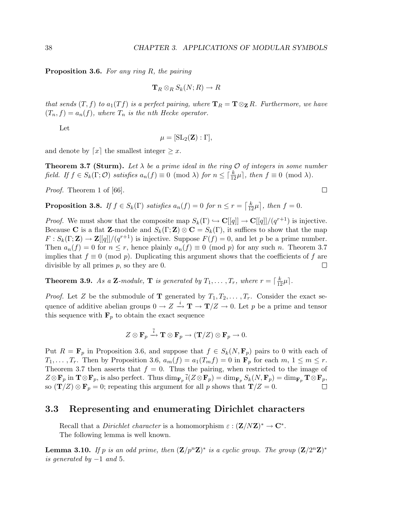**Proposition 3.6.** For any ring  $R$ , the pairing

$$
\mathbf{T}_R \otimes_R S_k(N;R) \to R
$$

that sends  $(T, f)$  to  $a_1(Tf)$  is a perfect pairing, where  $\mathbf{T}_R = \mathbf{T} \otimes_{\mathbf{Z}} R$ . Furthermore, we have  $(T_n, f) = a_n(f)$ , where  $T_n$  is the nth Hecke operator.

Let

$$
\mu = [\operatorname{SL}_2(\mathbf{Z}) : \Gamma],
$$

and denote by  $\lceil x \rceil$  the smallest integer  $\geq x$ .

**Theorem 3.7 (Sturm).** Let  $\lambda$  be a prime ideal in the ring  $\mathcal{O}$  of integers in some number field. If  $f \in S_k(\Gamma; \mathcal{O})$  satisfies  $a_n(f) \equiv 0 \pmod{\lambda}$  for  $n \leq \lceil \frac{k}{12}\mu \rceil$ , then  $f \equiv 0 \pmod{\lambda}$ .

Proof. Theorem 1 of [66].

**Proposition 3.8.** If  $f \in S_k(\Gamma)$  satisfies  $a_n(f) = 0$  for  $n \le r = \lceil \frac{k}{12}\mu \rceil$ , then  $f = 0$ .

*Proof.* We must show that the composite map  $S_k(\Gamma) \hookrightarrow \mathbf{C}[[q]] \to \mathbf{C}[[q]]/(q^{r+1})$  is injective. Because C is a flat **Z**-module and  $S_k(\Gamma; \mathbf{Z}) \otimes \mathbf{C} = S_k(\Gamma)$ , it suffices to show that the map  $F: S_k(\Gamma; \mathbf{Z}) \to \mathbf{Z}[[q]]/(q^{r+1})$  is injective. Suppose  $F(f) = 0$ , and let p be a prime number. Then  $a_n(f) = 0$  for  $n \le r$ , hence plainly  $a_n(f) \equiv 0 \pmod{p}$  for any such n. Theorem 3.7 implies that  $f \equiv 0 \pmod{p}$ . Duplicating this argument shows that the coefficients of f are divisible by all primes p, so they are 0. divisible by all primes  $p$ , so they are 0.

**Theorem 3.9.** As a **Z**-module, **T** is generated by  $T_1, \ldots, T_r$ , where  $r = \lceil \frac{k}{12} \mu \rceil$ .

*Proof.* Let Z be the submodule of **T** generated by  $T_1, T_2, \ldots, T_r$ . Consider the exact sequence of additive abelian groups  $0 \to Z \xrightarrow{i} \mathbf{T} \to \mathbf{T}/Z \to 0$ . Let p be a prime and tensor this sequence with  $\mathbf{F}_p$  to obtain the exact sequence

$$
Z\otimes \mathbf{F}_p\xrightarrow{\overline{i}}\mathbf{T}\otimes \mathbf{F}_p\to (\mathbf{T}/Z)\otimes \mathbf{F}_p\to 0.
$$

Put  $R = \mathbf{F}_p$  in Proposition 3.6, and suppose that  $f \in S_k(N, \mathbf{F}_p)$  pairs to 0 with each of  $T_1, \ldots, T_r$ . Then by Proposition 3.6,  $a_m(f) = a_1(T_m f) = 0$  in  $\mathbf{F}_p$  for each  $m, 1 \leq m \leq r$ . Theorem 3.7 then asserts that  $f = 0$ . Thus the pairing, when restricted to the image of  $Z \otimes \mathbf{F}_p$  in  $\mathbf{T} \otimes \mathbf{F}_p$ , is also perfect. Thus  $\dim_{\mathbf{F}_p} \overline{i}(Z \otimes \mathbf{F}_p) = \dim_{\mathbf{F}_p} S_k(N, \mathbf{F}_p) = \dim_{\mathbf{F}_p} \mathbf{T} \otimes \mathbf{F}_p$ , so  $(\mathbf{T}/Z) \otimes \mathbf{F}_p = 0$ ; repeating this argument for all p shows that  $\mathbf{T}/Z = 0$ .

# 3.3 Representing and enumerating Dirichlet characters

Recall that a *Dirichlet character* is a homomorphism  $\varepsilon : (\mathbf{Z}/N\mathbf{Z})^* \to \mathbf{C}^*$ . The following lemma is well known.

**Lemma 3.10.** If p is an odd prime, then  $(\mathbf{Z}/p^n\mathbf{Z})^*$  is a cyclic group. The group  $(\mathbf{Z}/2^n\mathbf{Z})^*$ is generated by  $-1$  and 5.

 $\Box$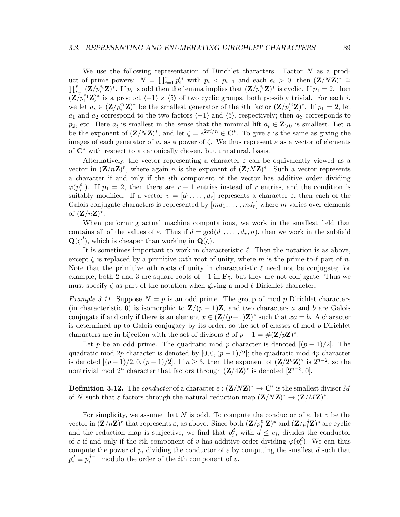We use the following representation of Dirichlet characters. Factor N as a product of prime powers:  $N = \prod_{i=1}^r p_i^{e_i}$  with  $p_i \langle p_{i+1} \rangle$  and each  $e_i > 0$ ; then  $(\mathbf{Z}/N\mathbf{Z})^* \cong$  $\prod_{i=1}^r (\mathbf{Z}/p_i^{e_i}\mathbf{Z})^*$ . If  $p_i$  is odd then the lemma implies that  $(\mathbf{Z}/p_i^{e_i}\mathbf{Z})^*$  is cyclic. If  $p_1 = 2$ , then  $(\mathbf{Z}/p_1^{e_1}\mathbf{Z})^*$  is a product  $\langle -1 \rangle \times \langle 5 \rangle$  of two cyclic groups, both possibly trivial. For each i, we let  $a_i \in (\mathbf{Z}/p_i^{e_i}\mathbf{Z})^*$  be the smallest generator of the *i*th factor  $(\mathbf{Z}/p_i^{e_i}\mathbf{Z})^*$ . If  $p_1 = 2$ , let  $a_1$  and  $a_2$  correspond to the two factors  $\langle -1 \rangle$  and  $\langle 5 \rangle$ , respectively; then  $a_3$  corresponds to  $p_2$ , etc. Here  $a_i$  is smallest in the sense that the minimal lift  $\tilde{a}_i \in \mathbb{Z}_{>0}$  is smallest. Let n be the exponent of  $(\mathbf{Z}/N\mathbf{Z})^*$ , and let  $\zeta = e^{2\pi i/n} \in \mathbb{C}^*$ . To give  $\varepsilon$  is the same as giving the images of each generator of  $a_i$  as a power of  $\zeta$ . We thus represent  $\varepsilon$  as a vector of elements of C∗ with respect to a canonically chosen, but unnatural, basis.

Alternatively, the vector representing a character  $\varepsilon$  can be equivalently viewed as a vector in  $(\mathbf{Z}/n\mathbf{Z})^r$ , where again n is the exponent of  $(\mathbf{Z}/N\mathbf{Z})^*$ . Such a vector represents a character if and only if the ith component of the vector has additive order dividing  $\varphi(p_i^{e_i})$ . If  $p_1 = 2$ , then there are  $r + 1$  entries instead of r entries, and the condition is suitably modified. If a vector  $v = [d_1, \ldots, d_r]$  represents a character  $\varepsilon$ , then each of the Galois conjugate characters is represented by  $[md_1, \ldots, md_r]$  where m varies over elements of  $(\mathbf{Z}/n\mathbf{Z})^*$ .

When performing actual machine computations, we work in the smallest field that contains all of the values of  $\varepsilon$ . Thus if  $d = \gcd(d_1, \ldots, d_r, n)$ , then we work in the subfield  $\mathbf{Q}(\zeta^d)$ , which is cheaper than working in  $\mathbf{Q}(\zeta)$ .

It is sometimes important to work in characteristic  $\ell$ . Then the notation is as above, except  $\zeta$  is replaced by a primitive mth root of unity, where m is the prime-to- $\ell$  part of n. Note that the primitive nth roots of unity in characteristic  $\ell$  need not be conjugate; for example, both 2 and 3 are square roots of  $-1$  in  $\mathbf{F}_5$ , but they are not conjugate. Thus we must specify  $\zeta$  as part of the notation when giving a mod  $\ell$  Dirichlet character.

*Example 3.11.* Suppose  $N = p$  is an odd prime. The group of mod p Dirichlet characters (in characteristic 0) is isomorphic to  $\mathbf{Z}/(p-1)\mathbf{Z}$ , and two characters a and b are Galois conjugate if and only if there is an element  $x \in (\mathbf{Z}/(p-1)\mathbf{Z})^*$  such that  $xa = b$ . A character is determined up to Galois conjugacy by its order, so the set of classes of mod  $p$  Dirichlet characters are in bijection with the set of divisors d of  $p - 1 = \#(\mathbf{Z}/p\mathbf{Z})^*$ .

Let p be an odd prime. The quadratic mod p character is denoted  $[(p-1)/2]$ . The quadratic mod 2p character is denoted by  $[0, 0, (p-1)/2]$ ; the quadratic mod 4p character is denoted  $[(p-1)/2, 0, (p-1)/2]$ . If  $n \ge 3$ , then the exponent of  $(\mathbf{Z}/2^n\mathbf{Z})^*$  is  $2^{n-2}$ , so the nontrivial mod  $2^n$  character that factors through  $(\mathbf{Z}/4\mathbf{Z})^*$  is denoted  $[2^{n-3},0]$ .

**Definition 3.12.** The *conductor* of a character  $\varepsilon$  :  $(\mathbf{Z}/N\mathbf{Z})^* \to \mathbf{C}^*$  is the smallest divisor M of N such that  $\varepsilon$  factors through the natural reduction map  $(\mathbf{Z}/N\mathbf{Z})^* \to (\mathbf{Z}/M\mathbf{Z})^*$ .

For simplicity, we assume that N is odd. To compute the conductor of  $\varepsilon$ , let v be the vector in  $(\mathbf{Z}/n\mathbf{Z})^r$  that represents  $\varepsilon$ , as above. Since both  $(\mathbf{Z}/p_i^{e_i}\mathbf{Z})^*$  and  $(\mathbf{Z}/p_i^d\mathbf{Z})^*$  are cyclic and the reduction map is surjective, we find that  $p_i^d$ , with  $d \leq e_i$ , divides the conductor of  $\varepsilon$  if and only if the *i*th component of v has additive order dividing  $\varphi(p_i^d)$ . We can thus compute the power of  $p_i$  dividing the conductor of  $\varepsilon$  by computing the smallest d such that  $p_i^d \equiv p_i^{d-1}$  modulo the order of the *i*th component of *v*.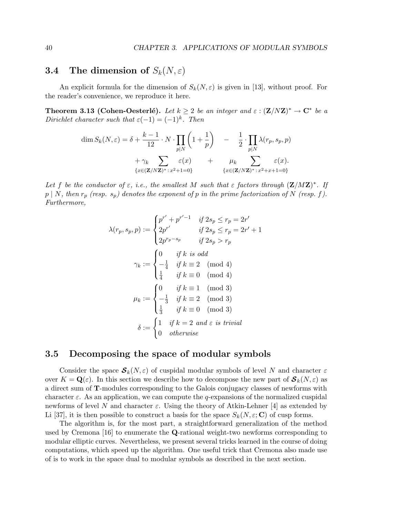# **3.4** The dimension of  $S_k(N, \varepsilon)$

An explicit formula for the dimension of  $S_k(N,\varepsilon)$  is given in [13], without proof. For the reader's convenience, we reproduce it here.

**Theorem 3.13 (Cohen-Oesterlé).** Let  $k \geq 2$  be an integer and  $\varepsilon$  :  $(\mathbf{Z}/N\mathbf{Z})^* \to \mathbf{C}^*$  be a Dirichlet character such that  $\varepsilon(-1) = (-1)^k$ . Then

$$
\dim S_k(N,\varepsilon) = \delta + \frac{k-1}{12} \cdot N \cdot \prod_{p|N} \left( 1 + \frac{1}{p} \right) - \frac{1}{2} \cdot \prod_{p|N} \lambda(r_p, s_p, p) + \gamma_k \sum_{\{x \in (\mathbf{Z}/N\mathbf{Z})^*: x^2+1=0\}} \varepsilon(x) + \mu_k \sum_{\{x \in (\mathbf{Z}/N\mathbf{Z})^*: x^2+x+1=0\}} \varepsilon(x).
$$

Let f be the conductor of  $\varepsilon$ , i.e., the smallest M such that  $\varepsilon$  factors through  $(\mathbf{Z}/M\mathbf{Z})^*$ . If  $p \mid N$ , then  $r_p$  (resp.  $s_p$ ) denotes the exponent of p in the prime factorization of N (resp. f). Furthermore,

$$
\lambda(r_p, s_p, p) := \begin{cases} p^{r'} + p^{r'-1} & \text{if } 2s_p \le r_p = 2r' \\ 2p^{r'} & \text{if } 2s_p \le r_p = 2r' + 1 \\ 2p^{r_p - s_p} & \text{if } 2s_p > r_p \end{cases}
$$
\n
$$
\gamma_k := \begin{cases} 0 & \text{if } k \text{ is odd} \\ -\frac{1}{4} & \text{if } k \equiv 2 \pmod{4} \\ \frac{1}{4} & \text{if } k \equiv 0 \pmod{4} \\ -\frac{1}{3} & \text{if } k \equiv 2 \pmod{3} \\ -\frac{1}{3} & \text{if } k \equiv 2 \pmod{3} \\ \frac{1}{3} & \text{if } k \equiv 0 \pmod{3} \\ 0 & \text{otherwise} \end{cases}
$$
\n
$$
\delta := \begin{cases} 1 & \text{if } k = 2 \text{ and } \varepsilon \text{ is trivial} \\ 0 & \text{otherwise} \end{cases}
$$

# 3.5 Decomposing the space of modular symbols

Consider the space  $\mathcal{S}_k(N,\varepsilon)$  of cuspidal modular symbols of level N and character  $\varepsilon$ over  $K = \mathbf{Q}(\varepsilon)$ . In this section we describe how to decompose the new part of  $\mathcal{S}_k(N, \varepsilon)$  as a direct sum of T-modules corresponding to the Galois conjugacy classes of newforms with character  $\varepsilon$ . As an application, we can compute the q-expansions of the normalized cuspidal newforms of level N and character  $\varepsilon$ . Using the theory of Atkin-Lehner [4] as extended by Li [37], it is then possible to construct a basis for the space  $S_k(N, \varepsilon; \mathbf{C})$  of cusp forms.

The algorithm is, for the most part, a straightforward generalization of the method used by Cremona [16] to enumerate the Q-rational weight-two newforms corresponding to modular elliptic curves. Nevertheless, we present several tricks learned in the course of doing computations, which speed up the algorithm. One useful trick that Cremona also made use of is to work in the space dual to modular symbols as described in the next section.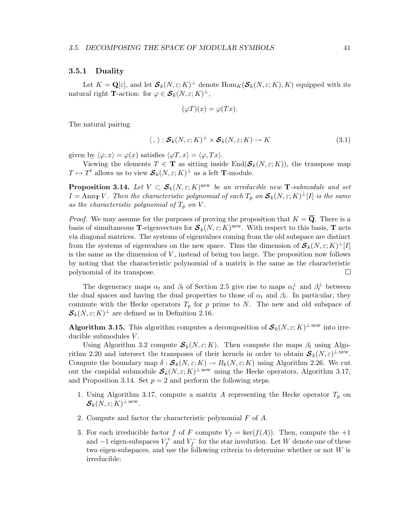## 3.5.1 Duality

Let  $K = \mathbf{Q}[\varepsilon]$ , and let  $\mathcal{S}_k(N, \varepsilon; K)^{\perp}$  denote  $\text{Hom}_K(\mathcal{S}_k(N, \varepsilon; K), K)$  equipped with its natural right **T**-action: for  $\varphi \in \mathcal{S}_k(N, \varepsilon; K)^{\perp}$ ,

$$
(\varphi T)(x) = \varphi(Tx).
$$

The natural pairing

$$
\langle , \rangle : \mathcal{S}_k(N, \varepsilon; K)^\perp \times \mathcal{S}_k(N, \varepsilon; K) \to K \tag{3.1}
$$

given by  $\langle \varphi, x \rangle = \varphi(x)$  satisfies  $\langle \varphi, x \rangle = \langle \varphi, Tx \rangle$ .

Viewing the elements  $T \in \mathbf{T}$  as sitting inside  $\text{End}(\mathcal{S}_k(N, \varepsilon; K))$ , the transpose map  $T \mapsto T^t$  allows us to view  $\mathcal{S}_k(N, \varepsilon; K)^{\perp}$  as a left **T**-module.

**Proposition 3.14.** Let  $V \subset S_k(N, \varepsilon; K)$ <sup>new</sup> be an irreducible new **T**-submodule and set  $I = \text{Ann}_{\bf T} V$ . Then the characteristic polynomial of each  $T_p$  on  ${\cal S}_k(N,\varepsilon;K)^{\perp}[I]$  is the same as the characteristic polynomial of  $T_p$  on V.

*Proof.* We may assume for the purposes of proving the proposition that  $K = \overline{Q}$ . There is a basis of simultaneous **T**-eigenvectors for  $S_k(N, \varepsilon; K)$ <sup>new</sup>. With respect to this basis, **T** acts via diagonal matrices. The systems of eigenvalues coming from the old subspace are distinct from the systems of eigenvalues on the new space. Thus the dimension of  $\mathcal{S}_k(N,\varepsilon;K)^{\perp}[I]$ is the same as the dimension of  $V$ , instead of being too large. The proposition now follows by noting that the characteristic polynomial of a matrix is the same as the characteristic polynomial of its transpose.  $\Box$ 

The degeneracy maps  $\alpha_t$  and  $\beta_t$  of Section 2.5 give rise to maps  $\alpha_t^{\perp}$  and  $\beta_t^{\perp}$  between the dual spaces and having the dual properties to those of  $\alpha_t$  and  $\beta_t$ . In particular, they commute with the Hecke operators  $T_p$  for p prime to N. The new and old subspace of  $\mathcal{S}_k(N,\varepsilon;K)^\perp$  are defined as in Definition 2.16.

**Algorithm 3.15.** This algorithm computes a decomposition of  $S_k(N, \varepsilon; K)^{\perp \text{ new}}$  into irreducible submodules  $V$ .

Using Algorithm 3.2 compute  $S_k(N, \varepsilon; K)$ . Then compute the maps  $\beta_t$  using Algorithm 2.20 and intersect the transposes of their kernels in order to obtain  $\mathcal{S}_k(N,\varepsilon)^{\perp \text{ new}}$ . Compute the boundary map  $\delta : \mathcal{S}_k(N, \varepsilon; K) \to B_k(N, \varepsilon; K)$  using Algorithm 2.26. We cut out the cuspidal submodule  $\mathcal{S}_k(N,\varepsilon;K)^{\perp \text{ new}}$  using the Hecke operators, Algorithm 3.17, and Proposition 3.14. Set  $p = 2$  and perform the following steps.

- 1. Using Algorithm 3.17, compute a matrix A representing the Hecke operator  $T_p$  on  $\boldsymbol{\mathcal{S}}_k(N,\varepsilon;K)^{\perp \,\rm{new}}.$
- 2. Compute and factor the characteristic polynomial F of A.
- 3. For each irreducible factor f of F compute  $V_f = \ker(f(A))$ . Then, compute the  $+1$ and  $-1$  eigen-subspaces  $V_f^+$  $V_f^+$  and  $V_f^-$  for the star involution. Let W denote one of these two eigen-subspaces, and use the following criteria to determine whether or not W is irreducible: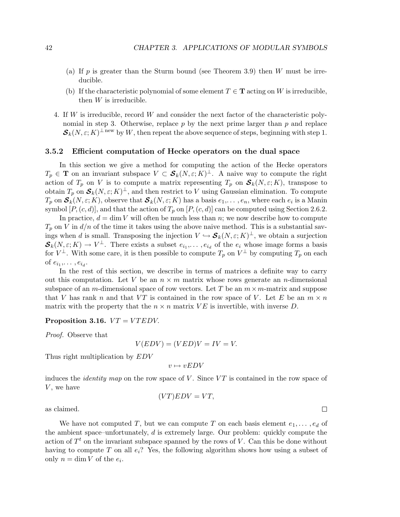- (a) If  $p$  is greater than the Sturm bound (see Theorem 3.9) then W must be irreducible.
- (b) If the characteristic polynomial of some element  $T \in \mathbf{T}$  acting on W is irreducible, then  $W$  is irreducible.
- 4. If W is irreducible, record W and consider the next factor of the characteristic polynomial in step 3. Otherwise, replace  $p$  by the next prime larger than  $p$  and replace  $\mathcal{S}_k(N,\varepsilon;K)^{\perp \text{ new }}$  by W, then repeat the above sequence of steps, beginning with step 1.

# 3.5.2 Efficient computation of Hecke operators on the dual space

In this section we give a method for computing the action of the Hecke operators  $T_p \in \mathbf{T}$  on an invariant subspace  $V \subset \mathcal{S}_k(N, \varepsilon; K)^{\perp}$ . A naive way to compute the right action of  $T_p$  on V is to compute a matrix representing  $T_p$  on  $S_k(N, \varepsilon; K)$ , transpose to obtain  $T_p$  on  $\mathcal{S}_k(N,\varepsilon;K)^\perp$ , and then restrict to V using Gaussian elimination. To compute  $T_p$  on  $\mathcal{S}_k(N,\varepsilon;K)$ , observe that  $\mathcal{S}_k(N,\varepsilon;K)$  has a basis  $e_1,\ldots,e_n$ , where each  $e_i$  is a Manin symbol  $[P,(c,d)]$ , and that the action of  $T_p$  on  $[P,(c,d)]$  can be computed using Section 2.6.2.

In practice,  $d = \dim V$  will often be much less than n; we now describe how to compute  $T_p$  on V in  $d/n$  of the time it takes using the above naive method. This is a substantial savings when d is small. Transposing the injection  $V \hookrightarrow \mathcal{S}_k(N, \varepsilon; K)^\perp$ , we obtain a surjection  $\mathcal{S}_k(N,\varepsilon;K) \to V^{\perp}$ . There exists a subset  $e_{i_1},\ldots,e_{i_d}$  of the  $e_i$  whose image forms a basis for  $V^{\perp}$ . With some care, it is then possible to compute  $T_p$  on  $V^{\perp}$  by computing  $T_p$  on each of  $e_{i_1}, \ldots, e_{i_d}$ .

In the rest of this section, we describe in terms of matrices a definite way to carry out this computation. Let V be an  $n \times m$  matrix whose rows generate an *n*-dimensional subspace of an m-dimensional space of row vectors. Let T be an  $m \times m$ -matrix and suppose that V has rank n and that VT is contained in the row space of V. Let E be an  $m \times n$ matrix with the property that the  $n \times n$  matrix VE is invertible, with inverse D.

# Proposition 3.16.  $VT = V T E D V$ .

Proof. Observe that

$$
V(EDV) = (VED)V = IV = V.
$$

Thus right multiplication by EDV

$$
v \mapsto vEDV
$$

induces the *identity map* on the row space of V. Since  $VT$  is contained in the row space of  $V$ , we have  $(VT)EDV = VT$ ,

as claimed.

We have not computed 
$$
T
$$
, but we can compute  $T$  on each basis element  $e_1, \ldots, e_d$  of the ambient space-unfortunately,  $d$  is extremely large. Our problem: quickly compute the action of  $T^t$  on the invariant subspace spanned by the rows of  $V$ . Can this be done without having to compute  $T$  on all  $e_i$ ? Yes, the following algorithm shows how using a subset of only  $n = \dim V$  of the  $e_i$ .

 $\Box$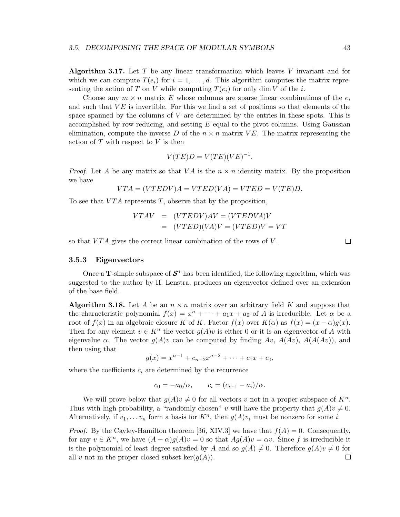Algorithm 3.17. Let  $T$  be any linear transformation which leaves  $V$  invariant and for which we can compute  $T(e_i)$  for  $i = 1, \ldots, d$ . This algorithm computes the matrix representing the action of T on V while computing  $T(e_i)$  for only dim V of the i.

Choose any  $m \times n$  matrix E whose columns are sparse linear combinations of the  $e_i$ and such that  $VE$  is invertible. For this we find a set of positions so that elements of the space spanned by the columns of  $V$  are determined by the entries in these spots. This is accomplished by row reducing, and setting  $E$  equal to the pivot columns. Using Gaussian elimination, compute the inverse D of the  $n \times n$  matrix VE. The matrix representing the action of  $T$  with respect to  $V$  is then

$$
V(TE)D = V(TE)(VE)^{-1}.
$$

*Proof.* Let A be any matrix so that VA is the  $n \times n$  identity matrix. By the proposition we have

$$
VTA = (VTEDV)A = VTED(VA) = VTED = V(TE)D.
$$

To see that  $VTA$  represents T, observe that by the proposition,

$$
VTAV = (VTEDV)AV = (VTEDVA)V
$$

$$
= (VTED)(VA)V = (VTED)V = VT
$$

so that  $VTA$  gives the correct linear combination of the rows of  $V$ .

#### 3.5.3 Eigenvectors

Once a **T**-simple subspace of  $S^*$  has been identified, the following algorithm, which was suggested to the author by H. Lenstra, produces an eigenvector defined over an extension of the base field.

**Algorithm 3.18.** Let A be an  $n \times n$  matrix over an arbitrary field K and suppose that the characteristic polynomial  $f(x) = x^n + \cdots + a_1x + a_0$  of A is irreducible. Let  $\alpha$  be a root of  $f(x)$  in an algebraic closure  $\overline{K}$  of K. Factor  $f(x)$  over  $K(\alpha)$  as  $f(x) = (x - \alpha)g(x)$ . Then for any element  $v \in K^n$  the vector  $g(A)v$  is either 0 or it is an eigenvector of A with eigenvalue  $\alpha$ . The vector  $g(A)v$  can be computed by finding  $Av$ ,  $A(Av)$ ,  $A(A(uv))$ , and then using that

$$
g(x) = x^{n-1} + c_{n-2}x^{n-2} + \dots + c_1x + c_0,
$$

where the coefficients  $c_i$  are determined by the recurrence

$$
c_0 = -a_0/\alpha
$$
,  $c_i = (c_{i-1} - a_i)/\alpha$ .

We will prove below that  $g(A)v \neq 0$  for all vectors v not in a proper subspace of  $K<sup>n</sup>$ . Thus with high probability, a "randomly chosen" v will have the property that  $g(A)v \neq 0$ . Alternatively, if  $v_1, \ldots v_n$  form a basis for  $K^n$ , then  $g(A)v_i$  must be nonzero for some *i*.

*Proof.* By the Cayley-Hamilton theorem [36, XIV.3] we have that  $f(A) = 0$ . Consequently, for any  $v \in K<sup>n</sup>$ , we have  $(A - \alpha)g(A)v = 0$  so that  $Ag(A)v = \alpha v$ . Since f is irreducible it is the polynomial of least degree satisfied by A and so  $g(A) \neq 0$ . Therefore  $g(A)v \neq 0$  for all v not in the proper closed subset ker $(g(A))$ . all v not in the proper closed subset  $\ker(g(A))$ .

 $\Box$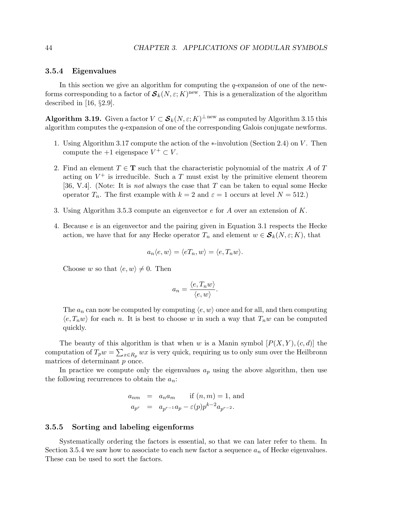# 3.5.4 Eigenvalues

In this section we give an algorithm for computing the  $q$ -expansion of one of the newforms corresponding to a factor of  $\mathcal{S}_k(N, \varepsilon; K)$ <sup>new</sup>. This is a generalization of the algorithm described in [16, §2.9].

**Algorithm 3.19.** Given a factor  $V \subset \mathcal{S}_k(N, \varepsilon; K)^{\perp \text{new}}$  as computed by Algorithm 3.15 this algorithm computes the q-expansion of one of the corresponding Galois conjugate newforms.

- 1. Using Algorithm 3.17 compute the action of the ∗-involution (Section 2.4) on V . Then compute the  $+1$  eigenspace  $V^+ \subset V$ .
- 2. Find an element  $T \in \mathbf{T}$  such that the characteristic polynomial of the matrix A of T acting on  $V^+$  is irreducible. Such a T must exist by the primitive element theorem [36, V.4]. (Note: It is *not* always the case that  $T$  can be taken to equal some Hecke operator  $T_n$ . The first example with  $k = 2$  and  $\varepsilon = 1$  occurs at level  $N = 512$ .)
- 3. Using Algorithm 3.5.3 compute an eigenvector e for A over an extension of K.
- 4. Because e is an eigenvector and the pairing given in Equation 3.1 respects the Hecke action, we have that for any Hecke operator  $T_n$  and element  $w \in \mathcal{S}_k(N, \varepsilon; K)$ , that

$$
a_n \langle e, w \rangle = \langle eT_n, w \rangle = \langle e, T_n w \rangle.
$$

Choose w so that  $\langle e, w \rangle \neq 0$ . Then

$$
a_n = \frac{\langle e, T_n w \rangle}{\langle e, w \rangle}.
$$

The  $a_n$  can now be computed by computing  $\langle e, w \rangle$  once and for all, and then computing  $\langle e, T_n w \rangle$  for each n. It is best to choose w in such a way that  $T_n w$  can be computed quickly.

The beauty of this algorithm is that when w is a Manin symbol  $[P(X, Y), (c, d)]$  the computation of  $T_p w = \sum_{x \in R_p} wx$  is very quick, requiring us to only sum over the Heilbronn matrices of determinant p once.

In practice we compute only the eigenvalues  $a_p$  using the above algorithm, then use the following recurrences to obtain the  $a_n$ .

$$
a_{nm} = a_n a_m
$$
 if  $(n, m) = 1$ , and  

$$
a_{p^r} = a_{p^{r-1}} a_p - \varepsilon(p) p^{k-2} a_{p^{r-2}}.
$$

#### 3.5.5 Sorting and labeling eigenforms

Systematically ordering the factors is essential, so that we can later refer to them. In Section 3.5.4 we saw how to associate to each new factor a sequence  $a_n$  of Hecke eigenvalues. These can be used to sort the factors.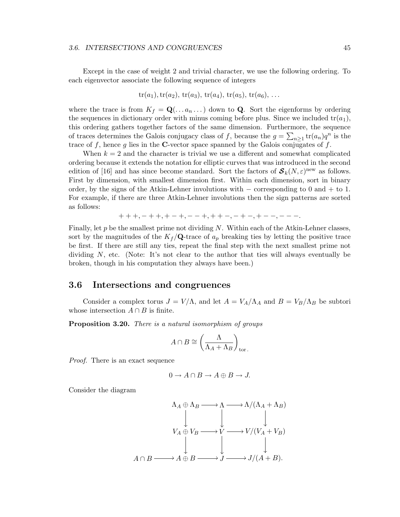#### 3.6. INTERSECTIONS AND CONGRUENCES 45

Except in the case of weight 2 and trivial character, we use the following ordering. To each eigenvector associate the following sequence of integers

$$
tr(a_1)
$$
,  $tr(a_2)$ ,  $tr(a_3)$ ,  $tr(a_4)$ ,  $tr(a_5)$ ,  $tr(a_6)$ , ...

where the trace is from  $K_f = \mathbf{Q}(\ldots a_n \ldots)$  down to **Q**. Sort the eigenforms by ordering the sequences in dictionary order with minus coming before plus. Since we included  $tr(a_1)$ , this ordering gathers together factors of the same dimension. Furthermore, the sequence of traces determines the Galois conjugacy class of f, because the  $g = \sum_{n\geq 1} tr(a_n)q^n$  is the trace of f, hence g lies in the C-vector space spanned by the Galois conjugates of  $f$ .

When  $k = 2$  and the character is trivial we use a different and somewhat complicated ordering because it extends the notation for elliptic curves that was introduced in the second edition of [16] and has since become standard. Sort the factors of  $\mathcal{S}_k(N,\varepsilon)$ <sup>new</sup> as follows. First by dimension, with smallest dimension first. Within each dimension, sort in binary order, by the signs of the Atkin-Lehner involutions with  $-$  corresponding to 0 and  $+$  to 1. For example, if there are three Atkin-Lehner involutions then the sign patterns are sorted as follows:

$$
+++, -++, +-+,--+, ++-,-+-, +--, --\ .
$$

Finally, let  $p$  be the smallest prime not dividing N. Within each of the Atkin-Lehner classes, sort by the magnitudes of the  $K_f/\mathbf{Q}$ -trace of  $a_p$  breaking ties by letting the positive trace be first. If there are still any ties, repeat the final step with the next smallest prime not dividing  $N$ , etc. (Note: It's not clear to the author that ties will always eventually be broken, though in his computation they always have been.)

# 3.6 Intersections and congruences

Consider a complex torus  $J = V/\Lambda$ , and let  $A = V_A/\Lambda_A$  and  $B = V_B/\Lambda_B$  be subtori whose intersection  $A \cap B$  is finite.

Proposition 3.20. There is a natural isomorphism of groups

$$
A \cap B \cong \left(\frac{\Lambda}{\Lambda_A + \Lambda_B}\right)_{\text{tor.}}
$$

Proof. There is an exact sequence

$$
0 \to A \cap B \to A \oplus B \to J.
$$

Consider the diagram

$$
\Lambda_A \oplus \Lambda_B \longrightarrow \Lambda \longrightarrow \Lambda/(\Lambda_A + \Lambda_B)
$$
  
\n
$$
V_A \oplus V_B \longrightarrow V \longrightarrow V/(V_A + V_B)
$$
  
\n
$$
\downarrow \qquad \qquad \downarrow
$$
  
\n
$$
A \cap B \longrightarrow A \oplus B \longrightarrow J \longrightarrow J/(A + B).
$$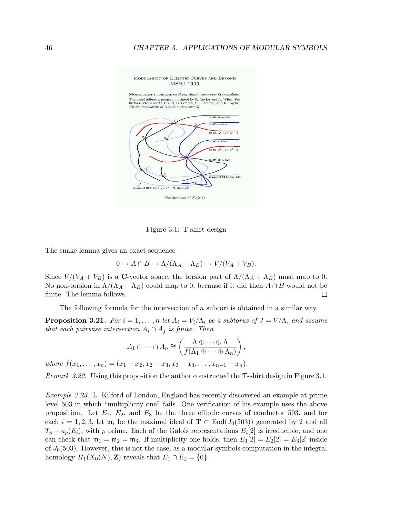#### MODULARITY OF ELLIPTIC CURVES AND BEYOND **MSRI 1999**

MODULARITY THEOREM: Every elliptic curve over  $Q$  is modular The proof follows a program initiated by R. Taylor and A. Wiles. For further details see C. Breuil, B. Conrad, F. Diamond, and R. Taylor. On the modularity of elliptic curves over Q.



Figure 3.1: T-shirt design

The snake lemma gives an exact sequence

$$
0 \to A \cap B \to \Lambda/(\Lambda_A + \Lambda_B) \to V/(V_A + V_B).
$$

Since  $V/(V_A + V_B)$  is a C-vector space, the torsion part of  $\Lambda/(\Lambda_A + \Lambda_B)$  must map to 0. No non-torsion in  $\Lambda/(\Lambda_A + \Lambda_B)$  could map to 0, because if it did then  $A \cap B$  would not be finite. The lemma follows. finite. The lemma follows.

The following formula for the intersection of n subtori is obtained in a similar way.

**Proposition 3.21.** For  $i = 1, ..., n$  let  $A_i = V_i/\Lambda_i$  be a subtorus of  $J = V/\Lambda$ , and assume that each pairwise intersection  $A_i \cap A_j$  is finite. Then

$$
A_1 \cap \dots \cap A_n \cong \left(\frac{\Lambda \oplus \dots \oplus \Lambda}{f(\Lambda_1 \oplus \dots \oplus \Lambda_n)}\right),
$$
  
where  $f(x_1, \dots, x_n) = (x_1 - x_2, x_2 - x_3, x_3 - x_4, \dots, x_{n-1} - x_n).$ 

Remark 3.22. Using this proposition the author constructed the T-shirt design in Figure 3.1.

Example 3.23. L. Kilford of London, England has recently discovered an example at prime level 503 in which "multiplicity one" fails. One verification of his example uses the above proposition. Let  $E_1$ ,  $E_2$ , and  $E_3$  be the three elliptic curves of conductor 503, and for each  $i = 1, 2, 3$ , let  $\mathfrak{m}_i$  be the maximal ideal of  $\mathbf{T} \subset \text{End}(J_0(503))$  generated by 2 and all  $T_p - a_p(E_i)$ , with p prime. Each of the Galois representations  $E_i[2]$  is irreducible, and one can check that  $m_1 = m_2 = m_3$ . If multiplicity one holds, then  $E_1[2] = E_2[2] = E_3[2]$  inside of  $J_0(503)$ . However, this is not the case, as a modular symbols computation in the integral homology  $H_1(X_0(N), \mathbf{Z})$  reveals that  $E_1 \cap E_2 = \{0\}.$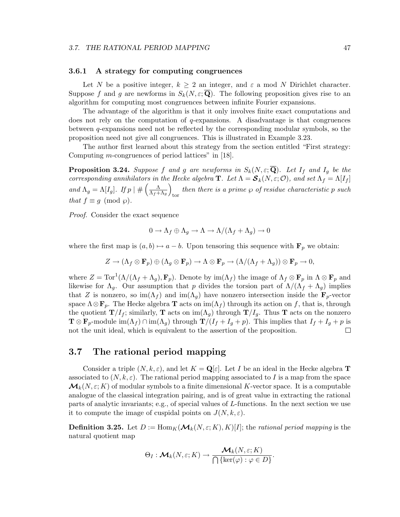# 3.6.1 A strategy for computing congruences

Let N be a positive integer,  $k \geq 2$  an integer, and  $\varepsilon$  a mod N Dirichlet character. Suppose f and g are newforms in  $S_k(N,\varepsilon;\mathbf{Q})$ . The following proposition gives rise to an algorithm for computing most congruences between infinite Fourier expansions.

The advantage of the algorithm is that it only involves finite exact computations and does not rely on the computation of  $q$ -expansions. A disadvantage is that congruences between q-expansions need not be reflected by the corresponding modular symbols, so the proposition need not give all congruences. This is illustrated in Example 3.23.

The author first learned about this strategy from the section entitled "First strategy: Computing m-congruences of period lattices" in [18].

**Proposition 3.24.** Suppose f and g are newforms in  $S_k(N, \varepsilon; \overline{Q})$ . Let  $I_f$  and  $I_g$  be the corresponding annihilators in the Hecke algebra **T**. Let  $\Lambda = \mathcal{S}_k(N, \varepsilon; \mathcal{O})$ , and set  $\Lambda_f = \Lambda[I_f]$ and  $\Lambda_g = \Lambda[I_g]$ . If  $p \mid # \left( \frac{\Lambda}{\Lambda_f + 1} \right)$  $\frac{\Lambda}{\Lambda_f + \Lambda_g}$ then there is a prime  $\wp$  of residue characteristic p such tor that  $f \equiv g \pmod{\wp}$ .

Proof. Consider the exact sequence

$$
0 \to \Lambda_f \oplus \Lambda_g \to \Lambda \to \Lambda/(\Lambda_f + \Lambda_g) \to 0
$$

where the first map is  $(a, b) \mapsto a - b$ . Upon tensoring this sequence with  $\mathbf{F}_p$  we obtain:

$$
Z \to (\Lambda_f \otimes \mathbf{F}_p) \oplus (\Lambda_g \otimes \mathbf{F}_p) \to \Lambda \otimes \mathbf{F}_p \to (\Lambda/(\Lambda_f + \Lambda_g)) \otimes \mathbf{F}_p \to 0,
$$

where  $Z = \text{Tor}^1(\Lambda/(\Lambda_f + \Lambda_g), \mathbf{F}_p)$ . Denote by  $\text{im}(\Lambda_f)$  the image of  $\Lambda_f \otimes \mathbf{F}_p$  in  $\Lambda \otimes \mathbf{F}_p$  and likewise for  $\Lambda_q$ . Our assumption that p divides the torsion part of  $\Lambda/(\Lambda_f + \Lambda_q)$  implies that Z is nonzero, so  $\text{im}(\Lambda_f)$  and  $\text{im}(\Lambda_q)$  have nonzero intersection inside the  $\mathbf{F}_p$ -vector space  $\Lambda \otimes \mathbf{F}_p$ . The Hecke algebra **T** acts on  $\text{im}(\Lambda_f)$  through its action on f, that is, through the quotient  $\mathbf{T}/I_f$ ; similarly, T acts on im $(\Lambda_g)$  through  $\mathbf{T}/I_g$ . Thus T acts on the nonzero  $\mathbf{T} \otimes \mathbf{F}_p$ -module im $(\Lambda_f) \cap \text{im}(\Lambda_g)$  through  $\mathbf{T}/(I_f + I_g + p)$ . This implies that  $I_f + I_g + p$  is not the unit ideal, which is equivalent to the assertion of the proposition. not the unit ideal, which is equivalent to the assertion of the proposition.

# 3.7 The rational period mapping

Consider a triple  $(N, k, \varepsilon)$ , and let  $K = \mathbf{Q}[\varepsilon]$ . Let I be an ideal in the Hecke algebra **T** associated to  $(N, k, \varepsilon)$ . The rational period mapping associated to I is a map from the space  $\mathcal{M}_k(N,\varepsilon;K)$  of modular symbols to a finite dimensional K-vector space. It is a computable analogue of the classical integration pairing, and is of great value in extracting the rational parts of analytic invariants; e.g., of special values of L-functions. In the next section we use it to compute the image of cuspidal points on  $J(N, k, \varepsilon)$ .

**Definition 3.25.** Let  $D := \text{Hom}_K(\mathcal{M}_k(N, \varepsilon; K), K)[I];$  the rational period mapping is the natural quotient map

$$
\Theta_I: \mathcal{M}_k(N, \varepsilon; K) \to \frac{\mathcal{M}_k(N, \varepsilon; K)}{\bigcap {\lbrace \ker(\varphi) : \varphi \in D \rbrace}}.
$$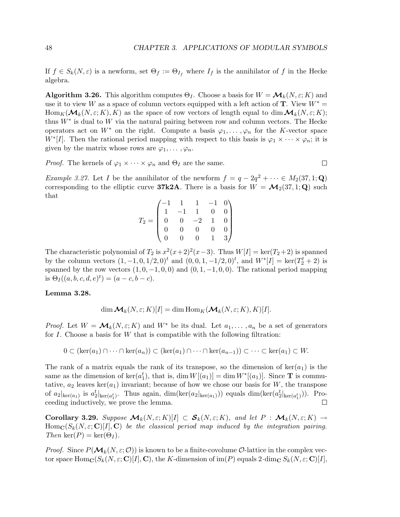If  $f \in S_k(N, \varepsilon)$  is a newform, set  $\Theta_f := \Theta_{I_f}$  where  $I_f$  is the annihilator of f in the Hecke algebra.

**Algorithm 3.26.** This algorithm computes  $\Theta_I$ . Choose a basis for  $W = \mathcal{M}_k(N, \varepsilon; K)$  and use it to view W as a space of column vectors equipped with a left action of  $\mathbf{T}$ . View  $W^* =$  $\text{Hom}_K(\mathcal{M}_k(N,\varepsilon;K), K)$  as the space of row vectors of length equal to dim  $\mathcal{M}_k(N,\varepsilon;K);$ thus  $W^*$  is dual to W via the natural pairing between row and column vectors. The Hecke operators act on  $W^*$  on the right. Compute a basis  $\varphi_1, \ldots, \varphi_n$  for the K-vector space  $W^*[I]$ . Then the rational period mapping with respect to this basis is  $\varphi_1 \times \cdots \times \varphi_n$ ; it is given by the matrix whose rows are  $\varphi_1, \ldots, \varphi_n$ .

*Proof.* The kernels of  $\varphi_1 \times \cdots \times \varphi_n$  and  $\Theta_I$  are the same.

*Example 3.27.* Let *I* be the annihilator of the newform  $f = q - 2q^2 + \cdots \in M_2(37, 1; \mathbf{Q})$ corresponding to the elliptic curve **37k2A**. There is a basis for  $W = \mathcal{M}_2(37, 1; \mathbf{Q})$  such that

$$
T_2 = \begin{pmatrix} -1 & 1 & 1 & -1 & 0 \\ 1 & -1 & 1 & 0 & 0 \\ 0 & 0 & -2 & 1 & 0 \\ 0 & 0 & 0 & 0 & 0 \\ 0 & 0 & 0 & 1 & 3 \end{pmatrix}
$$

The characteristic polynomial of  $T_2$  is  $x^2(x+2)^2(x-3)$ . Thus  $W[I] = \text{ker}(T_2+2)$  is spanned by the column vectors  $(1, -1, 0, 1/2, 0)^t$  and  $(0, 0, 1, -1/2, 0)^t$ , and  $W^*[I] = \ker(T_2^t + 2)$  is spanned by the row vectors  $(1, 0, -1, 0, 0)$  and  $(0, 1, -1, 0, 0)$ . The rational period mapping is  $\Theta_I((a, b, c, d, e)^t) = (a - c, b - c).$ 

#### Lemma 3.28.

$$
\dim \mathcal{M}_k(N, \varepsilon; K)[I] = \dim \text{Hom}_K(\mathcal{M}_k(N, \varepsilon; K), K)[I].
$$

*Proof.* Let  $W = \mathcal{M}_k(N, \varepsilon; K)$  and  $W^*$  be its dual. Let  $a_1, \ldots, a_n$  be a set of generators for  $I$ . Choose a basis for  $W$  that is compatible with the following filtration:

$$
0 \subset (\ker(a_1) \cap \cdots \cap \ker(a_n)) \subset (\ker(a_1) \cap \cdots \cap \ker(a_{n-1})) \subset \cdots \subset \ker(a_1) \subset W.
$$

The rank of a matrix equals the rank of its transpose, so the dimension of  $\text{ker}(a_1)$  is the same as the dimension of  $\ker(a_1^t)$ , that is, dim  $W[(a_1)] = \dim W^*[(a_1)]$ . Since **T** is commutative,  $a_2$  leaves ker( $a_1$ ) invariant; because of how we chose our basis for W, the transpose of  $a_2|_{\text{ker}(a_1)}$  is  $a_2^t|_{\text{ker}(a_1^t)}$ . Thus again, dim(ker( $a_2|_{\text{ker}(a_1)}$ )) equals dim(ker( $a_2^t|_{\text{ker}(a_1^t)}$ )). Proceeding inductively, we prove the lemma.  $\Box$ 

**Corollary 3.29.** Suppose  $\mathcal{M}_k(N,\varepsilon;K)[I] \subset \mathcal{S}_k(N,\varepsilon;K)$ , and let  $P : \mathcal{M}_k(N,\varepsilon;K) \to$  $\text{Hom}_{\mathbf{C}}(S_k(N,\varepsilon;\mathbf{C})[I],\mathbf{C})$  be the classical period map induced by the integration pairing. Then ker $(P) = \text{ker}(\Theta_I)$ .

*Proof.* Since  $P(\mathcal{M}_k(N, \varepsilon; \mathcal{O}))$  is known to be a finite-covolume  $\mathcal{O}$ -lattice in the complex vector space  $\text{Hom}_{\mathbf{C}}(S_k(N,\varepsilon; \mathbf{C})[I], \mathbf{C})$ , the K-dimension of im(P) equals  $2 \cdot \dim_{\mathbf{C}} S_k(N, \varepsilon; \mathbf{C})[I],$ 

$$
\square
$$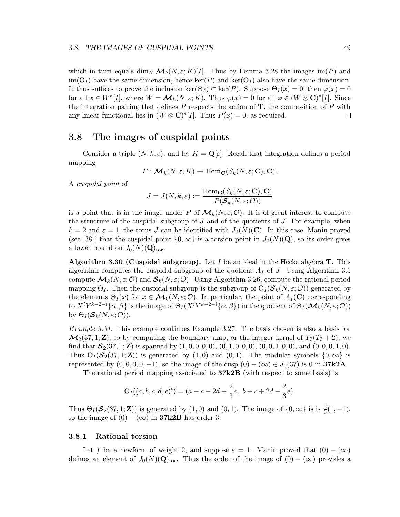which in turn equals  $\dim_K \mathcal{M}_k(N, \varepsilon; K)[I]$ . Thus by Lemma 3.28 the images  $\text{im}(P)$  and  $\text{im}(\Theta_I)$  have the same dimension, hence  $\text{ker}(P)$  and  $\text{ker}(\Theta_I)$  also have the same dimension. It thus suffices to prove the inclusion  $\ker(\Theta_I) \subset \ker(P)$ . Suppose  $\Theta_I(x) = 0$ ; then  $\varphi(x) = 0$ for all  $x \in W^*[I]$ , where  $W = \mathcal{M}_k(N, \varepsilon; K)$ . Thus  $\varphi(x) = 0$  for all  $\varphi \in (W \otimes \mathbf{C})^*[I]$ . Since the integration pairing that defines  $P$  respects the action of  $T$ , the composition of  $P$  with any linear functional lies in  $(W \otimes \mathbf{C})^*[I]$ . Thus  $P(x) = 0$ , as required.  $\Box$ 

# 3.8 The images of cuspidal points

Consider a triple  $(N, k, \varepsilon)$ , and let  $K = \mathbf{Q}[\varepsilon]$ . Recall that integration defines a period mapping

$$
P: \mathcal{M}_k(N, \varepsilon; K) \to \text{Hom}_{\mathbf{C}}(S_k(N, \varepsilon; \mathbf{C}), \mathbf{C}).
$$

A cuspidal point of

$$
J = J(N, k, \varepsilon) := \frac{\text{Hom}_{\mathbf{C}}(S_k(N, \varepsilon; \mathbf{C}), \mathbf{C})}{P(\mathbf{S}_k(N, \varepsilon; \mathbf{C}))}
$$

is a point that is in the image under P of  $\mathcal{M}_k(N,\varepsilon;\mathcal{O})$ . It is of great interest to compute the structure of the cuspidal subgroup of  $J$  and of the quotients of  $J$ . For example, when  $k = 2$  and  $\varepsilon = 1$ , the torus J can be identified with  $J_0(N)(\mathbf{C})$ . In this case, Manin proved (see [38]) that the cuspidal point  $\{0,\infty\}$  is a torsion point in  $J_0(N)(\mathbf{Q})$ , so its order gives a lower bound on  $J_0(N)(\mathbf{Q})_{\text{tor}}$ .

Algorithm 3.30 (Cuspidal subgroup). Let  $I$  be an ideal in the Hecke algebra T. This algorithm computes the cuspidal subgroup of the quotient  $A_I$  of J. Using Algorithm 3.5 compute  $\mathcal{M}_k(N,\varepsilon;\mathcal{O})$  and  $\mathcal{S}_k(N,\varepsilon;\mathcal{O})$ . Using Algorithm 3.26, compute the rational period mapping  $\Theta_I$ . Then the cuspidal subgroup is the subgroup of  $\Theta_I(\mathcal{S}_k(N,\varepsilon;\mathcal{O}))$  generated by the elements  $\Theta_I(x)$  for  $x \in \mathcal{M}_k(N, \varepsilon; \mathcal{O})$ . In particular, the point of  $A_I(\mathbf{C})$  corresponding to  $X^i Y^{k-2-i} {\alpha, \beta}$  is the image of  $\Theta_I (X^i Y^{k-2-i} {\alpha, \beta})$  in the quotient of  $\Theta_I (\mathcal{M}_k(N, \varepsilon; \mathcal{O}))$ by  $\Theta_I(\mathcal{S}_k(N,\varepsilon;\mathcal{O}))$ .

Example 3.31. This example continues Example 3.27. The basis chosen is also a basis for  $\mathcal{M}_2(37, 1; \mathbf{Z})$ , so by computing the boundary map, or the integer kernel of  $T_2(T_2 + 2)$ , we find that  $\mathcal{S}_2(37, 1; \mathbf{Z})$  is spanned by  $(1, 0, 0, 0, 0), (0, 1, 0, 0, 0), (0, 0, 1, 0, 0),$  and  $(0, 0, 0, 1, 0)$ . Thus  $\Theta_I(\mathcal{S}_2(37, 1; \mathbb{Z}))$  is generated by  $(1, 0)$  and  $(0, 1)$ . The modular symbols  $\{0, \infty\}$  is represented by  $(0, 0, 0, 0, -1)$ , so the image of the cusp  $(0) - (\infty) \in J_0(37)$  is 0 in **37k2A**.

The rational period mapping associated to 37k2B (with respect to some basis) is

$$
\Theta_I((a,b,c,d,e)^t) = (a-c-2d+\frac{2}{3}e, \ b+c+2d-\frac{2}{3}e).
$$

Thus  $\Theta_I(\mathcal{S}_2(37,1;\mathbf{Z}))$  is generated by  $(1,0)$  and  $(0,1)$ . The image of  $\{0,\infty\}$  is is  $\frac{2}{3}(1,-1)$ , so the image of  $(0) - (\infty)$  in **37k2B** has order 3.

# 3.8.1 Rational torsion

Let f be a newform of weight 2, and suppose  $\varepsilon = 1$ . Manin proved that  $(0) - (\infty)$ defines an element of  $J_0(N)(\mathbf{Q})_{\text{tor}}$ . Thus the order of the image of  $(0) - (\infty)$  provides a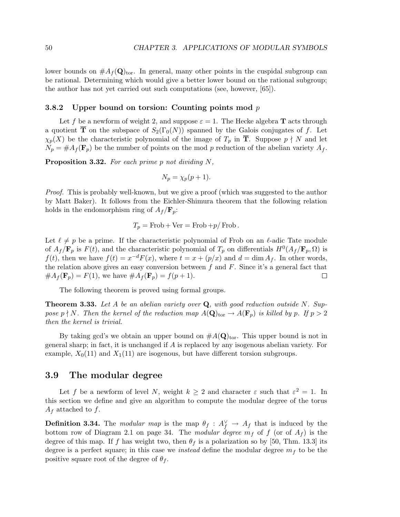lower bounds on  $#A_f(Q)_{\text{tor}}$ . In general, many other points in the cuspidal subgroup can be rational. Determining which would give a better lower bound on the rational subgroup; the author has not yet carried out such computations (see, however, [65]).

# 3.8.2 Upper bound on torsion: Counting points mod  $p$

Let f be a newform of weight 2, and suppose  $\varepsilon = 1$ . The Hecke algebra **T** acts through a quotient  $\overline{T}$  on the subspace of  $S_2(\Gamma_0(N))$  spanned by the Galois conjugates of f. Let  $\chi_p(X)$  be the characteristic polynomial of the image of  $T_p$  in **T**. Suppose  $p \nmid N$  and let  $N_p = #A_f(\mathbf{F}_p)$  be the number of points on the mod p reduction of the abelian variety  $A_f$ .

**Proposition 3.32.** For each prime p not dividing  $N$ ,

$$
N_p = \chi_p(p+1).
$$

Proof. This is probably well-known, but we give a proof (which was suggested to the author by Matt Baker). It follows from the Eichler-Shimura theorem that the following relation holds in the endomorphism ring of  $A_f/\mathbf{F}_p$ :

$$
T_p = \text{Frob} + \text{Ver} = \text{Frob} + p/\text{Frob}.
$$

Let  $\ell \neq p$  be a prime. If the characteristic polynomial of Frob on an  $\ell$ -adic Tate module of  $A_f/\mathbf{F}_p$  is  $F(t)$ , and the characteristic polynomial of  $T_p$  on differentials  $H^0(A_f/\mathbf{F}_p, \Omega)$  is  $f(t)$ , then we have  $f(t) = x^{-d}F(x)$ , where  $t = x + (p/x)$  and  $d = \dim A_f$ . In other words, the relation above gives an easy conversion between  $f$  and  $F$ . Since it's a general fact that  $#A_f(\mathbf{F}_p) = F(1)$ , we have  $#A_f(\mathbf{F}_p) = f(p+1)$ . □

The following theorem is proved using formal groups.

**Theorem 3.33.** Let A be an abelian variety over  $Q$ , with good reduction outside N. Suppose  $p \nmid N$ . Then the kernel of the reduction map  $A(\mathbf{Q})_{\text{tor}} \to A(\mathbf{F}_p)$  is killed by p. If  $p > 2$ then the kernel is trivial.

By taking gcd's we obtain an upper bound on  $#A(\mathbf{Q})_{\text{tor}}$ . This upper bound is not in general sharp; in fact, it is unchanged if A is replaced by any isogenous abelian variety. For example,  $X_0(11)$  and  $X_1(11)$  are isogenous, but have different torsion subgroups.

# 3.9 The modular degree

Let f be a newform of level N, weight  $k \geq 2$  and character  $\varepsilon$  such that  $\varepsilon^2 = 1$ . In this section we define and give an algorithm to compute the modular degree of the torus  $A_f$  attached to f.

**Definition 3.34.** The modular map is the map  $\theta_f : A_f^{\vee} \to A_f$  that is induced by the bottom row of Diagram 2.1 on page 34. The *modular degree*  $m_f$  of f (or of  $A_f$ ) is the degree of this map. If f has weight two, then  $\theta_f$  is a polarization so by [50, Thm. 13.3] its degree is a perfect square; in this case we *instead* define the modular degree  $m<sub>f</sub>$  to be the positive square root of the degree of  $\theta_f$ .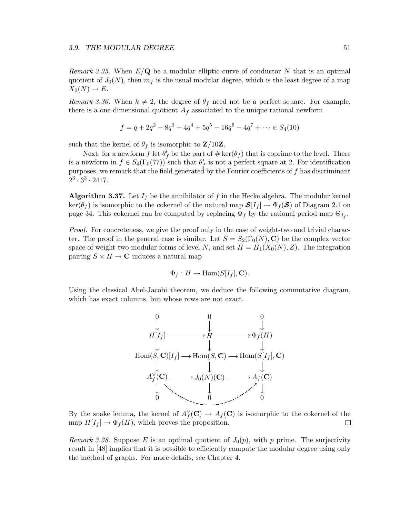Remark 3.35. When  $E/Q$  be a modular elliptic curve of conductor N that is an optimal quotient of  $J_0(N)$ , then  $m_f$  is the usual modular degree, which is the least degree of a map  $X_0(N) \to E$ .

Remark 3.36. When  $k \neq 2$ , the degree of  $\theta_f$  need not be a perfect square. For example, there is a one-dimensional quotient  $A_f$  associated to the unique rational newform

$$
f = q + 2q^{2} - 8q^{3} + 4q^{4} + 5q^{5} - 16q^{6} - 4q^{7} + \dots \in S_{4}(10)
$$

such that the kernel of  $\theta_f$  is isomorphic to **Z**/10**Z**.

Next, for a newform  $f$  let  $\theta'_{f}$  be the part of  $\#\ker(\theta_{f})$  that is coprime to the level. There is a newform in  $f \in S_4(\Gamma_0(77))$  such that  $\theta'_f$  is not a perfect square at 2. For identification purposes, we remark that the field generated by the Fourier coefficients of  $f$  has discriminant  $2^3 \cdot 3^3 \cdot 2417$ .

**Algorithm 3.37.** Let  $I_f$  be the annihilator of f in the Hecke algebra. The modular kernel  $\ker(\theta_f)$  is isomorphic to the cokernel of the natural map  $\mathcal{S}[I_f] \to \Phi_f(\mathcal{S})$  of Diagram 2.1 on page 34. This cokernel can be computed by replacing  $\Phi_f$  by the rational period map  $\Theta_{I_f}$ .

Proof. For concreteness, we give the proof only in the case of weight-two and trivial character. The proof in the general case is similar. Let  $S = S_2(\Gamma_0(N), \mathbf{C})$  be the complex vector space of weight-two modular forms of level N, and set  $H = H_1(X_0(N), Z)$ . The integration pairing  $S \times H \to \mathbb{C}$  induces a natural map

$$
\Phi_f: H \to \text{Hom}(S[I_f], \mathbf{C}).
$$

Using the classical Abel-Jacobi theorem, we deduce the following commutative diagram, which has exact columns, but whose rows are not exact.



By the snake lemma, the kernel of  $A_f^{\vee}(\mathbf{C}) \to A_f(\mathbf{C})$  is isomorphic to the cokernel of the map  $H[I_f] \to \Phi_f(H)$ , which proves the proposition.

Remark 3.38. Suppose E is an optimal quotient of  $J_0(p)$ , with p prime. The surjectivity result in [48] implies that it is possible to efficiently compute the modular degree using only the method of graphs. For more details, see Chapter 4.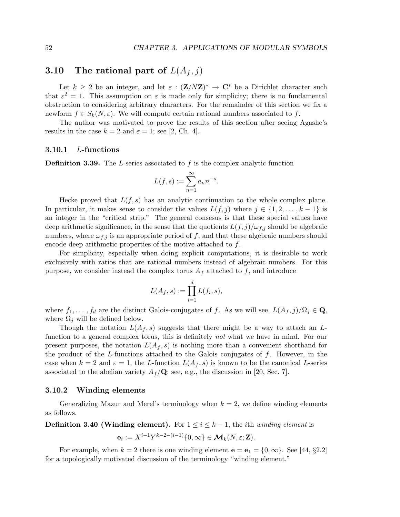# 3.10 The rational part of  $L(A_f, j)$

Let  $k \geq 2$  be an integer, and let  $\varepsilon : (\mathbf{Z}/N\mathbf{Z})^* \to \mathbf{C}^*$  be a Dirichlet character such that  $\varepsilon^2 = 1$ . This assumption on  $\varepsilon$  is made only for simplicity; there is no fundamental obstruction to considering arbitrary characters. For the remainder of this section we fix a newform  $f \in S_k(N, \varepsilon)$ . We will compute certain rational numbers associated to f.

The author was motivated to prove the results of this section after seeing Agashe's results in the case  $k = 2$  and  $\varepsilon = 1$ ; see [2, Ch. 4].

# 3.10.1 L-functions

**Definition 3.39.** The L-series associated to f is the complex-analytic function

$$
L(f,s) := \sum_{n=1}^{\infty} a_n n^{-s}.
$$

Hecke proved that  $L(f, s)$  has an analytic continuation to the whole complex plane. In particular, it makes sense to consider the values  $L(f, j)$  where  $j \in \{1, 2, \ldots, k-1\}$  is an integer in the "critical strip." The general consesus is that these special values have deep arithmetic significance, in the sense that the quotients  $L(f, j)/\omega_{f,i}$  should be algebraic numbers, where  $\omega_{f,j}$  is an appropriate period of f, and that these algebraic numbers should encode deep arithmetic properties of the motive attached to f.

For simplicity, especially when doing explicit computations, it is desirable to work exclusively with ratios that are rational numbers instead of algebraic numbers. For this purpose, we consider instead the complex torus  $A_f$  attached to f, and introduce

$$
L(A_f, s) := \prod_{i=1}^d L(f_i, s),
$$

where  $f_1, \ldots, f_d$  are the distinct Galois-conjugates of f. As we will see,  $L(A_f, j)/\Omega_j \in \mathbf{Q}$ , where  $\Omega_j$  will be defined below.

Though the notation  $L(A_f, s)$  suggests that there might be a way to attach an Lfunction to a general complex torus, this is definitely *not* what we have in mind. For our present purposes, the notation  $L(A_f, s)$  is nothing more than a convenient shorthand for the product of the L-functions attached to the Galois conjugates of  $f$ . However, in the case when  $k = 2$  and  $\varepsilon = 1$ , the L-function  $L(A_f, s)$  is known to be the canonical L-series associated to the abelian variety  $A_f/\mathbf{Q}$ ; see, e.g., the discussion in [20, Sec. 7].

## 3.10.2 Winding elements

Generalizing Mazur and Merel's terminology when  $k = 2$ , we define winding elements as follows.

**Definition 3.40 (Winding element).** For  $1 \leq i \leq k-1$ , the *i*th winding element is

$$
\mathbf{e}_i := X^{i-1} Y^{k-2-(i-1)} \{0, \infty\} \in \mathcal{M}_k(N, \varepsilon; \mathbf{Z}).
$$

For example, when  $k = 2$  there is one winding element  $e = e_1 = \{0, \infty\}$ . See [44, §2.2] for a topologically motivated discussion of the terminology "winding element."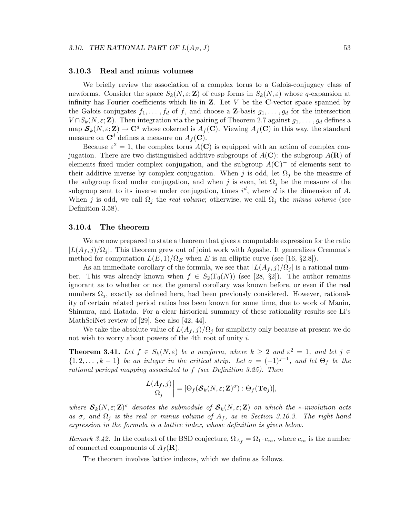## 3.10.3 Real and minus volumes

We briefly review the association of a complex torus to a Galois-conjugacy class of newforms. Consider the space  $S_k(N, \varepsilon; \mathbf{Z})$  of cusp forms in  $S_k(N, \varepsilon)$  whose q-expansion at infinity has Fourier coefficients which lie in  $Z$ . Let  $V$  be the C-vector space spanned by the Galois conjugates  $f_1, \ldots, f_d$  of f, and choose a **Z**-basis  $g_1, \ldots, g_d$  for the intersection  $V \cap S_k(N, \varepsilon; \mathbf{Z})$ . Then integration via the pairing of Theorem 2.7 against  $g_1, \ldots, g_d$  defines a map  $\mathcal{S}_k(N,\varepsilon;\mathbf{Z}) \to \mathbf{C}^d$  whose cokernel is  $A_f(\mathbf{C})$ . Viewing  $A_f(\mathbf{C})$  in this way, the standard measure on  $\mathbf{C}^d$  defines a measure on  $A_f(\mathbf{C})$ .

Because  $\varepsilon^2 = 1$ , the complex torus  $A(\mathbf{C})$  is equipped with an action of complex conjugation. There are two distinguished additive subgroups of  $A(\mathbf{C})$ : the subgroup  $A(\mathbf{R})$  of elements fixed under complex conjugation, and the subgroup  $A(\mathbf{C})^-$  of elements sent to their additive inverse by complex conjugation. When j is odd, let  $\Omega_i$  be the measure of the subgroup fixed under conjugation, and when j is even, let  $\Omega_j$  be the measure of the subgroup sent to its inverse under conjugation, times  $i^d$ , where d is the dimension of A. When j is odd, we call  $\Omega_j$  the real volume; otherwise, we call  $\Omega_j$  the minus volume (see Definition 3.58).

# 3.10.4 The theorem

We are now prepared to state a theorem that gives a computable expression for the ratio  $|L(A_f, j)/\Omega_j|$ . This theorem grew out of joint work with Agashe. It generalizes Cremona's method for computation  $L(E, 1)/\Omega_E$  when E is an elliptic curve (see [16, §2.8]).

As an immediate corollary of the formula, we see that  $|L(A_f, j)/\Omega_j|$  is a rational number. This was already known when  $f \in S_2(\Gamma_0(N))$  (see [28, §2]). The author remains ignorant as to whether or not the general corollary was known before, or even if the real numbers  $\Omega_j$ , exactly as defined here, had been previously considered. However, rationality of certain related period ratios has been known for some time, due to work of Manin, Shimura, and Hatada. For a clear historical summary of these rationality results see Li's MathSciNet review of [29]. See also [42, 44].

We take the absolute value of  $L(A_f, j)/\Omega_j$  for simplicity only because at present we do not wish to worry about powers of the 4th root of unity i.

**Theorem 3.41.** Let  $f \in S_k(N, \varepsilon)$  be a newform, where  $k \geq 2$  and  $\varepsilon^2 = 1$ , and let  $j \in$  $\{1, 2, \ldots, k-1\}$  be an integer in the critical strip. Let  $\sigma = (-1)^{j-1}$ , and let  $\Theta_f$  be the rational periopd mapping associated to f (see Definition 3.25). Then

$$
\left|\frac{L(A_f,j)}{\Omega_j}\right| = [\Theta_f(\mathcal{S}_k(N,\varepsilon; \mathbf{Z})^{\sigma}) : \Theta_f(\mathbf{Te}_j)],
$$

where  $S_k(N,\varepsilon; \mathbf{Z})^{\sigma}$  denotes the submodule of  $S_k(N,\varepsilon; \mathbf{Z})$  on which the ∗-involution acts as  $\sigma$ , and  $\Omega_i$  is the real or minus volume of  $A_f$ , as in Section 3.10.3. The right hand expression in the formula is a lattice index, whose definition is given below.

Remark 3.42. In the context of the BSD conjecture,  $\Omega_{A_f} = \Omega_1 \cdot c_{\infty}$ , where  $c_{\infty}$  is the number of connected components of  $A_f(\mathbf{R})$ .

The theorem involves lattice indexes, which we define as follows.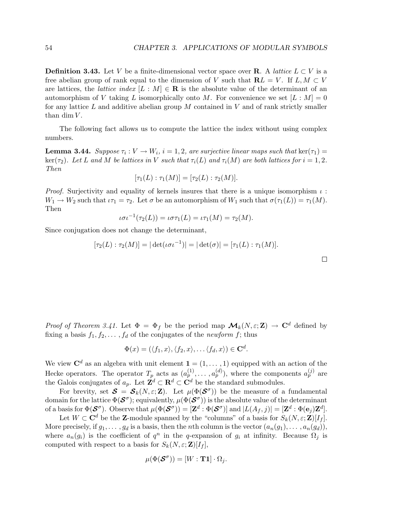**Definition 3.43.** Let V be a finite-dimensional vector space over **R**. A *lattice*  $L \subset V$  is a free abelian group of rank equal to the dimension of V such that  $\mathbf{R}L = V$ . If  $L, M \subset V$ are lattices, the *lattice index*  $[L : M] \in \mathbf{R}$  is the absolute value of the determinant of an automorphism of V taking L isomorphically onto M. For convenience we set  $[L : M] = 0$ for any lattice  $L$  and additive abelian group  $M$  contained in  $V$  and of rank strictly smaller than dim  $V$ .

The following fact allows us to compute the lattice the index without using complex numbers.

**Lemma 3.44.** Suppose  $\tau_i : V \to W_i$ ,  $i = 1, 2$ , are surjective linear maps such that  $\ker(\tau_1) =$ ker( $\tau_2$ ). Let L and M be lattices in V such that  $\tau_i(L)$  and  $\tau_i(M)$  are both lattices for  $i = 1, 2$ . Then

$$
[\tau_1(L) : \tau_1(M)] = [\tau_2(L) : \tau_2(M)].
$$

*Proof.* Surjectivity and equality of kernels insures that there is a unique isomorphism  $\iota$ :  $W_1 \to W_2$  such that  $\iota \tau_1 = \tau_2$ . Let  $\sigma$  be an automorphism of  $W_1$  such that  $\sigma(\tau_1(L)) = \tau_1(M)$ . Then

$$
\iota \sigma \iota^{-1}(\tau_2(L)) = \iota \sigma \tau_1(L) = \iota \tau_1(M) = \tau_2(M).
$$

Since conjugation does not change the determinant,

$$
[\tau_2(L) : \tau_2(M)] = |\det(\iota \sigma \iota^{-1})| = |\det(\sigma)| = [\tau_1(L) : \tau_1(M)].
$$

| <i>Proof of Theorem 3.41.</i> Let $\Phi = \Phi_f$ be the period map $\mathcal{M}_k(N,\varepsilon;\mathbf{Z}) \to \mathbb{C}^d$ defined by |  |  |
|-------------------------------------------------------------------------------------------------------------------------------------------|--|--|
| fixing a basis $f_1, f_2, \ldots, f_d$ of the conjugates of the <i>newform</i> f; thus                                                    |  |  |

$$
\Phi(x) = (\langle f_1, x \rangle, \langle f_2, x \rangle, \dots \langle f_d, x \rangle) \in \mathbf{C}^d.
$$

We view  $\mathbf{C}^d$  as an algebra with unit element  $\mathbf{1} = (1, \ldots, 1)$  equipped with an action of the Hecke operators. The operator  $T_p$  acts as  $(a_p^{(1)}, \ldots, a_p^{(d)})$ , where the components  $a_p^{(j)}$  are the Galois conjugates of  $a_p$ . Let  $\mathbf{Z}^d \subset \mathbf{R}^d \subset \mathbf{C}^d$  be the standard submodules.

For brevity, set  $\mathcal{S} = \mathcal{S}_k(N,\varepsilon;\mathbf{Z})$ . Let  $\mu(\Phi(\mathcal{S}^{\sigma}))$  be the measure of a fundamental domain for the lattice  $\Phi(\mathcal{S}^{\sigma})$ ; equivalently,  $\mu(\Phi(\mathcal{S}^{\sigma}))$  is the absolute value of the determinant of a basis for  $\Phi(\mathcal{S}^{\sigma})$ . Observe that  $\mu(\Phi(\mathcal{S}^{\sigma})) = [\mathbf{Z}^d : \Phi(\mathcal{S}^{\sigma})]$  and  $|L(A_f, j)| = [\mathbf{Z}^d : \Phi(\mathbf{e}_j)\mathbf{Z}^d]$ .

Let  $W \subset \mathbf{C}^d$  be the Z-module spanned by the "columns" of a basis for  $S_k(N, \varepsilon; \mathbf{Z})[I_f]$ . More precisely, if  $g_1, \ldots, g_d$  is a basis, then the *n*th column is the vector  $(a_n(g_1), \ldots, a_n(g_d))$ , where  $a_n(g_i)$  is the coefficient of  $q^n$  in the q-expansion of  $g_i$  at infinity. Because  $\Omega_j$  is computed with respect to a basis for  $S_k(N, \varepsilon; \mathbf{Z})[I_f],$ 

$$
\mu(\Phi(\mathcal{S}^\sigma))=[W:\mathbf{T} \mathbf{1}]\cdot \Omega_j.
$$

 $\Box$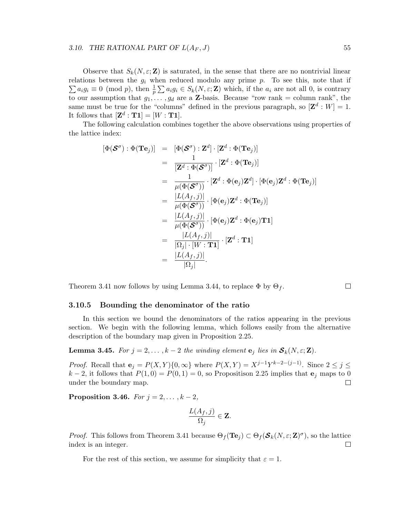# 3.10. THE RATIONAL PART OF  $L(A_F, J)$  55

Observe that  $S_k(N, \varepsilon; \mathbf{Z})$  is saturated, in the sense that there are no nontrivial linear relations between the  $g_i$  when reduced modulo any prime  $p$ . To see this, note that if  $\sum a_i g_i \equiv 0 \pmod{p}$ , then  $\frac{1}{p} \sum a_i g_i \in S_k(N, \varepsilon; \mathbf{Z})$  which, if the  $a_i$  are not all 0, is contrary to our assumption that  $g_1, \ldots, g_d$  are a Z-basis. Because "row rank = column rank", the same must be true for the "columns" defined in the previous paragraph, so  $[\mathbf{Z}^d : W] = 1$ . It follows that  $[\mathbf{Z}^d : \mathbf{T} \mathbf{1}] = [W : \mathbf{T} \mathbf{1}].$ 

The following calculation combines together the above observations using properties of the lattice index:

$$
\begin{array}{rcl}\n[\Phi(\mathcal{S}^{\sigma}) : \Phi(\mathbf{T} \mathbf{e}_j)] & = & [\Phi(\mathcal{S}^{\sigma}) : \mathbf{Z}^d] \cdot [\mathbf{Z}^d : \Phi(\mathbf{T} \mathbf{e}_j)] \\
 & = & \frac{1}{[\mathbf{Z}^d : \Phi(\mathcal{S}^{\sigma})]} \cdot [\mathbf{Z}^d : \Phi(\mathbf{T} \mathbf{e}_j)] \\
 & = & \frac{1}{\mu(\Phi(\mathcal{S}^{\sigma}))} \cdot [\mathbf{Z}^d : \Phi(\mathbf{e}_j) \mathbf{Z}^d] \cdot [\Phi(\mathbf{e}_j) \mathbf{Z}^d : \Phi(\mathbf{T} \mathbf{e}_j)] \\
 & = & \frac{|L(A_f, j)|}{\mu(\Phi(\mathcal{S}^{\sigma}))} \cdot [\Phi(\mathbf{e}_j) \mathbf{Z}^d : \Phi(\mathbf{T} \mathbf{e}_j)] \\
 & = & \frac{|L(A_f, j)|}{\mu(\Phi(\mathcal{S}^{\sigma}))} \cdot [\Phi(\mathbf{e}_j) \mathbf{Z}^d : \Phi(\mathbf{e}_j) \mathbf{T} \mathbf{1}] \\
 & = & \frac{|L(A_f, j)|}{|\Omega_j| \cdot [W : \mathbf{T} \mathbf{1}]} \cdot [\mathbf{Z}^d : \mathbf{T} \mathbf{1}] \\
 & = & \frac{|L(A_f, j)|}{|\Omega_j|}.\n\end{array}
$$

Theorem 3.41 now follows by using Lemma 3.44, to replace  $\Phi$  by  $\Theta_f$ .

# $\Box$

# 3.10.5 Bounding the denominator of the ratio

In this section we bound the denominators of the ratios appearing in the previous section. We begin with the following lemma, which follows easily from the alternative description of the boundary map given in Proposition 2.25.

**Lemma 3.45.** For  $j = 2, ..., k - 2$  the winding element  $e_j$  lies in  $S_k(N, \epsilon; \mathbf{Z})$ .

*Proof.* Recall that  $e_j = P(X, Y) \{0, \infty\}$  where  $P(X, Y) = X^{j-1} Y^{k-2-(j-1)}$ . Since  $2 \le j \le k$  $k-2$ , it follows that  $P(1, 0) = P(0, 1) = 0$ , so Propositison 2.25 implies that  $\mathbf{e}_j$  maps to 0 under the boundary map. under the boundary map.

**Proposition 3.46.**  $For j = 2, ..., k - 2,$ 

$$
\frac{L(A_f,j)}{\Omega_j}\in \mathbf{Z}.
$$

*Proof.* This follows from Theorem 3.41 because  $\Theta_f(\mathbf{Te}_j) \subset \Theta_f(\mathcal{S}_k(N,\varepsilon;\mathbf{Z})^{\sigma})$ , so the lattice index is an integer.  $\Box$ 

For the rest of this section, we assume for simplicity that  $\varepsilon = 1$ .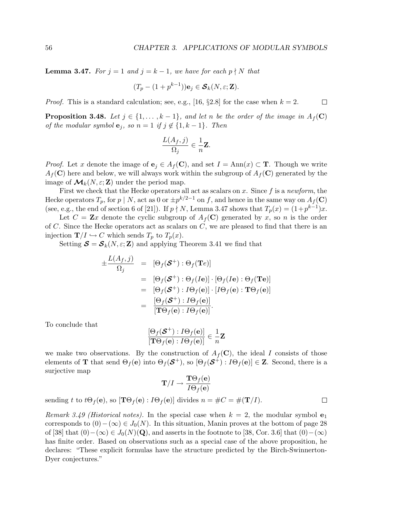**Lemma 3.47.** For  $j = 1$  and  $j = k - 1$ , we have for each  $p \nmid N$  that

$$
(T_p - (1 + p^{k-1})) \mathbf{e}_j \in \mathcal{S}_k(N, \varepsilon; \mathbf{Z}).
$$

*Proof.* This is a standard calculation; see, e.g., [16,  $\S 2.8$ ] for the case when  $k = 2$ .  $\Box$ 

**Proposition 3.48.** Let  $j \in \{1, ..., k-1\}$ , and let n be the order of the image in  $A_f(\mathbf{C})$ of the modular symbol  $\mathbf{e}_j$ , so  $n = 1$  if  $j \notin \{1, k-1\}$ . Then

$$
\frac{L(A_f,j)}{\Omega_j} \in \frac{1}{n}\mathbf{Z}.
$$

*Proof.* Let x denote the image of  $e_j \in A_f(\mathbf{C})$ , and set  $I = \text{Ann}(x) \subset \mathbf{T}$ . Though we write  $A_f(\mathbf{C})$  here and below, we will always work within the subgroup of  $A_f(\mathbf{C})$  generated by the image of  $\mathcal{M}_k(N,\varepsilon;\mathbf{Z})$  under the period map.

First we check that the Hecke operators all act as scalars on x. Since f is a newform, the Hecke operators  $T_p$ , for  $p \mid N$ , act as 0 or  $\pm p^{k/2-1}$  on f, and hence in the same way on  $A_f(\mathbf{C})$ (see, e.g., the end of section 6 of [21]). If  $p \nmid N$ , Lemma 3.47 shows that  $T_p(x) = (1 + p^{k-1})x$ .

Let  $C = \mathbf{Z}x$  denote the cyclic subgroup of  $A_f(\mathbf{C})$  generated by x, so n is the order of C. Since the Hecke operators act as scalars on  $C$ , we are pleased to find that there is an injection  $\mathbf{T}/I \hookrightarrow C$  which sends  $T_p$  to  $T_p(x)$ .

Setting  $\mathbf{S} = \mathbf{S}_k(N, \varepsilon; \mathbf{Z})$  and applying Theorem 3.41 we find that

$$
\pm \frac{L(A_f, j)}{\Omega_j} = [\Theta_f(\mathcal{S}^+): \Theta_f(\mathbf{T}e)]
$$
\n
$$
= [\Theta_f(\mathcal{S}^+): \Theta_f(Ie)] \cdot [\Theta_f(Ie): \Theta_f(\mathbf{T}e)]
$$
\n
$$
= [\Theta_f(\mathcal{S}^+): I\Theta_f(e)] \cdot [I\Theta_f(e): \mathbf{T}\Theta_f(e)]
$$
\n
$$
= \frac{[\Theta_f(\mathcal{S}^+): I\Theta_f(e)]}{[\mathbf{T}\Theta_f(e): I\Theta_f(e)]}.
$$

To conclude that

$$
\frac{\left[\Theta_f(\mathcal{S}^+): I\Theta_f(\mathbf{e})\right]}{\left[\mathbf{T}\Theta_f(\mathbf{e}): I\Theta_f(\mathbf{e})\right]} \in \frac{1}{n}\mathbf{Z}
$$

we make two observations. By the construction of  $A_f(\mathbf{C})$ , the ideal I consists of those elements of **T** that send  $\Theta_f(\mathbf{e})$  into  $\Theta_f(\mathbf{S}^+)$ , so  $[\Theta_f(\mathbf{S}^+) : I\Theta_f(\mathbf{e})] \in \mathbf{Z}$ . Second, there is a surjective map

$$
\mathbf{T}/I\rightarrow\frac{\mathbf{T}\Theta_f(\mathbf{e})}{I\Theta_f(\mathbf{e})}
$$

sending t to  $t\Theta_f(\mathbf{e})$ , so  $[\mathbf{T}\Theta_f(\mathbf{e}) : I\Theta_f(\mathbf{e})]$  divides  $n = \#C = \#(\mathbf{T}/I)$ .

Remark 3.49 (Historical notes). In the special case when  $k = 2$ , the modular symbol  $e_1$ corresponds to  $(0)-(\infty) \in J_0(N)$ . In this situation, Manin proves at the bottom of page 28 of [38] that  $(0)-(\infty) \in J_0(N)(\mathbf{Q})$ , and asserts in the footnote to [38, Cor. 3.6] that  $(0)-(\infty)$ has finite order. Based on observations such as a special case of the above proposition, he declares: "These explicit formulas have the structure predicted by the Birch-Swinnerton-Dyer conjectures."

$$
\Box
$$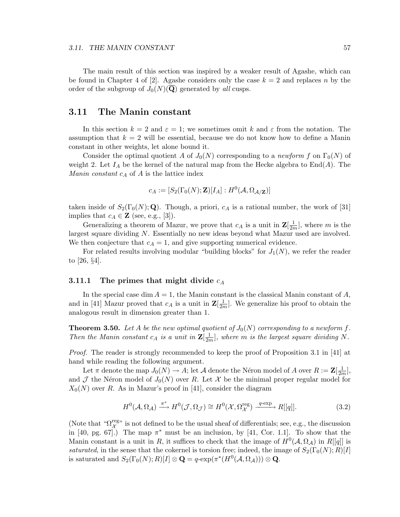The main result of this section was inspired by a weaker result of Agashe, which can be found in Chapter 4 of [2]. Agashe considers only the case  $k = 2$  and replaces n by the order of the subgroup of  $J_0(N)(\overline{\mathbf{Q}})$  generated by all cusps.

# 3.11 The Manin constant

In this section  $k = 2$  and  $\varepsilon = 1$ ; we sometimes omit k and  $\varepsilon$  from the notation. The assumption that  $k = 2$  will be essential, because we do not know how to define a Manin constant in other weights, let alone bound it.

Consider the optimal quotient A of  $J_0(N)$  corresponding to a newform f on  $\Gamma_0(N)$  of weight 2. Let  $I_A$  be the kernel of the natural map from the Hecke algebra to  $\text{End}(A)$ . The *Manin constant*  $c_A$  of A is the lattice index

$$
c_A := [S_2(\Gamma_0(N); \mathbf{Z})[I_A] : H^0(\mathcal{A}, \Omega_{\mathcal{A}/\mathbf{Z}})]
$$

taken inside of  $S_2(\Gamma_0(N); \mathbf{Q})$ . Though, a priori,  $c_A$  is a rational number, the work of [31] implies that  $c_A \in \mathbf{Z}$  (see, e.g., [3]).

Generalizing a theorem of Mazur, we prove that  $c_A$  is a unit in  $\mathbf{Z}[\frac{1}{2n}]$  $\frac{1}{2m}$ , where m is the largest square dividing N. Essentially no new ideas beyond what Mazur used are involved. We then conjecture that  $c_A = 1$ , and give supporting numerical evidence.

For related results involving modular "building blocks" for  $J_1(N)$ , we refer the reader to [26, §4].

# 3.11.1 The primes that might divide  $c_A$

In the special case dim  $A = 1$ , the Manin constant is the classical Manin constant of A, and in [41] Mazur proved that  $c_A$  is a unit in  $\mathbf{Z}[\frac{1}{2n}]$  $\frac{1}{2m}$ . We generalize his proof to obtain the analogous result in dimension greater than 1.

**Theorem 3.50.** Let A be the new optimal quotient of  $J_0(N)$  corresponding to a newform f. Then the Manin constant  $c_A$  is a unit in  $\mathbf{Z}[\frac{1}{2n}]$  $\frac{1}{2m}$ , where m is the largest square dividing N.

Proof. The reader is strongly recommended to keep the proof of Proposition 3.1 in [41] at hand while reading the following argument.

Let  $\pi$  denote the map  $J_0(N) \to A$ ; let  $\mathcal A$  denote the Néron model of  $A$  over  $R := \mathbf{Z}[\frac{1}{2n}]$  $\frac{1}{2m}$ , and  $\mathcal J$  the Néron model of  $J_0(N)$  over R. Let X be the minimal proper regular model for  $X_0(N)$  over R. As in Mazur's proof in [41], consider the diagram

$$
H^{0}(\mathcal{A}, \Omega_{\mathcal{A}}) \xrightarrow{\pi^{*}} H^{0}(\mathcal{J}, \Omega_{\mathcal{J}}) \cong H^{0}(\mathcal{X}, \Omega_{\mathcal{X}}^{\text{reg}}) \xrightarrow{q \text{-exp}} R[[q]].
$$
\n(3.2)

(Note that " $\Omega_X^{\text{reg}}$ " is not defined to be the usual sheaf of differentials; see, e.g., the discussion in [40, pg. 67].) The map  $\pi^*$  must be an inclusion, by [41, Cor. 1.1]. To show that the Manin constant is a unit in R, it suffices to check that the image of  $H^0(\mathcal{A}, \Omega_{\mathcal{A}})$  in  $R[[q]]$  is saturated, in the sense that the cokernel is torsion free; indeed, the image of  $S_2(\Gamma_0(N); R)[I]$ is saturated and  $S_2(\Gamma_0(N); R)[I] \otimes \mathbf{Q} = q \cdot \exp(\pi^*(H^0(\mathcal{A}, \Omega_{\mathcal{A}}))) \otimes \mathbf{Q}.$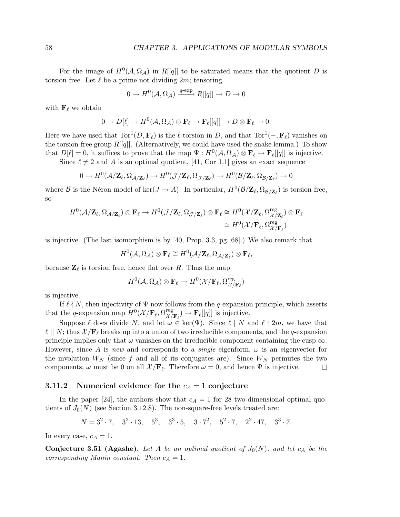For the image of  $H^0(\mathcal{A}, \Omega_{\mathcal{A}})$  in  $R[[q]]$  to be saturated means that the quotient D is torsion free. Let  $\ell$  be a prime not dividing  $2m$ ; tensoring

$$
0 \to H^0(\mathcal{A}, \Omega_\mathcal{A}) \xrightarrow{q-\exp} R[[q]] \to D \to 0
$$

with  $\mathbf{F}_{\ell}$  we obtain

$$
0 \to D[\ell] \to H^0(\mathcal{A}, \Omega_\mathcal{A}) \otimes \mathbf{F}_\ell \to \mathbf{F}_\ell[[q]] \to D \otimes \mathbf{F}_\ell \to 0.
$$

Here we have used that  $Tor^1(D, \mathbf{F}_\ell)$  is the  $\ell$ -torsion in D, and that  $Tor^1(-, \mathbf{F}_\ell)$  vanishes on the torsion-free group  $R[[q]]$ . (Alternatively, we could have used the snake lemma.) To show that  $D[\ell] = 0$ , it suffices to prove that the map  $\Psi : H^0(\mathcal{A}, \Omega_\mathcal{A}) \otimes \mathbf{F}_\ell \to \mathbf{F}_\ell[[q]]$  is injective.

Since  $\ell \neq 2$  and A is an optimal quotient, [41, Cor 1.1] gives an exact sequence

$$
0 \to H^0(\mathcal{A}/\mathbf{Z}_\ell, \Omega_{\mathcal{A}/\mathbf{Z}_\ell}) \to H^0(\mathcal{J}/\mathbf{Z}_\ell, \Omega_{\mathcal{J}/\mathbf{Z}_\ell}) \to H^0(\mathcal{B}/\mathbf{Z}_\ell, \Omega_{\mathcal{B}/\mathbf{Z}_\ell}) \to 0
$$

where B is the Néron model of ker $(J \to A)$ . In particular,  $H^0(\mathcal{B}/\mathbb{Z}_\ell, \Omega_{\mathcal{B}/\mathbb{Z}_\ell})$  is torsion free, so

$$
H^{0}(\mathcal{A}/\mathbf{Z}_{\ell},\Omega_{\mathcal{A}/\mathbf{Z}_{\ell}}) \otimes \mathbf{F}_{\ell} \to H^{0}(\mathcal{J}/\mathbf{Z}_{\ell},\Omega_{\mathcal{J}/\mathbf{Z}_{\ell}}) \otimes \mathbf{F}_{\ell} \cong H^{0}(\mathcal{X}/\mathbf{Z}_{\ell},\Omega_{\mathcal{X}/\mathbf{Z}_{\ell}}^{\text{reg}}) \otimes \mathbf{F}_{\ell}
$$
  

$$
\cong H^{0}(\mathcal{X}/\mathbf{F}_{\ell},\Omega_{\mathcal{X}/\mathbf{F}_{\ell}}^{\text{reg}})
$$

is injective. (The last isomorphism is by [40, Prop. 3.3, pg. 68].) We also remark that

$$
H^0(\mathcal{A}, \Omega_{\mathcal{A}}) \otimes \mathbf{F}_{\ell} \cong H^0(\mathcal{A}/\mathbf{Z}_{\ell}, \Omega_{\mathcal{A}/\mathbf{Z}_{\ell}}) \otimes \mathbf{F}_{\ell},
$$

because  $\mathbf{Z}_{\ell}$  is torsion free, hence flat over R. Thus the map

$$
H^0(\mathcal{A}, \Omega_\mathcal{A}) \otimes \mathbf{F}_\ell \to H^0(\mathcal{X}/\mathbf{F}_\ell, \Omega_{\mathcal{X}/\mathbf{F}_\ell}^{\mathrm{reg}})
$$

is injective.

If  $\ell \nmid N$ , then injectivity of  $\Psi$  now follows from the q-expansion principle, which asserts that the q-expansion map  $H^0(\mathcal{X}/\mathbf{F}_\ell, \Omega_{\mathcal{X}/\mathcal{X}}^{\text{reg}})$  $\mathcal{X}/\mathbf{F}_{\ell}$   $\rightarrow$   $\mathbf{F}_{\ell}[[q]]$  is injective.

Suppose  $\ell$  does divide N, and let  $\omega \in \text{ker}(\Psi)$ . Since  $\ell \mid N$  and  $\ell \nmid 2m$ , we have that  $\ell \mid N$ ; thus  $\mathcal{X}/\mathbf{F}_{\ell}$  breaks up into a union of two irreducible components, and the q-expansion principle implies only that  $\omega$  vanishes on the irreducible component containing the cusp  $\infty$ . However, since A is new and corresponds to a *single* eigenform,  $\omega$  is an eigenvector for the involution  $W_N$  (since f and all of its conjugates are). Since  $W_N$  permutes the two components,  $\omega$  must be 0 on all  $\mathcal{X}/\mathbf{F}_{\ell}$ . Therefore  $\omega = 0$ , and hence  $\Psi$  is injective. □

# 3.11.2 Numerical evidence for the  $c_A = 1$  conjecture

In the paper [24], the authors show that  $c_A = 1$  for 28 two-dimensional optimal quotients of  $J_0(N)$  (see Section 3.12.8). The non-square-free levels treated are:

$$
N = 32 \cdot 7, \quad 32 \cdot 13, \quad 53, \quad 33 \cdot 5, \quad 3 \cdot 72, \quad 52 \cdot 7, \quad 22 \cdot 47, \quad 33 \cdot 7.
$$

In every case,  $c_A = 1$ .

**Conjecture 3.51 (Agashe).** Let A be an optimal quotient of  $J_0(N)$ , and let  $c_A$  be the corresponding Manin constant. Then  $c_A = 1$ .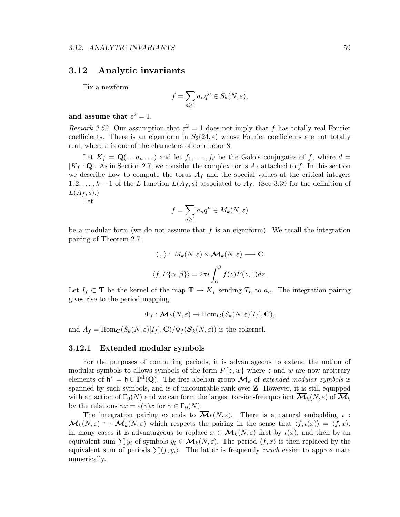# 3.12 Analytic invariants

Fix a newform

$$
f = \sum_{n \ge 1} a_n q^n \in S_k(N, \varepsilon),
$$

# and assume that  $\varepsilon^2 = 1$ .

Remark 3.52. Our assumption that  $\varepsilon^2 = 1$  does not imply that f has totally real Fourier coefficients. There is an eigenform in  $S_2(24,\varepsilon)$  whose Fourier coefficients are not totally real, where  $\varepsilon$  is one of the characters of conductor 8.

Let  $K_f = \mathbf{Q}(\ldots a_n \ldots)$  and let  $f_1, \ldots, f_d$  be the Galois conjugates of f, where  $d =$  $[K_f : \mathbf{Q}]$ . As in Section 2.7, we consider the complex torus  $A_f$  attached to f. In this section we describe how to compute the torus  $A_f$  and the special values at the critical integers  $1, 2, \ldots, k-1$  of the L function  $L(A_f, s)$  associated to  $A_f$ . (See 3.39 for the definition of  $L(A_f, s)$ .)

Let

$$
f = \sum_{n\geq 1} a_n q^n \in M_k(N, \varepsilon)
$$

be a modular form (we do not assume that  $f$  is an eigenform). We recall the integration pairing of Theorem 2.7:

$$
\langle , \rangle : M_k(N, \varepsilon) \times \mathcal{M}_k(N, \varepsilon) \longrightarrow \mathbf{C}
$$
  

$$
\langle f, P\{\alpha, \beta\} \rangle = 2\pi i \int_{\alpha}^{\beta} f(z)P(z, 1)dz.
$$

Let  $I_f \subset \mathbf{T}$  be the kernel of the map  $\mathbf{T} \to K_f$  sending  $T_n$  to  $a_n$ . The integration pairing gives rise to the period mapping

$$
\Phi_f: \mathcal{M}_k(N, \varepsilon) \to \text{Hom}_{\mathbf{C}}(S_k(N, \varepsilon)[I_f], \mathbf{C}),
$$

and  $A_f = \text{Hom}_{\mathbf{C}}(S_k(N,\varepsilon)[I_f], \mathbf{C})/\Phi_f(\mathcal{S}_k(N,\varepsilon))$  is the cokernel.

#### 3.12.1 Extended modular symbols

For the purposes of computing periods, it is advantageous to extend the notion of modular symbols to allows symbols of the form  $P\{z, w\}$  where z and w are now arbitrary elements of  $\mathfrak{h}^* = \mathfrak{h} \cup \mathbf{P}^1(\mathbf{Q})$ . The free abelian group  $\overline{\mathcal{M}}_k$  of *extended modular symbols* is spanned by such symbols, and is of uncountable rank over Z. However, it is still equipped with an action of  $\Gamma_0(N)$  and we can form the largest torsion-free quotient  $\mathcal{M}_k(N, \varepsilon)$  of  $\mathcal{M}_k$ by the relations  $\gamma x = \varepsilon(\gamma)x$  for  $\gamma \in \Gamma_0(N)$ .

The integration pairing extends to  $\overline{\mathcal{M}}_k(N,\varepsilon)$ . There is a natural embedding  $\iota$ :  $\mathcal{M}_k(N,\varepsilon) \hookrightarrow \overline{\mathcal{M}}_k(N,\varepsilon)$  which respects the pairing in the sense that  $\langle f,\iota(x)\rangle = \langle f,x\rangle$ . In many cases it is advantageous to replace  $x \in \mathcal{M}_k(N, \varepsilon)$  first by  $\iota(x)$ , and then by an equivalent sum  $\sum y_i$  of symbols  $y_i \in \overline{\mathcal{M}}_k(N, \varepsilon)$ . The period  $\langle f, x \rangle$  is then replaced by the equivalent sum of periods  $\sum \langle f, y_i \rangle$ . The latter is frequently much easier to approximate numerically.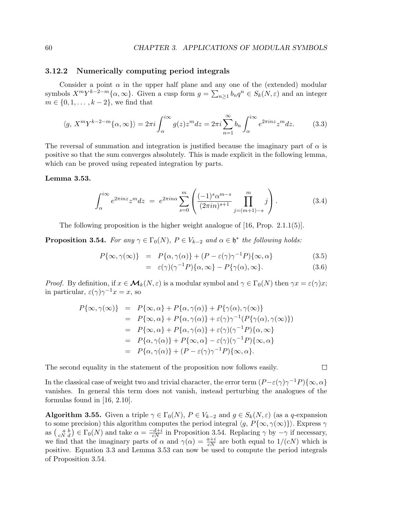# 3.12.2 Numerically computing period integrals

Consider a point  $\alpha$  in the upper half plane and any one of the (extended) modular symbols  $X^m Y^{k-2-m} {\alpha, \infty}$ . Given a cusp form  $g = \sum_{n \geq 1} b_n q^n \in S_k(N, \varepsilon)$  and an integer  $m \in \{0, 1, \ldots, k-2\}$ , we find that

$$
\langle g, X^m Y^{k-2-m} \{ \alpha, \infty \} \rangle = 2\pi i \int_{\alpha}^{i\infty} g(z) z^m dz = 2\pi i \sum_{n=1}^{\infty} b_n \int_{\alpha}^{i\infty} e^{2\pi i n z} z^m dz.
$$
 (3.3)

The reversal of summation and integration is justified because the imaginary part of  $\alpha$  is positive so that the sum converges absolutely. This is made explicit in the following lemma, which can be proved using repeated integration by parts.

#### Lemma 3.53.

$$
\int_{\alpha}^{i\infty} e^{2\pi i n z} z^m dz = e^{2\pi i n \alpha} \sum_{s=0}^{m} \left( \frac{(-1)^s \alpha^{m-s}}{(2\pi i n)^{s+1}} \prod_{j=(m+1)-s}^{m} j \right). \tag{3.4}
$$

The following proposition is the higher weight analogue of [16, Prop. 2.1.1(5)].

**Proposition 3.54.** For any  $\gamma \in \Gamma_0(N)$ ,  $P \in V_{k-2}$  and  $\alpha \in \mathfrak{h}^*$  the following holds:

$$
P\{\infty, \gamma(\infty)\} = P\{\alpha, \gamma(\alpha)\} + (P - \varepsilon(\gamma)\gamma^{-1}P)\{\infty, \alpha\}
$$
\n(3.5)

$$
= \varepsilon(\gamma)(\gamma^{-1}P)\{\alpha,\infty\} - P\{\gamma(\alpha),\infty\}.
$$
 (3.6)

*Proof.* By definition, if  $x \in M_k(N, \varepsilon)$  is a modular symbol and  $\gamma \in \Gamma_0(N)$  then  $\gamma x = \varepsilon(\gamma)x$ ; in particular,  $\varepsilon(\gamma)\gamma^{-1}x=x$ , so

$$
P\{\infty, \gamma(\infty)\} = P\{\infty, \alpha\} + P\{\alpha, \gamma(\alpha)\} + P\{\gamma(\alpha), \gamma(\infty)\}
$$
  
\n
$$
= P\{\infty, \alpha\} + P\{\alpha, \gamma(\alpha)\} + \varepsilon(\gamma)\gamma^{-1}(P\{\gamma(\alpha), \gamma(\infty)\})
$$
  
\n
$$
= P\{\infty, \alpha\} + P\{\alpha, \gamma(\alpha)\} + \varepsilon(\gamma)(\gamma^{-1}P)\{\alpha, \infty\}
$$
  
\n
$$
= P\{\alpha, \gamma(\alpha)\} + P\{\infty, \alpha\} - \varepsilon(\gamma)(\gamma^{-1}P)\{\infty, \alpha\}
$$
  
\n
$$
= P\{\alpha, \gamma(\alpha)\} + (P - \varepsilon(\gamma)\gamma^{-1}P)\{\infty, \alpha\}.
$$

The second equality in the statement of the proposition now follows easily.

In the classical case of weight two and trivial character, the error term  $(P-\varepsilon(\gamma)\gamma^{-1}P)\{\infty,\alpha\}$ vanishes. In general this term does not vanish, instead perturbing the analogues of the formulas found in [16, 2.10].

**Algorithm 3.55.** Given a triple  $\gamma \in \Gamma_0(N)$ ,  $P \in V_{k-2}$  and  $g \in S_k(N, \varepsilon)$  (as a q-expansion to some precision) this algorithm computes the period integral  $\langle g, P\{\infty, \gamma(\infty)\}\rangle$ . Express  $\gamma$ as  $\binom{a}{cN d} \in \Gamma_0(N)$  and take  $\alpha = \frac{-d+i}{cN}$  in Proposition 3.54. Replacing  $\gamma$  by  $-\gamma$  if necessary, we find that the imaginary parts of  $\alpha$  and  $\gamma(\alpha) = \frac{a+i}{cN}$  are both equal to  $1/(cN)$  which is positive. Equation 3.3 and Lemma 3.53 can now be used to compute the period integrals of Proposition 3.54.

$$
\mathsf{L}^{\mathsf{L}}
$$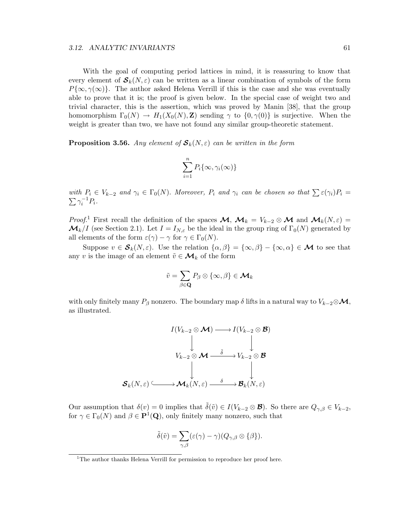#### 3.12. ANALYTIC INVARIANTS 61

With the goal of computing period lattices in mind, it is reassuring to know that every element of  $S_k(N,\varepsilon)$  can be written as a linear combination of symbols of the form  $P{\infty, \gamma(\infty)}$ . The author asked Helena Verrill if this is the case and she was eventually able to prove that it is; the proof is given below. In the special case of weight two and trivial character, this is the assertion, which was proved by Manin [38], that the group homomorphism  $\Gamma_0(N) \to H_1(X_0(N), \mathbb{Z})$  sending  $\gamma$  to  $\{0, \gamma(0)\}$  is surjective. When the weight is greater than two, we have not found any similar group-theoretic statement.

**Proposition 3.56.** Any element of  $S_k(N, \varepsilon)$  can be written in the form

$$
\sum_{i=1}^{n} P_i\{\infty, \gamma_i(\infty)\}
$$

with  $P_i \in V_{k-2}$  and  $\gamma_i \in \Gamma_0(N)$ . Moreover,  $P_i$  and  $\gamma_i$  can be chosen so that  $\sum \varepsilon(\gamma_i)P_i =$  $\sum \gamma_i^{-1} P_i$ .

*Proof.*<sup>1</sup> First recall the definition of the spaces  $\mathcal{M}$ ,  $\mathcal{M}_k = V_{k-2} \otimes \mathcal{M}$  and  $\mathcal{M}_k(N, \varepsilon) =$  $\mathcal{M}_k/I$  (see Section 2.1). Let  $I = I_{N,\varepsilon}$  be the ideal in the group ring of  $\Gamma_0(N)$  generated by all elements of the form  $\varepsilon(\gamma) - \gamma$  for  $\gamma \in \Gamma_0(N)$ .

Suppose  $v \in \mathcal{S}_k(N,\varepsilon)$ . Use the relation  $\{\alpha,\beta\} = \{\infty,\beta\} - \{\infty,\alpha\} \in \mathcal{M}$  to see that any v is the image of an element  $\tilde{v} \in \mathcal{M}_k$  of the form

$$
\tilde{v} = \sum_{\beta \in \mathbf{Q}} P_{\beta} \otimes \{ \infty, \beta \} \in \mathcal{M}_k
$$

with only finitely many  $P_\beta$  nonzero. The boundary map  $\delta$  lifts in a natural way to  $V_{k-2} \otimes \mathcal{M}$ , as illustrated.

$$
I(V_{k-2} \otimes M) \longrightarrow I(V_{k-2} \otimes B)
$$
  
\n
$$
V_{k-2} \otimes M \xrightarrow{\delta} V_{k-2} \otimes B
$$
  
\n
$$
\downarrow \qquad \qquad \downarrow
$$
  
\n
$$
S_k(N,\varepsilon) \xrightarrow{\delta} M_k(N,\varepsilon) \xrightarrow{\delta} B_k(N,\varepsilon)
$$

Our assumption that  $\delta(v) = 0$  implies that  $\tilde{\delta}(\tilde{v}) \in I(V_{k-2} \otimes \mathcal{B})$ . So there are  $Q_{\gamma,\beta} \in V_{k-2}$ , for  $\gamma \in \Gamma_0(N)$  and  $\beta \in \mathbf{P}^1(\mathbf{Q})$ , only finitely many nonzero, such that

$$
\tilde{\delta}(\tilde{v}) = \sum_{\gamma,\beta} (\varepsilon(\gamma) - \gamma) (Q_{\gamma,\beta} \otimes {\{\beta\}}).
$$

<sup>&</sup>lt;sup>1</sup>The author thanks Helena Verrill for permission to reproduce her proof here.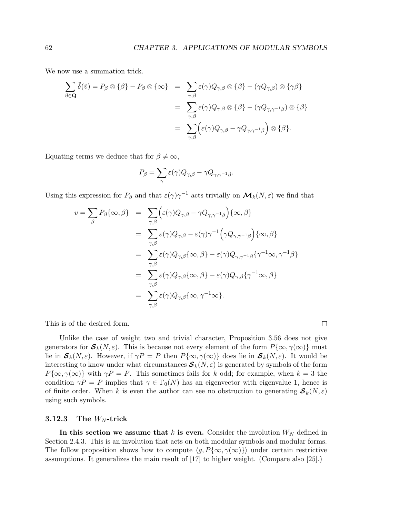$\Box$ 

We now use a summation trick.

$$
\sum_{\beta \in \mathbf{Q}} \tilde{\delta}(\tilde{v}) = P_{\beta} \otimes \{\beta\} - P_{\beta} \otimes \{\infty\} = \sum_{\gamma, \beta} \varepsilon(\gamma) Q_{\gamma, \beta} \otimes \{\beta\} - (\gamma Q_{\gamma, \beta}) \otimes \{\gamma\beta\}
$$

$$
= \sum_{\gamma, \beta} \varepsilon(\gamma) Q_{\gamma, \beta} \otimes \{\beta\} - (\gamma Q_{\gamma, \gamma^{-1}\beta}) \otimes \{\beta\}
$$

$$
= \sum_{\gamma, \beta} \left( \varepsilon(\gamma) Q_{\gamma, \beta} - \gamma Q_{\gamma, \gamma^{-1}\beta} \right) \otimes \{\beta\}.
$$

Equating terms we deduce that for  $\beta \neq \infty$ ,

$$
P_{\beta} = \sum_{\gamma} \varepsilon(\gamma) Q_{\gamma,\beta} - \gamma Q_{\gamma,\gamma^{-1}\beta}.
$$

Using this expression for  $P_\beta$  and that  $\varepsilon(\gamma)\gamma^{-1}$  acts trivially on  $\mathcal{M}_k(N,\varepsilon)$  we find that

$$
v = \sum_{\beta} P_{\beta} \{\infty, \beta\} = \sum_{\gamma, \beta} \Big( \varepsilon(\gamma) Q_{\gamma, \beta} - \gamma Q_{\gamma, \gamma^{-1} \beta} \Big) \{\infty, \beta\} = \sum_{\gamma, \beta} \varepsilon(\gamma) Q_{\gamma, \beta} - \varepsilon(\gamma) \gamma^{-1} \Big( \gamma Q_{\gamma, \gamma^{-1} \beta} \Big) \{\infty, \beta\} = \sum_{\gamma, \beta} \varepsilon(\gamma) Q_{\gamma, \beta} \{\infty, \beta\} - \varepsilon(\gamma) Q_{\gamma, \gamma^{-1} \beta} \{\gamma^{-1} \infty, \gamma^{-1} \beta\} = \sum_{\gamma, \beta} \varepsilon(\gamma) Q_{\gamma, \beta} \{\infty, \beta\} - \varepsilon(\gamma) Q_{\gamma, \beta} \{\gamma^{-1} \infty, \beta\} = \sum_{\gamma, \beta} \varepsilon(\gamma) Q_{\gamma, \beta} \{\infty, \gamma^{-1} \infty\}.
$$

This is of the desired form.

Unlike the case of weight two and trivial character, Proposition 3.56 does not give generators for  $\mathcal{S}_k(N,\varepsilon)$ . This is because not every element of the form  $P\{\infty, \gamma(\infty)\}\)$  must lie in  $S_k(N,\varepsilon)$ . However, if  $\gamma P = P$  then  $P\{\infty, \gamma(\infty)\}\)$  does lie in  $S_k(N,\varepsilon)$ . It would be interesting to know under what circumstances  $S_k(N, \varepsilon)$  is generated by symbols of the form  $P\{\infty, \gamma(\infty)\}\$  with  $\gamma P = P$ . This sometimes fails for k odd; for example, when  $k = 3$  the condition  $\gamma P = P$  implies that  $\gamma \in \Gamma_0(N)$  has an eigenvector with eigenvalue 1, hence is of finite order. When k is even the author can see no obstruction to generating  $\mathcal{S}_k(N,\varepsilon)$ using such symbols.

## **3.12.3** The  $W_N$ -trick

In this section we assume that k is even. Consider the involution  $W_N$  defined in Section 2.4.3. This is an involution that acts on both modular symbols and modular forms. The follow proposition shows how to compute  $\langle g, P\{\infty, \gamma(\infty)\}\rangle$  under certain restrictive assumptions. It generalizes the main result of [17] to higher weight. (Compare also [25].)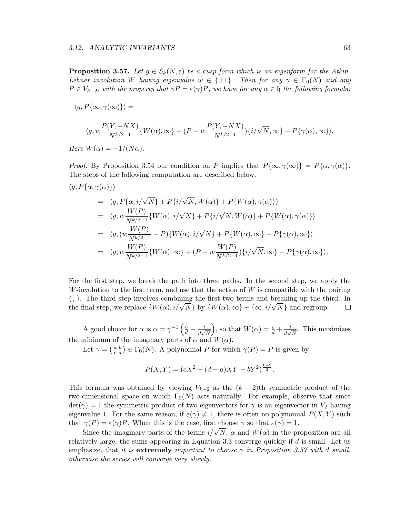**Proposition 3.57.** Let  $g \in S_k(N, \varepsilon)$  be a cusp form which is an eigenform for the Atkin-Lehner involution W having eigenvalue  $w \in \{\pm 1\}$ . Then for any  $\gamma \in \Gamma_0(N)$  and any  $P \in V_{k-2}$ , with the property that  $\gamma P = \varepsilon(\gamma)P$ , we have for any  $\alpha \in \mathfrak{h}$  the following formula:

$$
\langle g, P\{\infty, \gamma(\infty)\}\rangle =
$$

$$
\langle g,w\frac{P(Y,-NX)}{N^{k/2-1}}\{W(\alpha),\infty\}+(P-w\frac{P(Y,-NX)}{N^{k/2-1}})\{i/\sqrt{N},\infty\}-P\{\gamma(\alpha),\infty\}\rangle.
$$

Here  $W(\alpha) = -1/(N\alpha)$ .

 $\langle g, P\{\alpha, \gamma(\alpha)\}\rangle$ 

*Proof.* By Proposition 3.54 our condition on P implies that  $P{\infty, \gamma(\infty)} = P{\alpha, \gamma(\alpha)}$ . The steps of the following computation are described below.

$$
= \langle g, P\{\alpha, i/\sqrt{N}\} + P\{i/\sqrt{N}, W(\alpha)\} + P\{W(\alpha), \gamma(\alpha)\}\rangle
$$
  
\n
$$
= \langle g, w \frac{W(P)}{N^{k/2-1}} \{W(\alpha), i/\sqrt{N}\} + P\{i/\sqrt{N}, W(\alpha)\} + P\{W(\alpha), \gamma(\alpha)\}\rangle
$$
  
\n
$$
= \langle g, (w \frac{W(P)}{N^{k/2-1}} - P)\{W(\alpha), i/\sqrt{N}\} + P\{W(\alpha), \infty\} - P\{\gamma(\alpha), \infty\}\rangle
$$
  
\n
$$
= \langle g, w \frac{W(P)}{N^{k/2-1}} \{W(\alpha), \infty\} + (P - w \frac{W(P)}{N^{k/2-1}})\{i/\sqrt{N}, \infty\} - P\{\gamma(\alpha), \infty\}\rangle.
$$

For the first step, we break the path into three paths. In the second step, we apply the W-involution to the first term, and use that the action of  $W$  is compatible with the pairing  $\langle , \rangle$ . The third step involves combining the first two terms and breaking up the third. In the final step, we replace  $\{W(\alpha), i/\sqrt{N}\}$  by  $\{W(\alpha), \infty\} + \{\infty, i/\sqrt{N}\}\$  and regroup. the final step, we replace  $\{W(\alpha), i/\sqrt{N}\}$  by  $\{W(\alpha), \infty\} + \{\infty, i/\sqrt{N}\}$  and regroup.

A good choice for  $\alpha$  is  $\alpha = \gamma^{-1} \left( \frac{b}{d} + \frac{i}{d\sqrt{n}} \right)$  $\frac{1}{d\sqrt{N}}$ ), so that  $W(\alpha) = \frac{c}{d} + \frac{i}{d\alpha}$  $\frac{i}{d\sqrt{N}}$ . This maximizes the minimum of the imaginary parts of  $\alpha$  and  $W(\alpha)$ .

Let  $\gamma = \begin{pmatrix} a & b \\ c & d \end{pmatrix} \in \Gamma_0(N)$ . A polynomial P for which  $\gamma(P) = P$  is given by

$$
P(X,Y) = (cX^{2} + (d-a)XY - bY^{2})^{\frac{k-2}{2}}.
$$

This formula was obtained by viewing  $V_{k-2}$  as the  $(k-2)$ th symmetric product of the two-dimensional space on which  $\Gamma_0(N)$  acts naturally. For example, observe that since  $\det(\gamma) = 1$  the symmetric product of two eigenvectors for  $\gamma$  is an eigenvector in  $V_2$  having eigenvalue 1. For the same reason, if  $\varepsilon(\gamma) \neq 1$ , there is often no polynomial  $P(X, Y)$  such that  $\gamma(P) = \varepsilon(\gamma)P$ . When this is the case, first choose  $\gamma$  so that  $\varepsilon(\gamma) = 1$ .

Since the imaginary parts of the terms  $i/\sqrt{N}$ ,  $\alpha$  and  $W(\alpha)$  in the proposition are all relatively large, the sums appearing in Equation 3.3 converge quickly if  $d$  is small. Let us emphasize, that it is extremely important to choose  $\gamma$  in Proposition 3.57 with d small, otherwise the series will converge very slowly.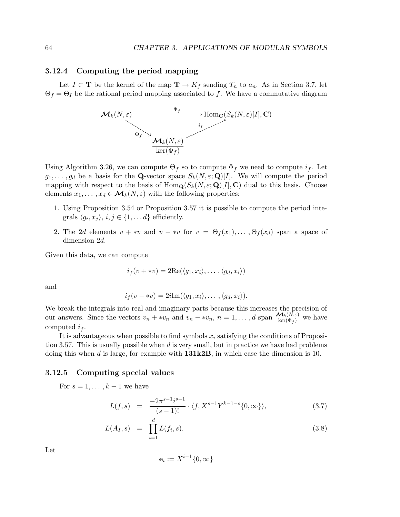## 3.12.4 Computing the period mapping

Let  $I \subset \mathbf{T}$  be the kernel of the map  $\mathbf{T} \to K_f$  sending  $T_n$  to  $a_n$ . As in Section 3.7, let  $\Theta_f = \Theta_I$  be the rational period mapping associated to f. We have a commutative diagram



Using Algorithm 3.26, we can compute  $\Theta_f$  so to compute  $\Phi_f$  we need to compute  $i_f$ . Let  $g_1, \ldots, g_d$  be a basis for the **Q**-vector space  $S_k(N, \varepsilon; \mathbf{Q})[I]$ . We will compute the period mapping with respect to the basis of  $\text{Hom}_{\mathbf{Q}}(S_k(N,\varepsilon; \mathbf{Q})[I], \mathbf{C})$  dual to this basis. Choose elements  $x_1, \ldots, x_d \in \mathcal{M}_k(N, \varepsilon)$  with the following properties:

- 1. Using Proposition 3.54 or Proposition 3.57 it is possible to compute the period integrals  $\langle g_i, x_j \rangle$ ,  $i, j \in \{1, \dots d\}$  efficiently.
- 2. The 2d elements  $v + *v$  and  $v *v$  for  $v = \Theta_f(x_1), \ldots, \Theta_f(x_d)$  span a space of dimension 2d.

Given this data, we can compute

$$
i_f(v + *v) = 2\operatorname{Re}(\langle g_1, x_i \rangle, \ldots, \langle g_d, x_i \rangle)
$$

and

$$
i_f(v - *v) = 2i\mathrm{Im}(\langle g_1, x_i \rangle, \ldots, \langle g_d, x_i \rangle).
$$

We break the integrals into real and imaginary parts because this increases the precision of our answers. Since the vectors  $v_n + *v_n$  and  $v_n - *v_n$ ,  $n = 1, ..., d$  span  $\frac{M_k(N,\varepsilon)}{\ker(\Phi_f)}$  we have computed  $i_f$ .

It is advantageous when possible to find symbols  $x_i$  satisfying the conditions of Proposition 3.57. This is usually possible when  $d$  is very small, but in practice we have had problems doing this when d is large, for example with  $131k2B$ , in which case the dimension is 10.

## 3.12.5 Computing special values

For  $s = 1, \ldots, k - 1$  we have

$$
L(f,s) = \frac{-2\pi^{s-1}i^{s-1}}{(s-1)!} \cdot \langle f, X^{s-1}Y^{k-1-s}\{0,\infty\} \rangle, \tag{3.7}
$$

$$
L(A_I, s) = \prod_{i=1}^{d} L(f_i, s).
$$
 (3.8)

Let

$$
\mathbf{e}_i := X^{i-1}\{0,\infty\}
$$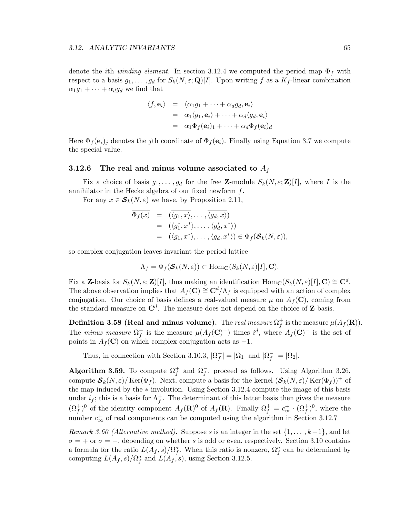denote the *i*th *winding element*. In section 3.12.4 we computed the period map  $\Phi_f$  with respect to a basis  $g_1, \ldots, g_d$  for  $S_k(N, \varepsilon; \mathbf{Q})[I]$ . Upon writing f as a  $K_f$ -linear combination  $\alpha_1 g_1 + \cdots + \alpha_d g_d$  we find that

$$
\langle f, \mathbf{e}_i \rangle = \langle \alpha_1 g_1 + \dots + \alpha_d g_d, \mathbf{e}_i \rangle
$$
  
=  $\alpha_1 \langle g_1, \mathbf{e}_i \rangle + \dots + \alpha_d \langle g_d, \mathbf{e}_i \rangle$   
=  $\alpha_1 \Phi_f(\mathbf{e}_i)_1 + \dots + \alpha_d \Phi_f(\mathbf{e}_i)_d$ 

Here  $\Phi_f(\mathbf{e}_i)_j$  denotes the jth coordinate of  $\Phi_f(\mathbf{e}_i)$ . Finally using Equation 3.7 we compute the special value.

## 3.12.6 The real and minus volume associated to  $A_f$

Fix a choice of basis  $g_1, \ldots, g_d$  for the free **Z**-module  $S_k(N, \varepsilon; \mathbf{Z})[I]$ , where I is the annihilator in the Hecke algebra of our fixed newform f.

For any  $x \in \mathcal{S}_k(N, \varepsilon)$  we have, by Proposition 2.11,

$$
\overline{\Phi_f(x)} = (\overline{\langle g_1, x \rangle}, \dots, \overline{\langle g_d, x \rangle})
$$
  
\n
$$
= (\langle g_1^*, x^* \rangle, \dots, \langle g_d^*, x^* \rangle)
$$
  
\n
$$
= (\langle g_1, x^* \rangle, \dots, \langle g_d, x^* \rangle) \in \Phi_f(\mathcal{S}_k(N, \varepsilon)),
$$

so complex conjugation leaves invariant the period lattice

$$
\Lambda_f = \Phi_f(\mathcal{S}_k(N,\varepsilon)) \subset \text{Hom}_{\mathbf{C}}(S_k(N,\varepsilon)[I], \mathbf{C}).
$$

Fix a Z-basis for  $S_k(N, \varepsilon; \mathbf{Z})[I]$ , thus making an identification  $\text{Hom}_{\mathbf{C}}(S_k(N, \varepsilon)[I], \mathbf{C}) \cong \mathbf{C}^d$ . The above observation implies that  $A_f(\mathbf{C}) \cong \mathbf{C}^d/\Lambda_f$  is equipped with an action of complex conjugation. Our choice of basis defines a real-valued measure  $\mu$  on  $A_f(\mathbf{C})$ , coming from the standard measure on  $\mathbb{C}^d$ . The measure does not depend on the choice of Z-basis.

Definition 3.58 (Real and minus volume). The real measure  $\Omega_f^+$  $f$  is the measure  $\mu(A_f(\mathbf{R})).$ The minus measure  $\Omega_f^-$  is the measure  $\mu(A_f(\mathbf{C})^-)$  times  $i^d$ , where  $A_f(\mathbf{C})^-$  is the set of points in  $A_f(\mathbf{C})$  on which complex conjugation acts as  $-1$ .

Thus, in connection with Section 3.10.3,  $|\Omega_f^+|$  $|f| = |\Omega_1|$  and  $|\Omega_f^-| = |\Omega_2|$ .

Algorithm 3.59. To compute  $\Omega_f^+$  $f \atop f$  and  $\Omega_f^-$ , proceed as follows. Using Algorithm 3.26, compute  $S_k(N,\varepsilon)/\text{Ker}(\Phi_f)$ . Next, compute a basis for the kernel  $(\mathcal{S}_k(N,\varepsilon)/\text{Ker}(\Phi_f))^+$  of the map induced by the ∗-involution. Using Section 3.12.4 compute the image of this basis under  $i_f$ ; this is a basis for  $\Lambda_f^+$  $f$ . The determinant of this latter basis then gives the measure  $(\Omega_f^+)^0$  of the identity component  $A_f(\mathbf{R})^0$  of  $A_f(\mathbf{R})$ . Finally  $\Omega_f^+ = c^+_{\infty} \cdot (\Omega_f^+)^0$ , where the number  $c_{\infty}^{+}$  of real components can be computed using the algorithm in Section 3.12.7

Remark 3.60 (Alternative method). Suppose s is an integer in the set  $\{1,\ldots,k-1\}$ , and let  $\sigma = +$  or  $\sigma = -$ , depending on whether s is odd or even, respectively. Section 3.10 contains a formula for the ratio  $L(A_f, s)/\Omega_f^{\sigma}$ . When this ratio is nonzero,  $\Omega_f^{\sigma}$  can be determined by computing  $L(A_f, s)/\Omega_f^{\sigma}$  and  $L(A_f, s)$ , using Section 3.12.5.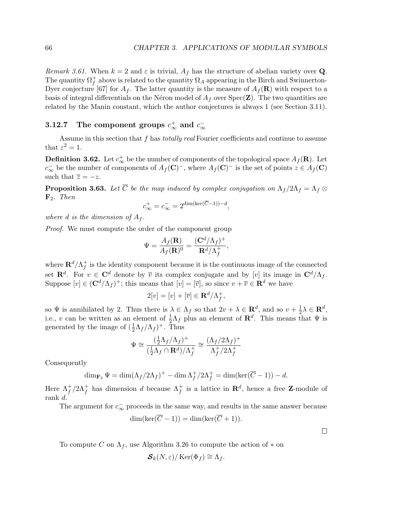Remark 3.61. When  $k = 2$  and  $\varepsilon$  is trivial,  $A_f$  has the structure of abelian variety over Q. The quantity  $\Omega_f^+$  $_f^+$  above is related to the quantity  $\Omega_A$  appearing in the Birch and Swinnerton-Dyer conjecture [67] for  $A_f$ . The latter quantity is the measure of  $A_f(\mathbf{R})$  with respect to a basis of integral differentials on the Néron model of  $A_f$  over  $Spec(Z)$ . The two quantities are related by the Manin constant, which the author conjectures is always 1 (see Section 3.11).

## 3.12.7 The component groups  $c_{\infty}^{+}$  and  $c_{\infty}^{-}$

Assume in this section that  $f$  has *totally real* Fourier coefficients and continue to assume that  $\varepsilon^2 = 1$ .

**Definition 3.62.** Let  $c^+_{\infty}$  be the number of components of the topological space  $A_f(\mathbf{R})$ . Let  $c_{\infty}^-$  be the number of components of  $A_f(\mathbf{C})^-$ , where  $A_f(\mathbf{C})^-$  is the set of points  $z \in A_f(\mathbf{C})$ such that  $\overline{z} = -z$ .

**Proposition 3.63.** Let  $\overline{C}$  be the map induced by complex conjugation on  $\Lambda_f/2\Lambda_f = \Lambda_f \otimes$  $\mathbf{F}_2$ . Then

$$
c_{\infty}^{+} = c_{\infty}^{-} = 2^{\dim(\ker(\overline{C}-1)) - d},
$$

where d is the dimension of  $A_f$ .

Proof. We must compute the order of the component group

$$
\Psi = \frac{A_f(\mathbf{R})}{A_f(\mathbf{R})^0} = \frac{(\mathbf{C}^d/\Lambda_f)^+}{\mathbf{R}^d/\Lambda_f^+},
$$

where  $\mathbf{R}^d/\Lambda_f^+$  $_f^+$  is the identity component because it is the continuous image of the connected set  $\mathbf{R}^d$ . For  $v \in \mathbf{C}^d$  denote by  $\overline{v}$  its complex conjugate and by [v] its image in  $\mathbf{C}^d/\Lambda_f$ . Suppose  $[v] \in (\mathbf{C}^d/\Lambda_f)^+$ ; this means that  $[v] = [\overline{v}]$ , so since  $v + \overline{v} \in \mathbf{R}^d$  we have

$$
2[v] = [v] + [\overline{v}] \in \mathbf{R}^d / \Lambda_f^+,
$$

so  $\Psi$  is annihilated by 2. Thus there is  $\lambda \in \Lambda_f$  so that  $2v + \lambda \in \mathbb{R}^d$ , and so  $v + \frac{1}{2}$  $\frac{1}{2}\lambda \in \mathbf{R}^d$ , i.e., v can be written as an element of  $\frac{1}{2}\Lambda_f$  plus an element of  $\mathbf{R}^d$ . This means that  $\Psi$  is generated by the image of  $(\frac{1}{2}\Lambda_f/\Lambda_f)^+$ . Thus

$$
\Psi \cong \frac{(\frac{1}{2}\Lambda_f/\Lambda_f)^+}{(\frac{1}{2}\Lambda_f \cap \mathbf{R}^d)/\Lambda_f^+} \cong \frac{(\Lambda_f/2\Lambda_f)^+}{\Lambda_f^+/2\Lambda_f^+}
$$

Consequently

$$
\dim_{\mathbf{F}_2} \Psi = \dim(\Lambda_f/2\Lambda_f)^+ - \dim \Lambda_f^+/2\Lambda_f^+ = \dim(\ker(\overline{C} - 1)) - d.
$$

Here  $\Lambda_f^+$  $f_f^+/2\Lambda_f^+$  has dimension d because  $\Lambda_f^+$ <sup>+</sup> is a lattice in  $\mathbf{R}^d$ , hence a free **Z**-module of rank d.

The argument for  $c_{\infty}^-$  proceeds in the same way, and results in the same answer because

$$
\dim(\ker(\overline{C}-1)) = \dim(\ker(\overline{C}+1)).
$$

 $\Box$ 

To compute C on  $\Lambda_f$ , use Algorithm 3.26 to compute the action of  $*$  on

 $\mathcal{S}_k(N,\varepsilon)/\operatorname{Ker}(\Phi_f) \cong \Lambda_f$ .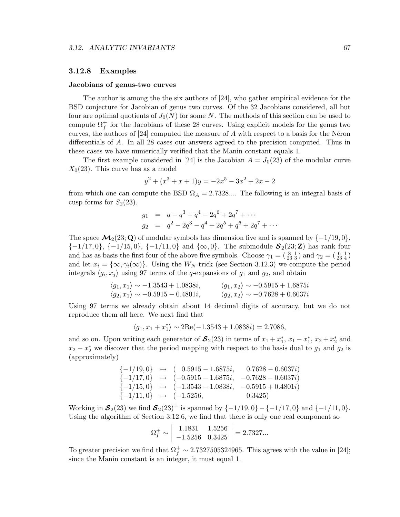## 3.12.8 Examples

#### Jacobians of genus-two curves

The author is among the the six authors of [24], who gather empirical evidence for the BSD conjecture for Jacobian of genus two curves. Of the 32 Jacobians considered, all but four are optimal quotients of  $J_0(N)$  for some N. The methods of this section can be used to compute  $\Omega_f^+$  $f$  for the Jacobians of these 28 curves. Using explicit models for the genus two curves, the authors of  $[24]$  computed the measure of A with respect to a basis for the Néron differentials of A. In all 28 cases our answers agreed to the precision computed. Thus in these cases we have numerically verified that the Manin constant equals 1.

The first example considered in [24] is the Jacobian  $A = J_0(23)$  of the modular curve  $X_0(23)$ . This curve has as a model

$$
y^{2} + (x^{3} + x + 1)y = -2x^{5} - 3x^{2} + 2x - 2
$$

from which one can compute the BSD  $\Omega_A = 2.7328...$  The following is an integral basis of cusp forms for  $S_2(23)$ .

$$
g_1 = q - q^3 - q^4 - 2q^6 + 2q^7 + \cdots
$$
  
\n
$$
g_2 = q^2 - 2q^3 - q^4 + 2q^5 + q^6 + 2q^7 + \cdots
$$

The space  $\mathcal{M}_2(23;\mathbf{Q})$  of modular symbols has dimension five and is spanned by  $\{-1/19,0\}$ ,  ${-1/17,0}, -1/15,0}, -1/11,0}$  and  ${\infty,0}.$  The submodule  $S_2(23;\mathbf{Z})$  has rank four and has as basis the first four of the above five symbols. Choose  $\gamma_1 = (\frac{8}{23} \frac{1}{3})$  and  $\gamma_2 = (\frac{6}{23} \frac{1}{4})$ and let  $x_i = {\infty, \gamma_i(\infty)}$ . Using the W<sub>N</sub>-trick (see Section 3.12.3) we compute the period integrals  $\langle g_i, x_j \rangle$  using 97 terms of the q-expansions of  $g_1$  and  $g_2$ , and obtain

$$
\langle g_1, x_1 \rangle \sim -1.3543 + 1.0838i,
$$
  $\langle g_1, x_2 \rangle \sim -0.5915 + 1.6875i$   
 $\langle g_2, x_1 \rangle \sim -0.5915 - 0.4801i,$   $\langle g_2, x_2 \rangle \sim -0.7628 + 0.6037i$ 

Using 97 terms we already obtain about 14 decimal digits of accuracy, but we do not reproduce them all here. We next find that

$$
\langle g_1, x_1 + x_1^* \rangle \sim 2\text{Re}(-1.3543 + 1.0838i) = 2.7086,
$$

and so on. Upon writing each generator of  $S_2(23)$  in terms of  $x_1 + x_1^*, x_1 - x_1^*, x_2 + x_2^*$  and  $x_2 - x_2^*$  we discover that the period mapping with respect to the basis dual to  $g_1$  and  $g_2$  is (approximately)

$$
\begin{array}{llll} \{-1/19,0\} & \mapsto & ( \quad 0.5915 - 1.6875i, \quad \quad 0.7628 - 0.6037i) \\ \{-1/17,0\} & \mapsto & (-0.5915 - 1.6875i, \quad -0.7628 - 0.6037i) \\ \{-1/15,0\} & \mapsto & (-1.3543 - 1.0838i, \quad -0.5915 + 0.4801i) \\ \{-1/11,0\} & \mapsto & (-1.5256, \quad \quad \quad 0.3425) \end{array}
$$

Working in  $S_2(23)$  we find  $S_2(23)^+$  is spanned by  $\{-1/19, 0\} - \{-1/17, 0\}$  and  $\{-1/11, 0\}$ . Using the algorithm of Section 3.12.6, we find that there is only one real component so

$$
\Omega_I^+ \sim \left| \begin{array}{cc} 1.1831 & 1.5256 \\ -1.5256 & 0.3425 \end{array} \right| = 2.7327...
$$

To greater precision we find that  $\Omega_f^+ \sim 2.7327505324965$ . This agrees with the value in [24]; since the Manin constant is an integer, it must equal 1.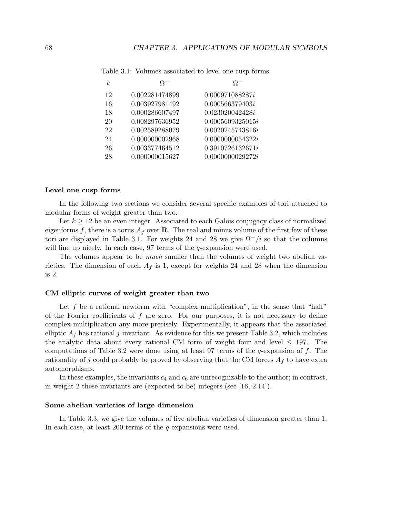| $\boldsymbol{k}$ | $\Omega^+$     | $\Omega^-$       |
|------------------|----------------|------------------|
| 12               | 0.002281474899 | 0.000971088287i  |
| 16               | 0.003927981492 | 0.000566379403i  |
| 18               | 0.000286607497 | 0.023020042428i  |
| 20               | 0.008297636952 | 0.0005609325015i |
| 22               | 0.002589288079 | 0.0020245743816i |
| 24               | 0.000000002968 | 0.0000000054322i |
| 26               | 0.003377464512 | 0.3910726132671i |
| 28               | 0.000000015627 | 0.0000000029272i |
|                  |                |                  |

Table 3.1: Volumes associated to level one cusp forms.

#### Level one cusp forms

In the following two sections we consider several specific examples of tori attached to modular forms of weight greater than two.

Let  $k \geq 12$  be an even integer. Associated to each Galois conjugacy class of normalized eigenforms f, there is a torus  $A_f$  over **R**. The real and minus volume of the first few of these tori are displayed in Table 3.1. For weights 24 and 28 we give  $\Omega^-/i$  so that the columns will line up nicely. In each case, 97 terms of the *q*-expansion were used.

The volumes appear to be much smaller than the volumes of weight two abelian varieties. The dimension of each  $A_f$  is 1, except for weights 24 and 28 when the dimension is 2.

#### CM elliptic curves of weight greater than two

Let  $f$  be a rational newform with "complex multiplication", in the sense that "half" of the Fourier coefficients of  $f$  are zero. For our purposes, it is not necessary to define complex multiplication any more precisely. Experimentally, it appears that the associated elliptic  $A_f$  has rational j-invariant. As evidence for this we present Table 3.2, which includes the analytic data about every rational CM form of weight four and level  $\leq$  197. The computations of Table 3.2 were done using at least 97 terms of the  $q$ -expansion of  $f$ . The rationality of j could probably be proved by observing that the CM forces  $A_f$  to have extra automorphisms.

In these examples, the invariants  $c_4$  and  $c_6$  are unrecognizable to the author; in contrast, in weight 2 these invariants are (expected to be) integers (see [16, 2.14]).

### Some abelian varieties of large dimension

In Table 3.3, we give the volumes of five abelian varieties of dimension greater than 1. In each case, at least 200 terms of the q-expansions were used.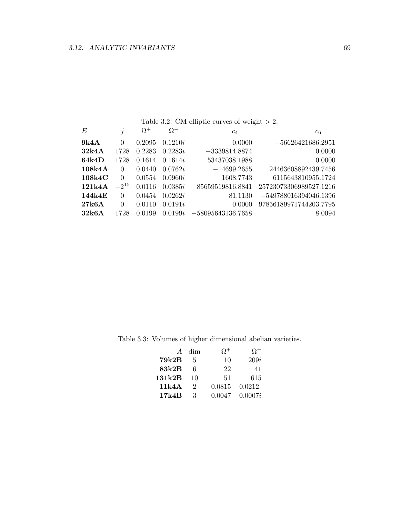| Table 3.2: CM elliptic curves of weight $> 2$ . |           |            |            |                     |                         |  |  |  |  |  |  |
|-------------------------------------------------|-----------|------------|------------|---------------------|-------------------------|--|--|--|--|--|--|
| E                                               | j         | $\Omega^+$ | $\Omega^-$ | $c_4$               | $c_6$                   |  |  |  |  |  |  |
| 9k4A                                            | $\Omega$  | 0.2095     | 0.1210i    | 0.0000              | $-56626421686.2951$     |  |  |  |  |  |  |
| 32k4A                                           | 1728      | 0.2283     | 0.2283i    | $-3339814.8874$     | 0.0000                  |  |  |  |  |  |  |
| 64k4D                                           | 1728      | 0.1614     | 0.1614i    | 53437038.1988       | 0.0000                  |  |  |  |  |  |  |
| 108k4A                                          | $\Omega$  | 0.0440     | 0.0762i    | $-14699.2655$       | 24463608892439.7456     |  |  |  |  |  |  |
| 108k4C                                          | $\Omega$  | 0.0554     | 0.0960i    | 1608.7743           | 6115643810955.1724      |  |  |  |  |  |  |
| 121k4A                                          | $-2^{15}$ | 0.0116     | 0.0385i    | 85659519816.8841    | 25723073306989527.1216  |  |  |  |  |  |  |
| 144k4E                                          | $\Omega$  | 0.0454     | 0.0262i    | 81.1130             | $-549788016394046.1396$ |  |  |  |  |  |  |
| 27k6A                                           | $\Omega$  | 0.0110     | 0.0191i    | 0.0000              | 97856189971744203.7795  |  |  |  |  |  |  |
| 32k6A                                           | 1728      | 0.0199     | 0.0199i    | $-58095643136.7658$ | 8.0094                  |  |  |  |  |  |  |

Table 3.3: Volumes of higher dimensional abelian varieties.

| $\overline{A}$ | dim           | $\Omega^+$ | $\Omega^-$ |
|----------------|---------------|------------|------------|
| 79k2B          | 5             | 10         | 209i       |
| 83k2B          | 6             | 22         | 41         |
| 131k2B         | 10            | 51         | 615        |
| 11k4A          | $\mathcal{D}$ | 0.0815     | 0.0212     |
| 17k4B          | З             | 0.0047     | 0.0007i    |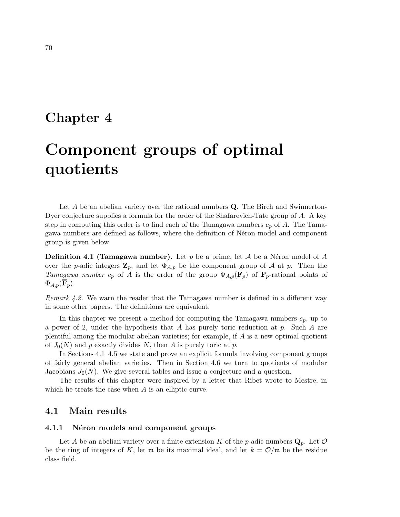## Chapter 4

# Component groups of optimal quotients

Let A be an abelian variety over the rational numbers Q. The Birch and Swinnerton-Dyer conjecture supplies a formula for the order of the Shafarevich-Tate group of A. A key step in computing this order is to find each of the Tamagawa numbers  $c_p$  of A. The Tamagawa numbers are defined as follows, where the definition of Néron model and component group is given below.

**Definition 4.1 (Tamagawa number).** Let p be a prime, let A be a Néron model of A over the p-adic integers  $\mathbf{Z}_p$ , and let  $\Phi_{A,p}$  be the component group of A at p. Then the Tamagawa number  $c_p$  of A is the order of the group  $\Phi_{A,p}(\mathbf{F}_p)$  of  $\mathbf{F}_p$ -rational points of  $\Phi_{A,p}(\mathbf{F}_p).$ 

Remark 4.2. We warn the reader that the Tamagawa number is defined in a different way in some other papers. The definitions are equivalent.

In this chapter we present a method for computing the Tamagawa numbers  $c_p$ , up to a power of 2, under the hypothesis that A has purely toric reduction at p. Such A are plentiful among the modular abelian varieties; for example, if  $A$  is a new optimal quotient of  $J_0(N)$  and p exactly divides N, then A is purely toric at p.

In Sections 4.1–4.5 we state and prove an explicit formula involving component groups of fairly general abelian varieties. Then in Section 4.6 we turn to quotients of modular Jacobians  $J_0(N)$ . We give several tables and issue a conjecture and a question.

The results of this chapter were inspired by a letter that Ribet wrote to Mestre, in which he treats the case when A is an elliptic curve.

## 4.1 Main results

## 4.1.1 Néron models and component groups

Let A be an abelian variety over a finite extension K of the p-adic numbers  $\mathbf{Q}_p$ . Let O be the ring of integers of K, let  $\mathfrak{m}$  be its maximal ideal, and let  $k = \mathcal{O}/\mathfrak{m}$  be the residue class field.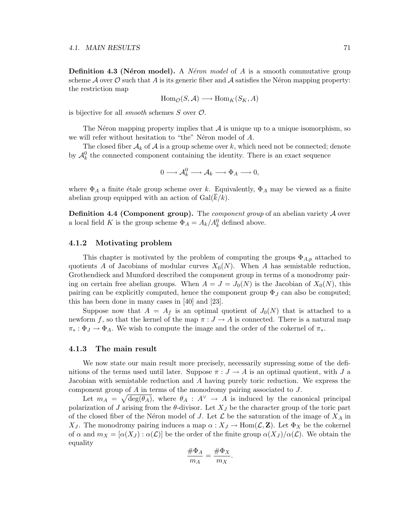**Definition 4.3 (Néron model).** A *Néron model* of A is a smooth commutative group scheme  $\mathcal A$  over  $\mathcal O$  such that A is its generic fiber and  $\mathcal A$  satisfies the Néron mapping property: the restriction map

$$
\text{Hom}_{\mathcal{O}}(S, \mathcal{A}) \longrightarrow \text{Hom}_K(S_K, A)
$$

is bijective for all *smooth* schemes  $S$  over  $\mathcal{O}$ .

The Néron mapping property implies that  $A$  is unique up to a unique isomorphism, so we will refer without hesitation to "the" Néron model of A.

The closed fiber  $A_k$  of A is a group scheme over k, which need not be connected; denote by  $\mathcal{A}_{k}^{0}$  the connected component containing the identity. There is an exact sequence

$$
0 \longrightarrow \mathcal{A}_k^0 \longrightarrow \mathcal{A}_k \longrightarrow \Phi_A \longrightarrow 0,
$$

where  $\Phi_A$  a finite étale group scheme over k. Equivalently,  $\Phi_A$  may be viewed as a finite abelian group equipped with an action of  $Gal(k/k)$ .

**Definition 4.4 (Component group).** The *component group* of an abelian variety  $\mathcal A$  over a local field K is the group scheme  $\Phi_A = A_k/A_k^0$  defined above.

## 4.1.2 Motivating problem

This chapter is motivated by the problem of computing the groups  $\Phi_{A,p}$  attached to quotients A of Jacobians of modular curves  $X_0(N)$ . When A has semistable reduction, Grothendieck and Mumford described the component group in terms of a monodromy pairing on certain free abelian groups. When  $A = J = J_0(N)$  is the Jacobian of  $X_0(N)$ , this pairing can be explicitly computed, hence the component group  $\Phi_J$  can also be computed; this has been done in many cases in [40] and [23].

Suppose now that  $A = A_f$  is an optimal quotient of  $J_0(N)$  that is attached to a newform f, so that the kernel of the map  $\pi : J \to A$  is connected. There is a natural map  $\pi_* : \Phi_J \to \Phi_A$ . We wish to compute the image and the order of the cokernel of  $\pi_*$ .

## 4.1.3 The main result

We now state our main result more precisely, necessarily supressing some of the definitions of the terms used until later. Suppose  $\pi : J \to A$  is an optimal quotient, with J a Jacobian with semistable reduction and A having purely toric reduction. We express the component group of A in terms of the monodromy pairing associated to J.

Let  $m_A = \sqrt{\deg(\theta_A)}$ , where  $\theta_A : A^{\vee} \to A$  is induced by the canonical principal polarization of J arising from the  $\theta$ -divisor. Let  $X_J$  be the character group of the toric part of the closed fiber of the Néron model of J. Let  $\mathcal L$  be the saturation of the image of  $X_A$  in X<sub>J</sub>. The monodromy pairing induces a map  $\alpha: X_J \to \text{Hom}(\mathcal{L}, \mathbf{Z})$ . Let  $\Phi_X$  be the cokernel of  $\alpha$  and  $m_X = [\alpha(X_J) : \alpha(\mathcal{L})]$  be the order of the finite group  $\alpha(X_J)/\alpha(\mathcal{L})$ . We obtain the equality

$$
\frac{\#\Phi_A}{m_A} = \frac{\#\Phi_X}{m_X}
$$

.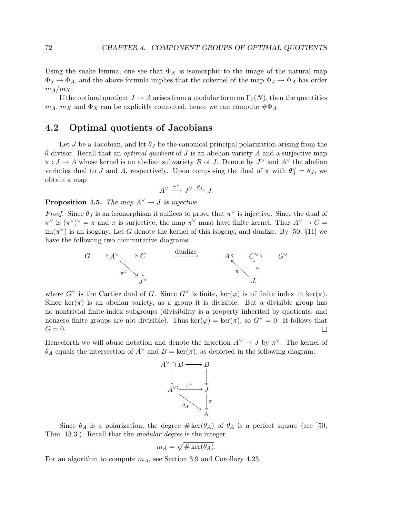Using the snake lemma, one see that  $\Phi_X$  is isomorphic to the image of the natural map  $\Phi_J \to \Phi_A$ , and the above formula implies that the cokernel of the map  $\Phi_J \to \Phi_A$  has order  $m_A/m_X$ .

If the optimal quotient  $J \to A$  arises from a modular form on  $\Gamma_0(N)$ , then the quantities  $m_A$ ,  $m_X$  and  $\Phi_X$  can be explicitly computed, hence we can compute  $\#\Phi_A$ .

## 4.2 Optimal quotients of Jacobians

Let J be a Jacobian, and let  $\theta_I$  be the canonical principal polarization arising from the  $\theta$ -divisor. Recall that an *optimal quotient* of J is an abelian variety A and a surjective map  $\pi: J \to A$  whose kernel is an abelian subvariety B of J. Denote by  $J^{\vee}$  and  $A^{\vee}$  the abelian varieties dual to J and A, respectively. Upon composing the dual of  $\pi$  with  $\theta_J^{\vee} = \theta_J$ , we obtain a map

$$
A^{\vee} \xrightarrow{\pi^{\vee}} J^{\vee} \xrightarrow{\theta_J} J.
$$

## **Proposition 4.5.** The map  $A^{\vee} \rightarrow J$  is injective.

*Proof.* Since  $\theta_J$  is an isomorphism it suffices to prove that  $\pi^{\vee}$  is injective. Since the dual of  $(\pi^{\vee})^{\vee} = \pi$  and  $\pi$  is surjective, the map  $\pi^{\vee}$  must have finite kernel. Thus  $A^{\vee} \to C =$  $\text{im}(\pi^{\vee})$  is an isogeny. Let G denote the kernel of this isogeny, and dualize. By [50, §11] we have the following two commutative diagrams:



where  $G^{\vee}$  is the Cartier dual of G. Since  $G^{\vee}$  is finite, ker( $\varphi$ ) is of finite index in ker( $\pi$ ). Since  $\ker(\pi)$  is an abelian variety, as a group it is divisible. But a divisible group has no nontrivial finite-index subgroups (divisibility is a property inherited by quotients, and nonzero finite groups are not divisible). Thus  $\ker(\varphi) = \ker(\pi)$ , so  $G^{\vee} = 0$ . It follows that  $G=0.$  $\Box$ 

Henceforth we will abuse notation and denote the injection  $A^{\vee} \to J$  by  $\pi^{\vee}$ . The kernel of  $\theta_A$  equals the intersection of  $A^{\vee}$  and  $B = \text{ker}(\pi)$ , as depicted in the following diagram:



Since  $\theta_A$  is a polarization, the degree  $\#\ker(\theta_A)$  of  $\theta_A$  is a perfect square (see [50, Thm. 13.3]). Recall that the modular degree is the integer

$$
m_A = \sqrt{\#\ker(\theta_A)}.
$$

For an algorithm to compute  $m_A$ , see Section 3.9 and Corollary 4.23.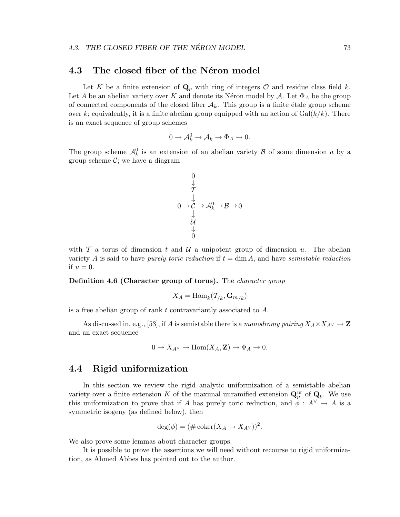## 4.3 The closed fiber of the Néron model

Let K be a finite extension of  $\mathbf{Q}_p$  with ring of integers O and residue class field k. Let A be an abelian variety over K and denote its Néron model by A. Let  $\Phi_A$  be the group of connected components of the closed fiber  $A_k$ . This group is a finite étale group scheme over k; equivalently, it is a finite abelian group equipped with an action of  $Gal(\overline{k}/k)$ . There is an exact sequence of group schemes

$$
0 \to \mathcal{A}_k^0 \to \mathcal{A}_k \to \Phi_A \to 0.
$$

The group scheme  $\mathcal{A}_{k}^{0}$  is an extension of an abelian variety  $\mathcal{B}$  of some dimension a by a group scheme  $\mathcal{C}$ ; we have a diagram

$$
\begin{array}{c}\n0 \\
\downarrow \\
\downarrow \\
0 \rightarrow C \rightarrow \mathcal{A}_k^0 \rightarrow \mathcal{B} \rightarrow 0 \\
\downarrow \\
\downarrow \\
0\n\end{array}
$$

with  $\mathcal T$  a torus of dimension t and  $\mathcal U$  a unipotent group of dimension u. The abelian variety A is said to have *purely toric reduction* if  $t = \dim A$ , and have *semistable reduction* if  $u = 0$ .

Definition 4.6 (Character group of torus). The *character group* 

$$
X_A=\operatorname{Hom}_{\overline{k}}(\mathcal{T}_{/\overline{k}},\mathbf{G}_{m/\overline{k}})
$$

is a free abelian group of rank t contravariantly associated to A.

As discussed in, e.g., [53], if A is semistable there is a monodromy pairing  $X_A \times X_{A\vee} \to \mathbb{Z}$ and an exact sequence

$$
0 \to X_{A^{\vee}} \to \text{Hom}(X_A, \mathbf{Z}) \to \Phi_A \to 0.
$$

## 4.4 Rigid uniformization

In this section we review the rigid analytic uniformization of a semistable abelian variety over a finite extension K of the maximal unramified extension  $\mathbf{Q}_p^{\text{ur}}$  of  $\mathbf{Q}_p$ . We use this uniformization to prove that if A has purely toric reduction, and  $\phi: A^{\vee} \to A$  is a symmetric isogeny (as defined below), then

$$
\deg(\phi) = (\#\operatorname{coker}(X_A \to X_{A^\vee}))^2.
$$

We also prove some lemmas about character groups.

It is possible to prove the assertions we will need without recourse to rigid uniformization, as Ahmed Abbes has pointed out to the author.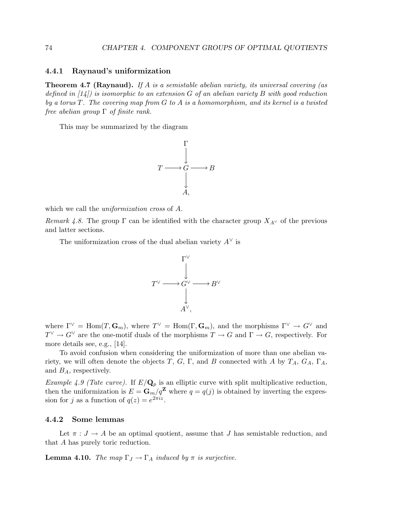## 4.4.1 Raynaud's uniformization

**Theorem 4.7 (Raynaud).** If A is a semistable abelian variety, its universal covering (as defined in  $(14)$  is isomorphic to an extension G of an abelian variety B with good reduction by a torus  $T$ . The covering map from  $G$  to  $A$  is a homomorphism, and its kernel is a twisted free abelian group  $\Gamma$  of finite rank.

This may be summarized by the diagram



which we call the *uniformization cross* of A.

Remark 4.8. The group  $\Gamma$  can be identified with the character group  $X_{A^{\vee}}$  of the previous and latter sections.

The uniformization cross of the dual abelian variety  $A^{\vee}$  is



where  $\Gamma^{\vee} = \text{Hom}(T, \mathbf{G}_m)$ , where  $T^{\vee} = \text{Hom}(\Gamma, \mathbf{G}_m)$ , and the morphisms  $\Gamma^{\vee} \to G^{\vee}$  and  $T^{\vee} \to G^{\vee}$  are the one-motif duals of the morphisms  $T \to G$  and  $\Gamma \to G$ , respectively. For more details see, e.g., [14].

To avoid confusion when considering the uniformization of more than one abelian variety, we will often denote the objects T, G, Γ, and B connected with A by  $T_A$ ,  $G_A$ , Γ<sub>A</sub>, and  $B_A$ , respectively.

*Example 4.9 (Tate curve).* If  $E/Q_p$  is an elliptic curve with split multiplicative reduction, then the uniformization is  $E = \mathbf{G}_m / q^{\mathbf{Z}}$  where  $q = q(j)$  is obtained by inverting the expression for j as a function of  $q(z) = e^{2\pi i z}$ .

## 4.4.2 Some lemmas

Let  $\pi: J \to A$  be an optimal quotient, assume that J has semistable reduction, and that A has purely toric reduction.

**Lemma 4.10.** The map  $\Gamma_J \to \Gamma_A$  induced by  $\pi$  is surjective.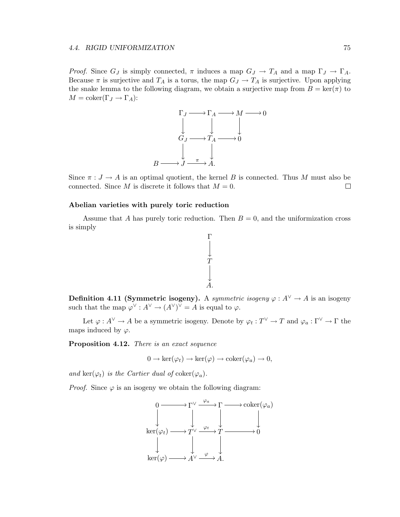*Proof.* Since  $G_J$  is simply connected,  $\pi$  induces a map  $G_J \to T_A$  and a map  $\Gamma_J \to \Gamma_A$ . Because  $\pi$  is surjective and  $T_A$  is a torus, the map  $G_J \to T_A$  is surjective. Upon applying the snake lemma to the following diagram, we obtain a surjective map from  $B = \text{ker}(\pi)$  to  $M = \text{coker}(\Gamma_J \to \Gamma_A)$ :



Since  $\pi : J \to A$  is an optimal quotient, the kernel B is connected. Thus M must also be connected. Since M is discrete it follows that  $M = 0$ . connected. Since M is discrete it follows that  $M = 0$ .

## Abelian varieties with purely toric reduction

Assume that A has purely toric reduction. Then  $B = 0$ , and the uniformization cross is simply



**Definition 4.11 (Symmetric isogeny).** A symmetric isogeny  $\varphi : A^{\vee} \to A$  is an isogeny such that the map  $\varphi^{\vee}: A^{\vee} \to (A^{\vee})^{\vee} = A$  is equal to  $\varphi$ .

Let  $\varphi: A^{\vee} \to A$  be a symmetric isogeny. Denote by  $\varphi_t: T^{\vee} \to T$  and  $\varphi_a: \Gamma^{\vee} \to \Gamma$  the maps induced by  $\varphi$ .

Proposition 4.12. There is an exact sequence

$$
0 \to \ker(\varphi_t) \to \ker(\varphi) \to \mathrm{coker}(\varphi_a) \to 0,
$$

and ker( $\varphi_t$ ) is the Cartier dual of coker( $\varphi_a$ ).

*Proof.* Since  $\varphi$  is an isogeny we obtain the following diagram:

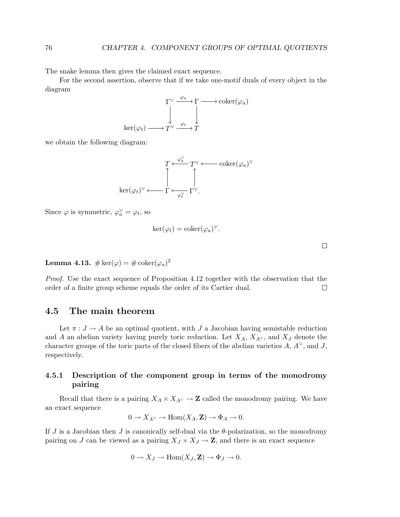The snake lemma then gives the claimed exact sequence.

For the second assertion, observe that if we take one-motif duals of every object in the diagram



we obtain the following diagram:



Since  $\varphi$  is symmetric,  $\varphi_a^{\vee} = \varphi_t$ , so

$$
\ker(\varphi_t) = \operatorname{coker}(\varphi_a)^{\vee}.
$$

Lemma 4.13.  $\#\ker(\varphi)=\#\operatorname{coker}(\varphi_a)^2$ 

Proof. Use the exact sequence of Proposition 4.12 together with the observation that the order of a finite group scheme equals the order of its Cartier dual. □

## 4.5 The main theorem

Let  $\pi : J \to A$  be an optimal quotient, with J a Jacobian having semistable reduction and A an abelian variety having purely toric reduction. Let  $X_A$ ,  $X_{A}^{\vee}$ , and  $X_J$  denote the character groups of the toric parts of the closed fibers of the abelian varieties  $A, A^{\vee}$ , and J, respectively.

## 4.5.1 Description of the component group in terms of the monodromy pairing

Recall that there is a pairing  $X_A \times X_{A\vee} \to \mathbb{Z}$  called the monodromy pairing. We have an exact sequence

$$
0 \to X_{A^{\vee}} \to \text{Hom}(X_A, \mathbf{Z}) \to \Phi_A \to 0.
$$

If J is a Jacobian then J is canonically self-dual via the  $\theta$ -polarization, so the monodromy pairing on J can be viewed as a pairing  $X_J \times X_J \to \mathbb{Z}$ , and there is an exact sequence

$$
0 \to X_J \to \text{Hom}(X_J, \mathbf{Z}) \to \Phi_J \to 0.
$$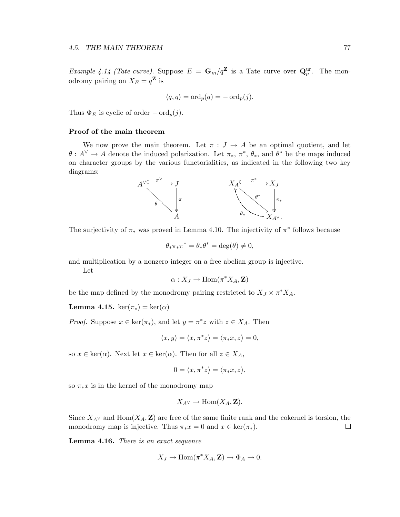*Example 4.14 (Tate curve)*. Suppose  $E = G_m/q^{\mathbf{Z}}$  is a Tate curve over  $\mathbf{Q}_p^{\text{ur}}$ . The monodromy pairing on  $X_E = q^{\mathbf{Z}}$  is

$$
\langle q, q \rangle = \text{ord}_p(q) = -\text{ord}_p(j).
$$

Thus  $\Phi_E$  is cyclic of order  $-\text{ord}_p(j)$ .

## Proof of the main theorem

We now prove the main theorem. Let  $\pi : J \to A$  be an optimal quotient, and let  $\theta: A^{\vee} \to A$  denote the induced polarization. Let  $\pi_*, \pi^*, \theta_*,$  and  $\theta^*$  be the maps induced on character groups by the various functorialities, as indicated in the following two key diagrams:



The surjectivity of  $\pi_*$  was proved in Lemma 4.10. The injectivity of  $\pi^*$  follows because

$$
\theta_* \pi_* \pi^* = \theta_* \theta^* = \deg(\theta) \neq 0,
$$

and multiplication by a nonzero integer on a free abelian group is injective.

Let

$$
\alpha: X_J \to \operatorname{Hom}(\pi^*X_A,\mathbf{Z})
$$

be the map defined by the monodromy pairing restricted to  $X_J \times \pi^* X_A$ .

Lemma 4.15. ker $(\pi_*) = \ker(\alpha)$ 

*Proof.* Suppose  $x \in \text{ker}(\pi_*)$ , and let  $y = \pi^*z$  with  $z \in X_A$ . Then

$$
\langle x, y \rangle = \langle x, \pi^* z \rangle = \langle \pi_* x, z \rangle = 0,
$$

so  $x \in \text{ker}(\alpha)$ . Next let  $x \in \text{ker}(\alpha)$ . Then for all  $z \in X_A$ ,

$$
0 = \langle x, \pi^* z \rangle = \langle \pi_* x, z \rangle,
$$

so  $\pi_*x$  is in the kernel of the monodromy map

$$
X_{A^{\vee}} \to \text{Hom}(X_A, \mathbf{Z}).
$$

Since  $X_{A}$  and  $Hom(X_A, \mathbf{Z})$  are free of the same finite rank and the cokernel is torsion, the monodromy map is injective. Thus  $\pi_* x = 0$  and  $x \in \text{ker}(\pi_*)$ .  $\Box$ 

Lemma 4.16. There is an exact sequence

$$
X_J \to \text{Hom}(\pi^* X_A, \mathbf{Z}) \to \Phi_A \to 0.
$$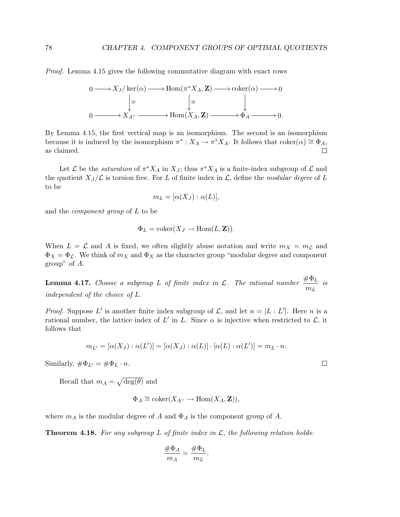Proof. Lemma 4.15 gives the following commutative diagram with exact rows

$$
0 \longrightarrow X_J/\ker(\alpha) \longrightarrow \text{Hom}(\pi^* X_A, \mathbf{Z}) \longrightarrow \text{coker}(\alpha) \longrightarrow 0
$$

$$
\downarrow \cong \qquad \qquad \downarrow \cong
$$

$$
0 \longrightarrow X_{A^{\vee}} \longrightarrow \text{Hom}(X_A, \mathbf{Z}) \longrightarrow \Phi_A \longrightarrow 0.
$$

By Lemma 4.15, the first vertical map is an isomorphism. The second is an isomorphism because it is induced by the isomorphism  $\pi^*: X_A \to \pi^* X_A$ . It follows that  $\text{coker}(\alpha) \cong \Phi_A$ , as claimed.  $\Box$ 

Let  $\mathcal L$  be the *saturation* of  $\pi^* X_A$  in  $X_J$ ; thus  $\pi^* X_A$  is a finite-index subgroup of  $\mathcal L$  and the quotient  $X_J/\mathcal{L}$  is torsion free. For L of finite index in  $\mathcal{L}$ , define the modular degree of L to be

$$
m_L = [\alpha(X_J) : \alpha(L)],
$$

and the component group of L to be

$$
\Phi_L = \mathrm{coker}(X_J \to \mathrm{Hom}(L, \mathbf{Z})).
$$

When  $L = \mathcal{L}$  and A is fixed, we often slightly abuse notation and write  $m_X = m_{\mathcal{L}}$  and  $\Phi_X = \Phi_{\mathcal{L}}$ . We think of  $m_X$  and  $\Phi_X$  as the character group "modular degree and component group" of A.

**Lemma 4.17.** Choose a subgroup L of finite index in L. The rational number  $\frac{\#\Phi_L}{m_L}$  $\frac{1}{m_L}$  is independent of the choice of L.

*Proof.* Suppose L' is another finite index subgroup of  $\mathcal{L}$ , and let  $n = [L : L']$ . Here n is a rational number, the lattice index of  $L'$  in  $L$ . Since  $\alpha$  is injective when restricted to  $\mathcal{L}$ , it follows that

$$
m_{L'} = [\alpha(X_J) : \alpha(L')] = [\alpha(X_J) : \alpha(L)] \cdot [\alpha(L) : \alpha(L')] = m_L \cdot n.
$$

Similarly,  $\#\Phi_{L'} = \#\Phi_L \cdot n$ .

Recall that  $m_A = \sqrt{\deg(\theta)}$  and

$$
\Phi_A \cong \mathrm{coker}(X_{A^{\vee}} \to \mathrm{Hom}(X_A, \mathbf{Z})),
$$

where  $m_A$  is the modular degree of A and  $\Phi_A$  is the component group of A.

**Theorem 4.18.** For any subgroup L of finite index in  $\mathcal{L}$ , the following relation holds:

$$
\frac{\#\Phi_A}{m_A} = \frac{\#\Phi_L}{m_L}.
$$

 $\Box$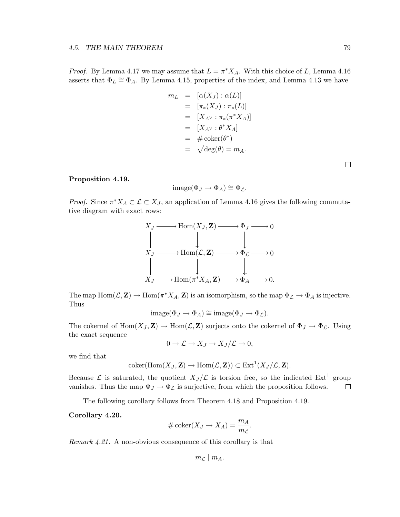*Proof.* By Lemma 4.17 we may assume that  $L = \pi^* X_A$ . With this choice of L, Lemma 4.16 asserts that  $\Phi_L \cong \Phi_A$ . By Lemma 4.15, properties of the index, and Lemma 4.13 we have

$$
m_L = [\alpha(X_J) : \alpha(L)]
$$
  
\n
$$
= [\pi_*(X_J) : \pi_*(L)]
$$
  
\n
$$
= [X_{A^\vee} : \pi_*(\pi^*X_A)]
$$
  
\n
$$
= [X_{A^\vee} : \theta^*X_A]
$$
  
\n
$$
= \# coker(\theta^*)
$$
  
\n
$$
= \sqrt{deg(\theta)} = m_A.
$$

 $\Box$ 

## Proposition 4.19.

$$
image(\Phi_J \to \Phi_A) \cong \Phi_{\mathcal{L}}.
$$

*Proof.* Since  $\pi^* X_A \subset \mathcal{L} \subset X_J$ , an application of Lemma 4.16 gives the following commutative diagram with exact rows:



The map  $\text{Hom}(\mathcal{L}, \mathbf{Z}) \to \text{Hom}(\pi^* X_A, \mathbf{Z})$  is an isomorphism, so the map  $\Phi_{\mathcal{L}} \to \Phi_A$  is injective. Thus

$$
image(\Phi_J \to \Phi_A) \cong image(\Phi_J \to \Phi_{\mathcal{L}}).
$$

The cokernel of  $\text{Hom}(X_J, \mathbf{Z}) \to \text{Hom}(\mathcal{L}, \mathbf{Z})$  surjects onto the cokernel of  $\Phi_J \to \Phi_{\mathcal{L}}$ . Using the exact sequence

$$
0 \to \mathcal{L} \to X_J \to X_J/\mathcal{L} \to 0,
$$

we find that

$$
coker(\mathrm{Hom}(X_J,\mathbf{Z})\to \mathrm{Hom}(\mathcal{L},\mathbf{Z}))\subset \mathrm{Ext}^1(X_J/\mathcal{L},\mathbf{Z}).
$$

Because  $\mathcal{L}$  is saturated, the quotient  $X_J/\mathcal{L}$  is torsion free, so the indicated  $Ext<sup>1</sup>$  group vanishes. Thus the map  $\Phi_J \to \Phi_{\mathcal{L}}$  is surjective, from which the proposition follows.  $\Box$ 

The following corollary follows from Theorem 4.18 and Proposition 4.19.

Corollary 4.20.

$$
\#\coker(X_J \to X_A) = \frac{m_A}{m_{\mathcal{L}}}.
$$

Remark 4.21. A non-obvious consequence of this corollary is that

$$
m_{\mathcal{L}} \mid m_A.
$$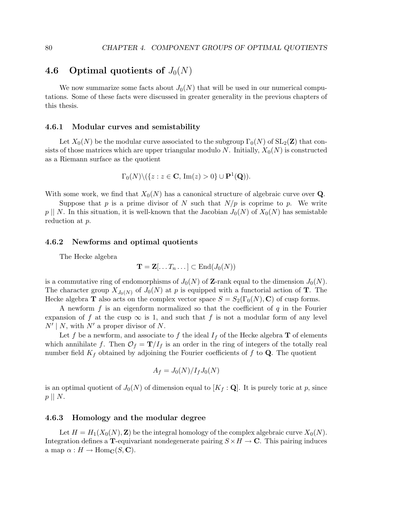## 4.6 Optimal quotients of  $J_0(N)$

We now summarize some facts about  $J_0(N)$  that will be used in our numerical computations. Some of these facts were discussed in greater generality in the previous chapters of this thesis.

#### 4.6.1 Modular curves and semistability

Let  $X_0(N)$  be the modular curve associated to the subgroup  $\Gamma_0(N)$  of  $SL_2(\mathbb{Z})$  that consists of those matrices which are upper triangular modulo N. Initially,  $X_0(N)$  is constructed as a Riemann surface as the quotient

$$
\Gamma_0(N)\setminus (\{z:z\in\mathbf{C},\,\operatorname{Im}(z)>0\}\cup\mathbf{P}^1(\mathbf{Q})).
$$

With some work, we find that  $X_0(N)$  has a canonical structure of algebraic curve over Q.

Suppose that p is a prime divisor of N such that  $N/p$  is coprime to p. We write  $p \mid N$ . In this situation, it is well-known that the Jacobian  $J_0(N)$  of  $X_0(N)$  has semistable reduction at p.

## 4.6.2 Newforms and optimal quotients

The Hecke algebra

$$
\mathbf{T} = \mathbf{Z}[\ldots T_n \ldots] \subset \mathrm{End}(J_0(N))
$$

is a commutative ring of endomorphisms of  $J_0(N)$  of **Z**-rank equal to the dimension  $J_0(N)$ . The character group  $X_{J_0(N)}$  of  $J_0(N)$  at p is equipped with a functorial action of **T**. The Hecke algebra **T** also acts on the complex vector space  $S = S_2(\Gamma_0(N), \mathbf{C})$  of cusp forms.

A newform  $f$  is an eigenform normalized so that the coefficient of  $q$  in the Fourier expansion of f at the cusp  $\infty$  is 1, and such that f is not a modular form of any level  $N' | N$ , with  $N'$  a proper divisor of N.

Let f be a newform, and associate to f the ideal  $I_f$  of the Hecke algebra **T** of elements which annihilate f. Then  $\mathcal{O}_f = \mathbf{T}/I_f$  is an order in the ring of integers of the totally real number field  $K_f$  obtained by adjoining the Fourier coefficients of f to Q. The quotient

$$
A_f = J_0(N)/I_fJ_0(N)
$$

is an optimal quotient of  $J_0(N)$  of dimension equal to  $[K_f : \mathbf{Q}]$ . It is purely toric at p, since  $p \parallel N$ .

## 4.6.3 Homology and the modular degree

Let  $H = H_1(X_0(N), \mathbf{Z})$  be the integral homology of the complex algebraic curve  $X_0(N)$ . Integration defines a T-equivariant nondegenerate pairing  $S \times H \to \mathbb{C}$ . This pairing induces a map  $\alpha : H \to \text{Hom}_{\mathbf{C}}(S, \mathbf{C}).$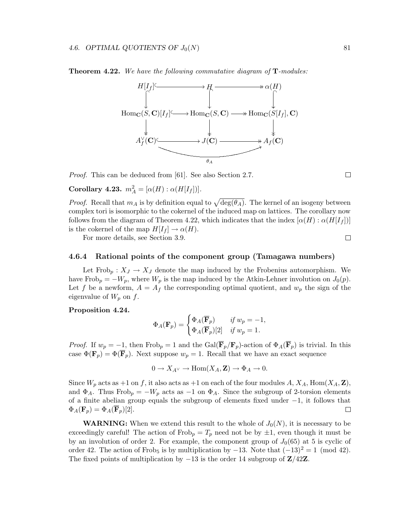Theorem 4.22. We have the following commutative diagram of T-modules:



Proof. This can be deduced from [61]. See also Section 2.7.

Corollary 4.23.  $m_A^2 = [\alpha(H) : \alpha(H[I_f])].$ 

*Proof.* Recall that  $m_A$  is by definition equal to  $\sqrt{\deg(\theta_A)}$ . The kernel of an isogeny between complex tori is isomorphic to the cokernel of the induced map on lattices. The corollary now follows from the diagram of Theorem 4.22, which indicates that the index  $[\alpha(H) : \alpha(H[I_f])]$ is the cokernel of the map  $H[I_f] \to \alpha(H)$ .

For more details, see Section 3.9.

#### 4.6.4 Rational points of the component group (Tamagawa numbers)

Let Frob<sub>p</sub> :  $X_J \to X_J$  denote the map induced by the Frobenius automorphism. We have Frob<sub>p</sub> =  $-W_p$ , where  $W_p$  is the map induced by the Atkin-Lehner involution on  $J_0(p)$ . Let f be a newform,  $A = A_f$  the corresponding optimal quotient, and  $w_p$  the sign of the eigenvalue of  $W_p$  on  $f$ .

## Proposition 4.24.

$$
\Phi_A(\mathbf{F}_p) = \begin{cases} \Phi_A(\overline{\mathbf{F}}_p) & \text{if } w_p = -1, \\ \Phi_A(\overline{\mathbf{F}}_p)[2] & \text{if } w_p = 1. \end{cases}
$$

*Proof.* If  $w_p = -1$ , then Frob<sub>p</sub> = 1 and the Gal( $\overline{\mathbf{F}}_p/\mathbf{F}_p$ )-action of  $\Phi_A(\overline{\mathbf{F}}_p)$  is trivial. In this case  $\Phi(\mathbf{F}_p) = \Phi(\overline{\mathbf{F}}_p)$ . Next suppose  $w_p = 1$ . Recall that we have an exact sequence

$$
0 \to X_{A^{\vee}} \to \text{Hom}(X_A, \mathbf{Z}) \to \Phi_A \to 0.
$$

Since  $W_p$  acts as +1 on f, it also acts as +1 on each of the four modules  $A, X_A, \text{Hom}(X_A, \mathbf{Z}),$ and  $\Phi_A$ . Thus Frob<sub>p</sub> =  $-W_p$  acts as  $-1$  on  $\Phi_A$ . Since the subgroup of 2-torsion elements of a finite abelian group equals the subgroup of elements fixed under −1, it follows that  $\Phi_A(\mathbf{F}_n) = \Phi_A(\overline{\mathbf{F}}_n)[2]$ .  $\Phi_A(\mathbf{F}_p) = \Phi_A(\overline{\mathbf{F}}_p)[2].$ 

**WARNING:** When we extend this result to the whole of  $J_0(N)$ , it is necessary to be exceedingly careful! The action of  $Frob_p = T_p$  need not be by  $\pm 1$ , even though it must be by an involution of order 2. For example, the component group of  $J_0(65)$  at 5 is cyclic of order 42. The action of Frob<sub>5</sub> is by multiplication by  $-13$ . Note that  $(-13)^2 = 1 \pmod{42}$ . The fixed points of multiplication by  $-13$  is the order 14 subgroup of  $\mathbb{Z}/42\mathbb{Z}$ .

 $\Box$ 

 $\Box$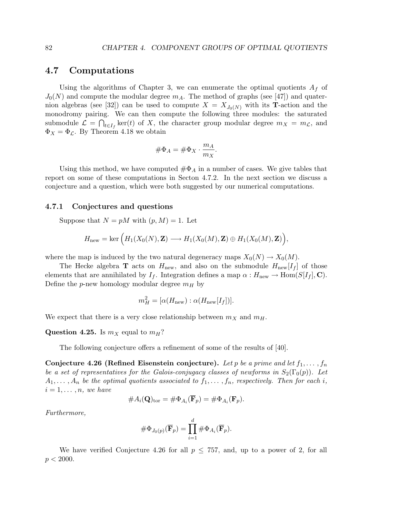## 4.7 Computations

Using the algorithms of Chapter 3, we can enumerate the optimal quotients  $A_f$  of  $J_0(N)$  and compute the modular degree  $m_A$ . The method of graphs (see [47]) and quaternion algebras (see [32]) can be used to compute  $X = X_{J_0(N)}$  with its **T**-action and the monodromy pairing. We can then compute the following three modules: the saturated submodule  $\mathcal{L} = \bigcap_{t \in I_f} \ker(t)$  of X, the character group modular degree  $m_X = m_{\mathcal{L}}$ , and  $\Phi_X = \Phi_{\mathcal{L}}$ . By Theorem 4.18 we obtain

$$
\#\Phi_A = \#\Phi_X \cdot \frac{m_A}{m_X}.
$$

Using this method, we have computed  $\#\Phi_A$  in a number of cases. We give tables that report on some of these computations in Secton 4.7.2. In the next section we discuss a conjecture and a question, which were both suggested by our numerical computations.

#### 4.7.1 Conjectures and questions

Suppose that  $N = pM$  with  $(p, M) = 1$ . Let

$$
H_{\text{new}} = \text{ker}\left(H_1(X_0(N), \mathbf{Z}) \longrightarrow H_1(X_0(M), \mathbf{Z}) \oplus H_1(X_0(M), \mathbf{Z})\right),
$$

where the map is induced by the two natural degeneracy maps  $X_0(N) \to X_0(M)$ .

The Hecke algebra **T** acts on  $H_{\text{new}}$ , and also on the submodule  $H_{\text{new}}[I_f]$  of those elements that are annihilated by  $I_f$ . Integration defines a map  $\alpha : H_{\text{new}} \to \text{Hom}(S[I_f], \mathbf{C})$ . Define the p-new homology modular degree  $m_H$  by

$$
m_H^2 = [\alpha(H_{\text{new}}) : \alpha(H_{\text{new}}[I_f])].
$$

We expect that there is a very close relationship between  $m_X$  and  $m_H$ .

**Question 4.25.** Is  $m_X$  equal to  $m_H$ ?

The following conjecture offers a refinement of some of the results of [40].

Conjecture 4.26 (Refined Eisenstein conjecture). Let p be a prime and let  $f_1, \ldots, f_n$ be a set of representatives for the Galois-conjugacy classes of newforms in  $S_2(\Gamma_0(p))$ . Let  $A_1, \ldots, A_n$  be the optimal quotients associated to  $f_1, \ldots, f_n$ , respectively. Then for each i,  $i = 1, \ldots, n$ , we have

#Ai(Q)tor = #ΦA<sup>i</sup> (Fp) = #ΦA<sup>i</sup> (Fp).

Furthermore,

$$
\#\Phi_{J_0(p)}(\overline{\mathbf{F}}_p) = \prod_{i=1}^d \#\Phi_{A_i}(\overline{\mathbf{F}}_p).
$$

We have verified Conjecture 4.26 for all  $p \leq 757$ , and, up to a power of 2, for all  $p < 2000$ .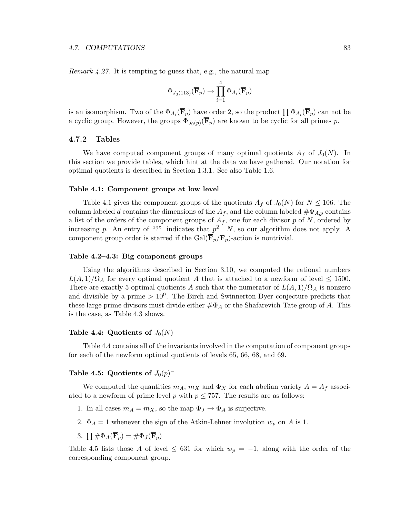Remark 4.27. It is tempting to guess that, e.g., the natural map

$$
\Phi_{J_0(113)}(\overline{\mathbf{F}}_p)\rightarrow \prod_{i=1}^4 \Phi_{A_i}(\overline{\mathbf{F}}_p)
$$

is an isomorphism. Two of the  $\Phi_{A_i}(\mathbf{F}_p)$  have order 2, so the product  $\prod \Phi_{A_i}(\mathbf{F}_p)$  can not be a cyclic group. However, the groups  $\Phi_{J_0(p)}(\mathbf{F}_p)$  are known to be cyclic for all primes p.

## 4.7.2 Tables

We have computed component groups of many optimal quotients  $A_f$  of  $J_0(N)$ . In this section we provide tables, which hint at the data we have gathered. Our notation for optimal quotients is described in Section 1.3.1. See also Table 1.6.

#### Table 4.1: Component groups at low level

Table 4.1 gives the component groups of the quotients  $A_f$  of  $J_0(N)$  for  $N \leq 106$ . The column labeled d contains the dimensions of the  $A_f$ , and the column labeled  $\#\Phi_{A,p}$  contains a list of the orders of the component groups of  $A_f$ , one for each divisor p of N, ordered by increasing p. An entry of "?" indicates that  $p^2 \mid N$ , so our algorithm does not apply. A component group order is starred if the Gal( $\overline{\mathbf{F}}_p/\mathbf{F}_p$ )-action is nontrivial.

#### Table 4.2–4.3: Big component groups

Using the algorithms described in Section 3.10, we computed the rational numbers  $L(A, 1)/\Omega_A$  for every optimal quotient A that is attached to a newform of level  $\leq 1500$ . There are exactly 5 optimal quotients A such that the numerator of  $L(A, 1)/\Omega_A$  is nonzero and divisible by a prime  $> 10<sup>9</sup>$ . The Birch and Swinnerton-Dyer conjecture predicts that these large prime divisors must divide either  $\#\Phi_A$  or the Shafarevich-Tate group of A. This is the case, as Table 4.3 shows.

#### Table 4.4: Quotients of  $J_0(N)$

Table 4.4 contains all of the invariants involved in the computation of component groups for each of the newform optimal quotients of levels 65, 66, 68, and 69.

## Table 4.5: Quotients of  $J_0(p)^-$

We computed the quantities  $m_A$ ,  $m_X$  and  $\Phi_X$  for each abelian variety  $A = A_f$  associated to a newform of prime level p with  $p \leq 757$ . The results are as follows:

- 1. In all cases  $m_A = m_X$ , so the map  $\Phi_J \to \Phi_A$  is surjective.
- 2.  $\Phi_A = 1$  whenever the sign of the Atkin-Lehner involution  $w_p$  on A is 1.

3. 
$$
\prod \# \Phi_A(\overline{\mathbf{F}}_p) = \# \Phi_J(\overline{\mathbf{F}}_p)
$$

Table 4.5 lists those A of level  $\leq$  631 for which  $w_p = -1$ , along with the order of the corresponding component group.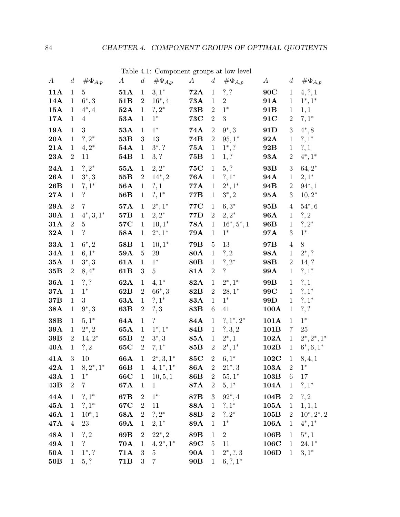|                  |                |                          |                  |                  | rable 7.1. Component groups at low lever |                  |                |                |                 |                   |                 |
|------------------|----------------|--------------------------|------------------|------------------|------------------------------------------|------------------|----------------|----------------|-----------------|-------------------|-----------------|
| $\boldsymbol{A}$ | $\overline{d}$ | $\#\Phi_{A,p}$           | $\boldsymbol{A}$ | $d_{\parallel}$  | $\#\Phi_{A,p}$                           | $\boldsymbol{A}$ | $\overline{d}$ | $\#\Phi_{A,p}$ | A               | $d_{\mathcal{I}}$ | $\#\Phi_{A,p}$  |
| 11A              | $\mathbf{1}$   | $5\overline{)}$          | $51\mathrm{A}$   | $\mathbf{1}$     | $3,1^*$                                  | 72A              | $\mathbf{1}$   | ?, ?           | 90C             | $\mathbf{1}$      | 4, ?, 1         |
| 14A              | $\mathbf{1}$   | $6^*, 3$                 | 51B              | $\overline{2}$   | $16^*$ , 4                               | <b>73A</b>       | $\mathbf{1}$   | $\overline{2}$ | 91A             | $\mathbf{1}$      | $1^*, 1^*$      |
| 15A              | 1              | $4^*, 4$                 | 52A              | $\mathbf{1}$     | $?, 2^*$                                 | <b>73B</b>       | $\overline{2}$ | $1^*$          | 91 <sub>B</sub> | $\mathbf{1}$      | 1,1             |
| 17A              | $\mathbf{1}$   | $\overline{4}$           | 53A              | $\mathbf{1}$     | $1^*$                                    | <b>73C</b>       | $\,2$          | 3 <sup>1</sup> | 91C             | $\overline{2}$    | $7,1*$          |
| <b>19A</b>       | $\mathbf{1}$   | $\mathbf{3}$             | 53A              | $\mathbf{1}$     | $1^*$                                    | 74A              | $\sqrt{2}$     | $9^*, 3$       | 91D             | 3                 | $4^*, 8$        |
| 20A              | $\mathbf{1}$   | $?, 2^*$                 | 53B              | 3                | 13                                       | 74B              | $\sqrt{2}$     | $95,1*$        | 92A             | $\mathbf{1}$      | $?, 1^*$        |
| 21A              | $\mathbf{1}$   | $4,2^*$                  | 54A              | $\mathbf{1}$     | $3^*$ , ?                                | <b>75A</b>       | $\mathbf{1}$   | $1^*, ?$       | 92B             | $\mathbf{1}$      | ?, 1            |
| 23A              | $\overline{2}$ | 11                       | 54B              | $\mathbf{1}$     | 3, ?                                     | 75B              | $\mathbf{1}$   | 1, ?           | 93A             | $\overline{2}$    | $4^*, 1^*$      |
| 24A              | $\mathbf{1}$   | $?, 2^*$                 | <b>55A</b>       | $\mathbf{1}$     | $2, 2^*$                                 | <b>75C</b>       | $\mathbf{1}$   | 5, ?           | 93B             | 3                 | $64, 2*$        |
| 26A              | $\mathbf{1}$   | $3^*, 3$                 | 55B              | $\overline{2}$   | $14^*$ , 2                               | <b>76A</b>       | $\mathbf{1}$   | $?, 1^*$       | 94A             | $\mathbf{1}$      | $2,1^*$         |
| 26B              | $\mathbf{1}$   | $7,1^*$                  | <b>56A</b>       | $\mathbf{1}$     | ?, 1                                     | 77A              | $\mathbf{1}$   | $2^*, 1^*$     | 94B             | $\overline{2}$    | $94^*, 1$       |
| 27A              | $\mathbf{1}$   | $\ddot{?}$               | 56B              | $\mathbf{1}$     | $?, 1^*$                                 | <b>77B</b>       | $\mathbf{1}$   | $3^*, 2$       | 95A             | 3 <sup>1</sup>    | $10, 2^*$       |
| 29A              | $\overline{2}$ | $\overline{7}$           | 57A              | $\mathbf{1}$     | $2^*, 1^*$                               | <b>77C</b>       | $\mathbf{1}$   | $6,3^*$        | 95 <sub>B</sub> | $\overline{4}$    | $54^*$ , 6      |
| 30A              | $\mathbf{1}$   | $4^*, 3, 1^*$            | 57B              | $\mathbf{1}$     | $2, 2^*$                                 | $77\mathrm{D}$   | $\overline{2}$ | $2, 2^*$       | <b>96A</b>      | $\mathbf{1}$      | ?, 2            |
| 31A              | $\overline{2}$ | $\bf 5$                  | $57\mathrm{C}$   | $\mathbf{1}$     | $10, 1^*$                                | <b>78A</b>       | $\mathbf{1}$   | $16^*, 5^*, 1$ | 96B             | $\mathbf{1}$      | $?, 2^*$        |
| 32A              | $\mathbf{1}$   | $\cdot$                  | 58A              | $\mathbf{1}$     | $2^*, 1^*$                               | 79A              | $\mathbf{1}$   | $1^*$          | 97A             | 3                 | $1^\ast$        |
| 33A              | $\mathbf{1}$   | $6^*$ , 2                | 58B              | $\mathbf{1}$     | $10,1*$                                  | <b>79B</b>       | $\overline{5}$ | 13             | 97B             | $\overline{4}$    | $8\,$           |
| 34A              | $\mathbf{1}$   | $6,1^*$                  | 59A              | $\overline{5}$   | 29                                       | 80A              | $\mathbf{1}$   | $?$ , 2        | 98A             | $\mathbf{1}$      | $2^*, ?$        |
| 35A              | $\mathbf{1}$   | $3^*, 3$                 | 61A              | $\mathbf{1}$     | $1^*$                                    | 80B              | $\mathbf{1}$   | $?, 2^*$       | 98B             | $\overline{2}$    | 14, ?           |
| 35B              | $\overline{2}$ | $8,4^*$                  | 61B              | 3                | $\bf 5$                                  | 81A              | $\sqrt{2}$     | $\ddot{?}$     | 99A             | $\mathbf{1}$      | $?, 1^*$        |
| <b>36A</b>       | $\mathbf{1}$   | ?, ?                     | 62A              | $\mathbf{1}$     | $4,1^*$                                  | 82A              | $\mathbf{1}$   | $2^*, 1^*$     | 99B             | $\mathbf{1}$      | ?, 1            |
| 37A              | $\mathbf{1}$   | $1^*$                    | 62B              | $\overline{2}$   | $66^*$ , 3                               | <b>82B</b>       | $\sqrt{2}$     | $28,1*$        | 99C             | $\mathbf{1}$      | $?, 1^*$        |
| 37B              | $\mathbf{1}$   | 3                        | 63A              | $\mathbf{1}$     | $?, 1^*$                                 | 83A              | $\mathbf{1}$   | $1^*$          | 99 <sub>D</sub> | $\mathbf{1}$      | $?, 1^*$        |
| 38A              | $\mathbf{1}$   | $9^*, 3$                 | 63B              | $\overline{2}$   | ?, 3                                     | 83B              | $\,6\,$        | 41             | 100A            | $\mathbf{1}$      | ?, ?            |
| 38B              | 1              | $5,1^*$                  | 64A              | $\mathbf{1}$     | $\overline{\mathcal{E}}$                 | 84A              | $\mathbf{1}$   | $?, 1^*, 2^*$  | 101A            | $\mathbf{1}$      | $1^{\ast}$      |
| <b>39A</b>       | 1              | $2^*$ , 2                | 65A              | $\mathbf{1}$     | $1^*, 1^*$                               | 84B              | $\mathbf{1}$   | ?, 3, 2        | 101B            | $\overline{7}$    | 25              |
| 39B              | 2 <sup>1</sup> | $14, 2^*$                | 65B              | $\overline{2}$   | $3^*, 3$                                 | <b>85A</b>       | $\mathbf{1}$   | $2^*, 1$       | 102A            | 1                 | $2^*, 2^*, 1^*$ |
| 40A              | $\mathbf{1}$   | ?, 2                     | 65C              | $\boldsymbol{2}$ | $7,1*$                                   | 85 <sub>B</sub>  | $\overline{2}$ | $2^*, 1^*$     | 102B            | $\mathbf{1}$      | $6^*, 6, 1^*$   |
| 41A              | $\sqrt{3}$     | 10                       | 66A              | $\mathbf{1}$     | $2^*, 3, 1^*$                            | <b>85C</b>       | $\sqrt{2}$     | $6,1*$         | 102C            | $\mathbf{1}$      | 8, 4, 1         |
| 42A              | $\mathbf{1}$   | $8, 2^*, 1^*$            | 66B              | $\mathbf{1}$     | $4, 1^*, 1^*$                            | 86A              | $\overline{2}$ | $21^*, 3$      | $103\mathrm{A}$ | $\overline{2}$    | $1^*$           |
| $43\mathrm{A}$   | 1              | $1^*$                    | 66C              | $\mathbf{1}$     | 10, 5, 1                                 | 86B              | $\overline{2}$ | $55,1^*$       | 103B            | 6                 | 17              |
| 43B              | $\overline{2}$ | $\overline{7}$           | 67A              | $\mathbf{1}$     | $\mathbf{1}$                             | 87A              | $\sqrt{2}$     | $5,1^*$        | $104\mathrm{A}$ | $\mathbf{1}$      | $?, 1^*$        |
| $44\text{\AA}$   |                | $1 \t ?, 1^*$            | 67B              | $\overline{2}$   | $1^*$                                    | 87B              | $\sqrt{3}$     | $92^*, 4$      | 104B            | $\overline{2}$    | ?, 2            |
| $45\mathrm{A}$   |                | $1 \t ?, 1^*$            | 67C              | $\overline{2}$   | 11                                       | 88A              | $\mathbf{1}$   | $?, 1^*$       | $105\mathrm{A}$ | $\mathbf{1}$      | 1, 1, 1         |
| ${\bf 46A}$      | $\mathbf{1}$   | $10^*, 1$                | 68A              | 2                | $?, 2^*$                                 | $88\mathrm{B}$   | $\overline{2}$ | $?, 2^*$       | $105\mathrm{B}$ | $\overline{2}$    | $10^*, 2^*, 2$  |
| 47A              | $\overline{4}$ | $23\,$                   | 69A              | $\mathbf{1}$     | $2,1^*$                                  | 89A              | $\mathbf{1}$   | $1^*$          | 106A            | $\mathbf{1}$      | $4^*, 1^*$      |
| <b>48A</b>       | $\mathbf{1}$   | $?$ , 2                  | 69B              | $\overline{2}$   | $22^*, 2$                                | 89B              | $\mathbf{1}$   | $\overline{2}$ | 106B            | 1                 | $5^*$ , 1       |
| 49A              | $\mathbf{1}$   | $\overline{\mathcal{E}}$ | <b>70A</b>       | $\mathbf{1}$     | $4, 2^*, 1^*$                            | <b>89C</b>       | $5\,$          | 11             | $106\mathrm{C}$ | 1                 | $24,1*$         |
| 50A              | $\mathbf{1}$   | $1^*, ?$                 | <b>71A</b>       | 3                | $\overline{5}$                           | <b>90A</b>       | $\mathbf{1}$   | $2^*, ?, 3$    | 106D            | $\mathbf{1}$      | $3,1^*$         |
| 50B              | 1              | 5, ?                     | 71B              | 3 <sup>1</sup>   | $\,7$                                    | 90B              | $\mathbf{1}$   | $6, ?, 1^*$    |                 |                   |                 |

Table 4.1: Component groups at low level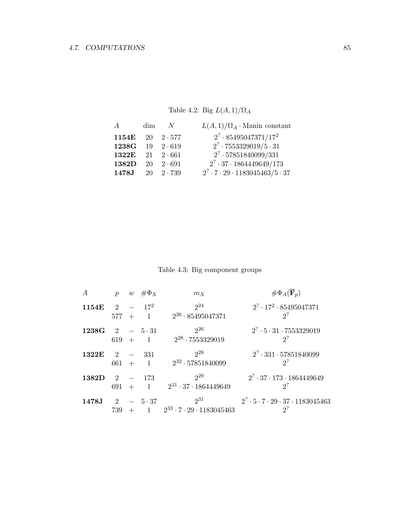Table 4.2: Big  $L(A, 1)/\Omega_A$ 

| $\overline{A}$ | dim- | N                      | $L(A,1)/\Omega_A$ . Manin constant                 |
|----------------|------|------------------------|----------------------------------------------------|
| 1154E 20 2.577 |      |                        | $2^? \cdot 85495047371/17^2$                       |
| 1238G          |      | $19 \quad 2 \cdot 619$ | $2^7 \cdot 7553329019/5 \cdot 31$                  |
| 1322E          |      | $21 \quad 2 \cdot 661$ | $2^? \cdot 57851840099/331$                        |
| 1382D          |      | $20 \quad 2 \cdot 691$ | $2^7 \cdot 37 \cdot 1864449649/173$                |
| 1478J          |      | $20 \quad 2 \cdot 739$ | $2^7 \cdot 7 \cdot 29 \cdot 1183045463/5 \cdot 37$ |

Table 4.3: Big component groups

|        | $\boldsymbol{p}$                   |               | $w \# \Phi_X$              | $m_X$                                                  | $\#\Phi_A(\mathbf{F}_p)$                                          |
|--------|------------------------------------|---------------|----------------------------|--------------------------------------------------------|-------------------------------------------------------------------|
| 1154E  | 2<br>577                           | $\sim$<br>$+$ | $17^{2}$<br>$\overline{1}$ | $2^{24}$<br>$2^{26} \cdot 85495047371$                 | $2^7 \cdot 17^2 \cdot 85495047371$<br>$2^?$                       |
| 1238G  | 2<br>619                           | $+$           | $-5.31$<br>$\overline{1}$  | $2^{26}$<br>$2^{28} \cdot 7553329019$                  | $2^7 \cdot 5 \cdot 31 \cdot 7553329019$<br>$2$ ?                  |
| 1322E  | $\overline{2}$<br>661              | $+$           | 331<br>$\sim$ 1            | $2^{28}$<br>$2^{32} \cdot 57851840099$                 | $2^7 \cdot 331 \cdot 57851840099$<br>$2^?$                        |
| 1382D  | $\mathcal{D}_{\mathcal{L}}$<br>691 | $+$           | 173<br>$\overline{1}$      | $2^{29}$<br>$2^{31} \cdot 37 \cdot 1864449649$         | $2^7 \cdot 37 \cdot 173 \cdot 1864449649$<br>$2$ ?                |
| 1478.J | $\overline{2}$<br>739              |               | $-5.37$<br>$\mathbf{1}$    | $2^{31}$<br>$2^{33} \cdot 7 \cdot 29 \cdot 1183045463$ | $2^7 \cdot 5 \cdot 7 \cdot 29 \cdot 37 \cdot 1183045463$<br>$2^?$ |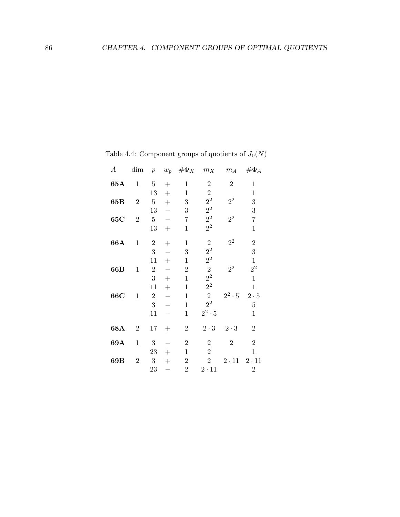| $\boldsymbol{A}$ | $\dim$         | $\boldsymbol{p}$ | $w_p$  | $\#\Phi_X$     | $m_X$            | $m_{\mathcal{A}}$ | $\#\Phi_A$       |
|------------------|----------------|------------------|--------|----------------|------------------|-------------------|------------------|
| 65A              | $\mathbf{1}$   | $\bf 5$          | $^{+}$ | $\mathbf{1}$   | $\sqrt{2}$       | $\overline{2}$    | $\mathbf{1}$     |
|                  |                | 13               | $+$    | $\mathbf{1}$   | $\,2$            |                   | $\mathbf{1}$     |
| 65B              | $\overline{2}$ | $5\,$            | $+$    | 3              | $2^2$            | $2^2$             | 3                |
|                  |                | 13               |        | 3              | $2^2$            |                   | $\boldsymbol{3}$ |
| 65C              | $\overline{2}$ | $\overline{5}$   |        | $\overline{7}$ | $2^{\mathrm{2}}$ | $2^2\,$           | $\overline{7}$   |
|                  |                | 13               | $+$    | $\mathbf{1}$   | $2^2$            |                   | $\mathbf{1}$     |
| 66A              | $\mathbf{1}$   | $\sqrt{2}$       | $^{+}$ | $\mathbf{1}$   | $\sqrt{2}$       | $2^2$             | $\overline{2}$   |
|                  |                | 3                |        | 3              | $2^2$            |                   | 3                |
|                  |                | 11               | $^{+}$ | $\mathbf{1}$   | $2^2$            |                   | $\,1$            |
| 66B              | $\mathbf 1$    | $\sqrt{2}$       |        | $\overline{2}$ | $\overline{2}$   | $2^2$             | $2^2\,$          |
|                  |                | 3                | $+$    | $\mathbf{1}$   | $2^2$            |                   | $\mathbf{1}$     |
|                  |                | 11               | $+$    | $\mathbf{1}$   | $2^2$            |                   | $\mathbf{1}$     |
| 66C              | $\mathbf{1}$   | $\sqrt{2}$       |        | $\mathbf{1}$   | $\overline{2}$   | $2^2 \cdot 5$     | $2 \cdot 5$      |
|                  |                | 3                |        | $\mathbf{1}$   | $2^2$            |                   | $\bf 5$          |
|                  |                | 11               |        | $\mathbf{1}$   | $2^2 \cdot 5$    |                   | $\mathbf{1}$     |
| 68A              | $\sqrt{2}$     | 17               | $+$    | $\sqrt{2}$     | $2 \cdot 3$      | $2 \cdot 3$       | $\overline{2}$   |
| 69A              | $1\,$          | $\sqrt{3}$       |        | $\overline{2}$ | $\sqrt{2}$       | $\overline{2}$    | $\overline{2}$   |
|                  |                | 23               | $^{+}$ | $\mathbf{1}$   | $\overline{2}$   |                   | $\mathbf{1}$     |
| 69B              | $\overline{2}$ | $\boldsymbol{3}$ | $^{+}$ | $\sqrt{2}$     | $\overline{2}$   | $2 \cdot 11$      | $2 \cdot 11$     |
|                  |                | 23               |        | $\sqrt{2}$     | $2\cdot 11$      |                   | $\overline{2}$   |
|                  |                |                  |        |                |                  |                   |                  |

Table 4.4: Component groups of quotients of  $J_0(N)$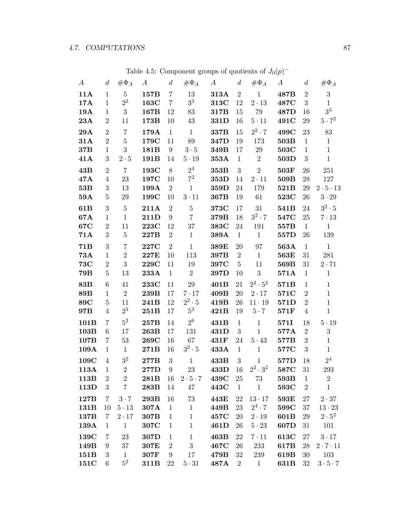| $\boldsymbol{A}$ | $\mathfrak{a}$   | $\#\Phi_A$     | $\boldsymbol{A}$ | $\boldsymbol{d}$ | $\#\Phi_A$          | $\boldsymbol{A}$ | $\overline{d}$ | $\#\Phi_A$      | $\boldsymbol{A}$ | $\boldsymbol{d}$ | $\#\Phi_A$           |
|------------------|------------------|----------------|------------------|------------------|---------------------|------------------|----------------|-----------------|------------------|------------------|----------------------|
| 11A              | $\mathbf{1}$     | $\overline{5}$ | 157B             | $\overline{7}$   | 13                  | 313A             | $\overline{2}$ | $\mathbf{1}$    | 487B             | $\overline{2}$   | $\boldsymbol{3}$     |
| 17A              | $\mathbf{1}$     | $2^2$          | 163C             | $\overline{7}$   | $3^3$               | 313C             | 12             | $2\cdot 13$     | 487C             | 3                | $\mathbf{1}$         |
| 19A              | $\mathbf{1}$     | 3              | 167B             | 12               | 83                  | 317B             | 15             | 79              | 487D             | 16               | $3^3$                |
| 23A              | $\boldsymbol{2}$ | 11             | 173B             | 10               | 43                  | 331D             | 16             | $5 \cdot 11$    | 491C             | 29               | $5 \cdot 7^2$        |
| <b>29A</b>       | $\overline{2}$   | $\overline{7}$ | 179A             | $\mathbf{1}$     | $\mathbf{1}$        | 337B             | 15             | $2^2 \cdot 7$   | 499C             | 23               | 83                   |
| 31A              | $\overline{2}$   | $\overline{5}$ | 179C             | 11               | $89\,$              | 347D             | 19             | 173             | 503B             | $\mathbf{1}$     | $\mathbf{1}$         |
| 37B              | $\mathbf{1}$     | 3              | 181B             | 9                | $3\cdot 5$          | 349B             | 17             | 29              | 503C             | $\mathbf{1}$     | $\mathbf{1}$         |
| 41A              | 3                | $2\cdot 5$     | 191B             | 14               | $5\cdot 19$         | 353A             | $\mathbf{1}$   | $\overline{2}$  | 503D             | 3                | $\mathbf{1}$         |
| 43B              | $\overline{2}$   | $\overline{7}$ | 193C             | 8                | $2^4$               | 353B             | 3              | $\overline{2}$  | 503F             | 26               | 251                  |
| 47A              | $\overline{4}$   | 23             | 197C             | 10               | $7^2$               | 353D             | 14             | $2 \cdot 11$    | 509B             | 28               | 127                  |
| 53B              | 3                | 13             | 199A             | $\overline{2}$   | $\mathbf{1}$        | 359D             | 24             | 179             | 521B             | 29               | $2 \cdot 5 \cdot 13$ |
| 59A              | $\overline{5}$   | $\,29$         | 199C             | 10               | $3 \cdot 11$        | 367B             | 19             | 61              | 523C             | 26               | $3\cdot 29$          |
| 61 <sub>B</sub>  | $\sqrt{3}$       | $\bf 5$        | 211A             | $\overline{2}$   | $\overline{5}$      | 373C             | 17             | 31              | 541B             | 24               | $3^2 \cdot 5$        |
| 67A              | $\mathbf{1}$     | $\mathbf{1}$   | 211D             | $9\phantom{.0}$  | $\overline{7}$      | 379B             | 18             | $3^2 \cdot 7$   | 547C             | 25               | $7 \cdot 13$         |
| 67C              | $\overline{2}$   | 11             | 223C             | 12               | 37                  | 383C             | 24             | 191             | 557B             | $\mathbf{1}$     | $\mathbf{1}$         |
| 71A              | $\sqrt{3}$       | $\overline{5}$ | 227B             | $\overline{2}$   | $\mathbf{1}$        | 389A             | $\mathbf{1}$   | $\mathbf{1}$    | 557D             | 26               | 139                  |
| 71B              | 3                | $\overline{7}$ | 227C             | 2                | $\mathbf{1}$        | 389E             | 20             | 97              | 563A             | $\mathbf{1}$     | $\mathbf{1}$         |
| <b>73A</b>       | $\mathbf{1}$     | $\overline{2}$ | 227E             | 10               | 113                 | 397B             | $\sqrt{2}$     | $\mathbf{1}$    | 563E             | $31\,$           | 281                  |
| <b>73C</b>       | $\sqrt{2}$       | 3              | 229C             | 11               | 19                  | 397C             | $\bf 5$        | 11              | 569B             | $31\,$           | $2\cdot 71$          |
| <b>79B</b>       | $\bf 5$          | 13             | 233A             | $\mathbf{1}$     | $\overline{2}$      | 397D             | 10             | $\overline{3}$  | 571A             | $\mathbf{1}$     | $\mathbf{1}$         |
| 83B              | $\,6\,$          | 41             | 233C             | 11               | 29                  | 401B             | 21             | $2^2 \cdot 5^2$ | 571B             | $\mathbf{1}$     | $\mathbf{1}$         |
| 89B              | $\mathbf{1}$     | $\overline{2}$ | 239B             | 17               | $7 \cdot 17$        | 409B             | 20             | $2 \cdot 17$    | 571C             | $\overline{2}$   | $\mathbf{1}$         |
| 89C              | $\bf 5$          | 11             | 241B             | 12               | $2^2 \cdot 5$       | 419B             | 26             | $11\cdot 19$    | 571D             | $\overline{2}$   | $1\,$                |
| 97B              | $\overline{4}$   | $2^3$          | 251B             | 17               | $5^3$               | 421B             | 19             | $5 \cdot 7$     | 571F             | $\overline{4}$   | $\mathbf{1}$         |
| 101B             | $\overline{7}$   | $5^2\,$        | 257B             | 14               | 2 <sup>6</sup>      | 431B             | $\mathbf{1}$   | $\mathbf{1}$    | 571I             | 18               | $5 \cdot 19$         |
| 103B             | $6\phantom{.}6$  | 17             | 263B             | 17               | 131                 | 431D             | 3              | $\mathbf{1}$    | 577A             | $\overline{2}$   | $\sqrt{3}$           |
| 107B             | 7                | 53             | 269C             | 16               | 67                  | 431F             | 24             | $5 \cdot 43$    | 577B             | $\overline{2}$   | $\mathbf{1}$         |
| 109A             | $\mathbf{1}$     | $\mathbf{1}$   | 271B             | 16               | $3^2 \cdot 5$       | 433A             | $\mathbf{1}$   | $\mathbf{1}$    | 577C             | 3                | $\mathbf{1}$         |
| 109C             | $\overline{4}$   | 3 <sup>2</sup> | 277B             | $\mathbf{3}$     | $\mathbf{1}$        | 433B             | 3              | $\mathbf{1}$    | 577D             | 18               | 2 <sup>4</sup>       |
| 113A             | $\mathbf{1}$     | $\overline{2}$ | 277D             | 9                | 23                  | 433D             | 16             | $2^2 \cdot 3^2$ | 587C             | 31               | 293                  |
| 113B             | $\overline{2}$   | $\overline{2}$ | 281B             | 16               | $2 \cdot 5 \cdot 7$ | 439C             | 25             | 73              | 593B             | $\mathbf 1$      | $\sqrt{2}$           |
| 113D             | 3                | $\overline{7}$ | 283B             | 14               | 47                  | 443C             | $\mathbf{1}$   | $\mathbf{1}$    | 593C             | $\overline{2}$   | $\mathbf{1}$         |
| 127B             | $\overline{7}$   | $3 \cdot 7$    | 293B             | 16               | 73                  | 443E             | 22             | $13 \cdot 17$   | 593E             | 27               | $2\cdot 37$          |
| 131B             | 10               | $5 \cdot 13$   | 307A             | $\mathbf{1}$     | $\mathbf{1}$        | 449B             | 23             | $2^4 \cdot 7$   | 599C             | 37               | $13 \cdot 23$        |
| 137B             | 7                | $2 \cdot 17$   | 307B             | $\mathbf{1}$     | $\,1$               | 457C             | 20             | $2\cdot 19$     | 601B             | 29               | $2\cdot 5^2$         |
| ${\bf 139A}$     | $\mathbf{1}$     | $\mathbf{1}$   | 307C             | $\mathbf{1}$     | 1                   | 461D             | 26             | $5 \cdot 23$    | 607D             | 31               | 101                  |
| 139C             | 7                | 23             | 307D             | $\mathbf{1}$     | $\mathbf{1}$        | 463B             | 22             | $7 \cdot 11$    | 613C             | 27               | $3 \cdot 17$         |
| 149B             | 9                | 37             | 307E             | $\overline{2}$   | 3                   | 467C             | 26             | 233             | 617B             | 28               | $2 \cdot 7 \cdot 11$ |
| 151B             | 3                | $\mathbf{1}$   | 307F             | $\boldsymbol{9}$ | 17                  | 479B             | 32             | $239\,$         | 619B             | 30               | 103                  |
| 151C             | 6                | $5^2$          | 311B             | 22               | $5 \cdot 31$        | 487A             | $\sqrt{2}$     | $\mathbf{1}$    | 631B             | 32               | $3 \cdot 5 \cdot 7$  |

Table 4.5: Component groups of quotients of  $J_0(p)^-$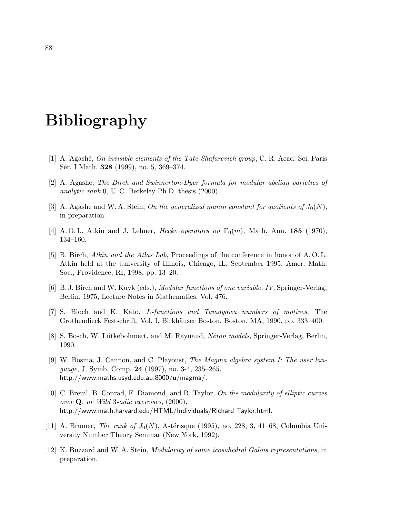# Bibliography

- [1] A. Agash´e, On invisible elements of the Tate-Shafarevich group, C. R. Acad. Sci. Paris Sér. I Math. **328** (1999), no. 5, 369–374.
- [2] A. Agashe, The Birch and Swinnerton-Dyer formula for modular abelian varieties of analytic rank 0, U. C. Berkeley Ph.D. thesis (2000).
- [3] A. Agashe and W. A. Stein, On the generalized manin constant for quotients of  $J_0(N)$ , in preparation.
- [4] A.O.L. Atkin and J. Lehner, *Hecke operators on*  $\Gamma_0(m)$ , Math. Ann. **185** (1970), 134–160.
- [5] B. Birch, Atkin and the Atlas Lab, Proceedings of the conference in honor of A. O. L. Atkin held at the University of Illinois, Chicago, IL, September 1995, Amer. Math. Soc., Providence, RI, 1998, pp. 13–20.
- [6] B. J. Birch and W. Kuyk (eds.), Modular functions of one variable. IV, Springer-Verlag, Berlin, 1975, Lecture Notes in Mathematics, Vol. 476.
- [7] S. Bloch and K. Kato, L-functions and Tamagawa numbers of motives, The Grothendieck Festschrift, Vol. I, Birkh¨auser Boston, Boston, MA, 1990, pp. 333–400.
- [8] S. Bosch, W. Lütkebohmert, and M. Raynaud, *Néron models*, Springer-Verlag, Berlin, 1990.
- [9] W. Bosma, J. Cannon, and C. Playoust, The Magma algebra system I: The user language, J. Symb. Comp. 24 (1997), no. 3-4, 235–265, http://www.maths.usyd.edu.au:8000/u/magma/.
- [10] C. Breuil, B. Conrad, F. Diamond, and R. Taylor, On the modularity of elliptic curves over  $Q$ , or Wild 3-adic exercises,  $(2000)$ , http://www.math.harvard.edu/HTML/Individuals/Richard Taylor.html.
- [11] A. Brumer, *The rank of*  $J_0(N)$ , Astérisque (1995), no. 228, 3, 41–68, Columbia University Number Theory Seminar (New York, 1992).
- [12] K. Buzzard and W. A. Stein, Modularity of some icosahedral Galois representations, in preparation.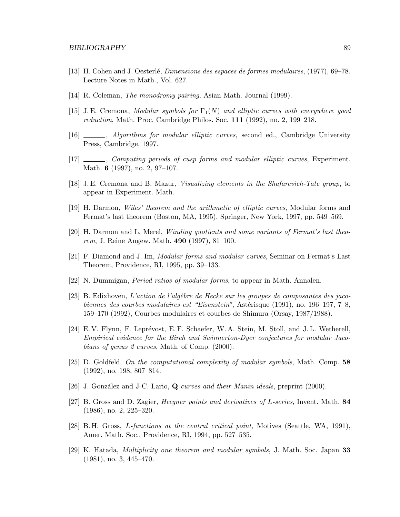- [13] H. Cohen and J. Oesterlé, *Dimensions des espaces de formes modulaires*, (1977), 69–78. Lecture Notes in Math., Vol. 627.
- [14] R. Coleman, *The monodromy pairing*, Asian Math. Journal (1999).
- [15] J.E. Cremona, Modular symbols for  $\Gamma_1(N)$  and elliptic curves with everywhere good reduction, Math. Proc. Cambridge Philos. Soc. 111 (1992), no. 2, 199–218.
- [16] , Algorithms for modular elliptic curves, second ed., Cambridge University Press, Cambridge, 1997.
- [17]  $\ldots$ , Computing periods of cusp forms and modular elliptic curves, Experiment. Math. 6 (1997), no. 2, 97–107.
- [18] J.E. Cremona and B. Mazur, Visualizing elements in the Shafarevich-Tate group, to appear in Experiment. Math.
- [19] H. Darmon, Wiles' theorem and the arithmetic of elliptic curves, Modular forms and Fermat's last theorem (Boston, MA, 1995), Springer, New York, 1997, pp. 549–569.
- [20] H. Darmon and L. Merel, Winding quotients and some variants of Fermat's last theorem, J. Reine Angew. Math. 490 (1997), 81–100.
- [21] F. Diamond and J. Im, Modular forms and modular curves, Seminar on Fermat's Last Theorem, Providence, RI, 1995, pp. 39–133.
- [22] N. Dummigan, Period ratios of modular forms, to appear in Math. Annalen.
- [23] B. Edixhoven, L'action de l'algèbre de Hecke sur les groupes de composantes des jacobiennes des courbes modulaires est "Eisenstein", Astérisque (1991), no. 196–197, 7–8, 159–170 (1992), Courbes modulaires et courbes de Shimura (Orsay, 1987/1988).
- [24] E.V. Flynn, F. Leprévost, E.F. Schaefer, W.A. Stein, M. Stoll, and J.L. Wetherell, Empirical evidence for the Birch and Swinnerton-Dyer conjectures for modular Jacobians of genus 2 curves, Math. of Comp. (2000).
- [25] D. Goldfeld, On the computational complexity of modular symbols, Math. Comp. 58 (1992), no. 198, 807–814.
- [26] J. González and J-C. Lario, Q-curves and their Manin ideals, preprint (2000).
- [27] B. Gross and D. Zagier, Heegner points and derivatives of L-series, Invent. Math. 84 (1986), no. 2, 225–320.
- [28] B. H. Gross, L-functions at the central critical point, Motives (Seattle, WA, 1991), Amer. Math. Soc., Providence, RI, 1994, pp. 527–535.
- [29] K. Hatada, Multiplicity one theorem and modular symbols, J. Math. Soc. Japan 33 (1981), no. 3, 445–470.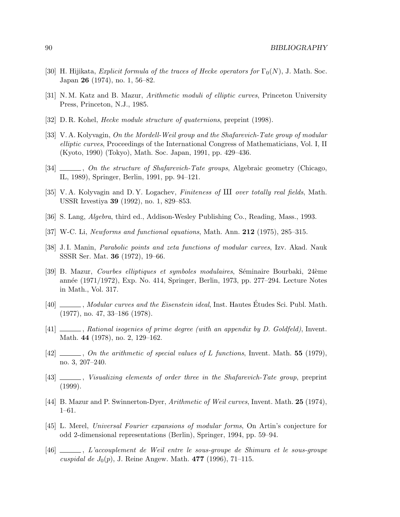- [30] H. Hijikata, Explicit formula of the traces of Hecke operators for  $\Gamma_0(N)$ , J. Math. Soc. Japan 26 (1974), no. 1, 56–82.
- [31] N. M. Katz and B. Mazur, Arithmetic moduli of elliptic curves, Princeton University Press, Princeton, N.J., 1985.
- [32] D. R. Kohel, Hecke module structure of quaternions, preprint (1998).
- [33] V. A. Kolyvagin, On the Mordell-Weil group and the Shafarevich-Tate group of modular elliptic curves, Proceedings of the International Congress of Mathematicians, Vol. I, II (Kyoto, 1990) (Tokyo), Math. Soc. Japan, 1991, pp. 429–436.
- [34]  $\ldots$ , On the structure of Shafarevich-Tate groups, Algebraic geometry (Chicago, IL, 1989), Springer, Berlin, 1991, pp. 94–121.
- [35] V. A. Kolyvagin and D. Y. Logachev, Finiteness of  $III$  over totally real fields, Math. USSR Izvestiya 39 (1992), no. 1, 829–853.
- [36] S. Lang, Algebra, third ed., Addison-Wesley Publishing Co., Reading, Mass., 1993.
- [37] W-C. Li, Newforms and functional equations, Math. Ann. 212 (1975), 285–315.
- [38] J.I. Manin, Parabolic points and zeta functions of modular curves, Izv. Akad. Nauk SSSR Ser. Mat. 36 (1972), 19–66.
- [39] B. Mazur, *Courbes elliptiques et symboles modulaires*, Séminaire Bourbaki, 24ème ann´ee (1971/1972), Exp. No. 414, Springer, Berlin, 1973, pp. 277–294. Lecture Notes in Math., Vol. 317.
- [40] \_\_\_\_\_\_, Modular curves and the Eisenstein ideal, Inst. Hautes Études Sci. Publ. Math. (1977), no. 47, 33–186 (1978).
- $[41]$  , Rational isogenies of prime degree (with an appendix by D. Goldfeld), Invent. Math. 44 (1978), no. 2, 129–162.
- $[42]$  , On the arithmetic of special values of L functions, Invent. Math. 55 (1979), no. 3, 207–240.
- [43]  $\ldots$ , Visualizing elements of order three in the Shafarevich-Tate group, preprint (1999).
- [44] B. Mazur and P. Swinnerton-Dyer, Arithmetic of Weil curves, Invent. Math. 25 (1974), 1–61.
- [45] L. Merel, Universal Fourier expansions of modular forms, On Artin's conjecture for odd 2-dimensional representations (Berlin), Springer, 1994, pp. 59–94.
- [46] , L'accouplement de Weil entre le sous-groupe de Shimura et le sous-groupe cuspidal de  $J_0(p)$ , J. Reine Angew. Math. 477 (1996), 71–115.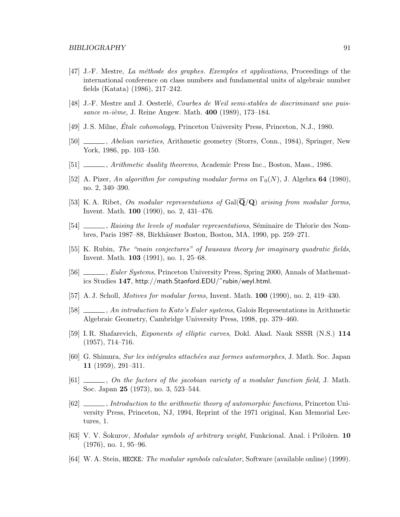- [47] J.-F. Mestre, La méthode des graphes. Exemples et applications, Proceedings of the international conference on class numbers and fundamental units of algebraic number fields (Katata) (1986), 217–242.
- [48] J.-F. Mestre and J. Oesterlé, Courbes de Weil semi-stables de discriminant une puissance m-ième, J. Reine Angew. Math.  $400$  (1989), 173–184.
- [49] J. S. Milne, *Étale cohomology*, Princeton University Press, Princeton, N.J., 1980.
- [50]  $\_\_\_\_\$ , Abelian varieties, Arithmetic geometry (Storrs, Conn., 1984), Springer, New York, 1986, pp. 103–150.
- [51] , Arithmetic duality theorems, Academic Press Inc., Boston, Mass., 1986.
- [52] A. Pizer, An algorithm for computing modular forms on  $\Gamma_0(N)$ , J. Algebra 64 (1980), no. 2, 340–390.
- [53] K.A. Ribet, On modular representations of  $Gal(\mathbf{Q}/q)$  arising from modular forms, Invent. Math. 100 (1990), no. 2, 431–476.
- [54]  $\ldots$ , Raising the levels of modular representations, Séminaire de Théorie des Nombres, Paris 1987–88, Birkh¨auser Boston, Boston, MA, 1990, pp. 259–271.
- [55] K. Rubin, The "main conjectures" of Iwasawa theory for imaginary quadratic fields, Invent. Math. 103 (1991), no. 1, 25–68.
- [56] , Euler Systems, Princeton University Press, Spring 2000, Annals of Mathematics Studies 147, http://math.Stanford.EDU/˜rubin/weyl.html.
- [57] A. J. Scholl, Motives for modular forms, Invent. Math. 100 (1990), no. 2, 419–430.
- [58]  $\ldots$ , An introduction to Kato's Euler systems, Galois Representations in Arithmetic Algebraic Geometry, Cambridge University Press, 1998, pp. 379–460.
- [59] I. R. Shafarevich, Exponents of elliptic curves, Dokl. Akad. Nauk SSSR (N.S.) 114 (1957), 714–716.
- [60] G. Shimura, Sur les intégrales attachées aux formes automorphes, J. Math. Soc. Japan 11 (1959), 291–311.
- $[61]$  , On the factors of the jacobian variety of a modular function field, J. Math. Soc. Japan 25 (1973), no. 3, 523–544.
- [62]  $\ldots$ , Introduction to the arithmetic theory of automorphic functions, Princeton University Press, Princeton, NJ, 1994, Reprint of the 1971 original, Kan Memorial Lectures, 1.
- [63] V. V. Sokurov, *Modular symbols of arbitrary weight*, Funkcional. Anal. i Priložen. 10 (1976), no. 1, 95–96.
- [64] W. A. Stein, HECKE: The modular symbols calculator, Software (available online) (1999).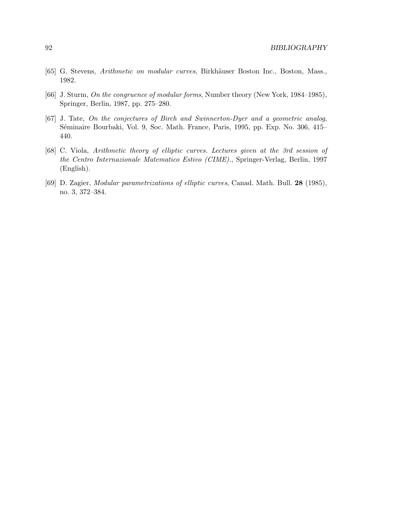- [65] G. Stevens, Arithmetic on modular curves, Birkhäuser Boston Inc., Boston, Mass., 1982.
- [66] J. Sturm, On the congruence of modular forms, Number theory (New York, 1984–1985), Springer, Berlin, 1987, pp. 275–280.
- [67] J. Tate, On the conjectures of Birch and Swinnerton-Dyer and a geometric analog, Séminaire Bourbaki, Vol. 9, Soc. Math. France, Paris, 1995, pp. Exp. No. 306, 415– 440.
- [68] C. Viola, Arithmetic theory of elliptic curves. Lectures given at the 3rd session of the Centro Internazionale Matematico Estivo (CIME)., Springer-Verlag, Berlin, 1997 (English).
- [69] D. Zagier, Modular parametrizations of elliptic curves, Canad. Math. Bull. 28 (1985), no. 3, 372–384.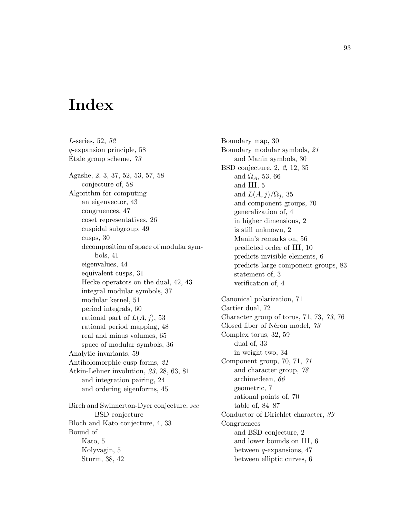## Index

L-series, 52, 52 q-expansion principle, 58 Etale group scheme,  $73$ Agashe, 2, 3, 37, 52, 53, 57, 58 conjecture of, 58 Algorithm for computing an eigenvector, 43 congruences, 47 coset representatives, 26 cuspidal subgroup, 49 cusps, 30 decomposition of space of modular symbols, 41 eigenvalues, 44 equivalent cusps, 31 Hecke operators on the dual, 42, 43 integral modular symbols, 37 modular kernel, 51 period integrals, 60 rational part of  $L(A, j)$ , 53 rational period mapping, 48 real and minus volumes, 65 space of modular symbols, 36 Analytic invariants, 59 Antiholomorphic cusp forms, 21 Atkin-Lehner involution, 23, 28, 63, 81 and integration pairing, 24 and ordering eigenforms, 45 Birch and Swinnerton-Dyer conjecture, see BSD conjecture Bloch and Kato conjecture, 4, 33 Bound of Kato, 5 Kolyvagin, 5 Sturm, 38, 42

Boundary map, 30 Boundary modular symbols, 21 and Manin symbols, 30 BSD conjecture, 2, 2, 12, 35 and  $\Omega_A$ , 53, 66 and  $III, 5$ and  $L(A, j)/\Omega_i$ , 35 and component groups, 70 generalization of, 4 in higher dimensions, 2 is still unknown, 2 Manin's remarks on, 56 predicted order of  $III$ , 10 predicts invisible elements, 6 predicts large component groups, 83 statement of, 3 verification of, 4 Canonical polarization, 71 Cartier dual, 72 Character group of torus, 71, 73, 73, 76 Closed fiber of Néron model, 73 Complex torus, 32, 59 dual of, 33 in weight two, 34 Component group, 70, 71, 71 and character group, 78 archimedean, 66 geometric, 7 rational points of, 70 table of, 84–87 Conductor of Dirichlet character, 39 Congruences and BSD conjecture, 2 and lower bounds on  $III$ ,  $6$ between q-expansions, 47 between elliptic curves, 6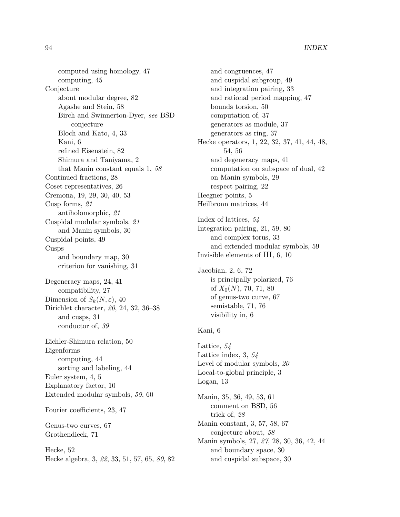computed using homology, 47 computing, 45 Conjecture about modular degree, 82 Agashe and Stein, 58 Birch and Swinnerton-Dyer, see BSD conjecture Bloch and Kato, 4, 33 Kani, 6 refined Eisenstein, 82 Shimura and Taniyama, 2 that Manin constant equals 1, 58 Continued fractions, 28 Coset representatives, 26 Cremona, 19, 29, 30, 40, 53 Cusp forms, 21 antiholomorphic, 21 Cuspidal modular symbols, 21 and Manin symbols, 30 Cuspidal points, 49 Cusps and boundary map, 30 criterion for vanishing, 31 Degeneracy maps, 24, 41 compatibility, 27 Dimension of  $S_k(N,\varepsilon)$ , 40 Dirichlet character, 20, 24, 32, 36–38 and cusps, 31 conductor of, 39 Eichler-Shimura relation, 50 Eigenforms computing, 44 sorting and labeling, 44 Euler system, 4, 5 Explanatory factor, 10 Extended modular symbols, 59, 60 Fourier coefficients, 23, 47 Genus-two curves, 67 Grothendieck, 71 Hecke, 52 Hecke algebra, 3, 22, 33, 51, 57, 65, 80, 82

and congruences, 47 and cuspidal subgroup, 49 and integration pairing, 33 and rational period mapping, 47 bounds torsion, 50 computation of, 37 generators as module, 37 generators as ring, 37 Hecke operators, 1, 22, 32, 37, 41, 44, 48, 54, 56 and degeneracy maps, 41 computation on subspace of dual, 42 on Manin symbols, 29 respect pairing, 22 Heegner points, 5 Heilbronn matrices, 44

Index of lattices, 54 Integration pairing, 21, 59, 80 and complex torus, 33 and extended modular symbols, 59 Invisible elements of  $III$ , 6, 10

Jacobian, 2, 6, 72 is principally polarized, 76 of  $X_0(N)$ , 70, 71, 80 of genus-two curve, 67 semistable, 71, 76 visibility in, 6

## Kani, 6

Lattice, 54 Lattice index, 3, 54 Level of modular symbols,  $20$ Local-to-global principle, 3 Logan, 13 Manin, 35, 36, 49, 53, 61 comment on BSD, 56 trick of, 28 Manin constant, 3, 57, 58, 67 conjecture about, 58 Manin symbols, 27, 27, 28, 30, 36, 42, 44 and boundary space, 30 and cuspidal subspace, 30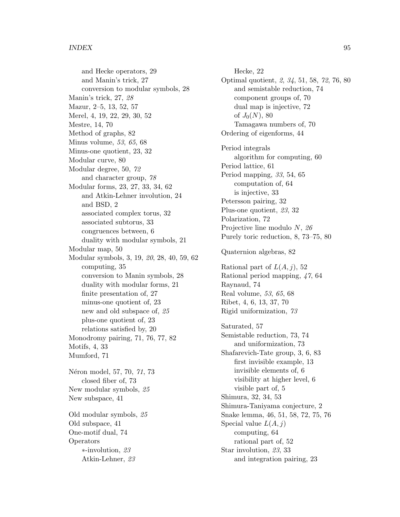and Hecke operators, 29 and Manin's trick, 27 conversion to modular symbols, 28 Manin's trick, 27, 28 Mazur, 2–5, 13, 52, 57 Merel, 4, 19, 22, 29, 30, 52 Mestre, 14, 70 Method of graphs, 82 Minus volume, 53, 65, 68 Minus-one quotient, 23, 32 Modular curve, 80 Modular degree, 50, 72 and character group, 78 Modular forms, 23, 27, 33, 34, 62 and Atkin-Lehner involution, 24 and BSD, 2 associated complex torus, 32 associated subtorus, 33 congruences between, 6 duality with modular symbols, 21 Modular map, 50 Modular symbols, 3, 19, 20, 28, 40, 59, 62 computing, 35 conversion to Manin symbols, 28 duality with modular forms, 21 finite presentation of, 27 minus-one quotient of, 23 new and old subspace of, 25 plus-one quotient of, 23 relations satisfied by, 20 Monodromy pairing, 71, 76, 77, 82 Motifs, 4, 33 Mumford, 71 Néron model, 57, 70, 71, 73 closed fiber of, 73 New modular symbols, 25 New subspace, 41 Old modular symbols, 25 Old subspace, 41 One-motif dual, 74 Operators

> ∗-involution, 23 Atkin-Lehner, 23

Hecke, 22 Optimal quotient, 2, 34, 51, 58, 72, 76, 80 and semistable reduction, 74 component groups of, 70 dual map is injective, 72 of  $J_0(N)$ , 80 Tamagawa numbers of, 70 Ordering of eigenforms, 44 Period integrals algorithm for computing, 60 Period lattice, 61 Period mapping, 33, 54, 65 computation of, 64 is injective, 33 Petersson pairing, 32 Plus-one quotient, 23, 32 Polarization, 72 Projective line modulo N, 26 Purely toric reduction, 8, 73–75, 80 Quaternion algebras, 82 Rational part of  $L(A, j)$ , 52 Rational period mapping, 47, 64 Raynaud, 74 Real volume, 53, 65, 68 Ribet, 4, 6, 13, 37, 70 Rigid uniformization, 73 Saturated, 57 Semistable reduction, 73, 74 and uniformization, 73 Shafarevich-Tate group, 3, 6, 83 first invisible example, 13 invisible elements of, 6 visibility at higher level, 6 visible part of, 5 Shimura, 32, 34, 53 Shimura-Taniyama conjecture, 2 Snake lemma, 46, 51, 58, 72, 75, 76 Special value  $L(A, j)$ computing, 64 rational part of, 52 Star involution, 23, 33 and integration pairing, 23